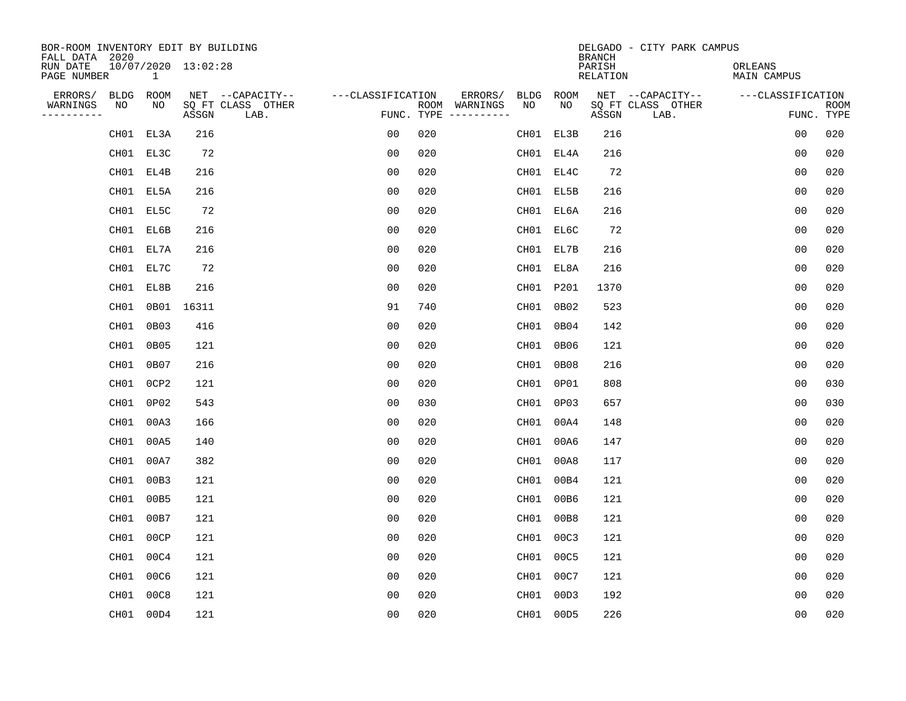| BOR-ROOM INVENTORY EDIT BY BUILDING<br>FALL DATA 2020 |              |                     |                           |                   |     |                                      |           |             | <b>BRANCH</b>             | DELGADO - CITY PARK CAMPUS |                               |                           |
|-------------------------------------------------------|--------------|---------------------|---------------------------|-------------------|-----|--------------------------------------|-----------|-------------|---------------------------|----------------------------|-------------------------------|---------------------------|
| RUN DATE<br>PAGE NUMBER                               | $\mathbf{1}$ | 10/07/2020 13:02:28 |                           |                   |     |                                      |           |             | PARISH<br><b>RELATION</b> |                            | ORLEANS<br><b>MAIN CAMPUS</b> |                           |
| ERRORS/<br><b>BLDG</b>                                | ROOM         |                     | NET --CAPACITY--          | ---CLASSIFICATION |     | ERRORS/                              | BLDG      | <b>ROOM</b> |                           | NET --CAPACITY--           | ---CLASSIFICATION             |                           |
| WARNINGS<br>NO<br>----------                          | NO           | ASSGN               | SQ FT CLASS OTHER<br>LAB. |                   |     | ROOM WARNINGS<br>FUNC. TYPE $------$ | NO        | NO          | ASSGN                     | SQ FT CLASS OTHER<br>LAB.  |                               | <b>ROOM</b><br>FUNC. TYPE |
| CH01                                                  | EL3A         | 216                 |                           | 0 <sub>0</sub>    | 020 |                                      |           | CH01 EL3B   | 216                       |                            | 0 <sub>0</sub>                | 020                       |
|                                                       | CH01 EL3C    | 72                  |                           | 0 <sub>0</sub>    | 020 |                                      |           | CH01 EL4A   | 216                       |                            | 0 <sub>0</sub>                | 020                       |
|                                                       | CH01 EL4B    | 216                 |                           | 0 <sub>0</sub>    | 020 |                                      |           | CH01 EL4C   | 72                        |                            | 0 <sub>0</sub>                | 020                       |
|                                                       | CH01 EL5A    | 216                 |                           | 0 <sub>0</sub>    | 020 |                                      |           | CH01 EL5B   | 216                       |                            | 0 <sub>0</sub>                | 020                       |
|                                                       | CH01 EL5C    | 72                  |                           | 0 <sub>0</sub>    | 020 |                                      |           | CH01 EL6A   | 216                       |                            | 0 <sub>0</sub>                | 020                       |
|                                                       | CH01 EL6B    | 216                 |                           | 0 <sub>0</sub>    | 020 |                                      |           | CH01 EL6C   | 72                        |                            | 0 <sub>0</sub>                | 020                       |
|                                                       | CH01 EL7A    | 216                 |                           | 0 <sub>0</sub>    | 020 |                                      |           | CH01 EL7B   | 216                       |                            | 0 <sub>0</sub>                | 020                       |
|                                                       | CH01 EL7C    | 72                  |                           | 0 <sub>0</sub>    | 020 |                                      |           | CH01 EL8A   | 216                       |                            | 0 <sub>0</sub>                | 020                       |
| CH01                                                  | EL8B         | 216                 |                           | 0 <sub>0</sub>    | 020 |                                      | CH01 P201 |             | 1370                      |                            | 0 <sub>0</sub>                | 020                       |
| CH01                                                  |              | 0B01 16311          |                           | 91                | 740 |                                      |           | CH01 0B02   | 523                       |                            | 0 <sub>0</sub>                | 020                       |
| CH01                                                  | 0B03         | 416                 |                           | 00                | 020 |                                      |           | CH01 0B04   | 142                       |                            | 0 <sub>0</sub>                | 020                       |
| CH01                                                  | 0B05         | 121                 |                           | 0 <sub>0</sub>    | 020 |                                      |           | CH01 0B06   | 121                       |                            | 0 <sub>0</sub>                | 020                       |
| CH01                                                  | 0B07         | 216                 |                           | 0 <sub>0</sub>    | 020 |                                      | CH01      | 0B08        | 216                       |                            | 0 <sub>0</sub>                | 020                       |
| CH01                                                  | 0CP2         | 121                 |                           | 0 <sub>0</sub>    | 020 |                                      | CH01 0P01 |             | 808                       |                            | 0 <sub>0</sub>                | 030                       |
| CH01                                                  | 0P02         | 543                 |                           | 0 <sub>0</sub>    | 030 |                                      | CH01      | 0P03        | 657                       |                            | 0 <sub>0</sub>                | 030                       |
| CH01                                                  | 00A3         | 166                 |                           | 0 <sub>0</sub>    | 020 |                                      | CH01 00A4 |             | 148                       |                            | 0 <sub>0</sub>                | 020                       |
| CH01                                                  | 00A5         | 140                 |                           | 0 <sub>0</sub>    | 020 |                                      | CH01      | 00A6        | 147                       |                            | 0 <sub>0</sub>                | 020                       |
| CH01                                                  | 00A7         | 382                 |                           | 0 <sub>0</sub>    | 020 |                                      | CH01 00A8 |             | 117                       |                            | 0 <sub>0</sub>                | 020                       |
| CH01                                                  | 00B3         | 121                 |                           | 0 <sub>0</sub>    | 020 |                                      | CH01 00B4 |             | 121                       |                            | 0 <sub>0</sub>                | 020                       |
| CH01                                                  | 00B5         | 121                 |                           | 0 <sub>0</sub>    | 020 |                                      | CH01 00B6 |             | 121                       |                            | 0 <sub>0</sub>                | 020                       |
| CH01                                                  | 00B7         | 121                 |                           | 0 <sub>0</sub>    | 020 |                                      | CH01 00B8 |             | 121                       |                            | 0 <sub>0</sub>                | 020                       |
| CH01                                                  | 00CP         | 121                 |                           | 0 <sub>0</sub>    | 020 |                                      | CH01 00C3 |             | 121                       |                            | 0 <sub>0</sub>                | 020                       |
| CH01                                                  | 00C4         | 121                 |                           | 0 <sub>0</sub>    | 020 |                                      | CH01 00C5 |             | 121                       |                            | 0 <sub>0</sub>                | 020                       |
| CH01                                                  | 00C6         | 121                 |                           | 0 <sub>0</sub>    | 020 |                                      | CH01 00C7 |             | 121                       |                            | 0 <sub>0</sub>                | 020                       |
| CH01                                                  | 00C8         | 121                 |                           | 0 <sub>0</sub>    | 020 |                                      | CH01 00D3 |             | 192                       |                            | 0 <sub>0</sub>                | 020                       |
|                                                       | CH01 00D4    | 121                 |                           | 0 <sub>0</sub>    | 020 |                                      | CH01 00D5 |             | 226                       |                            | 0 <sub>0</sub>                | 020                       |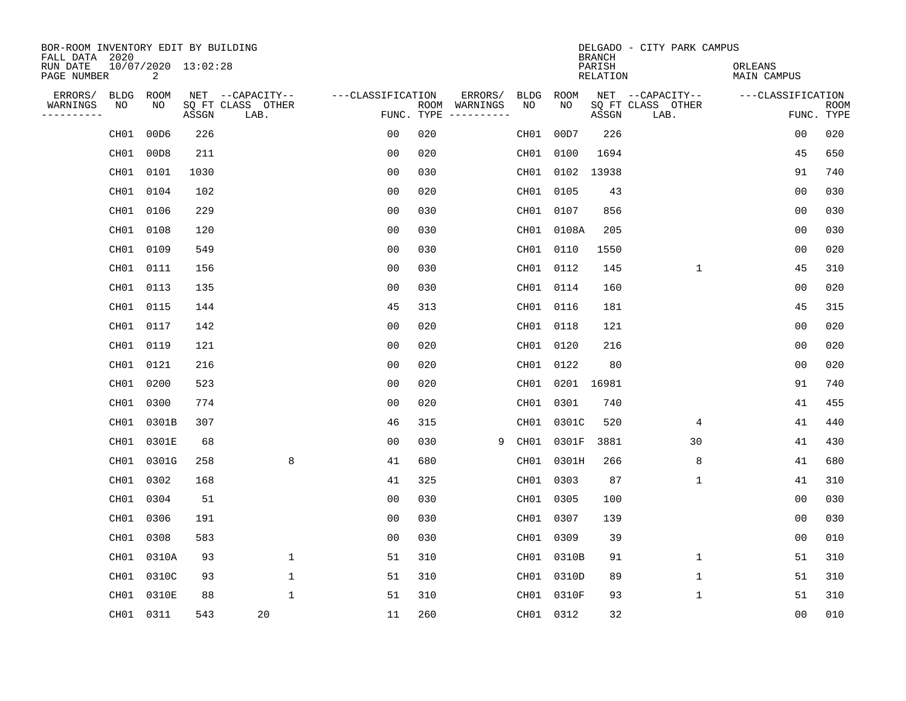| BOR-ROOM INVENTORY EDIT BY BUILDING<br>FALL DATA 2020 |                          |       |                           |                   |            |                              |             |             | <b>BRANCH</b>             | DELGADO - CITY PARK CAMPUS |                               |                           |
|-------------------------------------------------------|--------------------------|-------|---------------------------|-------------------|------------|------------------------------|-------------|-------------|---------------------------|----------------------------|-------------------------------|---------------------------|
| RUN DATE<br>PAGE NUMBER                               | 10/07/2020 13:02:28<br>2 |       |                           |                   |            |                              |             |             | PARISH<br><b>RELATION</b> |                            | ORLEANS<br><b>MAIN CAMPUS</b> |                           |
| ERRORS/<br>BLDG                                       | ROOM                     |       | NET --CAPACITY--          | ---CLASSIFICATION |            | ERRORS/                      | <b>BLDG</b> | <b>ROOM</b> |                           | NET --CAPACITY--           | ---CLASSIFICATION             |                           |
| NO<br>WARNINGS<br>----------                          | NO                       | ASSGN | SQ FT CLASS OTHER<br>LAB. |                   | FUNC. TYPE | ROOM WARNINGS<br>----------- | NO          | NO          | ASSGN                     | SQ FT CLASS OTHER<br>LAB.  |                               | <b>ROOM</b><br>FUNC. TYPE |
| CH01                                                  | 00D6                     | 226   |                           | 0 <sub>0</sub>    | 020        |                              | CH01        | 00D7        | 226                       |                            | 0 <sub>0</sub>                | 020                       |
| CH01                                                  | 00D8                     | 211   |                           | 0 <sub>0</sub>    | 020        |                              | CH01        | 0100        | 1694                      |                            | 45                            | 650                       |
| CH01                                                  | 0101                     | 1030  |                           | 0 <sub>0</sub>    | 030        |                              |             | CH01 0102   | 13938                     |                            | 91                            | 740                       |
| CH01                                                  | 0104                     | 102   |                           | 0 <sub>0</sub>    | 020        |                              | CH01        | 0105        | 43                        |                            | 0 <sub>0</sub>                | 030                       |
| CH01                                                  | 0106                     | 229   |                           | 0 <sub>0</sub>    | 030        |                              |             | CH01 0107   | 856                       |                            | 0 <sub>0</sub>                | 030                       |
|                                                       | CH01 0108                | 120   |                           | 0 <sub>0</sub>    | 030        |                              |             | CH01 0108A  | 205                       |                            | 0 <sub>0</sub>                | 030                       |
| CH01                                                  | 0109                     | 549   |                           | 0 <sub>0</sub>    | 030        |                              |             | CH01 0110   | 1550                      |                            | 0 <sub>0</sub>                | 020                       |
|                                                       | CH01 0111                | 156   |                           | 0 <sub>0</sub>    | 030        |                              |             | CH01 0112   | 145                       | $\mathbf{1}$               | 45                            | 310                       |
| CH01                                                  | 0113                     | 135   |                           | 0 <sub>0</sub>    | 030        |                              | CH01        | 0114        | 160                       |                            | 0 <sub>0</sub>                | 020                       |
|                                                       | CH01 0115                | 144   |                           | 45                | 313        |                              |             | CH01 0116   | 181                       |                            | 45                            | 315                       |
| CH01                                                  | 0117                     | 142   |                           | 0 <sub>0</sub>    | 020        |                              | CH01        | 0118        | 121                       |                            | 0 <sub>0</sub>                | 020                       |
|                                                       | CH01 0119                | 121   |                           | 0 <sub>0</sub>    | 020        |                              |             | CH01 0120   | 216                       |                            | 0 <sub>0</sub>                | 020                       |
| CH01                                                  | 0121                     | 216   |                           | 0 <sub>0</sub>    | 020        |                              | CH01        | 0122        | 80                        |                            | 0 <sub>0</sub>                | 020                       |
|                                                       | CH01 0200                | 523   |                           | 0 <sub>0</sub>    | 020        |                              | CH01        | 0201        | 16981                     |                            | 91                            | 740                       |
| CH01                                                  | 0300                     | 774   |                           | 0 <sub>0</sub>    | 020        |                              | CH01        | 0301        | 740                       |                            | 41                            | 455                       |
| CH01                                                  | 0301B                    | 307   |                           | 46                | 315        |                              | CH01        | 0301C       | 520                       | 4                          | 41                            | 440                       |
| CH01                                                  | 0301E                    | 68    |                           | 0 <sub>0</sub>    | 030        | 9                            | CH01        | 0301F       | 3881                      | 30                         | 41                            | 430                       |
| CH01                                                  | 0301G                    | 258   | 8                         | 41                | 680        |                              | CH01        | 0301H       | 266                       | 8                          | 41                            | 680                       |
| CH01                                                  | 0302                     | 168   |                           | 41                | 325        |                              | CH01        | 0303        | 87                        | 1                          | 41                            | 310                       |
| CH01                                                  | 0304                     | 51    |                           | 0 <sub>0</sub>    | 030        |                              | CH01        | 0305        | 100                       |                            | 0 <sub>0</sub>                | 030                       |
| CH01                                                  | 0306                     | 191   |                           | 0 <sub>0</sub>    | 030        |                              | CH01        | 0307        | 139                       |                            | 0 <sub>0</sub>                | 030                       |
| CH01                                                  | 0308                     | 583   |                           | 0 <sub>0</sub>    | 030        |                              | CH01        | 0309        | 39                        |                            | 0 <sub>0</sub>                | 010                       |
| CH01                                                  | 0310A                    | 93    | $\mathbf 1$               | 51                | 310        |                              |             | CH01 0310B  | 91                        | 1                          | 51                            | 310                       |
| CH01                                                  | 0310C                    | 93    | $\mathbf 1$               | 51                | 310        |                              |             | CH01 0310D  | 89                        | $\mathbf 1$                | 51                            | 310                       |
| CH01                                                  | 0310E                    | 88    | $\mathbf{1}$              | 51                | 310        |                              |             | CH01 0310F  | 93                        | 1                          | 51                            | 310                       |
|                                                       | CH01 0311                | 543   | 20                        | 11                | 260        |                              |             | CH01 0312   | 32                        |                            | 00                            | 010                       |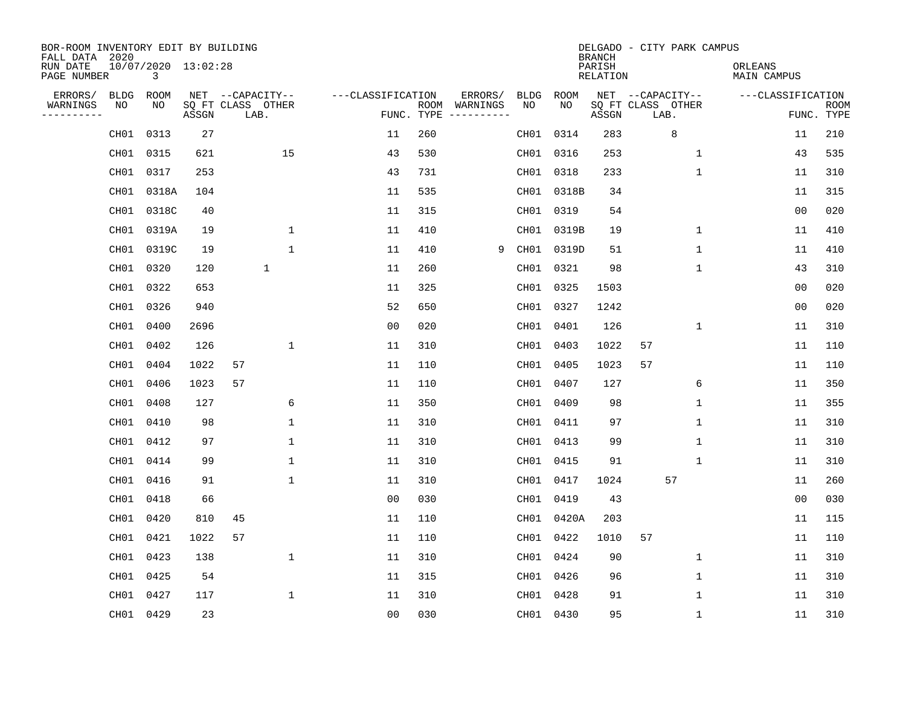| BOR-ROOM INVENTORY EDIT BY BUILDING<br>FALL DATA 2020 |             |                          |       |                           |              |                   |     |                                      |             |            | <b>BRANCH</b>      | DELGADO - CITY PARK CAMPUS |              |                        |                           |
|-------------------------------------------------------|-------------|--------------------------|-------|---------------------------|--------------|-------------------|-----|--------------------------------------|-------------|------------|--------------------|----------------------------|--------------|------------------------|---------------------------|
| RUN DATE<br>PAGE NUMBER                               |             | 10/07/2020 13:02:28<br>3 |       |                           |              |                   |     |                                      |             |            | PARISH<br>RELATION |                            |              | ORLEANS<br>MAIN CAMPUS |                           |
| ERRORS/                                               | <b>BLDG</b> | ROOM                     |       | NET --CAPACITY--          |              | ---CLASSIFICATION |     | ERRORS/                              | <b>BLDG</b> | ROOM       |                    | NET --CAPACITY--           |              | ---CLASSIFICATION      |                           |
| WARNINGS<br>----------                                | NO          | NO                       | ASSGN | SQ FT CLASS OTHER<br>LAB. |              |                   |     | ROOM WARNINGS<br>FUNC. TYPE $------$ | NO.         | NO.        | ASSGN              | SQ FT CLASS OTHER<br>LAB.  |              |                        | <b>ROOM</b><br>FUNC. TYPE |
|                                                       | CH01        | 0313                     | 27    |                           |              | 11                | 260 |                                      | CH01        | 0314       | 283                | 8                          |              | 11                     | 210                       |
|                                                       | CH01        | 0315                     | 621   |                           | 15           | 43                | 530 |                                      | CH01        | 0316       | 253                |                            | 1            | 43                     | 535                       |
|                                                       | CH01        | 0317                     | 253   |                           |              | 43                | 731 |                                      |             | CH01 0318  | 233                |                            | $\mathbf 1$  | 11                     | 310                       |
|                                                       | CH01        | 0318A                    | 104   |                           |              | 11                | 535 |                                      |             | CH01 0318B | 34                 |                            |              | 11                     | 315                       |
|                                                       | CH01        | 0318C                    | 40    |                           |              | 11                | 315 |                                      |             | CH01 0319  | 54                 |                            |              | 0 <sub>0</sub>         | 020                       |
|                                                       |             | CH01 0319A               | 19    |                           | 1            | 11                | 410 |                                      |             | CH01 0319B | 19                 |                            | 1            | 11                     | 410                       |
|                                                       | CH01        | 0319C                    | 19    |                           | $\mathbf{1}$ | 11                | 410 | 9                                    |             | CH01 0319D | 51                 |                            | $\mathbf 1$  | 11                     | 410                       |
|                                                       | CH01        | 0320                     | 120   | $\mathbf{1}$              |              | 11                | 260 |                                      |             | CH01 0321  | 98                 |                            | $\mathbf{1}$ | 43                     | 310                       |
|                                                       | CH01        | 0322                     | 653   |                           |              | 11                | 325 |                                      | CH01        | 0325       | 1503               |                            |              | 0 <sub>0</sub>         | 020                       |
|                                                       |             | CH01 0326                | 940   |                           |              | 52                | 650 |                                      |             | CH01 0327  | 1242               |                            |              | 0 <sub>0</sub>         | 020                       |
|                                                       | CH01        | 0400                     | 2696  |                           |              | 0 <sub>0</sub>    | 020 |                                      |             | CH01 0401  | 126                |                            | $\mathbf 1$  | 11                     | 310                       |
|                                                       |             | CH01 0402                | 126   |                           | 1            | 11                | 310 |                                      |             | CH01 0403  | 1022               | 57                         |              | 11                     | 110                       |
|                                                       | CH01        | 0404                     | 1022  | 57                        |              | 11                | 110 |                                      | CH01        | 0405       | 1023               | 57                         |              | 11                     | 110                       |
|                                                       | CH01        | 0406                     | 1023  | 57                        |              | 11                | 110 |                                      | CH01        | 0407       | 127                |                            | 6            | 11                     | 350                       |
|                                                       | CH01        | 0408                     | 127   |                           | 6            | 11                | 350 |                                      | CH01        | 0409       | 98                 |                            | 1            | 11                     | 355                       |
|                                                       |             | CH01 0410                | 98    |                           | 1            | 11                | 310 |                                      | CH01        | 0411       | 97                 |                            | 1            | 11                     | 310                       |
|                                                       | CH01        | 0412                     | 97    |                           | $\mathbf 1$  | 11                | 310 |                                      | CH01        | 0413       | 99                 |                            | 1            | 11                     | 310                       |
|                                                       | CH01        | 0414                     | 99    |                           | 1            | 11                | 310 |                                      | CH01        | 0415       | 91                 |                            | 1            | 11                     | 310                       |
|                                                       | CH01        | 0416                     | 91    |                           | $\mathbf{1}$ | 11                | 310 |                                      | CH01        | 0417       | 1024               | 57                         |              | 11                     | 260                       |
|                                                       | CH01        | 0418                     | 66    |                           |              | 0 <sub>0</sub>    | 030 |                                      |             | CH01 0419  | 43                 |                            |              | 0 <sub>0</sub>         | 030                       |
|                                                       | CH01        | 0420                     | 810   | 45                        |              | 11                | 110 |                                      | CH01        | 0420A      | 203                |                            |              | 11                     | 115                       |
|                                                       | CH01        | 0421                     | 1022  | 57                        |              | 11                | 110 |                                      | CH01        | 0422       | 1010               | 57                         |              | 11                     | 110                       |
|                                                       | CH01        | 0423                     | 138   |                           | $\mathbf 1$  | 11                | 310 |                                      |             | CH01 0424  | 90                 |                            | 1            | 11                     | 310                       |
|                                                       | CH01        | 0425                     | 54    |                           |              | 11                | 315 |                                      |             | CH01 0426  | 96                 |                            | 1            | 11                     | 310                       |
|                                                       | CH01        | 0427                     | 117   |                           | $\mathbf 1$  | 11                | 310 |                                      |             | CH01 0428  | 91                 |                            | $\mathbf{1}$ | 11                     | 310                       |
|                                                       |             | CH01 0429                | 23    |                           |              | 0 <sub>0</sub>    | 030 |                                      |             | CH01 0430  | 95                 |                            | 1            | 11                     | 310                       |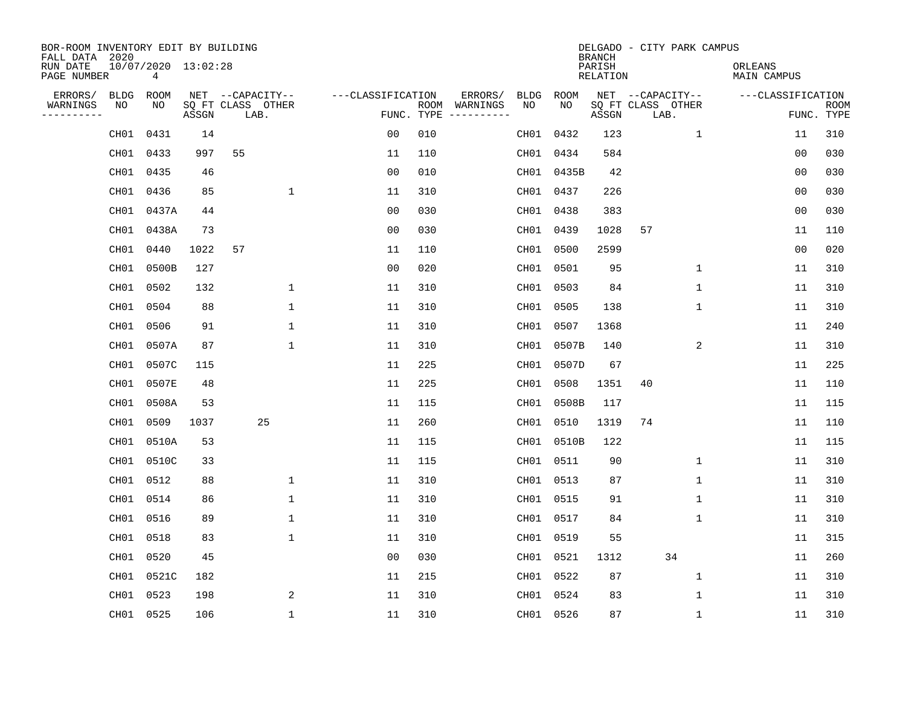| BOR-ROOM INVENTORY EDIT BY BUILDING<br>FALL DATA 2020 |           |                          |       |                           |                   |     |                                      |      |            | <b>BRANCH</b>      | DELGADO - CITY PARK CAMPUS |             |                        |                |             |
|-------------------------------------------------------|-----------|--------------------------|-------|---------------------------|-------------------|-----|--------------------------------------|------|------------|--------------------|----------------------------|-------------|------------------------|----------------|-------------|
| RUN DATE<br>PAGE NUMBER                               |           | 10/07/2020 13:02:28<br>4 |       |                           |                   |     |                                      |      |            | PARISH<br>RELATION |                            |             | ORLEANS<br>MAIN CAMPUS |                |             |
| ERRORS/                                               | BLDG      | ROOM                     |       | NET --CAPACITY--          | ---CLASSIFICATION |     | ERRORS/                              | BLDG | ROOM       |                    | NET --CAPACITY--           |             | ---CLASSIFICATION      |                |             |
| WARNINGS<br>----------                                | NO        | NO.                      | ASSGN | SQ FT CLASS OTHER<br>LAB. |                   |     | ROOM WARNINGS<br>FUNC. TYPE $------$ | NO.  | NO.        | ASSGN              | SQ FT CLASS OTHER<br>LAB.  |             |                        | FUNC. TYPE     | <b>ROOM</b> |
|                                                       | CH01      | 0431                     | 14    |                           | 0 <sub>0</sub>    | 010 |                                      | CH01 | 0432       | 123                |                            | $\mathbf 1$ |                        | 11             | 310         |
|                                                       | CH01      | 0433                     | 997   | 55                        | 11                | 110 |                                      |      | CH01 0434  | 584                |                            |             |                        | 0 <sub>0</sub> | 030         |
|                                                       | CH01      | 0435                     | 46    |                           | 0 <sub>0</sub>    | 010 |                                      |      | CH01 0435B | 42                 |                            |             |                        | 0 <sub>0</sub> | 030         |
|                                                       | CH01      | 0436                     | 85    | $\mathbf 1$               | 11                | 310 |                                      |      | CH01 0437  | 226                |                            |             |                        | 0 <sub>0</sub> | 030         |
|                                                       | CH01      | 0437A                    | 44    |                           | 0 <sub>0</sub>    | 030 |                                      |      | CH01 0438  | 383                |                            |             |                        | 0 <sub>0</sub> | 030         |
|                                                       | CH01      | 0438A                    | 73    |                           | 0 <sub>0</sub>    | 030 |                                      |      | CH01 0439  | 1028               | 57                         |             |                        | 11             | 110         |
|                                                       | CH01      | 0440                     | 1022  | 57                        | 11                | 110 |                                      |      | CH01 0500  | 2599               |                            |             |                        | 0 <sub>0</sub> | 020         |
|                                                       | CH01      | 0500B                    | 127   |                           | 0 <sub>0</sub>    | 020 |                                      |      | CH01 0501  | 95                 |                            | $\mathbf 1$ |                        | 11             | 310         |
|                                                       | CH01      | 0502                     | 132   | $\mathbf 1$               | 11                | 310 |                                      |      | CH01 0503  | 84                 |                            | $\mathbf 1$ |                        | 11             | 310         |
|                                                       | CH01 0504 |                          | 88    | $\mathbf{1}$              | 11                | 310 |                                      |      | CH01 0505  | 138                |                            | $\mathbf 1$ |                        | 11             | 310         |
|                                                       | CH01      | 0506                     | 91    | $\mathbf 1$               | 11                | 310 |                                      | CH01 | 0507       | 1368               |                            |             |                        | 11             | 240         |
|                                                       | CH01      | 0507A                    | 87    | $\mathbf 1$               | 11                | 310 |                                      |      | CH01 0507B | 140                |                            | 2           |                        | 11             | 310         |
|                                                       | CH01      | 0507C                    | 115   |                           | 11                | 225 |                                      | CH01 | 0507D      | 67                 |                            |             |                        | 11             | 225         |
|                                                       | CH01      | 0507E                    | 48    |                           | 11                | 225 |                                      | CH01 | 0508       | 1351               | 40                         |             |                        | 11             | 110         |
|                                                       | CH01      | 0508A                    | 53    |                           | 11                | 115 |                                      | CH01 | 0508B      | 117                |                            |             |                        | 11             | 115         |
|                                                       | CH01      | 0509                     | 1037  | 25                        | 11                | 260 |                                      | CH01 | 0510       | 1319               | 74                         |             |                        | 11             | 110         |
|                                                       | CH01      | 0510A                    | 53    |                           | 11                | 115 |                                      |      | CH01 0510B | 122                |                            |             |                        | 11             | 115         |
|                                                       | CH01      | 0510C                    | 33    |                           | 11                | 115 |                                      |      | CH01 0511  | 90                 |                            | 1           |                        | 11             | 310         |
|                                                       | CH01      | 0512                     | 88    | 1                         | 11                | 310 |                                      |      | CH01 0513  | 87                 |                            | 1           |                        | 11             | 310         |
|                                                       | CH01      | 0514                     | 86    | $\mathbf 1$               | 11                | 310 |                                      |      | CH01 0515  | 91                 |                            | 1           |                        | 11             | 310         |
|                                                       | CH01      | 0516                     | 89    | $\mathbf 1$               | 11                | 310 |                                      |      | CH01 0517  | 84                 |                            | 1           |                        | 11             | 310         |
|                                                       | CH01      | 0518                     | 83    | $\mathbf{1}$              | 11                | 310 |                                      |      | CH01 0519  | 55                 |                            |             |                        | 11             | 315         |
|                                                       | CH01      | 0520                     | 45    |                           | 0 <sub>0</sub>    | 030 |                                      |      | CH01 0521  | 1312               |                            | 34          |                        | 11             | 260         |
|                                                       | CH01      | 0521C                    | 182   |                           | 11                | 215 |                                      |      | CH01 0522  | 87                 |                            | $\mathbf 1$ |                        | 11             | 310         |
|                                                       | CH01      | 0523                     | 198   | 2                         | 11                | 310 |                                      |      | CH01 0524  | 83                 |                            | 1           |                        | 11             | 310         |
|                                                       | CH01 0525 |                          | 106   | $\mathbf{1}$              | 11                | 310 |                                      |      | CH01 0526  | 87                 |                            | $\mathbf 1$ |                        | 11             | 310         |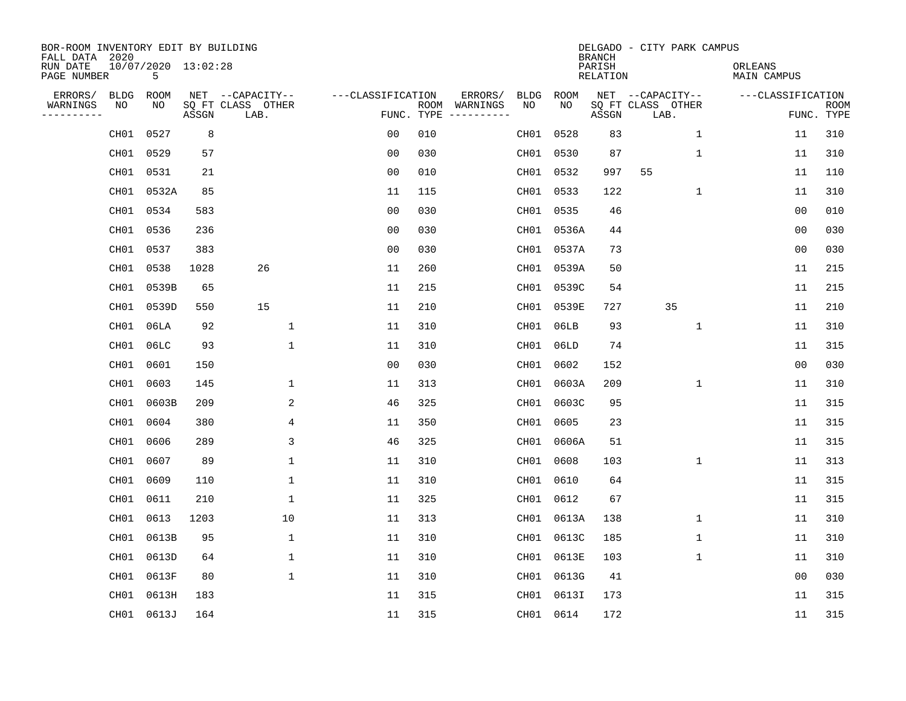| BOR-ROOM INVENTORY EDIT BY BUILDING<br>FALL DATA 2020 |                  |                          |       |                           |                   |     |                                      |      |             | <b>BRANCH</b>      |                           | DELGADO - CITY PARK CAMPUS |                        |                           |
|-------------------------------------------------------|------------------|--------------------------|-------|---------------------------|-------------------|-----|--------------------------------------|------|-------------|--------------------|---------------------------|----------------------------|------------------------|---------------------------|
| RUN DATE<br>PAGE NUMBER                               |                  | 10/07/2020 13:02:28<br>5 |       |                           |                   |     |                                      |      |             | PARISH<br>RELATION |                           |                            | ORLEANS<br>MAIN CAMPUS |                           |
| ERRORS/                                               | <b>BLDG</b>      | ROOM                     |       | NET --CAPACITY--          | ---CLASSIFICATION |     | ERRORS/                              | BLDG | <b>ROOM</b> |                    | NET --CAPACITY--          |                            | ---CLASSIFICATION      |                           |
| WARNINGS<br>----------                                | NO               | NO                       | ASSGN | SQ FT CLASS OTHER<br>LAB. |                   |     | ROOM WARNINGS<br>FUNC. TYPE $------$ | NO.  | NO.         | ASSGN              | SQ FT CLASS OTHER<br>LAB. |                            |                        | <b>ROOM</b><br>FUNC. TYPE |
|                                                       | CH <sub>01</sub> | 0527                     | 8     |                           | 0 <sub>0</sub>    | 010 |                                      |      | CH01 0528   | 83                 |                           | 1                          | 11                     | 310                       |
|                                                       | CH01             | 0529                     | 57    |                           | 0 <sub>0</sub>    | 030 |                                      |      | CH01 0530   | 87                 |                           | 1                          | 11                     | 310                       |
|                                                       | CH01             | 0531                     | 21    |                           | 0 <sub>0</sub>    | 010 |                                      |      | CH01 0532   | 997                | 55                        |                            | 11                     | 110                       |
|                                                       | CH01             | 0532A                    | 85    |                           | 11                | 115 |                                      |      | CH01 0533   | 122                |                           | 1                          | 11                     | 310                       |
|                                                       | CH01             | 0534                     | 583   |                           | 0 <sub>0</sub>    | 030 |                                      |      | CH01 0535   | 46                 |                           |                            | 00                     | 010                       |
|                                                       | CH01             | 0536                     | 236   |                           | 0 <sub>0</sub>    | 030 |                                      |      | CH01 0536A  | 44                 |                           |                            | 0 <sub>0</sub>         | 030                       |
|                                                       | CH01             | 0537                     | 383   |                           | 0 <sub>0</sub>    | 030 |                                      |      | CH01 0537A  | 73                 |                           |                            | 00                     | 030                       |
|                                                       | CH01             | 0538                     | 1028  | 26                        | 11                | 260 |                                      |      | CH01 0539A  | 50                 |                           |                            | 11                     | 215                       |
|                                                       | CH01             | 0539B                    | 65    |                           | 11                | 215 |                                      |      | CH01 0539C  | 54                 |                           |                            | 11                     | 215                       |
|                                                       | CH01             | 0539D                    | 550   | 15                        | 11                | 210 |                                      |      | CH01 0539E  | 727                |                           | 35                         | 11                     | 210                       |
|                                                       | CH01             | 06 <sub>LA</sub>         | 92    | $\mathbf{1}$              | 11                | 310 |                                      |      | CH01 06LB   | 93                 |                           | $\mathbf{1}$               | 11                     | 310                       |
|                                                       | CH01             | 06LC                     | 93    | $\mathbf{1}$              | 11                | 310 |                                      |      | CH01 06LD   | 74                 |                           |                            | 11                     | 315                       |
|                                                       | CH01             | 0601                     | 150   |                           | 0 <sub>0</sub>    | 030 |                                      |      | CH01 0602   | 152                |                           |                            | 0 <sub>0</sub>         | 030                       |
|                                                       | CH01             | 0603                     | 145   | 1                         | 11                | 313 |                                      |      | CH01 0603A  | 209                |                           | 1                          | 11                     | 310                       |
|                                                       | CH01             | 0603B                    | 209   | 2                         | 46                | 325 |                                      | CH01 | 0603C       | 95                 |                           |                            | 11                     | 315                       |
|                                                       | CH01             | 0604                     | 380   | 4                         | 11                | 350 |                                      |      | CH01 0605   | 23                 |                           |                            | 11                     | 315                       |
|                                                       | CH <sub>01</sub> | 0606                     | 289   | 3                         | 46                | 325 |                                      |      | CH01 0606A  | 51                 |                           |                            | 11                     | 315                       |
|                                                       | CH01             | 0607                     | 89    | $\mathbf{1}$              | 11                | 310 |                                      |      | CH01 0608   | 103                |                           | 1                          | 11                     | 313                       |
|                                                       | CH01             | 0609                     | 110   | 1                         | 11                | 310 |                                      |      | CH01 0610   | 64                 |                           |                            | 11                     | 315                       |
|                                                       | CH01             | 0611                     | 210   | 1                         | 11                | 325 |                                      |      | CH01 0612   | 67                 |                           |                            | 11                     | 315                       |
|                                                       | CH <sub>01</sub> | 0613                     | 1203  | 10                        | 11                | 313 |                                      |      | CH01 0613A  | 138                |                           | 1                          | 11                     | 310                       |
|                                                       | CH01             | 0613B                    | 95    | 1                         | 11                | 310 |                                      |      | CH01 0613C  | 185                |                           | 1                          | 11                     | 310                       |
|                                                       | CH01             | 0613D                    | 64    | 1                         | 11                | 310 |                                      |      | CH01 0613E  | 103                |                           | 1                          | 11                     | 310                       |
|                                                       | CH01             | 0613F                    | 80    | $\mathbf{1}$              | 11                | 310 |                                      |      | CH01 0613G  | 41                 |                           |                            | 0 <sub>0</sub>         | 030                       |
|                                                       | CH <sub>01</sub> | 0613H                    | 183   |                           | 11                | 315 |                                      |      | CH01 0613I  | 173                |                           |                            | 11                     | 315                       |
|                                                       |                  | CH01 0613J               | 164   |                           | 11                | 315 |                                      |      | CH01 0614   | 172                |                           |                            | 11                     | 315                       |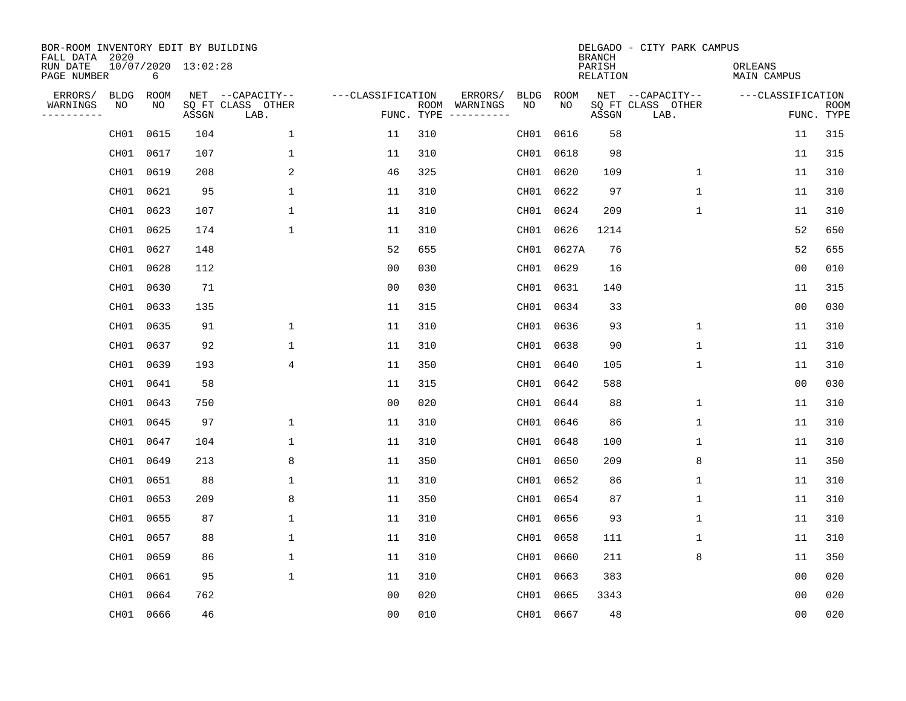| BOR-ROOM INVENTORY EDIT BY BUILDING<br>FALL DATA 2020 |                  |           |                     |                           |                   |     |                                            |            | <b>BRANCH</b>             | DELGADO - CITY PARK CAMPUS |                               |                           |
|-------------------------------------------------------|------------------|-----------|---------------------|---------------------------|-------------------|-----|--------------------------------------------|------------|---------------------------|----------------------------|-------------------------------|---------------------------|
| RUN DATE<br>PAGE NUMBER                               |                  | 6         | 10/07/2020 13:02:28 |                           |                   |     |                                            |            | PARISH<br><b>RELATION</b> |                            | ORLEANS<br><b>MAIN CAMPUS</b> |                           |
| ERRORS/                                               | <b>BLDG</b>      | ROOM      |                     | NET --CAPACITY--          | ---CLASSIFICATION |     | ERRORS/<br><b>BLDG</b>                     | ROOM       |                           | NET --CAPACITY--           | ---CLASSIFICATION             |                           |
| WARNINGS<br>----------                                | NO               | NO        | ASSGN               | SQ FT CLASS OTHER<br>LAB. |                   |     | ROOM WARNINGS<br>NO<br>FUNC. TYPE $------$ | NO         | ASSGN                     | SQ FT CLASS OTHER<br>LAB.  |                               | <b>ROOM</b><br>FUNC. TYPE |
|                                                       | CH01             | 0615      | 104                 | 1                         | 11                | 310 |                                            | CH01 0616  | 58                        |                            | 11                            | 315                       |
|                                                       | CH01             | 0617      | 107                 | $\mathbf 1$               | 11                | 310 |                                            | CH01 0618  | 98                        |                            | 11                            | 315                       |
|                                                       | CH01             | 0619      | 208                 | 2                         | 46                | 325 |                                            | CH01 0620  | 109                       | $\mathbf 1$                | 11                            | 310                       |
|                                                       | CH01             | 0621      | 95                  | $\mathbf 1$               | 11                | 310 |                                            | CH01 0622  | 97                        | 1                          | 11                            | 310                       |
|                                                       | CH01             | 0623      | 107                 | $\mathbf{1}$              | 11                | 310 |                                            | CH01 0624  | 209                       | $\mathbf{1}$               | 11                            | 310                       |
|                                                       | CH01             | 0625      | 174                 | $\mathbf{1}$              | 11                | 310 |                                            | CH01 0626  | 1214                      |                            | 52                            | 650                       |
|                                                       | CH01             | 0627      | 148                 |                           | 52                | 655 |                                            | CH01 0627A | 76                        |                            | 52                            | 655                       |
|                                                       | CH01             | 0628      | 112                 |                           | 0 <sub>0</sub>    | 030 |                                            | CH01 0629  | 16                        |                            | 0 <sub>0</sub>                | 010                       |
|                                                       | CH01             | 0630      | 71                  |                           | 0 <sub>0</sub>    | 030 |                                            | CH01 0631  | 140                       |                            | 11                            | 315                       |
|                                                       | CH01             | 0633      | 135                 |                           | 11                | 315 |                                            | CH01 0634  | 33                        |                            | 0 <sub>0</sub>                | 030                       |
|                                                       | CH01             | 0635      | 91                  | $\mathbf 1$               | 11                | 310 |                                            | CH01 0636  | 93                        | $\mathbf 1$                | 11                            | 310                       |
|                                                       | CH01             | 0637      | 92                  | $\mathbf{1}$              | 11                | 310 |                                            | CH01 0638  | 90                        | $\mathbf{1}$               | 11                            | 310                       |
|                                                       | CH01             | 0639      | 193                 | 4                         | 11                | 350 |                                            | CH01 0640  | 105                       | $\mathbf 1$                | 11                            | 310                       |
|                                                       | CH01             | 0641      | 58                  |                           | 11                | 315 |                                            | CH01 0642  | 588                       |                            | 0 <sub>0</sub>                | 030                       |
|                                                       | CH01             | 0643      | 750                 |                           | 0 <sub>0</sub>    | 020 |                                            | CH01 0644  | 88                        | 1                          | 11                            | 310                       |
|                                                       | CH01             | 0645      | 97                  | 1                         | 11                | 310 |                                            | CH01 0646  | 86                        | 1                          | 11                            | 310                       |
|                                                       | CH <sub>01</sub> | 0647      | 104                 | 1                         | 11                | 310 | CH01                                       | 0648       | 100                       | 1                          | 11                            | 310                       |
|                                                       | CH <sub>01</sub> | 0649      | 213                 | 8                         | 11                | 350 |                                            | CH01 0650  | 209                       | 8                          | 11                            | 350                       |
|                                                       | CH01             | 0651      | 88                  | $\mathbf{1}$              | 11                | 310 |                                            | CH01 0652  | 86                        | 1                          | 11                            | 310                       |
|                                                       | CH01             | 0653      | 209                 | 8                         | 11                | 350 |                                            | CH01 0654  | 87                        | 1                          | 11                            | 310                       |
|                                                       | CH <sub>01</sub> | 0655      | 87                  | 1                         | 11                | 310 |                                            | CH01 0656  | 93                        | 1                          | 11                            | 310                       |
|                                                       | CH01             | 0657      | 88                  | $\mathbf 1$               | 11                | 310 |                                            | CH01 0658  | 111                       | 1                          | 11                            | 310                       |
|                                                       | CH01             | 0659      | 86                  | 1                         | 11                | 310 |                                            | CH01 0660  | 211                       | 8                          | 11                            | 350                       |
|                                                       | CH01             | 0661      | 95                  | $\mathbf 1$               | 11                | 310 |                                            | CH01 0663  | 383                       |                            | 0 <sub>0</sub>                | 020                       |
|                                                       | CH <sub>01</sub> | 0664      | 762                 |                           | 0 <sub>0</sub>    | 020 |                                            | CH01 0665  | 3343                      |                            | 0 <sub>0</sub>                | 020                       |
|                                                       |                  | CH01 0666 | 46                  |                           | 0 <sub>0</sub>    | 010 |                                            | CH01 0667  | 48                        |                            | 00                            | 020                       |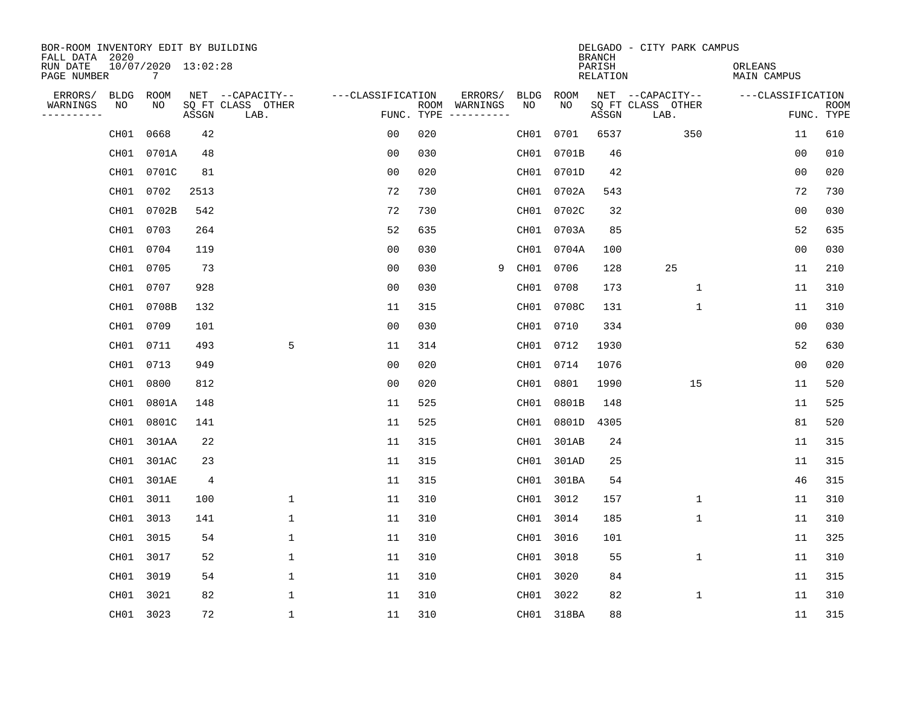| BOR-ROOM INVENTORY EDIT BY BUILDING<br>FALL DATA 2020 |                              |                |                           |                   |     |                                      |           |            | <b>BRANCH</b>      | DELGADO - CITY PARK CAMPUS |                        |                           |
|-------------------------------------------------------|------------------------------|----------------|---------------------------|-------------------|-----|--------------------------------------|-----------|------------|--------------------|----------------------------|------------------------|---------------------------|
| RUN DATE<br>PAGE NUMBER                               | $10/07/2020$ $13:02:28$<br>7 |                |                           |                   |     |                                      |           |            | PARISH<br>RELATION |                            | ORLEANS<br>MAIN CAMPUS |                           |
| ERRORS/<br>BLDG                                       | ROOM                         |                | NET --CAPACITY--          | ---CLASSIFICATION |     | ERRORS/                              | BLDG      | ROOM       |                    | NET --CAPACITY--           | ---CLASSIFICATION      |                           |
| WARNINGS<br>NO<br>----------                          | NO.                          | ASSGN          | SQ FT CLASS OTHER<br>LAB. |                   |     | ROOM WARNINGS<br>FUNC. TYPE $------$ | <b>NO</b> | NO         | ASSGN              | SQ FT CLASS OTHER<br>LAB.  |                        | <b>ROOM</b><br>FUNC. TYPE |
| CH01                                                  | 0668                         | 42             |                           | 0 <sub>0</sub>    | 020 |                                      | CH01      | 0701       | 6537               | 350                        | 11                     | 610                       |
| CH01                                                  | 0701A                        | 48             |                           | 0 <sub>0</sub>    | 030 |                                      |           | CH01 0701B | 46                 |                            | 0 <sub>0</sub>         | 010                       |
|                                                       | CH01 0701C                   | 81             |                           | 0 <sub>0</sub>    | 020 |                                      |           | CH01 0701D | 42                 |                            | 0 <sub>0</sub>         | 020                       |
|                                                       | CH01 0702                    | 2513           |                           | 72                | 730 |                                      |           | CH01 0702A | 543                |                            | 72                     | 730                       |
|                                                       | CH01 0702B                   | 542            |                           | 72                | 730 |                                      |           | CH01 0702C | 32                 |                            | 0 <sub>0</sub>         | 030                       |
|                                                       | CH01 0703                    | 264            |                           | 52                | 635 |                                      |           | CH01 0703A | 85                 |                            | 52                     | 635                       |
|                                                       | CH01 0704                    | 119            |                           | 0 <sub>0</sub>    | 030 |                                      |           | CH01 0704A | 100                |                            | 00                     | 030                       |
|                                                       | CH01 0705                    | 73             |                           | 0 <sub>0</sub>    | 030 | 9                                    |           | CH01 0706  | 128                | 25                         | 11                     | 210                       |
|                                                       | CH01 0707                    | 928            |                           | 0 <sub>0</sub>    | 030 |                                      |           | CH01 0708  | 173                | $\mathbf{1}$               | 11                     | 310                       |
|                                                       | CH01 0708B                   | 132            |                           | 11                | 315 |                                      |           | CH01 0708C | 131                | $\mathbf{1}$               | 11                     | 310                       |
|                                                       | CH01 0709                    | 101            |                           | 0 <sub>0</sub>    | 030 |                                      |           | CH01 0710  | 334                |                            | 0 <sub>0</sub>         | 030                       |
|                                                       | CH01 0711                    | 493            | 5                         | 11                | 314 |                                      |           | CH01 0712  | 1930               |                            | 52                     | 630                       |
|                                                       | CH01 0713                    | 949            |                           | 0 <sub>0</sub>    | 020 |                                      |           | CH01 0714  | 1076               |                            | 0 <sub>0</sub>         | 020                       |
|                                                       | CH01 0800                    | 812            |                           | 00                | 020 |                                      | CH01      | 0801       | 1990               | 15                         | 11                     | 520                       |
| CH01                                                  | 0801A                        | 148            |                           | 11                | 525 |                                      | CH01      | 0801B      | 148                |                            | 11                     | 525                       |
| CH01                                                  | 0801C                        | 141            |                           | 11                | 525 |                                      | CH01      | 0801D      | 4305               |                            | 81                     | 520                       |
| CH01                                                  | 301AA                        | 22             |                           | 11                | 315 |                                      | CH01      | 301AB      | 24                 |                            | 11                     | 315                       |
| CH01                                                  | 301AC                        | 23             |                           | 11                | 315 |                                      |           | CH01 301AD | 25                 |                            | 11                     | 315                       |
|                                                       | CH01 301AE                   | $\overline{4}$ |                           | 11                | 315 |                                      |           | CH01 301BA | 54                 |                            | 46                     | 315                       |
|                                                       | CH01 3011                    | 100            | $\mathbf{1}$              | 11                | 310 |                                      |           | CH01 3012  | 157                | $\mathbf 1$                | 11                     | 310                       |
|                                                       | CH01 3013                    | 141            | $\mathbf{1}$              | 11                | 310 |                                      |           | CH01 3014  | 185                | $\mathbf 1$                | 11                     | 310                       |
|                                                       | CH01 3015                    | 54             | $\mathbf{1}$              | 11                | 310 |                                      |           | CH01 3016  | 101                |                            | 11                     | 325                       |
|                                                       | CH01 3017                    | 52             | 1                         | 11                | 310 |                                      |           | CH01 3018  | 55                 | $\mathbf 1$                | 11                     | 310                       |
| CH01                                                  | 3019                         | 54             | 1                         | 11                | 310 |                                      |           | CH01 3020  | 84                 |                            | 11                     | 315                       |
|                                                       | CH01 3021                    | 82             | $\mathbf{1}$              | 11                | 310 |                                      |           | CH01 3022  | 82                 | $\mathbf 1$                | 11                     | 310                       |
|                                                       | CH01 3023                    | 72             | $\mathbf{1}$              | 11                | 310 |                                      |           | CH01 318BA | 88                 |                            | 11                     | 315                       |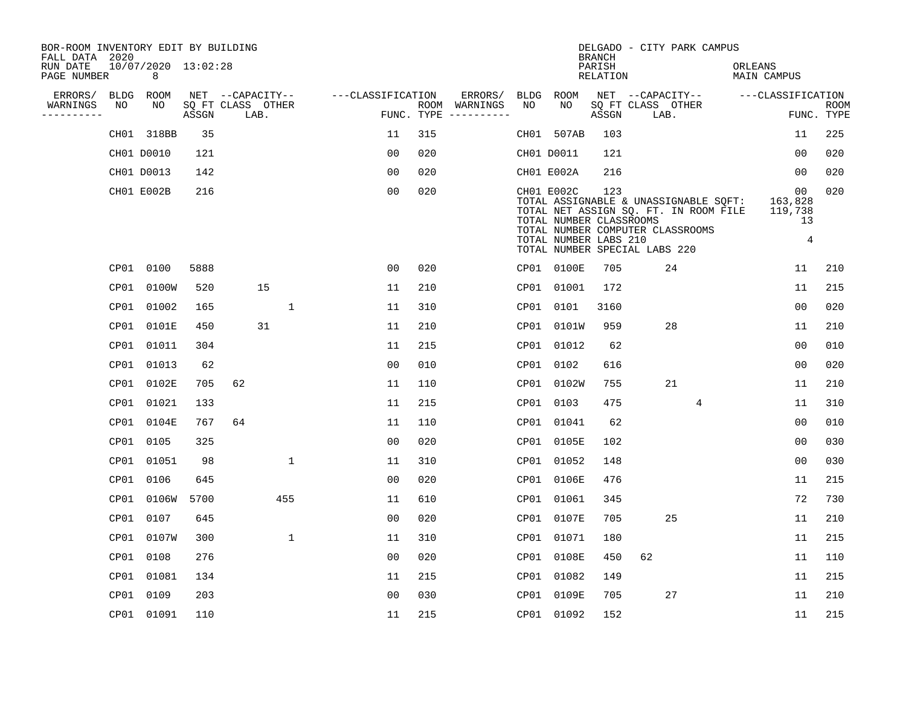| BOR-ROOM INVENTORY EDIT BY BUILDING<br>FALL DATA 2020 |             |                          |       |                           |                   |            |                              |             |                                                                | <b>BRANCH</b>             | DELGADO - CITY PARK CAMPUS                                                                                                                          |                                                  |                           |
|-------------------------------------------------------|-------------|--------------------------|-------|---------------------------|-------------------|------------|------------------------------|-------------|----------------------------------------------------------------|---------------------------|-----------------------------------------------------------------------------------------------------------------------------------------------------|--------------------------------------------------|---------------------------|
| RUN DATE<br>PAGE NUMBER                               |             | 10/07/2020 13:02:28<br>8 |       |                           |                   |            |                              |             |                                                                | PARISH<br><b>RELATION</b> |                                                                                                                                                     | ORLEANS<br><b>MAIN CAMPUS</b>                    |                           |
| ERRORS/                                               | <b>BLDG</b> | <b>ROOM</b>              |       | NET --CAPACITY--          | ---CLASSIFICATION |            | ERRORS/                      | <b>BLDG</b> | ROOM                                                           |                           | NET --CAPACITY--                                                                                                                                    | ---CLASSIFICATION                                |                           |
| WARNINGS<br>. _ _ _ _ _ _ _ _ _                       | NO          | NO                       | ASSGN | SQ FT CLASS OTHER<br>LAB. |                   | FUNC. TYPE | ROOM WARNINGS<br>----------- | NO          | NO                                                             | ASSGN                     | SQ FT CLASS OTHER<br>LAB.                                                                                                                           |                                                  | <b>ROOM</b><br>FUNC. TYPE |
|                                                       |             | CH01 318BB               | 35    |                           | 11                | 315        |                              | CH01        | 507AB                                                          | 103                       |                                                                                                                                                     | 11                                               | 225                       |
|                                                       |             | CH01 D0010               | 121   |                           | 0 <sub>0</sub>    | 020        |                              |             | CH01 D0011                                                     | 121                       |                                                                                                                                                     | 0 <sub>0</sub>                                   | 020                       |
|                                                       |             | CH01 D0013               | 142   |                           | 0 <sub>0</sub>    | 020        |                              |             | CH01 E002A                                                     | 216                       |                                                                                                                                                     | 0 <sub>0</sub>                                   | 020                       |
|                                                       |             | CH01 E002B               | 216   |                           | 0 <sub>0</sub>    | 020        |                              |             | CH01 E002C<br>TOTAL NUMBER CLASSROOMS<br>TOTAL NUMBER LABS 210 | 123                       | TOTAL ASSIGNABLE & UNASSIGNABLE SQFT:<br>TOTAL NET ASSIGN SQ. FT. IN ROOM FILE<br>TOTAL NUMBER COMPUTER CLASSROOMS<br>TOTAL NUMBER SPECIAL LABS 220 | 00<br>163,828<br>119,738<br>13<br>$\overline{4}$ | 020                       |
|                                                       | CP01        | 0100                     | 5888  |                           | 0 <sub>0</sub>    | 020        |                              |             | CP01 0100E                                                     | 705                       | 24                                                                                                                                                  | 11                                               | 210                       |
|                                                       | CP01        | 0100W                    | 520   | 15                        | 11                | 210        |                              | CP01        | 01001                                                          | 172                       |                                                                                                                                                     | 11                                               | 215                       |
|                                                       | CP01        | 01002                    | 165   | $\mathbf{1}$              | 11                | 310        |                              |             | CP01 0101                                                      | 3160                      |                                                                                                                                                     | 0 <sub>0</sub>                                   | 020                       |
|                                                       | CP01        | 0101E                    | 450   | 31                        | 11                | 210        |                              | CP01        | 0101W                                                          | 959                       | 28                                                                                                                                                  | 11                                               | 210                       |
|                                                       | CP01        | 01011                    | 304   |                           | 11                | 215        |                              |             | CP01 01012                                                     | 62                        |                                                                                                                                                     | 0 <sub>0</sub>                                   | 010                       |
|                                                       | CP01        | 01013                    | 62    |                           | 0 <sub>0</sub>    | 010        |                              | CP01        | 0102                                                           | 616                       |                                                                                                                                                     | 0 <sub>0</sub>                                   | 020                       |
|                                                       | CP01        | 0102E                    | 705   | 62                        | 11                | 110        |                              | CP01        | 0102W                                                          | 755                       | 21                                                                                                                                                  | 11                                               | 210                       |
|                                                       | CP01        | 01021                    | 133   |                           | 11                | 215        |                              | CP01        | 0103                                                           | 475                       | 4                                                                                                                                                   | 11                                               | 310                       |
|                                                       | CP01        | 0104E                    | 767   | 64                        | 11                | 110        |                              | CP01        | 01041                                                          | 62                        |                                                                                                                                                     | 00                                               | 010                       |
|                                                       | CP01        | 0105                     | 325   |                           | 0 <sub>0</sub>    | 020        |                              | CP01        | 0105E                                                          | 102                       |                                                                                                                                                     | 0 <sub>0</sub>                                   | 030                       |
|                                                       | CP01        | 01051                    | 98    | $\mathbf{1}$              | 11                | 310        |                              | CP01        | 01052                                                          | 148                       |                                                                                                                                                     | 0 <sub>0</sub>                                   | 030                       |
|                                                       | CP01        | 0106                     | 645   |                           | 0 <sub>0</sub>    | 020        |                              | CP01        | 0106E                                                          | 476                       |                                                                                                                                                     | 11                                               | 215                       |
|                                                       | CP01        | 0106W                    | 5700  | 455                       | 11                | 610        |                              | CP01        | 01061                                                          | 345                       |                                                                                                                                                     | 72                                               | 730                       |
|                                                       | CP01        | 0107                     | 645   |                           | 0 <sub>0</sub>    | 020        |                              | CP01        | 0107E                                                          | 705                       | 25                                                                                                                                                  | 11                                               | 210                       |
|                                                       | CP01        | 0107W                    | 300   | $\mathbf 1$               | 11                | 310        |                              | CP01        | 01071                                                          | 180                       |                                                                                                                                                     | 11                                               | 215                       |
|                                                       | CP01        | 0108                     | 276   |                           | 0 <sub>0</sub>    | 020        |                              | CP01        | 0108E                                                          | 450                       | 62                                                                                                                                                  | 11                                               | 110                       |
|                                                       | CP01        | 01081                    | 134   |                           | 11                | 215        |                              | CP01        | 01082                                                          | 149                       |                                                                                                                                                     | 11                                               | 215                       |
|                                                       | CP01        | 0109                     | 203   |                           | 0 <sub>0</sub>    | 030        |                              | CP01        | 0109E                                                          | 705                       | 27                                                                                                                                                  | 11                                               | 210                       |
|                                                       |             | CP01 01091               | 110   |                           | 11                | 215        |                              |             | CP01 01092                                                     | 152                       |                                                                                                                                                     | 11                                               | 215                       |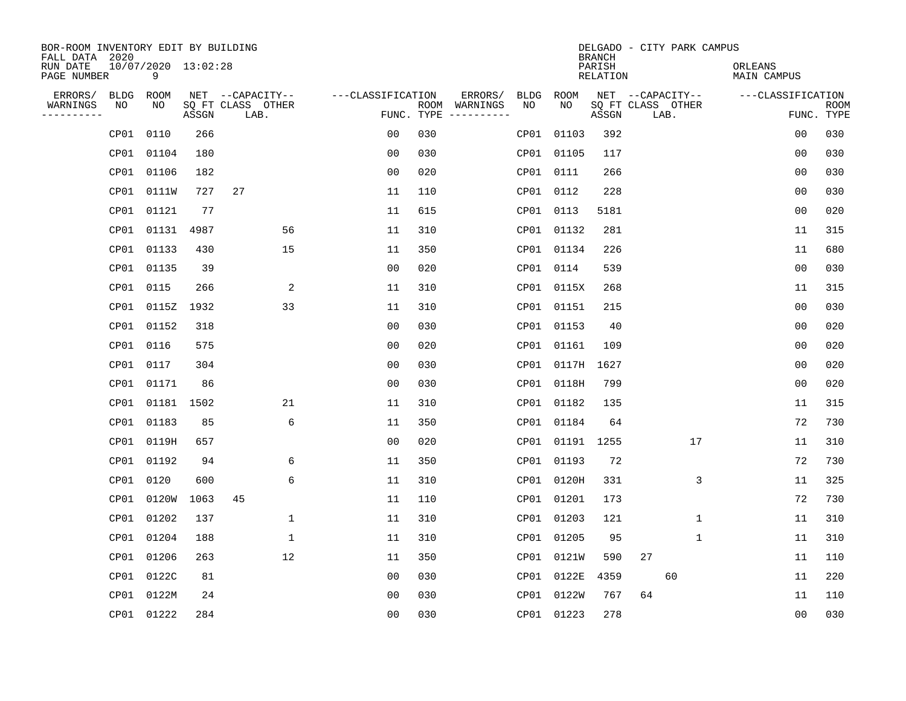| BOR-ROOM INVENTORY EDIT BY BUILDING<br>FALL DATA 2020 |      |                          |       |                           |                   |     |                                      |      |                 | <b>BRANCH</b>             |      | DELGADO - CITY PARK CAMPUS |                               |                |                           |
|-------------------------------------------------------|------|--------------------------|-------|---------------------------|-------------------|-----|--------------------------------------|------|-----------------|---------------------------|------|----------------------------|-------------------------------|----------------|---------------------------|
| RUN DATE<br>PAGE NUMBER                               |      | 10/07/2020 13:02:28<br>9 |       |                           |                   |     |                                      |      |                 | PARISH<br><b>RELATION</b> |      |                            | ORLEANS<br><b>MAIN CAMPUS</b> |                |                           |
| ERRORS/                                               | BLDG | ROOM                     |       | NET --CAPACITY--          | ---CLASSIFICATION |     | ERRORS/                              | BLDG | ROOM            |                           |      | NET --CAPACITY--           | ---CLASSIFICATION             |                |                           |
| WARNINGS<br>----------                                | NO   | NO                       | ASSGN | SQ FT CLASS OTHER<br>LAB. |                   |     | ROOM WARNINGS<br>FUNC. TYPE $------$ | NO.  | NO.             | ASSGN                     | LAB. | SQ FT CLASS OTHER          |                               |                | <b>ROOM</b><br>FUNC. TYPE |
|                                                       | CP01 | 0110                     | 266   |                           | 0 <sub>0</sub>    | 030 |                                      |      | CP01 01103      | 392                       |      |                            |                               | 0 <sub>0</sub> | 030                       |
|                                                       | CP01 | 01104                    | 180   |                           | 0 <sub>0</sub>    | 030 |                                      |      | CP01 01105      | 117                       |      |                            |                               | 0 <sub>0</sub> | 030                       |
|                                                       | CP01 | 01106                    | 182   |                           | 0 <sub>0</sub>    | 020 |                                      |      | CP01 0111       | 266                       |      |                            |                               | 00             | 030                       |
|                                                       | CP01 | 0111W                    | 727   | 27                        | 11                | 110 |                                      |      | CP01 0112       | 228                       |      |                            |                               | 00             | 030                       |
|                                                       | CP01 | 01121                    | 77    |                           | 11                | 615 |                                      |      | CP01 0113       | 5181                      |      |                            |                               | 00             | 020                       |
|                                                       | CP01 | 01131 4987               |       | 56                        | 11                | 310 |                                      |      | CP01 01132      | 281                       |      |                            |                               | 11             | 315                       |
|                                                       | CP01 | 01133                    | 430   | 15                        | 11                | 350 |                                      |      | CP01 01134      | 226                       |      |                            |                               | 11             | 680                       |
|                                                       | CP01 | 01135                    | 39    |                           | 0 <sub>0</sub>    | 020 |                                      |      | CP01 0114       | 539                       |      |                            |                               | 0 <sub>0</sub> | 030                       |
|                                                       | CP01 | 0115                     | 266   | 2                         | 11                | 310 |                                      |      | CP01 0115X      | 268                       |      |                            |                               | 11             | 315                       |
|                                                       |      | CP01 0115Z               | 1932  | 33                        | 11                | 310 |                                      |      | CP01 01151      | 215                       |      |                            |                               | 0 <sub>0</sub> | 030                       |
|                                                       | CP01 | 01152                    | 318   |                           | 0 <sub>0</sub>    | 030 |                                      |      | CP01 01153      | 40                        |      |                            |                               | 0 <sub>0</sub> | 020                       |
|                                                       | CP01 | 0116                     | 575   |                           | 0 <sub>0</sub>    | 020 |                                      |      | CP01 01161      | 109                       |      |                            |                               | 0 <sub>0</sub> | 020                       |
|                                                       | CP01 | 0117                     | 304   |                           | 0 <sub>0</sub>    | 030 |                                      |      | CP01 0117H      | 1627                      |      |                            |                               | 0 <sub>0</sub> | 020                       |
|                                                       |      | CP01 01171               | 86    |                           | 0 <sub>0</sub>    | 030 |                                      |      | CP01 0118H      | 799                       |      |                            |                               | 0 <sub>0</sub> | 020                       |
|                                                       | CP01 | 01181 1502               |       | 21                        | 11                | 310 |                                      |      | CP01 01182      | 135                       |      |                            |                               | 11             | 315                       |
|                                                       | CP01 | 01183                    | 85    | 6                         | 11                | 350 |                                      |      | CP01 01184      | 64                        |      |                            |                               | 72             | 730                       |
|                                                       | CP01 | 0119H                    | 657   |                           | 0 <sub>0</sub>    | 020 |                                      |      | CP01 01191 1255 |                           |      | 17                         |                               | 11             | 310                       |
|                                                       | CP01 | 01192                    | 94    | 6                         | 11                | 350 |                                      |      | CP01 01193      | 72                        |      |                            |                               | 72             | 730                       |
|                                                       | CP01 | 0120                     | 600   | 6                         | 11                | 310 |                                      |      | CP01 0120H      | 331                       |      | 3                          |                               | 11             | 325                       |
|                                                       | CP01 | 0120W                    | 1063  | 45                        | 11                | 110 |                                      |      | CP01 01201      | 173                       |      |                            |                               | 72             | 730                       |
|                                                       | CP01 | 01202                    | 137   | 1                         | 11                | 310 |                                      |      | CP01 01203      | 121                       |      | 1                          |                               | 11             | 310                       |
|                                                       | CP01 | 01204                    | 188   | $\mathbf{1}$              | 11                | 310 |                                      |      | CP01 01205      | 95                        |      | 1                          |                               | 11             | 310                       |
|                                                       | CP01 | 01206                    | 263   | 12                        | 11                | 350 |                                      |      | CP01 0121W      | 590                       | 27   |                            |                               | 11             | 110                       |
|                                                       | CP01 | 0122C                    | 81    |                           | 0 <sub>0</sub>    | 030 |                                      |      | CP01 0122E      | 4359                      |      | 60                         |                               | 11             | 220                       |
|                                                       | CP01 | 0122M                    | 24    |                           | 0 <sub>0</sub>    | 030 |                                      |      | CP01 0122W      | 767                       | 64   |                            |                               | 11             | 110                       |
|                                                       |      | CP01 01222               | 284   |                           | 0 <sub>0</sub>    | 030 |                                      |      | CP01 01223      | 278                       |      |                            |                               | 0 <sub>0</sub> | 030                       |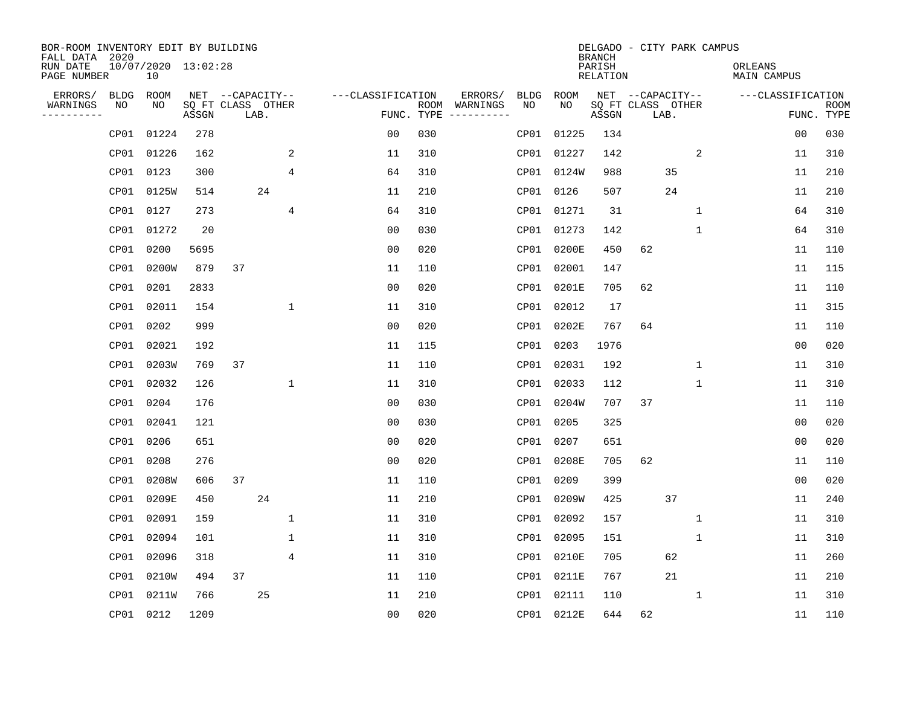| BOR-ROOM INVENTORY EDIT BY BUILDING<br>FALL DATA 2020 |      |                           |       |    |                           |                |                   |     |                                      |             |            | <b>BRANCH</b>      | DELGADO - CITY PARK CAMPUS |             |                        |                           |
|-------------------------------------------------------|------|---------------------------|-------|----|---------------------------|----------------|-------------------|-----|--------------------------------------|-------------|------------|--------------------|----------------------------|-------------|------------------------|---------------------------|
| RUN DATE<br>PAGE NUMBER                               |      | 10/07/2020 13:02:28<br>10 |       |    |                           |                |                   |     |                                      |             |            | PARISH<br>RELATION |                            |             | ORLEANS<br>MAIN CAMPUS |                           |
| ERRORS/                                               | BLDG | ROOM                      |       |    | NET --CAPACITY--          |                | ---CLASSIFICATION |     | ERRORS/                              | <b>BLDG</b> | ROOM       |                    | NET --CAPACITY--           |             | ---CLASSIFICATION      |                           |
| WARNINGS<br>----------                                | NO   | NO                        | ASSGN |    | SQ FT CLASS OTHER<br>LAB. |                |                   |     | ROOM WARNINGS<br>FUNC. TYPE $------$ | NO.         | NO.        | ASSGN              | SQ FT CLASS OTHER<br>LAB.  |             |                        | <b>ROOM</b><br>FUNC. TYPE |
|                                                       | CP01 | 01224                     | 278   |    |                           |                | 0 <sub>0</sub>    | 030 |                                      | CP01        | 01225      | 134                |                            |             | 0 <sub>0</sub>         | 030                       |
|                                                       | CP01 | 01226                     | 162   |    |                           | 2              | 11                | 310 |                                      |             | CP01 01227 | 142                |                            | 2           | 11                     | 310                       |
|                                                       | CP01 | 0123                      | 300   |    |                           | $\overline{4}$ | 64                | 310 |                                      |             | CP01 0124W | 988                | 35                         |             | 11                     | 210                       |
|                                                       | CP01 | 0125W                     | 514   |    | 24                        |                | 11                | 210 |                                      |             | CP01 0126  | 507                | 24                         |             | 11                     | 210                       |
|                                                       | CP01 | 0127                      | 273   |    |                           | 4              | 64                | 310 |                                      |             | CP01 01271 | 31                 |                            | 1           | 64                     | 310                       |
|                                                       | CP01 | 01272                     | 20    |    |                           |                | 0 <sub>0</sub>    | 030 |                                      |             | CP01 01273 | 142                |                            | 1           | 64                     | 310                       |
|                                                       | CP01 | 0200                      | 5695  |    |                           |                | 0 <sub>0</sub>    | 020 |                                      |             | CP01 0200E | 450                | 62                         |             | 11                     | 110                       |
|                                                       | CP01 | 0200W                     | 879   | 37 |                           |                | 11                | 110 |                                      |             | CP01 02001 | 147                |                            |             | 11                     | 115                       |
|                                                       | CP01 | 0201                      | 2833  |    |                           |                | 0 <sub>0</sub>    | 020 |                                      |             | CP01 0201E | 705                | 62                         |             | 11                     | 110                       |
|                                                       | CP01 | 02011                     | 154   |    |                           | 1              | 11                | 310 |                                      |             | CP01 02012 | 17                 |                            |             | 11                     | 315                       |
|                                                       | CP01 | 0202                      | 999   |    |                           |                | 0 <sub>0</sub>    | 020 |                                      |             | CP01 0202E | 767                | 64                         |             | 11                     | 110                       |
|                                                       | CP01 | 02021                     | 192   |    |                           |                | 11                | 115 |                                      |             | CP01 0203  | 1976               |                            |             | 0 <sub>0</sub>         | 020                       |
|                                                       | CP01 | 0203W                     | 769   | 37 |                           |                | 11                | 110 |                                      |             | CP01 02031 | 192                |                            | $\mathbf 1$ | 11                     | 310                       |
|                                                       | CP01 | 02032                     | 126   |    |                           | 1              | 11                | 310 |                                      |             | CP01 02033 | 112                |                            | $\mathbf 1$ | 11                     | 310                       |
|                                                       | CP01 | 0204                      | 176   |    |                           |                | 00                | 030 |                                      |             | CP01 0204W | 707                | 37                         |             | 11                     | 110                       |
|                                                       | CP01 | 02041                     | 121   |    |                           |                | 0 <sub>0</sub>    | 030 |                                      |             | CP01 0205  | 325                |                            |             | 0 <sub>0</sub>         | 020                       |
|                                                       | CP01 | 0206                      | 651   |    |                           |                | 0 <sub>0</sub>    | 020 |                                      | CP01        | 0207       | 651                |                            |             | 0 <sub>0</sub>         | 020                       |
|                                                       | CP01 | 0208                      | 276   |    |                           |                | 0 <sub>0</sub>    | 020 |                                      |             | CP01 0208E | 705                | 62                         |             | 11                     | 110                       |
|                                                       | CP01 | 0208W                     | 606   | 37 |                           |                | 11                | 110 |                                      |             | CP01 0209  | 399                |                            |             | 0 <sub>0</sub>         | 020                       |
|                                                       | CP01 | 0209E                     | 450   |    | 24                        |                | 11                | 210 |                                      |             | CP01 0209W | 425                | 37                         |             | 11                     | 240                       |
|                                                       | CP01 | 02091                     | 159   |    |                           | 1              | 11                | 310 |                                      |             | CP01 02092 | 157                |                            | 1           | 11                     | 310                       |
|                                                       | CP01 | 02094                     | 101   |    |                           | 1              | 11                | 310 |                                      |             | CP01 02095 | 151                |                            | 1           | 11                     | 310                       |
|                                                       | CP01 | 02096                     | 318   |    |                           | 4              | 11                | 310 |                                      |             | CP01 0210E | 705                | 62                         |             | 11                     | 260                       |
|                                                       | CP01 | 0210W                     | 494   | 37 |                           |                | 11                | 110 |                                      |             | CP01 0211E | 767                | 21                         |             | 11                     | 210                       |
|                                                       | CP01 | 0211W                     | 766   |    | 25                        |                | 11                | 210 |                                      |             | CP01 02111 | 110                |                            | 1           | 11                     | 310                       |
|                                                       |      | CP01 0212                 | 1209  |    |                           |                | 0 <sub>0</sub>    | 020 |                                      |             | CP01 0212E | 644                | 62                         |             | 11                     | 110                       |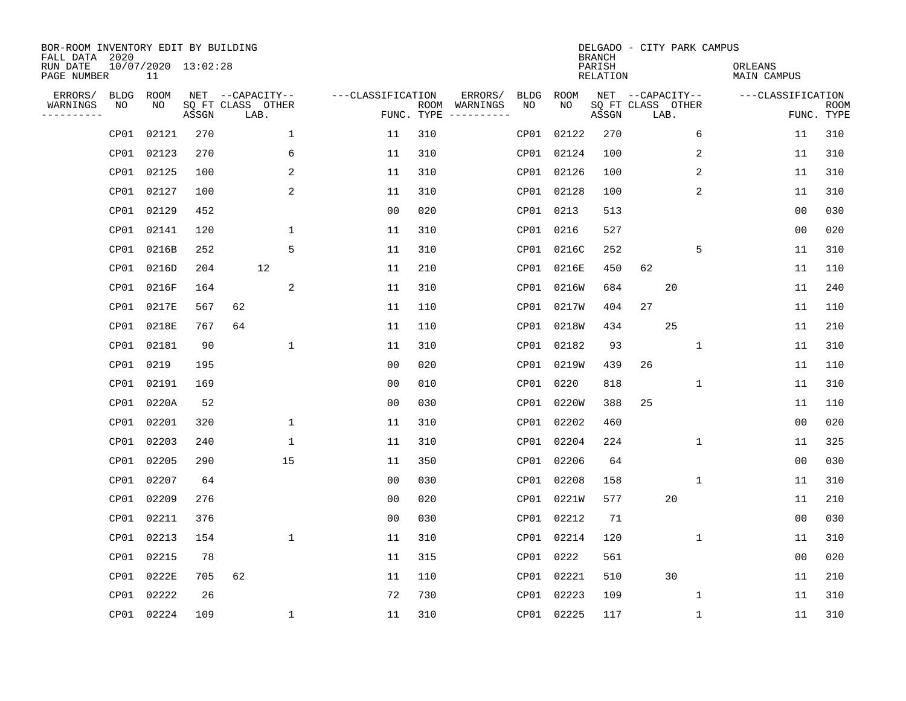| BOR-ROOM INVENTORY EDIT BY BUILDING<br>FALL DATA 2020 |             |                           |       |                           |              |                   |      |                                 |             |             | <b>BRANCH</b>             |    | DELGADO - CITY PARK CAMPUS |                        |                   |                           |
|-------------------------------------------------------|-------------|---------------------------|-------|---------------------------|--------------|-------------------|------|---------------------------------|-------------|-------------|---------------------------|----|----------------------------|------------------------|-------------------|---------------------------|
| RUN DATE<br>PAGE NUMBER                               |             | 10/07/2020 13:02:28<br>11 |       |                           |              |                   |      |                                 |             |             | PARISH<br><b>RELATION</b> |    |                            | ORLEANS<br>MAIN CAMPUS |                   |                           |
| ERRORS/                                               | <b>BLDG</b> | ROOM                      |       | NET --CAPACITY--          |              | ---CLASSIFICATION |      | ERRORS/                         | <b>BLDG</b> | <b>ROOM</b> |                           |    | NET --CAPACITY--           |                        | ---CLASSIFICATION |                           |
| WARNINGS<br>----------                                | NO          | NO                        | ASSGN | SQ FT CLASS OTHER<br>LAB. |              |                   | ROOM | WARNINGS<br>FUNC. TYPE $------$ | NO          | NO          | ASSGN                     |    | SQ FT CLASS OTHER<br>LAB.  |                        |                   | <b>ROOM</b><br>FUNC. TYPE |
|                                                       | CP01        | 02121                     | 270   |                           | 1            | 11                | 310  |                                 |             | CP01 02122  | 270                       |    | 6                          |                        | 11                | 310                       |
|                                                       | CP01        | 02123                     | 270   |                           | 6            | 11                | 310  |                                 |             | CP01 02124  | 100                       |    | 2                          |                        | 11                | 310                       |
|                                                       | CP01        | 02125                     | 100   |                           | 2            | 11                | 310  |                                 |             | CP01 02126  | 100                       |    | 2                          |                        | 11                | 310                       |
|                                                       | CP01        | 02127                     | 100   |                           | 2            | 11                | 310  |                                 |             | CP01 02128  | 100                       |    | 2                          |                        | 11                | 310                       |
|                                                       | CP01        | 02129                     | 452   |                           |              | 0 <sub>0</sub>    | 020  |                                 |             | CP01 0213   | 513                       |    |                            |                        | 0 <sub>0</sub>    | 030                       |
|                                                       | CP01        | 02141                     | 120   |                           | $\mathbf{1}$ | 11                | 310  |                                 |             | CP01 0216   | 527                       |    |                            |                        | 0 <sub>0</sub>    | 020                       |
|                                                       | CP01        | 0216B                     | 252   |                           | 5            | 11                | 310  |                                 |             | CP01 0216C  | 252                       |    | 5                          |                        | 11                | 310                       |
|                                                       | CP01        | 0216D                     | 204   | 12                        |              | 11                | 210  |                                 |             | CP01 0216E  | 450                       | 62 |                            |                        | 11                | 110                       |
|                                                       | CP01        | 0216F                     | 164   |                           | 2            | 11                | 310  |                                 |             | CP01 0216W  | 684                       |    | 20                         |                        | 11                | 240                       |
|                                                       | CP01        | 0217E                     | 567   | 62                        |              | 11                | 110  |                                 |             | CP01 0217W  | 404                       | 27 |                            |                        | 11                | 110                       |
|                                                       | CP01        | 0218E                     | 767   | 64                        |              | 11                | 110  |                                 |             | CP01 0218W  | 434                       |    | 25                         |                        | 11                | 210                       |
|                                                       | CP01        | 02181                     | 90    |                           | $\mathbf{1}$ | 11                | 310  |                                 |             | CP01 02182  | 93                        |    | $\mathbf{1}$               |                        | 11                | 310                       |
|                                                       | CP01        | 0219                      | 195   |                           |              | 0 <sub>0</sub>    | 020  |                                 |             | CP01 0219W  | 439                       | 26 |                            |                        | 11                | 110                       |
|                                                       | CP01        | 02191                     | 169   |                           |              | 00                | 010  |                                 |             | CP01 0220   | 818                       |    | 1                          |                        | 11                | 310                       |
|                                                       | CP01        | 0220A                     | 52    |                           |              | 0 <sub>0</sub>    | 030  |                                 | CP01        | 0220W       | 388                       | 25 |                            |                        | 11                | 110                       |
|                                                       | CP01        | 02201                     | 320   |                           | 1            | 11                | 310  |                                 |             | CP01 02202  | 460                       |    |                            |                        | 0 <sub>0</sub>    | 020                       |
|                                                       | CP01        | 02203                     | 240   |                           | 1            | 11                | 310  |                                 | CP01        | 02204       | 224                       |    | 1                          |                        | 11                | 325                       |
|                                                       | CP01        | 02205                     | 290   |                           | 15           | 11                | 350  |                                 |             | CP01 02206  | 64                        |    |                            |                        | 0 <sub>0</sub>    | 030                       |
|                                                       | CP01        | 02207                     | 64    |                           |              | 0 <sub>0</sub>    | 030  |                                 |             | CP01 02208  | 158                       |    | 1                          |                        | 11                | 310                       |
|                                                       | CP01        | 02209                     | 276   |                           |              | 0 <sub>0</sub>    | 020  |                                 |             | CP01 0221W  | 577                       |    | 20                         |                        | 11                | 210                       |
|                                                       | CP01        | 02211                     | 376   |                           |              | 0 <sub>0</sub>    | 030  |                                 |             | CP01 02212  | 71                        |    |                            |                        | 0 <sub>0</sub>    | 030                       |
|                                                       | CP01        | 02213                     | 154   |                           | 1            | 11                | 310  |                                 |             | CP01 02214  | 120                       |    | 1                          |                        | 11                | 310                       |
|                                                       | CP01        | 02215                     | 78    |                           |              | 11                | 315  |                                 |             | CP01 0222   | 561                       |    |                            |                        | 0 <sub>0</sub>    | 020                       |
|                                                       | CP01        | 0222E                     | 705   | 62                        |              | 11                | 110  |                                 |             | CP01 02221  | 510                       |    | 30                         |                        | 11                | 210                       |
|                                                       | CP01        | 02222                     | 26    |                           |              | 72                | 730  |                                 |             | CP01 02223  | 109                       |    | 1                          |                        | 11                | 310                       |
|                                                       |             | CP01 02224                | 109   |                           | 1            | 11                | 310  |                                 |             | CP01 02225  | 117                       |    | 1                          |                        | 11                | 310                       |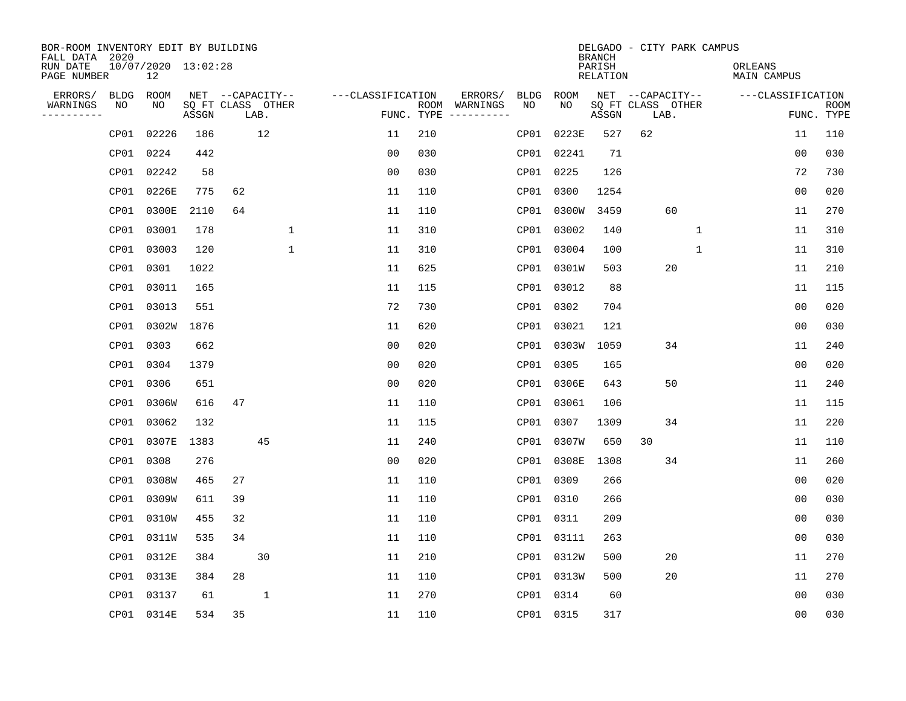| BOR-ROOM INVENTORY EDIT BY BUILDING<br>FALL DATA 2020 |             |                           |       |    |                           |                   |     |                                      |      |            | <b>BRANCH</b>      | DELGADO - CITY PARK CAMPUS |    |              |                        |                |                           |
|-------------------------------------------------------|-------------|---------------------------|-------|----|---------------------------|-------------------|-----|--------------------------------------|------|------------|--------------------|----------------------------|----|--------------|------------------------|----------------|---------------------------|
| RUN DATE<br>PAGE NUMBER                               |             | 10/07/2020 13:02:28<br>12 |       |    |                           |                   |     |                                      |      |            | PARISH<br>RELATION |                            |    |              | ORLEANS<br>MAIN CAMPUS |                |                           |
| ERRORS/                                               | <b>BLDG</b> | ROOM                      |       |    | NET --CAPACITY--          | ---CLASSIFICATION |     | ERRORS/                              | BLDG | ROOM       |                    | NET --CAPACITY--           |    |              | ---CLASSIFICATION      |                |                           |
| WARNINGS<br>----------                                | NO          | NO                        | ASSGN |    | SQ FT CLASS OTHER<br>LAB. |                   |     | ROOM WARNINGS<br>FUNC. TYPE $------$ | NO.  | NO.        | ASSGN              | SQ FT CLASS OTHER<br>LAB.  |    |              |                        |                | <b>ROOM</b><br>FUNC. TYPE |
|                                                       | CP01        | 02226                     | 186   |    | 12                        | 11                | 210 |                                      | CP01 | 0223E      | 527                | 62                         |    |              |                        | 11             | 110                       |
|                                                       | CP01        | 0224                      | 442   |    |                           | 0 <sub>0</sub>    | 030 |                                      |      | CP01 02241 | 71                 |                            |    |              |                        | 0 <sub>0</sub> | 030                       |
|                                                       | CP01        | 02242                     | 58    |    |                           | 0 <sub>0</sub>    | 030 |                                      |      | CP01 0225  | 126                |                            |    |              |                        | 72             | 730                       |
|                                                       | CP01        | 0226E                     | 775   | 62 |                           | 11                | 110 |                                      |      | CP01 0300  | 1254               |                            |    |              |                        | 00             | 020                       |
|                                                       | CP01        | 0300E                     | 2110  | 64 |                           | 11                | 110 |                                      |      | CP01 0300W | 3459               |                            | 60 |              |                        | 11             | 270                       |
|                                                       | CP01        | 03001                     | 178   |    | 1                         | 11                | 310 |                                      |      | CP01 03002 | 140                |                            |    | $\mathbf{1}$ |                        | 11             | 310                       |
|                                                       | CP01        | 03003                     | 120   |    | $\mathbf 1$               | 11                | 310 |                                      |      | CP01 03004 | 100                |                            |    | $\mathbf 1$  |                        | 11             | 310                       |
|                                                       | CP01        | 0301                      | 1022  |    |                           | 11                | 625 |                                      |      | CP01 0301W | 503                |                            | 20 |              |                        | 11             | 210                       |
|                                                       | CP01        | 03011                     | 165   |    |                           | 11                | 115 |                                      |      | CP01 03012 | 88                 |                            |    |              |                        | 11             | 115                       |
|                                                       | CP01        | 03013                     | 551   |    |                           | 72                | 730 |                                      |      | CP01 0302  | 704                |                            |    |              |                        | 0 <sub>0</sub> | 020                       |
|                                                       | CP01        | 0302W                     | 1876  |    |                           | 11                | 620 |                                      |      | CP01 03021 | 121                |                            |    |              |                        | 0 <sub>0</sub> | 030                       |
|                                                       | CP01        | 0303                      | 662   |    |                           | 0 <sub>0</sub>    | 020 |                                      |      | CP01 0303W | 1059               |                            | 34 |              |                        | 11             | 240                       |
|                                                       | CP01        | 0304                      | 1379  |    |                           | 0 <sub>0</sub>    | 020 |                                      |      | CP01 0305  | 165                |                            |    |              |                        | 0 <sub>0</sub> | 020                       |
|                                                       | CP01        | 0306                      | 651   |    |                           | 0 <sub>0</sub>    | 020 |                                      |      | CP01 0306E | 643                |                            | 50 |              |                        | 11             | 240                       |
|                                                       | CP01        | 0306W                     | 616   | 47 |                           | 11                | 110 |                                      |      | CP01 03061 | 106                |                            |    |              |                        | 11             | 115                       |
|                                                       | CP01        | 03062                     | 132   |    |                           | 11                | 115 |                                      |      | CP01 0307  | 1309               |                            | 34 |              |                        | 11             | 220                       |
|                                                       | CP01        | 0307E                     | 1383  |    | 45                        | 11                | 240 |                                      |      | CP01 0307W | 650                | 30                         |    |              |                        | 11             | 110                       |
|                                                       | CP01        | 0308                      | 276   |    |                           | 0 <sub>0</sub>    | 020 |                                      |      | CP01 0308E | 1308               |                            | 34 |              |                        | 11             | 260                       |
|                                                       | CP01        | 0308W                     | 465   | 27 |                           | 11                | 110 |                                      |      | CP01 0309  | 266                |                            |    |              |                        | 00             | 020                       |
|                                                       | CP01        | 0309W                     | 611   | 39 |                           | 11                | 110 |                                      |      | CP01 0310  | 266                |                            |    |              |                        | 0 <sub>0</sub> | 030                       |
|                                                       | CP01        | 0310W                     | 455   | 32 |                           | 11                | 110 |                                      |      | CP01 0311  | 209                |                            |    |              |                        | 0 <sub>0</sub> | 030                       |
|                                                       | CP01        | 0311W                     | 535   | 34 |                           | 11                | 110 |                                      |      | CP01 03111 | 263                |                            |    |              |                        | 00             | 030                       |
|                                                       | CP01        | 0312E                     | 384   |    | 30                        | 11                | 210 |                                      |      | CP01 0312W | 500                |                            | 20 |              |                        | 11             | 270                       |
|                                                       | CP01        | 0313E                     | 384   | 28 |                           | 11                | 110 |                                      |      | CP01 0313W | 500                |                            | 20 |              |                        | 11             | 270                       |
|                                                       | CP01        | 03137                     | 61    |    | $\mathbf{1}$              | 11                | 270 |                                      |      | CP01 0314  | 60                 |                            |    |              |                        | 0 <sub>0</sub> | 030                       |
|                                                       |             | CP01 0314E                | 534   | 35 |                           | 11                | 110 |                                      |      | CP01 0315  | 317                |                            |    |              |                        | 0 <sub>0</sub> | 030                       |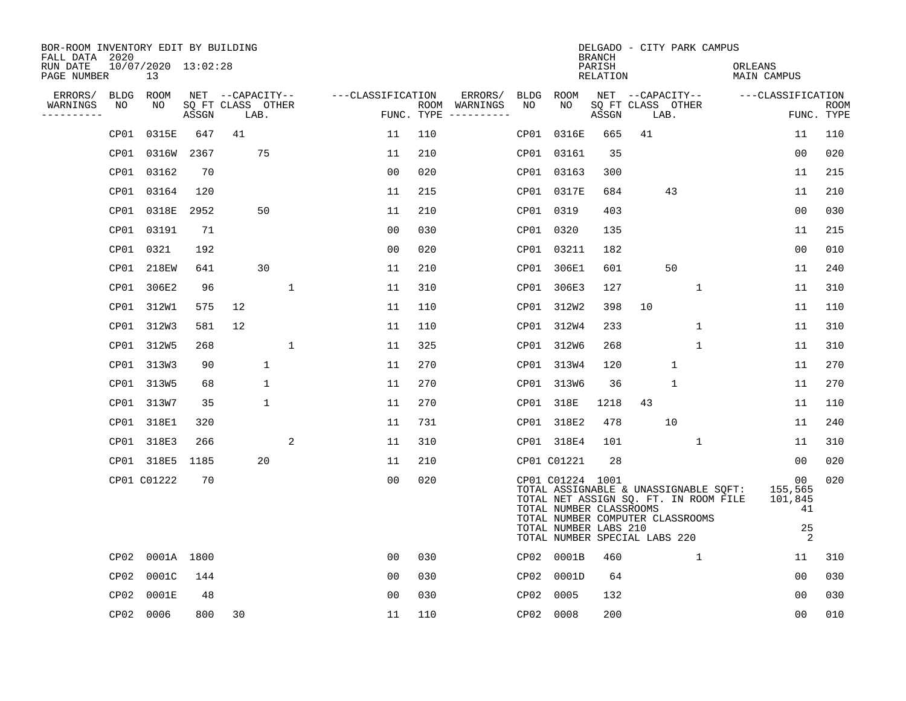| BOR-ROOM INVENTORY EDIT BY BUILDING<br>FALL DATA 2020 |                           |       |                           |              |                   |     |                                      |      |                                                                                                                                           | <b>BRANCH</b>      |    |                           | DELGADO - CITY PARK CAMPUS                                                     |                                           |                           |
|-------------------------------------------------------|---------------------------|-------|---------------------------|--------------|-------------------|-----|--------------------------------------|------|-------------------------------------------------------------------------------------------------------------------------------------------|--------------------|----|---------------------------|--------------------------------------------------------------------------------|-------------------------------------------|---------------------------|
| RUN DATE<br>PAGE NUMBER                               | 10/07/2020 13:02:28<br>13 |       |                           |              |                   |     |                                      |      |                                                                                                                                           | PARISH<br>RELATION |    |                           | ORLEANS                                                                        | MAIN CAMPUS                               |                           |
| ERRORS/<br>BLDG                                       | ROOM                      |       | NET --CAPACITY--          |              | ---CLASSIFICATION |     | ERRORS/                              | BLDG | ROOM                                                                                                                                      |                    |    | NET --CAPACITY--          |                                                                                | ---CLASSIFICATION                         |                           |
| WARNINGS<br>NO<br>----------                          | NO                        | ASSGN | SQ FT CLASS OTHER<br>LAB. |              |                   |     | ROOM WARNINGS<br>FUNC. TYPE $------$ | NO   | NO.                                                                                                                                       | ASSGN              |    | SQ FT CLASS OTHER<br>LAB. |                                                                                |                                           | <b>ROOM</b><br>FUNC. TYPE |
| CP01                                                  | 0315E                     | 647   | 41                        |              | 11                | 110 |                                      | CP01 | 0316E                                                                                                                                     | 665                | 41 |                           |                                                                                | 11                                        | 110                       |
| CP01                                                  | 0316W                     | 2367  | 75                        |              | 11                | 210 |                                      |      | CP01 03161                                                                                                                                | 35                 |    |                           |                                                                                | 00                                        | 020                       |
| CP01                                                  | 03162                     | 70    |                           |              | 0 <sub>0</sub>    | 020 |                                      |      | CP01 03163                                                                                                                                | 300                |    |                           |                                                                                | 11                                        | 215                       |
| CP01                                                  | 03164                     | 120   |                           |              | 11                | 215 |                                      |      | CP01 0317E                                                                                                                                | 684                |    | 43                        |                                                                                | 11                                        | 210                       |
| CP01                                                  | 0318E                     | 2952  | 50                        |              | 11                | 210 |                                      |      | CP01 0319                                                                                                                                 | 403                |    |                           |                                                                                | 00                                        | 030                       |
|                                                       | CP01 03191                | 71    |                           |              | 0 <sub>0</sub>    | 030 |                                      |      | CP01 0320                                                                                                                                 | 135                |    |                           |                                                                                | 11                                        | 215                       |
|                                                       | CP01 0321                 | 192   |                           |              | 0 <sub>0</sub>    | 020 |                                      |      | CP01 03211                                                                                                                                | 182                |    |                           |                                                                                | 00                                        | 010                       |
|                                                       | CP01 218EW                | 641   | 30                        |              | 11                | 210 |                                      |      | CP01 306E1                                                                                                                                | 601                |    | 50                        |                                                                                | 11                                        | 240                       |
| CP01                                                  | 306E2                     | 96    |                           | $\mathbf{1}$ | 11                | 310 |                                      |      | CP01 306E3                                                                                                                                | 127                |    | $\mathbf{1}$              |                                                                                | 11                                        | 310                       |
|                                                       | CP01 312W1                | 575   | 12                        |              | 11                | 110 |                                      |      | CP01 312W2                                                                                                                                | 398                | 10 |                           |                                                                                | 11                                        | 110                       |
|                                                       | CP01 312W3                | 581   | 12                        |              | 11                | 110 |                                      |      | CP01 312W4                                                                                                                                | 233                |    | $\mathbf{1}$              |                                                                                | 11                                        | 310                       |
|                                                       | CP01 312W5                | 268   |                           | $\mathbf{1}$ | 11                | 325 |                                      |      | CP01 312W6                                                                                                                                | 268                |    | $\mathbf{1}$              |                                                                                | 11                                        | 310                       |
| CP01                                                  | 313W3                     | 90    | $\mathbf 1$               |              | 11                | 270 |                                      |      | CP01 313W4                                                                                                                                | 120                |    | $\mathbf{1}$              |                                                                                | 11                                        | 270                       |
|                                                       | CP01 313W5                | 68    | $\mathbf 1$               |              | 11                | 270 |                                      |      | CP01 313W6                                                                                                                                | 36                 |    | $\mathbf{1}$              |                                                                                | 11                                        | 270                       |
|                                                       | CP01 313W7                | 35    | $\mathbf 1$               |              | 11                | 270 |                                      |      | CP01 318E                                                                                                                                 | 1218               | 43 |                           |                                                                                | 11                                        | 110                       |
|                                                       | CP01 318E1                | 320   |                           |              | 11                | 731 |                                      |      | CP01 318E2                                                                                                                                | 478                |    | 10                        |                                                                                | 11                                        | 240                       |
| CP01                                                  | 318E3                     | 266   |                           | 2            | 11                | 310 |                                      |      | CP01 318E4                                                                                                                                | 101                |    | 1                         |                                                                                | 11                                        | 310                       |
|                                                       | CP01 318E5                | 1185  | 20                        |              | 11                | 210 |                                      |      | CP01 C01221                                                                                                                               | 28                 |    |                           |                                                                                | 00                                        | 020                       |
|                                                       | CP01 C01222               | 70    |                           |              | 0 <sub>0</sub>    | 020 |                                      |      | CP01 C01224 1001<br>TOTAL NUMBER CLASSROOMS<br>TOTAL NUMBER COMPUTER CLASSROOMS<br>TOTAL NUMBER LABS 210<br>TOTAL NUMBER SPECIAL LABS 220 |                    |    |                           | TOTAL ASSIGNABLE & UNASSIGNABLE SQFT:<br>TOTAL NET ASSIGN SQ. FT. IN ROOM FILE | 00<br>155,565<br>101,845<br>41<br>25<br>2 | 020                       |
| CP02                                                  | 0001A 1800                |       |                           |              | 0 <sub>0</sub>    | 030 |                                      |      | CP02 0001B                                                                                                                                | 460                |    | $\mathbf{1}$              |                                                                                | 11                                        | 310                       |
| CP02                                                  | 0001C                     | 144   |                           |              | 0 <sub>0</sub>    | 030 |                                      | CP02 | 0001D                                                                                                                                     | 64                 |    |                           |                                                                                | 00                                        | 030                       |
| CP02                                                  | 0001E                     | 48    |                           |              | 0 <sub>0</sub>    | 030 |                                      | CP02 | 0005                                                                                                                                      | 132                |    |                           |                                                                                | 0 <sub>0</sub>                            | 030                       |
|                                                       | CP02 0006                 | 800   | 30                        |              | 11                | 110 |                                      |      | CP02 0008                                                                                                                                 | 200                |    |                           |                                                                                | 00                                        | 010                       |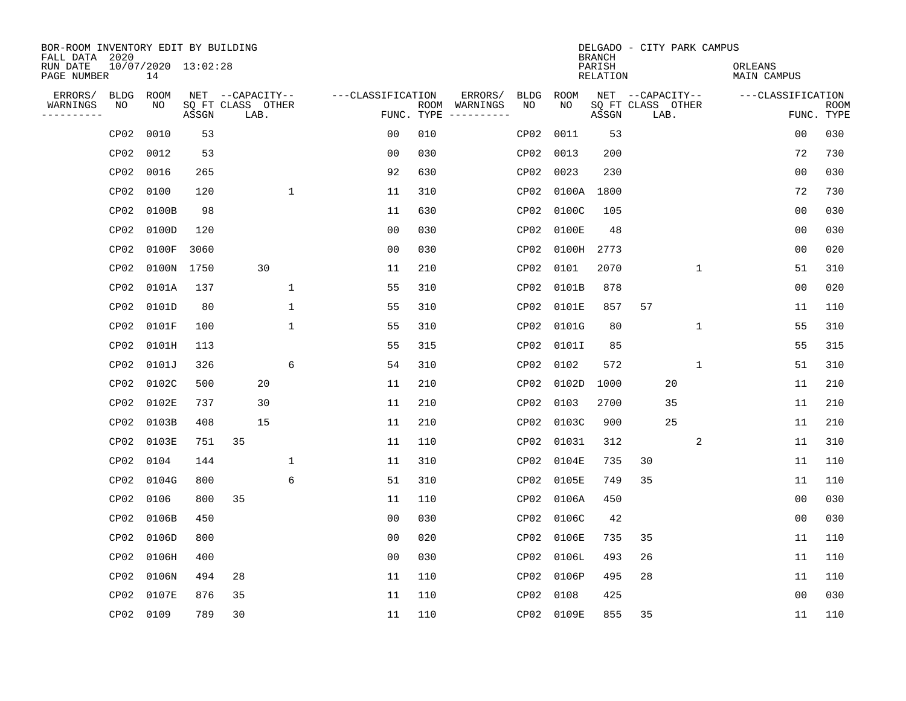| BOR-ROOM INVENTORY EDIT BY BUILDING<br>FALL DATA 2020 |                  |                           |       |                           |              |                   |            |                              |                  |            | <b>BRANCH</b>      |                   |             | DELGADO - CITY PARK CAMPUS |                   |                           |
|-------------------------------------------------------|------------------|---------------------------|-------|---------------------------|--------------|-------------------|------------|------------------------------|------------------|------------|--------------------|-------------------|-------------|----------------------------|-------------------|---------------------------|
| RUN DATE<br>PAGE NUMBER                               |                  | 10/07/2020 13:02:28<br>14 |       |                           |              |                   |            |                              |                  |            | PARISH<br>RELATION |                   |             | ORLEANS<br>MAIN CAMPUS     |                   |                           |
| ERRORS/                                               | <b>BLDG</b>      | ROOM                      |       | NET --CAPACITY--          |              | ---CLASSIFICATION |            | ERRORS/                      | <b>BLDG</b>      | ROOM       |                    | NET --CAPACITY--  |             |                            | ---CLASSIFICATION |                           |
| WARNINGS<br>----------                                | NO               | NO.                       | ASSGN | SQ FT CLASS OTHER<br>LAB. |              |                   | FUNC. TYPE | ROOM WARNINGS<br>----------- | NO.              | NO.        | ASSGN              | SQ FT CLASS OTHER | LAB.        |                            |                   | <b>ROOM</b><br>FUNC. TYPE |
|                                                       | CP <sub>02</sub> | 0010                      | 53    |                           |              | 0 <sub>0</sub>    | 010        |                              | CP02             | 0011       | 53                 |                   |             |                            | 0 <sub>0</sub>    | 030                       |
|                                                       | CP02             | 0012                      | 53    |                           |              | 0 <sub>0</sub>    | 030        |                              | CP02             | 0013       | 200                |                   |             |                            | 72                | 730                       |
|                                                       | CP02             | 0016                      | 265   |                           |              | 92                | 630        |                              | CP02             | 0023       | 230                |                   |             |                            | 0 <sub>0</sub>    | 030                       |
|                                                       | CP02             | 0100                      | 120   |                           | $\mathbf{1}$ | 11                | 310        |                              | CP02             | 0100A      | 1800               |                   |             |                            | 72                | 730                       |
|                                                       | CP02             | 0100B                     | 98    |                           |              | 11                | 630        |                              | CP02             | 0100C      | 105                |                   |             |                            | 00                | 030                       |
|                                                       | CP02             | 0100D                     | 120   |                           |              | 0 <sub>0</sub>    | 030        |                              | CP02             | 0100E      | 48                 |                   |             |                            | 0 <sub>0</sub>    | 030                       |
|                                                       | CP02             | 0100F                     | 3060  |                           |              | 0 <sub>0</sub>    | 030        |                              | CP02             | 0100H      | 2773               |                   |             |                            | 00                | 020                       |
|                                                       | CP <sub>02</sub> | 0100N 1750                |       | 30                        |              | 11                | 210        |                              | CP02             | 0101       | 2070               |                   | $\mathbf 1$ |                            | 51                | 310                       |
|                                                       | CP02             | 0101A                     | 137   |                           | $\mathbf{1}$ | 55                | 310        |                              | CP02             | 0101B      | 878                |                   |             |                            | 0 <sub>0</sub>    | 020                       |
|                                                       | CP02             | 0101D                     | 80    |                           | 1            | 55                | 310        |                              | CP02             | 0101E      | 857                | 57                |             |                            | 11                | 110                       |
|                                                       | CP02             | 0101F                     | 100   |                           | $\mathbf 1$  | 55                | 310        |                              | CP02             | 0101G      | 80                 |                   | $\mathbf 1$ |                            | 55                | 310                       |
|                                                       | CP02             | 0101H                     | 113   |                           |              | 55                | 315        |                              | CP02             | 0101I      | 85                 |                   |             |                            | 55                | 315                       |
|                                                       | CP02             | 0101J                     | 326   |                           | 6            | 54                | 310        |                              | CP02             | 0102       | 572                |                   | 1           |                            | 51                | 310                       |
|                                                       | CP02             | 0102C                     | 500   | 20                        |              | 11                | 210        |                              | CP02             | 0102D      | 1000               |                   | 20          |                            | 11                | 210                       |
|                                                       | CP02             | 0102E                     | 737   | 30                        |              | 11                | 210        |                              | CP02             | 0103       | 2700               |                   | 35          |                            | 11                | 210                       |
|                                                       | CP02             | 0103B                     | 408   | 15                        |              | 11                | 210        |                              | CP02             | 0103C      | 900                |                   | 25          |                            | 11                | 210                       |
|                                                       | CP02             | 0103E                     | 751   | 35                        |              | 11                | 110        |                              | CP02             | 01031      | 312                |                   | 2           |                            | 11                | 310                       |
|                                                       | CP02             | 0104                      | 144   |                           | 1            | 11                | 310        |                              | CP02             | 0104E      | 735                | 30                |             |                            | 11                | 110                       |
|                                                       | CP02             | 0104G                     | 800   |                           | 6            | 51                | 310        |                              | CP02             | 0105E      | 749                | 35                |             |                            | 11                | 110                       |
|                                                       | CP02             | 0106                      | 800   | 35                        |              | 11                | 110        |                              | CP02             | 0106A      | 450                |                   |             |                            | 0 <sub>0</sub>    | 030                       |
|                                                       | CP02             | 0106B                     | 450   |                           |              | 0 <sub>0</sub>    | 030        |                              | CP02             | 0106C      | 42                 |                   |             |                            | 0 <sub>0</sub>    | 030                       |
|                                                       | CP02             | 0106D                     | 800   |                           |              | 0 <sub>0</sub>    | 020        |                              | CP02             | 0106E      | 735                | 35                |             |                            | 11                | 110                       |
|                                                       | CP02             | 0106H                     | 400   |                           |              | 0 <sub>0</sub>    | 030        |                              | CP02             | 0106L      | 493                | 26                |             |                            | 11                | 110                       |
|                                                       | CP02             | 0106N                     | 494   | 28                        |              | 11                | 110        |                              | CP <sub>02</sub> | 0106P      | 495                | 28                |             |                            | 11                | 110                       |
|                                                       | CP <sub>02</sub> | 0107E                     | 876   | 35                        |              | 11                | 110        |                              | CP02             | 0108       | 425                |                   |             |                            | 0 <sub>0</sub>    | 030                       |
|                                                       |                  | CP02 0109                 | 789   | 30                        |              | 11                | 110        |                              |                  | CP02 0109E | 855                | 35                |             |                            | 11                | 110                       |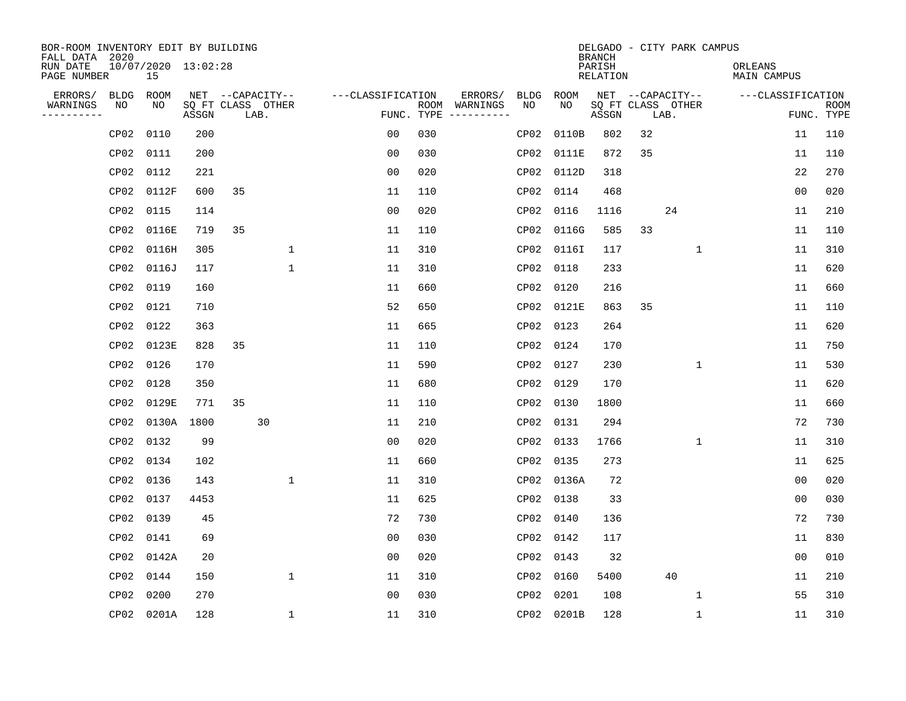| BOR-ROOM INVENTORY EDIT BY BUILDING<br>FALL DATA 2020 |             |                           |       |    |                           |                   |     |                                      |      |            | <b>BRANCH</b>      |    | DELGADO - CITY PARK CAMPUS |                        |                |                           |
|-------------------------------------------------------|-------------|---------------------------|-------|----|---------------------------|-------------------|-----|--------------------------------------|------|------------|--------------------|----|----------------------------|------------------------|----------------|---------------------------|
| RUN DATE<br>PAGE NUMBER                               |             | 10/07/2020 13:02:28<br>15 |       |    |                           |                   |     |                                      |      |            | PARISH<br>RELATION |    |                            | ORLEANS<br>MAIN CAMPUS |                |                           |
| ERRORS/                                               | <b>BLDG</b> | ROOM                      |       |    | NET --CAPACITY--          | ---CLASSIFICATION |     | ERRORS/                              | BLDG | ROOM       |                    |    | NET --CAPACITY--           | ---CLASSIFICATION      |                |                           |
| WARNINGS<br>----------                                | NO          | NO                        | ASSGN |    | SQ FT CLASS OTHER<br>LAB. |                   |     | ROOM WARNINGS<br>FUNC. TYPE $------$ | NO.  | NO.        | ASSGN              |    | SQ FT CLASS OTHER<br>LAB.  |                        |                | <b>ROOM</b><br>FUNC. TYPE |
|                                                       | CP02        | 0110                      | 200   |    |                           | 0 <sub>0</sub>    | 030 |                                      | CP02 | 0110B      | 802                | 32 |                            |                        | 11             | 110                       |
|                                                       | CP02        | 0111                      | 200   |    |                           | 0 <sub>0</sub>    | 030 |                                      | CP02 | 0111E      | 872                | 35 |                            |                        | 11             | 110                       |
|                                                       | CP02        | 0112                      | 221   |    |                           | 0 <sub>0</sub>    | 020 |                                      | CP02 | 0112D      | 318                |    |                            |                        | 22             | 270                       |
|                                                       | CP02        | 0112F                     | 600   | 35 |                           | 11                | 110 |                                      |      | CP02 0114  | 468                |    |                            |                        | 0 <sub>0</sub> | 020                       |
|                                                       | CP02        | 0115                      | 114   |    |                           | 0 <sub>0</sub>    | 020 |                                      | CP02 | 0116       | 1116               |    | 24                         |                        | 11             | 210                       |
|                                                       | CP02        | 0116E                     | 719   | 35 |                           | 11                | 110 |                                      |      | CP02 0116G | 585                | 33 |                            |                        | 11             | 110                       |
|                                                       | CP02        | 0116H                     | 305   |    | $\mathbf 1$               | 11                | 310 |                                      |      | CP02 0116I | 117                |    | $\mathbf 1$                |                        | 11             | 310                       |
|                                                       | CP02        | 0116J                     | 117   |    | $\mathbf{1}$              | 11                | 310 |                                      |      | CP02 0118  | 233                |    |                            |                        | 11             | 620                       |
|                                                       | CP02        | 0119                      | 160   |    |                           | 11                | 660 |                                      | CP02 | 0120       | 216                |    |                            |                        | 11             | 660                       |
|                                                       | CP02        | 0121                      | 710   |    |                           | 52                | 650 |                                      |      | CP02 0121E | 863                | 35 |                            |                        | 11             | 110                       |
|                                                       | CP02        | 0122                      | 363   |    |                           | 11                | 665 |                                      |      | CP02 0123  | 264                |    |                            |                        | 11             | 620                       |
|                                                       | CP02        | 0123E                     | 828   | 35 |                           | 11                | 110 |                                      |      | CP02 0124  | 170                |    |                            |                        | 11             | 750                       |
|                                                       | CP02        | 0126                      | 170   |    |                           | 11                | 590 |                                      |      | CP02 0127  | 230                |    | $\mathbf 1$                |                        | 11             | 530                       |
|                                                       | CP02        | 0128                      | 350   |    |                           | 11                | 680 |                                      |      | CP02 0129  | 170                |    |                            |                        | 11             | 620                       |
|                                                       | CP02        | 0129E                     | 771   | 35 |                           | 11                | 110 |                                      | CP02 | 0130       | 1800               |    |                            |                        | 11             | 660                       |
|                                                       | CP02        | 0130A                     | 1800  |    | 30                        | 11                | 210 |                                      |      | CP02 0131  | 294                |    |                            |                        | 72             | 730                       |
|                                                       | CP02        | 0132                      | 99    |    |                           | 0 <sub>0</sub>    | 020 |                                      | CP02 | 0133       | 1766               |    | 1                          |                        | 11             | 310                       |
|                                                       | CP02        | 0134                      | 102   |    |                           | 11                | 660 |                                      |      | CP02 0135  | 273                |    |                            |                        | 11             | 625                       |
|                                                       | CP02        | 0136                      | 143   |    | $\mathbf{1}$              | 11                | 310 |                                      |      | CP02 0136A | 72                 |    |                            |                        | 0 <sub>0</sub> | 020                       |
|                                                       | CP02        | 0137                      | 4453  |    |                           | 11                | 625 |                                      | CP02 | 0138       | 33                 |    |                            |                        | 0 <sub>0</sub> | 030                       |
|                                                       | CP02        | 0139                      | 45    |    |                           | 72                | 730 |                                      |      | CP02 0140  | 136                |    |                            |                        | 72             | 730                       |
|                                                       | CP02        | 0141                      | 69    |    |                           | 0 <sub>0</sub>    | 030 |                                      |      | CP02 0142  | 117                |    |                            |                        | 11             | 830                       |
|                                                       | CP02        | 0142A                     | 20    |    |                           | 0 <sub>0</sub>    | 020 |                                      |      | CP02 0143  | 32                 |    |                            |                        | 0 <sub>0</sub> | 010                       |
|                                                       | CP02        | 0144                      | 150   |    | $\mathbf 1$               | 11                | 310 |                                      |      | CP02 0160  | 5400               |    | 40                         |                        | 11             | 210                       |
|                                                       | CP02        | 0200                      | 270   |    |                           | 0 <sub>0</sub>    | 030 |                                      | CP02 | 0201       | 108                |    | 1                          |                        | 55             | 310                       |
|                                                       |             | CP02 0201A                | 128   |    | $\mathbf{1}$              | 11                | 310 |                                      |      | CP02 0201B | 128                |    | 1                          |                        | 11             | 310                       |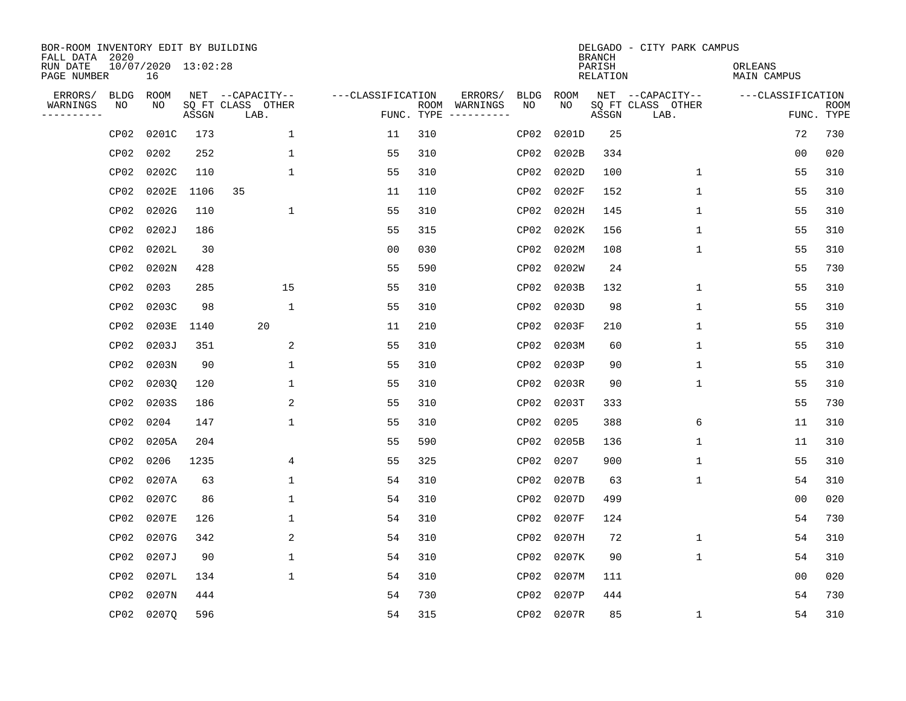| BOR-ROOM INVENTORY EDIT BY BUILDING<br>FALL DATA 2020 |                           |       |                           |                   |     |                                      |             |             | <b>BRANCH</b>             | DELGADO - CITY PARK CAMPUS |                               |                           |
|-------------------------------------------------------|---------------------------|-------|---------------------------|-------------------|-----|--------------------------------------|-------------|-------------|---------------------------|----------------------------|-------------------------------|---------------------------|
| RUN DATE<br>PAGE NUMBER                               | 10/07/2020 13:02:28<br>16 |       |                           |                   |     |                                      |             |             | PARISH<br><b>RELATION</b> |                            | ORLEANS<br><b>MAIN CAMPUS</b> |                           |
| ERRORS/<br><b>BLDG</b>                                | ROOM                      |       | NET --CAPACITY--          | ---CLASSIFICATION |     | ERRORS/                              | <b>BLDG</b> | <b>ROOM</b> |                           | NET --CAPACITY--           | ---CLASSIFICATION             |                           |
| WARNINGS<br>NO<br>----------                          | NO                        | ASSGN | SQ FT CLASS OTHER<br>LAB. |                   |     | ROOM WARNINGS<br>FUNC. TYPE $------$ | NO          | NO          | ASSGN                     | SQ FT CLASS OTHER<br>LAB.  |                               | <b>ROOM</b><br>FUNC. TYPE |
| CP02                                                  | 0201C                     | 173   | $\mathbf 1$               | 11                | 310 |                                      | CP02        | 0201D       | 25                        |                            | 72                            | 730                       |
| CP02                                                  | 0202                      | 252   | 1                         | 55                | 310 |                                      | CP02        | 0202B       | 334                       |                            | 0 <sub>0</sub>                | 020                       |
| CP02                                                  | 0202C                     | 110   | $\mathbf{1}$              | 55                | 310 |                                      | CP02        | 0202D       | 100                       | $\mathbf{1}$               | 55                            | 310                       |
| CP02                                                  | 0202E                     | 1106  | 35                        | 11                | 110 |                                      | CP02        | 0202F       | 152                       | $\mathbf{1}$               | 55                            | 310                       |
| CP02                                                  | 0202G                     | 110   | $\mathbf{1}$              | 55                | 310 |                                      | CP02        | 0202H       | 145                       | $\mathbf{1}$               | 55                            | 310                       |
| CP02                                                  | 0202J                     | 186   |                           | 55                | 315 |                                      | CP02        | 0202K       | 156                       | $\mathbf{1}$               | 55                            | 310                       |
| CP02                                                  | 0202L                     | 30    |                           | 0 <sub>0</sub>    | 030 |                                      | CP02        | 0202M       | 108                       | $\mathbf 1$                | 55                            | 310                       |
| CP02                                                  | 0202N                     | 428   |                           | 55                | 590 |                                      | CP02        | 0202W       | 24                        |                            | 55                            | 730                       |
|                                                       | CP02 0203                 | 285   | 15                        | 55                | 310 |                                      | CP02        | 0203B       | 132                       | $\mathbf{1}$               | 55                            | 310                       |
|                                                       | CP02 0203C                | 98    | $\mathbf{1}$              | 55                | 310 |                                      | CP02        | 0203D       | 98                        | $\mathbf{1}$               | 55                            | 310                       |
|                                                       | CP02 0203E                | 1140  | 20                        | 11                | 210 |                                      | CP02        | 0203F       | 210                       | $\mathbf{1}$               | 55                            | 310                       |
|                                                       | CP02 0203J                | 351   | 2                         | 55                | 310 |                                      | CP02        | 0203M       | 60                        | $\mathbf{1}$               | 55                            | 310                       |
| CP02                                                  | 0203N                     | 90    | 1                         | 55                | 310 |                                      | CP02        | 0203P       | 90                        | $\mathbf 1$                | 55                            | 310                       |
| CP02                                                  | 02030                     | 120   | 1                         | 55                | 310 |                                      | CP02        | 0203R       | 90                        | 1                          | 55                            | 310                       |
| CP02                                                  | 0203S                     | 186   | 2                         | 55                | 310 |                                      | CP02        | 0203T       | 333                       |                            | 55                            | 730                       |
| CP02                                                  | 0204                      | 147   | $\mathbf{1}$              | 55                | 310 |                                      | CP02        | 0205        | 388                       | 6                          | 11                            | 310                       |
| CP02                                                  | 0205A                     | 204   |                           | 55                | 590 |                                      | CP02        | 0205B       | 136                       | 1                          | 11                            | 310                       |
| CP02                                                  | 0206                      | 1235  | 4                         | 55                | 325 |                                      | CP02        | 0207        | 900                       | $\mathbf 1$                | 55                            | 310                       |
|                                                       | CP02 0207A                | 63    | $\mathbf{1}$              | 54                | 310 |                                      | CP02        | 0207B       | 63                        | $\mathbf 1$                | 54                            | 310                       |
| CP02                                                  | 0207C                     | 86    | 1                         | 54                | 310 |                                      | CP02        | 0207D       | 499                       |                            | 0 <sub>0</sub>                | 020                       |
| CP02                                                  | 0207E                     | 126   | 1                         | 54                | 310 |                                      | CP02        | 0207F       | 124                       |                            | 54                            | 730                       |
| CP02                                                  | 0207G                     | 342   | 2                         | 54                | 310 |                                      | CP02        | 0207H       | 72                        | $\mathbf 1$                | 54                            | 310                       |
| CP02                                                  | 0207J                     | 90    | $\mathbf{1}$              | 54                | 310 |                                      | CP02        | 0207K       | 90                        | $\mathbf 1$                | 54                            | 310                       |
| CP02                                                  | 0207L                     | 134   | $\mathbf{1}$              | 54                | 310 |                                      | CP02        | 0207M       | 111                       |                            | 0 <sub>0</sub>                | 020                       |
| CP02                                                  | 0207N                     | 444   |                           | 54                | 730 |                                      | CP02        | 0207P       | 444                       |                            | 54                            | 730                       |
|                                                       | CP02 0207Q                | 596   |                           | 54                | 315 |                                      |             | CP02 0207R  | 85                        | 1                          | 54                            | 310                       |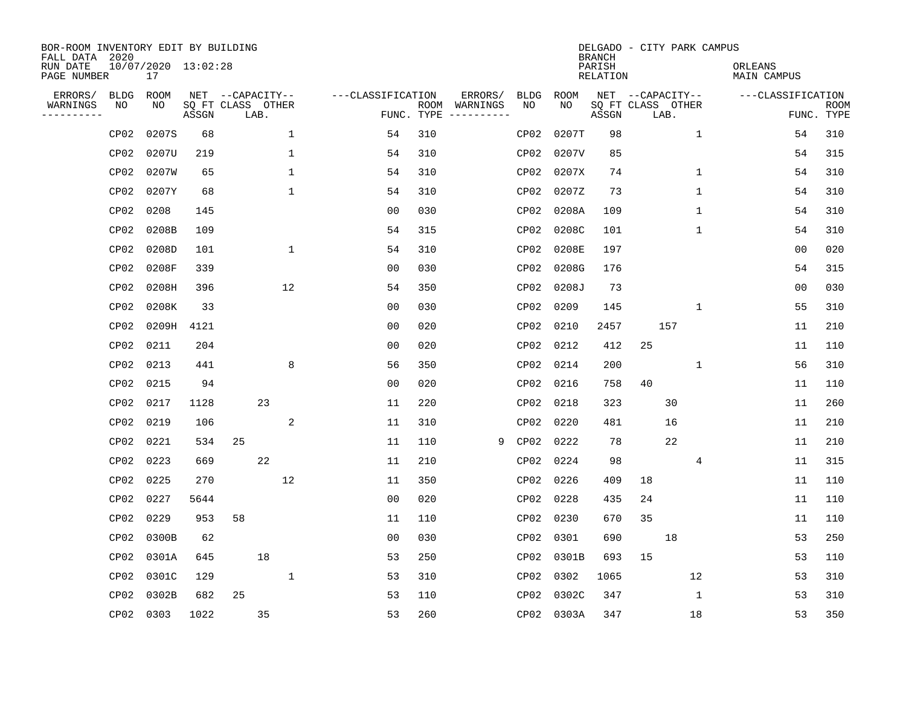| BOR-ROOM INVENTORY EDIT BY BUILDING<br>FALL DATA 2020 |                  |                           |                            |                  |      |              |                   |            |                              |             |             | <b>BRANCH</b>             | DELGADO - CITY PARK CAMPUS |              |                               |                           |
|-------------------------------------------------------|------------------|---------------------------|----------------------------|------------------|------|--------------|-------------------|------------|------------------------------|-------------|-------------|---------------------------|----------------------------|--------------|-------------------------------|---------------------------|
| RUN DATE<br>PAGE NUMBER                               |                  | 10/07/2020 13:02:28<br>17 |                            |                  |      |              |                   |            |                              |             |             | PARISH<br><b>RELATION</b> |                            |              | ORLEANS<br><b>MAIN CAMPUS</b> |                           |
| ERRORS/                                               | <b>BLDG</b>      | ROOM                      |                            | NET --CAPACITY-- |      |              | ---CLASSIFICATION |            | ERRORS/                      | <b>BLDG</b> | <b>ROOM</b> |                           | NET --CAPACITY--           |              | ---CLASSIFICATION             |                           |
| WARNINGS<br>----------                                | NO               | NO                        | SQ FT CLASS OTHER<br>ASSGN |                  | LAB. |              |                   | FUNC. TYPE | ROOM WARNINGS<br>----------- | NO          | NO          | ASSGN                     | SQ FT CLASS OTHER<br>LAB.  |              |                               | <b>ROOM</b><br>FUNC. TYPE |
|                                                       | CP <sub>02</sub> | 0207S                     | 68                         |                  |      | $\mathbf{1}$ | 54                | 310        |                              | CP02        | 0207T       | 98                        |                            | $\mathbf{1}$ | 54                            | 310                       |
|                                                       | CP <sub>02</sub> | 0207U                     | 219                        |                  |      | 1            | 54                | 310        |                              | CP02        | 0207V       | 85                        |                            |              | 54                            | 315                       |
|                                                       | CP <sub>02</sub> | 0207W                     | 65                         |                  |      | $\mathbf 1$  | 54                | 310        |                              | CP02        | 0207X       | 74                        |                            | 1            | 54                            | 310                       |
|                                                       | CP02             | 0207Y                     | 68                         |                  |      | $\mathbf 1$  | 54                | 310        |                              | CP02        | 0207Z       | 73                        |                            | 1            | 54                            | 310                       |
|                                                       | CP02             | 0208                      | 145                        |                  |      |              | 0 <sub>0</sub>    | 030        |                              | CP02        | 0208A       | 109                       |                            | $\mathbf 1$  | 54                            | 310                       |
|                                                       | CP <sub>02</sub> | 0208B                     | 109                        |                  |      |              | 54                | 315        |                              | CP02        | 0208C       | 101                       |                            | 1            | 54                            | 310                       |
|                                                       | CP02             | 0208D                     | 101                        |                  |      | $\mathbf 1$  | 54                | 310        |                              | CP02        | 0208E       | 197                       |                            |              | 0 <sub>0</sub>                | 020                       |
|                                                       | CP02             | 0208F                     | 339                        |                  |      |              | 0 <sub>0</sub>    | 030        |                              | CP02        | 0208G       | 176                       |                            |              | 54                            | 315                       |
|                                                       | CP02             | 0208H                     | 396                        |                  |      | 12           | 54                | 350        |                              | CP02        | 0208J       | 73                        |                            |              | 0 <sub>0</sub>                | 030                       |
|                                                       | CP02             | 0208K                     | 33                         |                  |      |              | 0 <sub>0</sub>    | 030        |                              | CP02        | 0209        | 145                       |                            | 1            | 55                            | 310                       |
|                                                       | CP02             | 0209H                     | 4121                       |                  |      |              | 0 <sub>0</sub>    | 020        |                              | CP02        | 0210        | 2457                      | 157                        |              | 11                            | 210                       |
|                                                       | CP02             | 0211                      | 204                        |                  |      |              | 0 <sub>0</sub>    | 020        |                              | CP02        | 0212        | 412                       | 25                         |              | 11                            | 110                       |
|                                                       | CP02             | 0213                      | 441                        |                  |      | 8            | 56                | 350        |                              | CP02        | 0214        | 200                       |                            | 1            | 56                            | 310                       |
|                                                       |                  | CP02 0215                 | 94                         |                  |      |              | 0 <sub>0</sub>    | 020        |                              | CP02        | 0216        | 758                       | 40                         |              | 11                            | 110                       |
|                                                       | CP02             | 0217                      | 1128                       |                  | 23   |              | 11                | 220        |                              | CP02        | 0218        | 323                       | 30                         |              | 11                            | 260                       |
|                                                       | CP02             | 0219                      | 106                        |                  |      | 2            | 11                | 310        |                              | CP02        | 0220        | 481                       | 16                         |              | 11                            | 210                       |
|                                                       | CP02             | 0221                      | 534                        | 25               |      |              | 11                | 110        |                              | 9<br>CP02   | 0222        | 78                        | 22                         |              | 11                            | 210                       |
|                                                       | CP02             | 0223                      | 669                        |                  | 22   |              | 11                | 210        |                              | CP02        | 0224        | 98                        |                            | 4            | 11                            | 315                       |
|                                                       | CP02             | 0225                      | 270                        |                  |      | 12           | 11                | 350        |                              | CP02        | 0226        | 409                       | 18                         |              | 11                            | 110                       |
|                                                       | CP02             | 0227                      | 5644                       |                  |      |              | 0 <sub>0</sub>    | 020        |                              | CP02        | 0228        | 435                       | 24                         |              | 11                            | 110                       |
|                                                       | CP02             | 0229                      | 953                        | 58               |      |              | 11                | 110        |                              | CP02        | 0230        | 670                       | 35                         |              | 11                            | 110                       |
|                                                       | CP02             | 0300B                     | 62                         |                  |      |              | 0 <sub>0</sub>    | 030        |                              | CP02        | 0301        | 690                       | 18                         |              | 53                            | 250                       |
|                                                       | CP02             | 0301A                     | 645                        |                  | 18   |              | 53                | 250        |                              | CP02        | 0301B       | 693                       | 15                         |              | 53                            | 110                       |
|                                                       | CP <sub>02</sub> | 0301C                     | 129                        |                  |      | $\mathbf 1$  | 53                | 310        |                              | CP02        | 0302        | 1065                      |                            | 12           | 53                            | 310                       |
|                                                       | CP02             | 0302B                     | 682                        | 25               |      |              | 53                | 110        |                              | CP02        | 0302C       | 347                       |                            | 1            | 53                            | 310                       |
|                                                       |                  | CP02 0303                 | 1022                       |                  | 35   |              | 53                | 260        |                              |             | CP02 0303A  | 347                       |                            | 18           | 53                            | 350                       |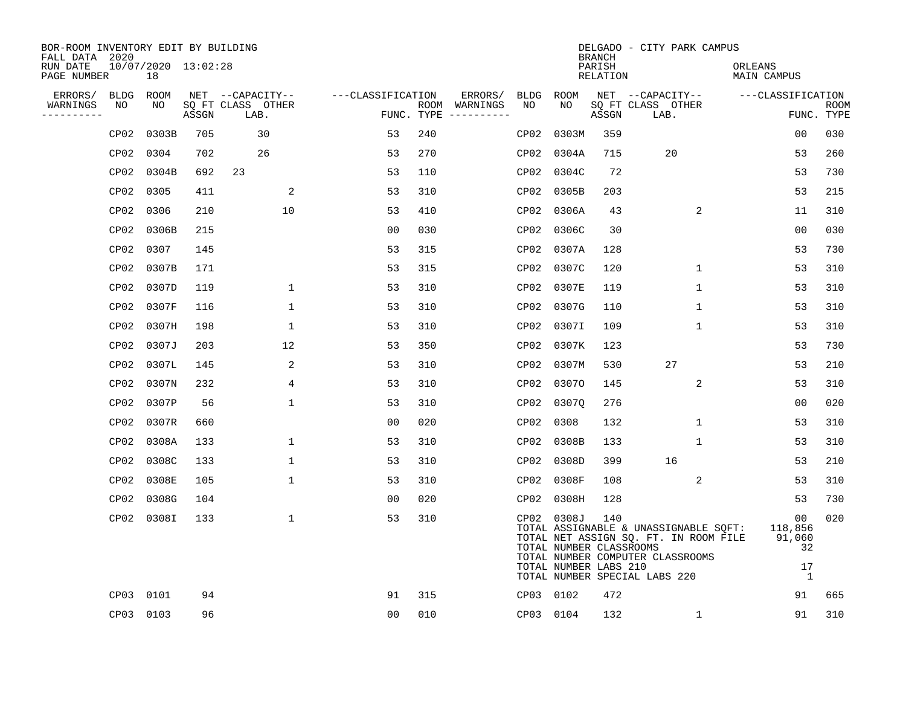| BOR-ROOM INVENTORY EDIT BY BUILDING<br>FALL DATA 2020 |      |                           |       |                           |                   |     |                                      |      |                                                                | <b>BRANCH</b>      | DELGADO - CITY PARK CAMPUS                                                                                                                          |                                                       |                           |
|-------------------------------------------------------|------|---------------------------|-------|---------------------------|-------------------|-----|--------------------------------------|------|----------------------------------------------------------------|--------------------|-----------------------------------------------------------------------------------------------------------------------------------------------------|-------------------------------------------------------|---------------------------|
| RUN DATE<br>PAGE NUMBER                               |      | 10/07/2020 13:02:28<br>18 |       |                           |                   |     |                                      |      |                                                                | PARISH<br>RELATION |                                                                                                                                                     | ORLEANS<br>MAIN CAMPUS                                |                           |
| ERRORS/                                               |      | BLDG ROOM                 |       | NET --CAPACITY--          | ---CLASSIFICATION |     | ERRORS/                              | BLDG | ROOM                                                           |                    | NET --CAPACITY--                                                                                                                                    | ---CLASSIFICATION                                     |                           |
| WARNINGS<br>----------                                | NO   | NO                        | ASSGN | SQ FT CLASS OTHER<br>LAB. |                   |     | ROOM WARNINGS<br>FUNC. TYPE $------$ | NO.  | NO                                                             | ASSGN              | SQ FT CLASS OTHER<br>LAB.                                                                                                                           |                                                       | <b>ROOM</b><br>FUNC. TYPE |
|                                                       | CP02 | 0303B                     | 705   | 30                        | 53                | 240 |                                      | CP02 | 0303M                                                          | 359                |                                                                                                                                                     | 0 <sub>0</sub>                                        | 030                       |
|                                                       | CP02 | 0304                      | 702   | 26                        | 53                | 270 |                                      |      | CP02 0304A                                                     | 715                | 20                                                                                                                                                  | 53                                                    | 260                       |
|                                                       | CP02 | 0304B                     | 692   | 23                        | 53                | 110 |                                      |      | CP02 0304C                                                     | 72                 |                                                                                                                                                     | 53                                                    | 730                       |
|                                                       | CP02 | 0305                      | 411   | 2                         | 53                | 310 |                                      |      | CP02 0305B                                                     | 203                |                                                                                                                                                     | 53                                                    | 215                       |
|                                                       | CP02 | 0306                      | 210   | 10                        | 53                | 410 |                                      |      | CP02 0306A                                                     | 43                 | 2                                                                                                                                                   | 11                                                    | 310                       |
|                                                       | CP02 | 0306B                     | 215   |                           | 0 <sub>0</sub>    | 030 |                                      |      | CP02 0306C                                                     | 30                 |                                                                                                                                                     | 00                                                    | 030                       |
|                                                       | CP02 | 0307                      | 145   |                           | 53                | 315 |                                      |      | CP02 0307A                                                     | 128                |                                                                                                                                                     | 53                                                    | 730                       |
|                                                       | CP02 | 0307B                     | 171   |                           | 53                | 315 |                                      |      | CP02 0307C                                                     | 120                | $\mathbf{1}$                                                                                                                                        | 53                                                    | 310                       |
|                                                       | CP02 | 0307D                     | 119   | $\mathbf{1}$              | 53                | 310 |                                      |      | CP02 0307E                                                     | 119                | $\mathbf{1}$                                                                                                                                        | 53                                                    | 310                       |
|                                                       | CP02 | 0307F                     | 116   | $\mathbf 1$               | 53                | 310 |                                      |      | CP02 0307G                                                     | 110                | $\mathbf 1$                                                                                                                                         | 53                                                    | 310                       |
|                                                       | CP02 | 0307H                     | 198   | $\mathbf 1$               | 53                | 310 |                                      |      | CP02 0307I                                                     | 109                | $\mathbf{1}$                                                                                                                                        | 53                                                    | 310                       |
|                                                       | CP02 | 0307J                     | 203   | 12                        | 53                | 350 |                                      |      | CP02 0307K                                                     | 123                |                                                                                                                                                     | 53                                                    | 730                       |
|                                                       | CP02 | 0307L                     | 145   | 2                         | 53                | 310 |                                      |      | CP02 0307M                                                     | 530                | 27                                                                                                                                                  | 53                                                    | 210                       |
|                                                       | CP02 | 0307N                     | 232   | 4                         | 53                | 310 |                                      |      | CP02 03070                                                     | 145                | 2                                                                                                                                                   | 53                                                    | 310                       |
|                                                       | CP02 | 0307P                     | 56    | $\mathbf{1}$              | 53                | 310 |                                      | CP02 | 0307Q                                                          | 276                |                                                                                                                                                     | 00                                                    | 020                       |
|                                                       | CP02 | 0307R                     | 660   |                           | 00                | 020 |                                      |      | CP02 0308                                                      | 132                | 1                                                                                                                                                   | 53                                                    | 310                       |
|                                                       | CP02 | 0308A                     | 133   | $\mathbf 1$               | 53                | 310 |                                      | CP02 | 0308B                                                          | 133                | 1                                                                                                                                                   | 53                                                    | 310                       |
|                                                       | CP02 | 0308C                     | 133   | $\mathbf 1$               | 53                | 310 |                                      |      | CP02 0308D                                                     | 399                | 16                                                                                                                                                  | 53                                                    | 210                       |
|                                                       | CP02 | 0308E                     | 105   | $\mathbf 1$               | 53                | 310 |                                      |      | CP02 0308F                                                     | 108                | 2                                                                                                                                                   | 53                                                    | 310                       |
|                                                       | CP02 | 0308G                     | 104   |                           | 0 <sub>0</sub>    | 020 |                                      |      | CP02 0308H                                                     | 128                |                                                                                                                                                     | 53                                                    | 730                       |
|                                                       |      | CP02 0308I                | 133   | $\mathbf 1$               | 53                | 310 |                                      |      | CP02 0308J<br>TOTAL NUMBER CLASSROOMS<br>TOTAL NUMBER LABS 210 | 140                | TOTAL ASSIGNABLE & UNASSIGNABLE SQFT:<br>TOTAL NET ASSIGN SQ. FT. IN ROOM FILE<br>TOTAL NUMBER COMPUTER CLASSROOMS<br>TOTAL NUMBER SPECIAL LABS 220 | 00<br>118,856<br>91,060<br>32<br>17<br>$\overline{1}$ | 020                       |
|                                                       | CP03 | 0101                      | 94    |                           | 91                | 315 |                                      |      | CP03 0102                                                      | 472                |                                                                                                                                                     | 91                                                    | 665                       |
|                                                       |      | CP03 0103                 | 96    |                           | 00                | 010 |                                      |      | CP03 0104                                                      | 132                | 1                                                                                                                                                   | 91                                                    | 310                       |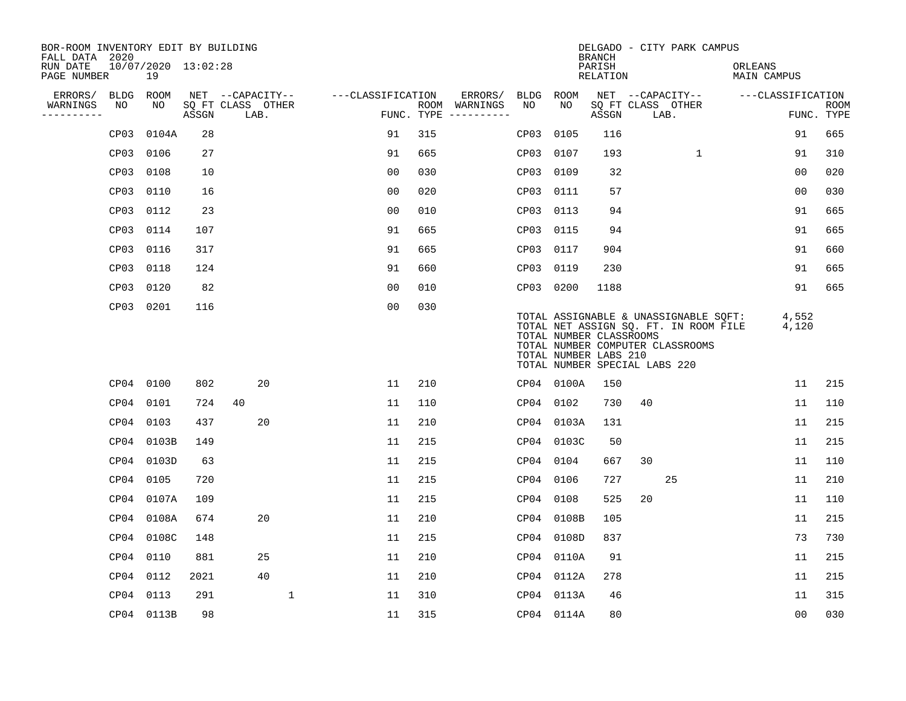| BOR-ROOM INVENTORY EDIT BY BUILDING<br>FALL DATA 2020 |           |                           |       |                           |   |                   |            |               |      |            | DELGADO - CITY PARK CAMPUS<br><b>BRANCH</b>                                                                                                                                                             |    |                  |              |                               |                |                           |
|-------------------------------------------------------|-----------|---------------------------|-------|---------------------------|---|-------------------|------------|---------------|------|------------|---------------------------------------------------------------------------------------------------------------------------------------------------------------------------------------------------------|----|------------------|--------------|-------------------------------|----------------|---------------------------|
| RUN DATE<br>PAGE NUMBER                               |           | 10/07/2020 13:02:28<br>19 |       |                           |   |                   |            |               |      |            | PARISH<br><b>RELATION</b>                                                                                                                                                                               |    |                  |              | ORLEANS<br><b>MAIN CAMPUS</b> |                |                           |
| ERRORS/                                               | BLDG      | ROOM                      |       | NET --CAPACITY--          |   | ---CLASSIFICATION |            | ERRORS/       | BLDG | ROOM       |                                                                                                                                                                                                         |    | NET --CAPACITY-- |              | ---CLASSIFICATION             |                |                           |
| WARNINGS<br>----------                                | NO        | NO                        | ASSGN | SQ FT CLASS OTHER<br>LAB. |   |                   | FUNC. TYPE | ROOM WARNINGS | NO   | NO         | SQ FT CLASS OTHER<br>ASSGN                                                                                                                                                                              |    | LAB.             |              |                               |                | <b>ROOM</b><br>FUNC. TYPE |
|                                                       | CP03      | 0104A                     | 28    |                           |   | 91                | 315        |               | CP03 | 0105       | 116                                                                                                                                                                                                     |    |                  |              |                               | 91             | 665                       |
|                                                       | CP03      | 0106                      | 27    |                           |   | 91                | 665        |               | CP03 | 0107       | 193                                                                                                                                                                                                     |    |                  | $\mathbf{1}$ |                               | 91             | 310                       |
|                                                       | CP03      | 0108                      | 10    |                           |   | 0 <sub>0</sub>    | 030        |               | CP03 | 0109       | 32                                                                                                                                                                                                      |    |                  |              |                               | 00             | 020                       |
|                                                       | CP03      | 0110                      | 16    |                           |   | 0 <sub>0</sub>    | 020        |               | CP03 | 0111       | 57                                                                                                                                                                                                      |    |                  |              |                               | 0 <sub>0</sub> | 030                       |
|                                                       | CP03      | 0112                      | 23    |                           |   | 0 <sub>0</sub>    | 010        |               | CP03 | 0113       | 94                                                                                                                                                                                                      |    |                  |              |                               | 91             | 665                       |
|                                                       | CP03 0114 |                           | 107   |                           |   | 91                | 665        |               |      | CP03 0115  | 94                                                                                                                                                                                                      |    |                  |              |                               | 91             | 665                       |
|                                                       | CP03      | 0116                      | 317   |                           |   | 91                | 665        |               | CP03 | 0117       | 904                                                                                                                                                                                                     |    |                  |              |                               | 91             | 660                       |
|                                                       | CP03 0118 |                           | 124   |                           |   | 91                | 660        |               | CP03 | 0119       | 230                                                                                                                                                                                                     |    |                  |              |                               | 91             | 665                       |
|                                                       | CP03      | 0120                      | 82    |                           |   | 0 <sub>0</sub>    | 010        |               | CP03 | 0200       | 1188                                                                                                                                                                                                    |    |                  |              |                               | 91             | 665                       |
|                                                       | CP03 0201 |                           | 116   |                           |   | 0 <sub>0</sub>    | 030        |               |      |            | TOTAL ASSIGNABLE & UNASSIGNABLE SQFT:<br>TOTAL NET ASSIGN SQ. FT. IN ROOM FILE<br>TOTAL NUMBER CLASSROOMS<br>TOTAL NUMBER COMPUTER CLASSROOMS<br>TOTAL NUMBER LABS 210<br>TOTAL NUMBER SPECIAL LABS 220 |    |                  |              |                               | 4,552<br>4,120 |                           |
|                                                       | CP04 0100 |                           | 802   | 20                        |   | 11                | 210        |               |      | CP04 0100A | 150                                                                                                                                                                                                     |    |                  |              |                               | 11             | 215                       |
|                                                       | CP04 0101 |                           | 724   | 40                        |   | 11                | 110        |               |      | CP04 0102  | 730                                                                                                                                                                                                     | 40 |                  |              |                               | 11             | 110                       |
|                                                       | CP04 0103 |                           | 437   | 20                        |   | 11                | 210        |               |      | CP04 0103A | 131                                                                                                                                                                                                     |    |                  |              |                               | 11             | 215                       |
|                                                       |           | CP04 0103B                | 149   |                           |   | 11                | 215        |               | CP04 | 0103C      | 50                                                                                                                                                                                                      |    |                  |              |                               | 11             | 215                       |
|                                                       |           | CP04 0103D                | 63    |                           |   | 11                | 215        |               | CP04 | 0104       | 667                                                                                                                                                                                                     | 30 |                  |              |                               | 11             | 110                       |
|                                                       | CP04 0105 |                           | 720   |                           |   | 11                | 215        |               | CP04 | 0106       | 727                                                                                                                                                                                                     |    | 25               |              |                               | 11             | 210                       |
|                                                       |           | CP04 0107A                | 109   |                           |   | 11                | 215        |               | CP04 | 0108       | 525                                                                                                                                                                                                     | 20 |                  |              |                               | 11             | 110                       |
|                                                       |           | CP04 0108A                | 674   | 20                        |   | 11                | 210        |               | CP04 | 0108B      | 105                                                                                                                                                                                                     |    |                  |              |                               | 11             | 215                       |
|                                                       |           | CP04 0108C                | 148   |                           |   | 11                | 215        |               | CP04 | 0108D      | 837                                                                                                                                                                                                     |    |                  |              |                               | 73             | 730                       |
|                                                       | CP04 0110 |                           | 881   | 25                        |   | 11                | 210        |               |      | CP04 0110A | 91                                                                                                                                                                                                      |    |                  |              |                               | 11             | 215                       |
|                                                       | CP04 0112 |                           | 2021  | 40                        |   | 11                | 210        |               | CP04 | 0112A      | 278                                                                                                                                                                                                     |    |                  |              |                               | 11             | 215                       |
|                                                       | CP04 0113 |                           | 291   |                           | 1 | 11                | 310        |               |      | CP04 0113A | 46                                                                                                                                                                                                      |    |                  |              |                               | 11             | 315                       |
|                                                       |           | CP04 0113B                | 98    |                           |   | 11                | 315        |               |      | CP04 0114A | 80                                                                                                                                                                                                      |    |                  |              |                               | 0 <sub>0</sub> | 030                       |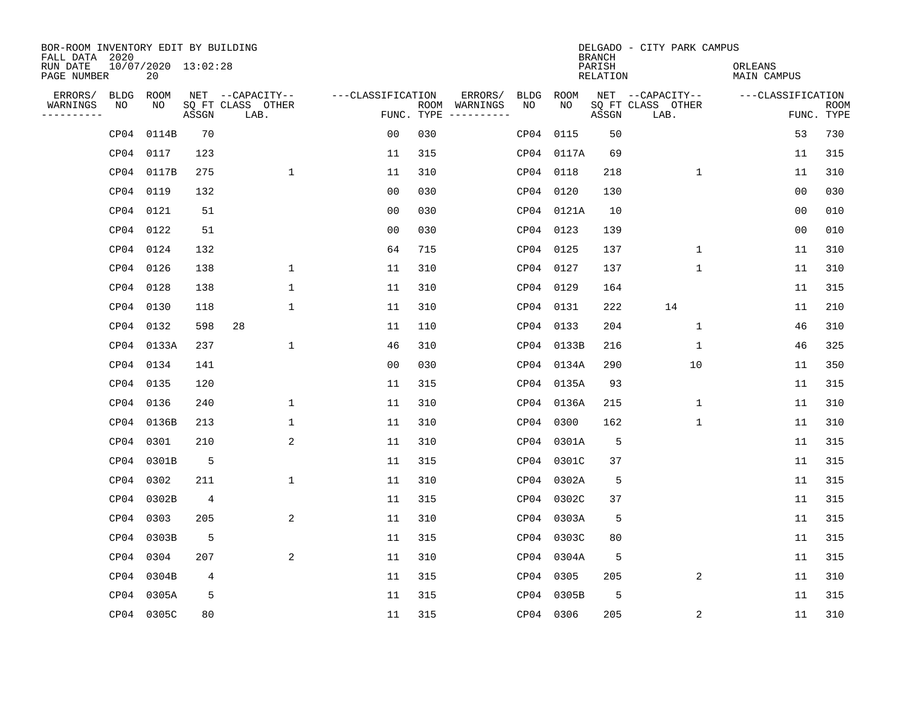| BOR-ROOM INVENTORY EDIT BY BUILDING<br>FALL DATA 2020 |                           |                |                           |                   |     |                                            |             | <b>BRANCH</b>             | DELGADO - CITY PARK CAMPUS |                               |                           |
|-------------------------------------------------------|---------------------------|----------------|---------------------------|-------------------|-----|--------------------------------------------|-------------|---------------------------|----------------------------|-------------------------------|---------------------------|
| RUN DATE<br>PAGE NUMBER                               | 10/07/2020 13:02:28<br>20 |                |                           |                   |     |                                            |             | PARISH<br><b>RELATION</b> |                            | ORLEANS<br><b>MAIN CAMPUS</b> |                           |
| ERRORS/                                               | <b>BLDG</b><br>ROOM       |                | NET --CAPACITY--          | ---CLASSIFICATION |     | ERRORS/<br><b>BLDG</b>                     | <b>ROOM</b> |                           | NET --CAPACITY--           | ---CLASSIFICATION             |                           |
| WARNINGS<br>----------                                | NO<br>NO                  | ASSGN          | SQ FT CLASS OTHER<br>LAB. |                   |     | NO<br>ROOM WARNINGS<br>FUNC. TYPE $------$ | NO          | ASSGN                     | SQ FT CLASS OTHER<br>LAB.  |                               | <b>ROOM</b><br>FUNC. TYPE |
|                                                       | 0114B<br>CP04             | 70             |                           | 0 <sub>0</sub>    | 030 | CP04                                       | 0115        | 50                        |                            | 53                            | 730                       |
|                                                       | CP04<br>0117              | 123            |                           | 11                | 315 |                                            | CP04 0117A  | 69                        |                            | 11                            | 315                       |
|                                                       | CP04<br>0117B             | 275            | $\mathbf 1$               | 11                | 310 |                                            | CP04 0118   | 218                       | $\mathbf 1$                | 11                            | 310                       |
|                                                       | CP04<br>0119              | 132            |                           | 0 <sub>0</sub>    | 030 |                                            | CP04 0120   | 130                       |                            | 0 <sub>0</sub>                | 030                       |
|                                                       | 0121<br>CP04              | 51             |                           | 0 <sub>0</sub>    | 030 |                                            | CP04 0121A  | 10                        |                            | 0 <sub>0</sub>                | 010                       |
|                                                       | CP04 0122                 | 51             |                           | 0 <sub>0</sub>    | 030 |                                            | CP04 0123   | 139                       |                            | 0 <sub>0</sub>                | 010                       |
|                                                       | CP04 0124                 | 132            |                           | 64                | 715 |                                            | CP04 0125   | 137                       | $\mathbf 1$                | 11                            | 310                       |
|                                                       | CP04 0126                 | 138            | 1                         | 11                | 310 |                                            | CP04 0127   | 137                       | $\mathbf{1}$               | 11                            | 310                       |
|                                                       | CP04<br>0128              | 138            | 1                         | 11                | 310 |                                            | CP04 0129   | 164                       |                            | 11                            | 315                       |
|                                                       | CP04 0130                 | 118            | 1                         | 11                | 310 |                                            | CP04 0131   | 222                       | 14                         | 11                            | 210                       |
|                                                       | CP04<br>0132              | 598            | 28                        | 11                | 110 |                                            | CP04 0133   | 204                       | $\mathbf 1$                | 46                            | 310                       |
|                                                       | CP04 0133A                | 237            | $\mathbf{1}$              | 46                | 310 |                                            | CP04 0133B  | 216                       | $\mathbf 1$                | 46                            | 325                       |
|                                                       | CP04<br>0134              | 141            |                           | 0 <sub>0</sub>    | 030 |                                            | CP04 0134A  | 290                       | 10                         | 11                            | 350                       |
|                                                       | CP04 0135                 | 120            |                           | 11                | 315 |                                            | CP04 0135A  | 93                        |                            | 11                            | 315                       |
|                                                       | CP04<br>0136              | 240            | $\mathbf 1$               | 11                | 310 |                                            | CP04 0136A  | 215                       | 1                          | 11                            | 310                       |
|                                                       | CP04 0136B                | 213            | 1                         | 11                | 310 | CP04                                       | 0300        | 162                       | 1                          | 11                            | 310                       |
|                                                       | 0301<br>CP04              | 210            | 2                         | 11                | 310 | CP04                                       | 0301A       | 5                         |                            | 11                            | 315                       |
|                                                       | 0301B<br>CP04             | 5              |                           | 11                | 315 | CP04                                       | 0301C       | 37                        |                            | 11                            | 315                       |
|                                                       | CP04<br>0302              | 211            | $\mathbf{1}$              | 11                | 310 |                                            | CP04 0302A  | 5                         |                            | 11                            | 315                       |
|                                                       | CP04<br>0302B             | $\overline{4}$ |                           | 11                | 315 |                                            | CP04 0302C  | 37                        |                            | 11                            | 315                       |
|                                                       | 0303<br>CP04              | 205            | 2                         | 11                | 310 |                                            | CP04 0303A  | 5                         |                            | 11                            | 315                       |
|                                                       | CP04<br>0303B             | 5              |                           | 11                | 315 |                                            | CP04 0303C  | 80                        |                            | 11                            | 315                       |
|                                                       | 0304<br>CP04              | 207            | 2                         | 11                | 310 |                                            | CP04 0304A  | 5                         |                            | 11                            | 315                       |
|                                                       | CP04<br>0304B             | 4              |                           | 11                | 315 |                                            | CP04 0305   | 205                       | 2                          | 11                            | 310                       |
|                                                       | CP04<br>0305A             | 5              |                           | 11                | 315 |                                            | CP04 0305B  | 5                         |                            | 11                            | 315                       |
|                                                       | CP04 0305C                | 80             |                           | 11                | 315 |                                            | CP04 0306   | 205                       | $\overline{c}$             | 11                            | 310                       |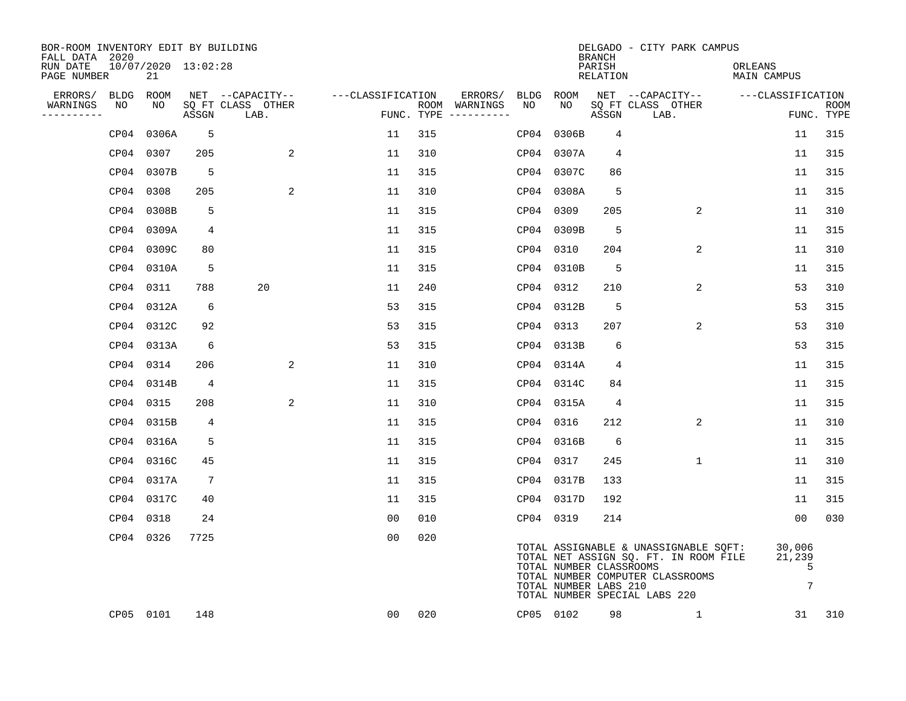| BOR-ROOM INVENTORY EDIT BY BUILDING<br>FALL DATA 2020 |                           |                 |                           |                   |     |                                      |           |                                                  | <b>BRANCH</b>      | DELGADO - CITY PARK CAMPUS                                                                                                                          |                                          |                           |
|-------------------------------------------------------|---------------------------|-----------------|---------------------------|-------------------|-----|--------------------------------------|-----------|--------------------------------------------------|--------------------|-----------------------------------------------------------------------------------------------------------------------------------------------------|------------------------------------------|---------------------------|
| RUN DATE<br>PAGE NUMBER                               | 10/07/2020 13:02:28<br>21 |                 |                           |                   |     |                                      |           |                                                  | PARISH<br>RELATION |                                                                                                                                                     | ORLEANS<br>MAIN CAMPUS                   |                           |
| ERRORS/                                               | BLDG ROOM                 |                 | NET --CAPACITY--          | ---CLASSIFICATION |     | ERRORS/                              | BLDG      | ROOM                                             |                    | NET --CAPACITY-- ---CLASSIFICATION                                                                                                                  |                                          |                           |
| WARNINGS<br>NO<br>----------                          | NO                        | ASSGN           | SQ FT CLASS OTHER<br>LAB. |                   |     | ROOM WARNINGS<br>FUNC. TYPE $------$ | NO        | NO                                               | ASSGN              | SQ FT CLASS OTHER<br>LAB.                                                                                                                           |                                          | <b>ROOM</b><br>FUNC. TYPE |
|                                                       | CP04 0306A                | 5               |                           | 11                | 315 |                                      | CP04      | 0306B                                            | 4                  |                                                                                                                                                     | 11                                       | 315                       |
|                                                       | CP04 0307                 | 205             | 2                         | 11                | 310 |                                      |           | CP04 0307A                                       | 4                  |                                                                                                                                                     | 11                                       | 315                       |
|                                                       | CP04 0307B                | 5               |                           | 11                | 315 |                                      |           | CP04 0307C                                       | 86                 |                                                                                                                                                     | 11                                       | 315                       |
|                                                       | CP04 0308                 | 205             | 2                         | 11                | 310 |                                      |           | CP04 0308A                                       | 5                  |                                                                                                                                                     | 11                                       | 315                       |
|                                                       | CP04 0308B                | 5               |                           | 11                | 315 |                                      | CP04 0309 |                                                  | 205                | 2                                                                                                                                                   | 11                                       | 310                       |
|                                                       | CP04 0309A                | 4               |                           | 11                | 315 |                                      |           | CP04 0309B                                       | 5                  |                                                                                                                                                     | 11                                       | 315                       |
|                                                       | CP04 0309C                | 80              |                           | 11                | 315 |                                      | CP04 0310 |                                                  | 204                | 2                                                                                                                                                   | 11                                       | 310                       |
|                                                       | CP04 0310A                | 5               |                           | 11                | 315 |                                      |           | CP04 0310B                                       | 5                  |                                                                                                                                                     | 11                                       | 315                       |
|                                                       | CP04 0311                 | 788             | 20                        | 11                | 240 |                                      |           | CP04 0312                                        | 210                | 2                                                                                                                                                   | 53                                       | 310                       |
|                                                       | CP04 0312A                | 6               |                           | 53                | 315 |                                      |           | CP04 0312B                                       | 5                  |                                                                                                                                                     | 53                                       | 315                       |
|                                                       | CP04 0312C                | 92              |                           | 53                | 315 |                                      | CP04 0313 |                                                  | 207                | 2                                                                                                                                                   | 53                                       | 310                       |
|                                                       | CP04 0313A                | 6               |                           | 53                | 315 |                                      |           | CP04 0313B                                       | 6                  |                                                                                                                                                     | 53                                       | 315                       |
|                                                       | CP04 0314                 | 206             | 2                         | 11                | 310 |                                      |           | CP04 0314A                                       | 4                  |                                                                                                                                                     | 11                                       | 315                       |
|                                                       | CP04 0314B                | 4               |                           | 11                | 315 |                                      |           | CP04 0314C                                       | 84                 |                                                                                                                                                     | 11                                       | 315                       |
|                                                       | CP04 0315                 | 208             | 2                         | 11                | 310 |                                      |           | CP04 0315A                                       | $\overline{4}$     |                                                                                                                                                     | 11                                       | 315                       |
|                                                       | CP04 0315B                | 4               |                           | 11                | 315 |                                      | CP04 0316 |                                                  | 212                | 2                                                                                                                                                   | 11                                       | 310                       |
|                                                       | CP04 0316A                | 5               |                           | 11                | 315 |                                      |           | CP04 0316B                                       | 6                  |                                                                                                                                                     | 11                                       | 315                       |
|                                                       | CP04 0316C                | 45              |                           | 11                | 315 |                                      | CP04 0317 |                                                  | 245                | $\mathbf{1}$                                                                                                                                        | 11                                       | 310                       |
|                                                       | CP04 0317A                | $7\phantom{.0}$ |                           | 11                | 315 |                                      |           | CP04 0317B                                       | 133                |                                                                                                                                                     | 11                                       | 315                       |
|                                                       | CP04 0317C                | 40              |                           | 11                | 315 |                                      |           | CP04 0317D                                       | 192                |                                                                                                                                                     | 11                                       | 315                       |
|                                                       | CP04 0318                 | 24              |                           | 0 <sub>0</sub>    | 010 |                                      |           | CP04 0319                                        | 214                |                                                                                                                                                     | 0 <sub>0</sub>                           | 030                       |
|                                                       | CP04 0326                 | 7725            |                           | 00                | 020 |                                      |           | TOTAL NUMBER CLASSROOMS<br>TOTAL NUMBER LABS 210 |                    | TOTAL ASSIGNABLE & UNASSIGNABLE SQFT:<br>TOTAL NET ASSIGN SQ. FT. IN ROOM FILE<br>TOTAL NUMBER COMPUTER CLASSROOMS<br>TOTAL NUMBER SPECIAL LABS 220 | 30,006<br>21,239<br>5<br>$7\phantom{.0}$ |                           |
|                                                       | CP05 0101                 | 148             |                           | 00                | 020 |                                      | CP05 0102 |                                                  | 98                 | 1                                                                                                                                                   | 31                                       | 310                       |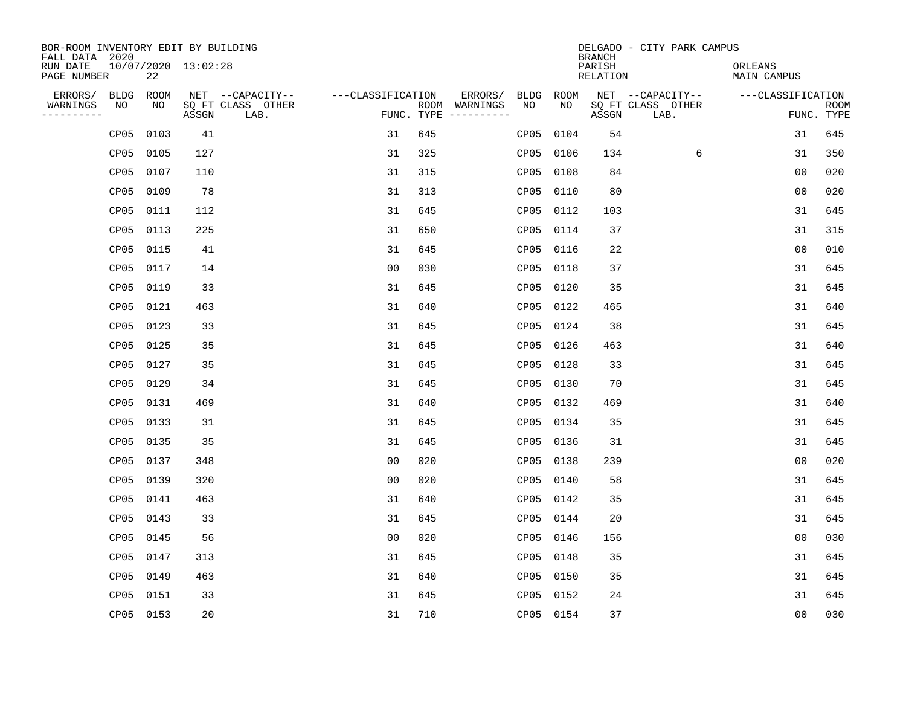| BOR-ROOM INVENTORY EDIT BY BUILDING<br>FALL DATA 2020 |           |                     |                           |                   |     |                                      |      |             | <b>BRANCH</b>      | DELGADO - CITY PARK CAMPUS |                               |                           |
|-------------------------------------------------------|-----------|---------------------|---------------------------|-------------------|-----|--------------------------------------|------|-------------|--------------------|----------------------------|-------------------------------|---------------------------|
| RUN DATE<br>PAGE NUMBER                               | 22        | 10/07/2020 13:02:28 |                           |                   |     |                                      |      |             | PARISH<br>RELATION |                            | ORLEANS<br><b>MAIN CAMPUS</b> |                           |
| ERRORS/<br><b>BLDG</b>                                | ROOM      |                     | NET --CAPACITY--          | ---CLASSIFICATION |     | ERRORS/                              | BLDG | <b>ROOM</b> |                    | NET --CAPACITY--           | ---CLASSIFICATION             |                           |
| WARNINGS<br>NO<br>----------                          | NO        | ASSGN               | SQ FT CLASS OTHER<br>LAB. |                   |     | ROOM WARNINGS<br>FUNC. TYPE $------$ | NO   | NO          | ASSGN              | SQ FT CLASS OTHER<br>LAB.  |                               | <b>ROOM</b><br>FUNC. TYPE |
| CP05                                                  | 0103      | 41                  |                           | 31                | 645 |                                      | CP05 | 0104        | 54                 |                            | 31                            | 645                       |
| CP05                                                  | 0105      | 127                 |                           | 31                | 325 |                                      | CP05 | 0106        | 134                | 6                          | 31                            | 350                       |
| CP05                                                  | 0107      | 110                 |                           | 31                | 315 |                                      | CP05 | 0108        | 84                 |                            | 0 <sub>0</sub>                | 020                       |
|                                                       | CP05 0109 | 78                  |                           | 31                | 313 |                                      | CP05 | 0110        | 80                 |                            | 0 <sub>0</sub>                | 020                       |
|                                                       | CP05 0111 | 112                 |                           | 31                | 645 |                                      | CP05 | 0112        | 103                |                            | 31                            | 645                       |
|                                                       | CP05 0113 | 225                 |                           | 31                | 650 |                                      |      | CP05 0114   | 37                 |                            | 31                            | 315                       |
|                                                       | CP05 0115 | 41                  |                           | 31                | 645 |                                      | CP05 | 0116        | 22                 |                            | 0 <sub>0</sub>                | 010                       |
|                                                       | CP05 0117 | 14                  |                           | 0 <sub>0</sub>    | 030 |                                      | CP05 | 0118        | 37                 |                            | 31                            | 645                       |
|                                                       | CP05 0119 | 33                  |                           | 31                | 645 |                                      | CP05 | 0120        | 35                 |                            | 31                            | 645                       |
|                                                       | CP05 0121 | 463                 |                           | 31                | 640 |                                      | CP05 | 0122        | 465                |                            | 31                            | 640                       |
|                                                       | CP05 0123 | 33                  |                           | 31                | 645 |                                      | CP05 | 0124        | 38                 |                            | 31                            | 645                       |
|                                                       | CP05 0125 | 35                  |                           | 31                | 645 |                                      | CP05 | 0126        | 463                |                            | 31                            | 640                       |
|                                                       | CP05 0127 | 35                  |                           | 31                | 645 |                                      | CP05 | 0128        | 33                 |                            | 31                            | 645                       |
|                                                       | CP05 0129 | 34                  |                           | 31                | 645 |                                      | CP05 | 0130        | 70                 |                            | 31                            | 645                       |
|                                                       | CP05 0131 | 469                 |                           | 31                | 640 |                                      | CP05 | 0132        | 469                |                            | 31                            | 640                       |
| CP05                                                  | 0133      | 31                  |                           | 31                | 645 |                                      | CP05 | 0134        | 35                 |                            | 31                            | 645                       |
| CP05                                                  | 0135      | 35                  |                           | 31                | 645 |                                      | CP05 | 0136        | 31                 |                            | 31                            | 645                       |
| CP05                                                  | 0137      | 348                 |                           | 0 <sub>0</sub>    | 020 |                                      | CP05 | 0138        | 239                |                            | 0 <sub>0</sub>                | 020                       |
| CP05                                                  | 0139      | 320                 |                           | 0 <sub>0</sub>    | 020 |                                      | CP05 | 0140        | 58                 |                            | 31                            | 645                       |
| CP05                                                  | 0141      | 463                 |                           | 31                | 640 |                                      | CP05 | 0142        | 35                 |                            | 31                            | 645                       |
| CP05                                                  | 0143      | 33                  |                           | 31                | 645 |                                      | CP05 | 0144        | 20                 |                            | 31                            | 645                       |
| CP05                                                  | 0145      | 56                  |                           | 0 <sub>0</sub>    | 020 |                                      | CP05 | 0146        | 156                |                            | 0 <sub>0</sub>                | 030                       |
| CP05                                                  | 0147      | 313                 |                           | 31                | 645 |                                      | CP05 | 0148        | 35                 |                            | 31                            | 645                       |
| CP05                                                  | 0149      | 463                 |                           | 31                | 640 |                                      | CP05 | 0150        | 35                 |                            | 31                            | 645                       |
| CP05                                                  | 0151      | 33                  |                           | 31                | 645 |                                      |      | CP05 0152   | 24                 |                            | 31                            | 645                       |
|                                                       | CP05 0153 | 20                  |                           | 31                | 710 |                                      |      | CP05 0154   | 37                 |                            | 0 <sub>0</sub>                | 030                       |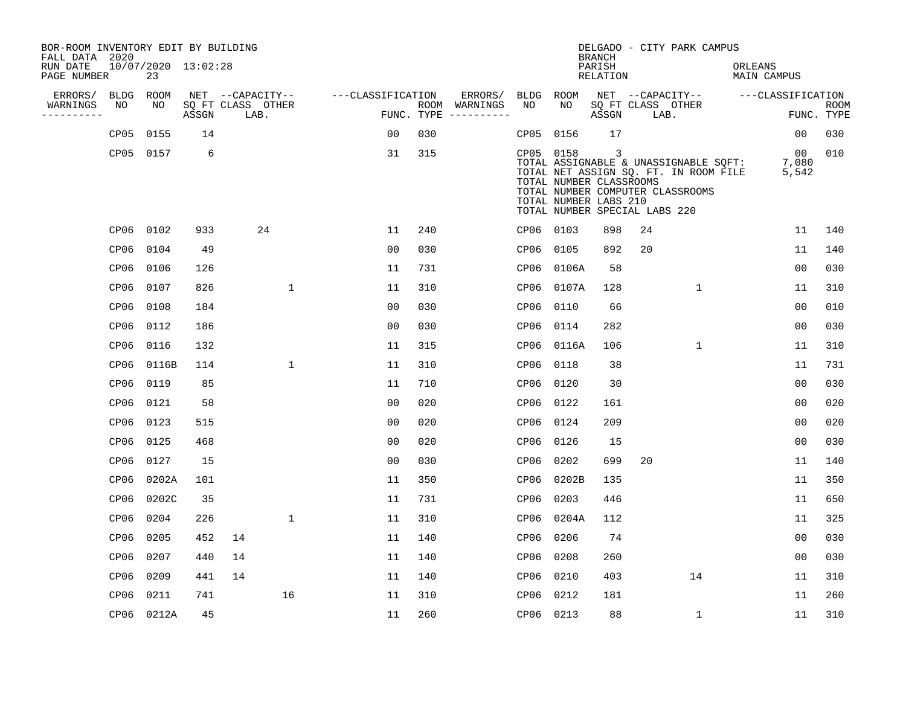| BOR-ROOM INVENTORY EDIT BY BUILDING<br>FALL DATA 2020 |                  |                           |       |    |                           |                   |     |                                      |      |                                                                                                | <b>BRANCH</b>      |                           | DELGADO - CITY PARK CAMPUS                                                                                         |         |                                    |                           |
|-------------------------------------------------------|------------------|---------------------------|-------|----|---------------------------|-------------------|-----|--------------------------------------|------|------------------------------------------------------------------------------------------------|--------------------|---------------------------|--------------------------------------------------------------------------------------------------------------------|---------|------------------------------------|---------------------------|
| RUN DATE<br>PAGE NUMBER                               |                  | 10/07/2020 13:02:28<br>23 |       |    |                           |                   |     |                                      |      |                                                                                                | PARISH<br>RELATION |                           |                                                                                                                    | ORLEANS | MAIN CAMPUS                        |                           |
| ERRORS/                                               | BLDG             | ROOM                      |       |    | NET --CAPACITY--          | ---CLASSIFICATION |     | ERRORS/                              | BLDG | ROOM                                                                                           |                    |                           |                                                                                                                    |         | NET --CAPACITY-- ---CLASSIFICATION |                           |
| WARNINGS<br>----------                                | NO               | NO                        | ASSGN |    | SQ FT CLASS OTHER<br>LAB. |                   |     | ROOM WARNINGS<br>FUNC. TYPE $------$ | NO.  | NO.                                                                                            | ASSGN              | SQ FT CLASS OTHER<br>LAB. |                                                                                                                    |         |                                    | <b>ROOM</b><br>FUNC. TYPE |
|                                                       | CP <sub>05</sub> | 0155                      | 14    |    |                           | 0 <sub>0</sub>    | 030 |                                      | CP05 | 0156                                                                                           | 17                 |                           |                                                                                                                    |         | 00                                 | 030                       |
|                                                       |                  | CP05 0157                 | 6     |    |                           | 31                | 315 |                                      |      | CP05 0158<br>TOTAL NUMBER CLASSROOMS<br>TOTAL NUMBER LABS 210<br>TOTAL NUMBER SPECIAL LABS 220 | 3                  |                           | TOTAL ASSIGNABLE & UNASSIGNABLE SQFT:<br>TOTAL NET ASSIGN SQ. FT. IN ROOM FILE<br>TOTAL NUMBER COMPUTER CLASSROOMS |         | $\overline{00}$<br>7,080<br>5,542  | 010                       |
|                                                       |                  | CP06 0102                 | 933   |    | 24                        | 11                | 240 |                                      |      | CP06 0103                                                                                      | 898                | 24                        |                                                                                                                    |         | 11                                 | 140                       |
|                                                       | CP06             | 0104                      | 49    |    |                           | 0 <sub>0</sub>    | 030 |                                      | CP06 | 0105                                                                                           | 892                | 20                        |                                                                                                                    |         | 11                                 | 140                       |
|                                                       |                  | CP06 0106                 | 126   |    |                           | 11                | 731 |                                      | CP06 | 0106A                                                                                          | 58                 |                           |                                                                                                                    |         | 0 <sub>0</sub>                     | 030                       |
|                                                       | CP06             | 0107                      | 826   |    | $\mathbf{1}$              | 11                | 310 |                                      | CP06 | 0107A                                                                                          | 128                |                           | $\mathbf{1}$                                                                                                       |         | 11                                 | 310                       |
|                                                       |                  | CP06 0108                 | 184   |    |                           | 0 <sub>0</sub>    | 030 |                                      | CP06 | 0110                                                                                           | 66                 |                           |                                                                                                                    |         | 0 <sub>0</sub>                     | 010                       |
|                                                       | CP06             | 0112                      | 186   |    |                           | 0 <sub>0</sub>    | 030 |                                      | CP06 | 0114                                                                                           | 282                |                           |                                                                                                                    |         | 0 <sub>0</sub>                     | 030                       |
|                                                       |                  | CP06 0116                 | 132   |    |                           | 11                | 315 |                                      | CP06 | 0116A                                                                                          | 106                |                           | 1                                                                                                                  |         | 11                                 | 310                       |
|                                                       | CP06             | 0116B                     | 114   |    | $\mathbf 1$               | 11                | 310 |                                      | CP06 | 0118                                                                                           | 38                 |                           |                                                                                                                    |         | 11                                 | 731                       |
|                                                       | CP06             | 0119                      | 85    |    |                           | 11                | 710 |                                      | CP06 | 0120                                                                                           | 30                 |                           |                                                                                                                    |         | 0 <sub>0</sub>                     | 030                       |
|                                                       | CP06             | 0121                      | 58    |    |                           | 0 <sub>0</sub>    | 020 |                                      | CP06 | 0122                                                                                           | 161                |                           |                                                                                                                    |         | 0 <sub>0</sub>                     | 020                       |
|                                                       | CP06             | 0123                      | 515   |    |                           | 0 <sub>0</sub>    | 020 |                                      | CP06 | 0124                                                                                           | 209                |                           |                                                                                                                    |         | 0 <sub>0</sub>                     | 020                       |
|                                                       | CP06             | 0125                      | 468   |    |                           | 0 <sub>0</sub>    | 020 |                                      | CP06 | 0126                                                                                           | 15                 |                           |                                                                                                                    |         | 0 <sub>0</sub>                     | 030                       |
|                                                       | CP06             | 0127                      | 15    |    |                           | 0 <sub>0</sub>    | 030 |                                      | CP06 | 0202                                                                                           | 699                | 20                        |                                                                                                                    |         | 11                                 | 140                       |
|                                                       | CP06             | 0202A                     | 101   |    |                           | 11                | 350 |                                      | CP06 | 0202B                                                                                          | 135                |                           |                                                                                                                    |         | 11                                 | 350                       |
|                                                       | CP06             | 0202C                     | 35    |    |                           | 11                | 731 |                                      | CP06 | 0203                                                                                           | 446                |                           |                                                                                                                    |         | 11                                 | 650                       |
|                                                       | CP06             | 0204                      | 226   |    | $\mathbf 1$               | 11                | 310 |                                      | CP06 | 0204A                                                                                          | 112                |                           |                                                                                                                    |         | 11                                 | 325                       |
|                                                       | CP06             | 0205                      | 452   | 14 |                           | 11                | 140 |                                      | CP06 | 0206                                                                                           | 74                 |                           |                                                                                                                    |         | 00                                 | 030                       |
|                                                       | CP06             | 0207                      | 440   | 14 |                           | 11                | 140 |                                      | CP06 | 0208                                                                                           | 260                |                           |                                                                                                                    |         | 0 <sub>0</sub>                     | 030                       |
|                                                       | CP06             | 0209                      | 441   | 14 |                           | 11                | 140 |                                      | CP06 | 0210                                                                                           | 403                |                           | 14                                                                                                                 |         | 11                                 | 310                       |
|                                                       | CP06             | 0211                      | 741   |    | 16                        | 11                | 310 |                                      | CP06 | 0212                                                                                           | 181                |                           |                                                                                                                    |         | 11                                 | 260                       |
|                                                       |                  | CP06 0212A                | 45    |    |                           | 11                | 260 |                                      |      | CP06 0213                                                                                      | 88                 |                           | $\mathbf 1$                                                                                                        |         | 11                                 | 310                       |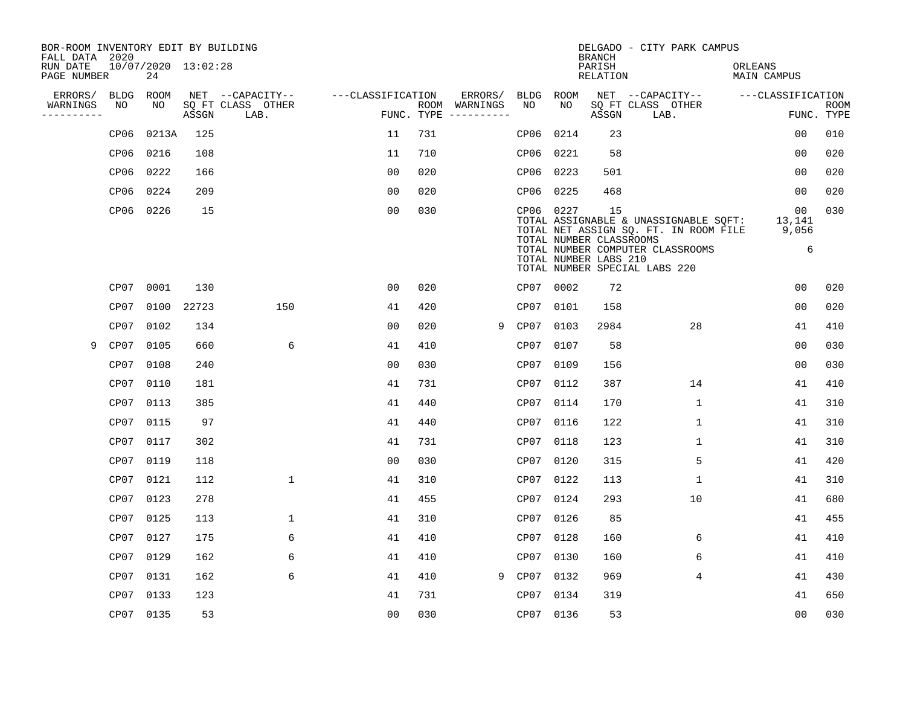| BOR-ROOM INVENTORY EDIT BY BUILDING<br>FALL DATA 2020 |             |                           |       |                           |                   |            |                              |           |                                                  | <b>BRANCH</b>             | DELGADO - CITY PARK CAMPUS                                                                                                                          |                               |                           |
|-------------------------------------------------------|-------------|---------------------------|-------|---------------------------|-------------------|------------|------------------------------|-----------|--------------------------------------------------|---------------------------|-----------------------------------------------------------------------------------------------------------------------------------------------------|-------------------------------|---------------------------|
| RUN DATE<br>PAGE NUMBER                               |             | 10/07/2020 13:02:28<br>24 |       |                           |                   |            |                              |           |                                                  | PARISH<br><b>RELATION</b> |                                                                                                                                                     | ORLEANS<br><b>MAIN CAMPUS</b> |                           |
| ERRORS/                                               | <b>BLDG</b> | ROOM                      |       | NET --CAPACITY--          | ---CLASSIFICATION |            | ERRORS/                      | BLDG ROOM |                                                  |                           | NET --CAPACITY--                                                                                                                                    | ---CLASSIFICATION             |                           |
| WARNINGS<br>----------                                | NO          | NO                        | ASSGN | SQ FT CLASS OTHER<br>LAB. |                   | FUNC. TYPE | ROOM WARNINGS<br>----------- | NO        | NO                                               | ASSGN                     | SQ FT CLASS OTHER<br>LAB.                                                                                                                           |                               | <b>ROOM</b><br>FUNC. TYPE |
|                                                       | CP06        | 0213A                     | 125   |                           | 11                | 731        |                              | CP06      | 0214                                             | 23                        |                                                                                                                                                     | 00                            | 010                       |
|                                                       | CP06        | 0216                      | 108   |                           | 11                | 710        |                              | CP06 0221 |                                                  | 58                        |                                                                                                                                                     | 00                            | 020                       |
|                                                       | CP06        | 0222                      | 166   |                           | 00                | 020        |                              | CP06 0223 |                                                  | 501                       |                                                                                                                                                     | 00                            | 020                       |
|                                                       | CP06        | 0224                      | 209   |                           | 0 <sub>0</sub>    | 020        |                              | CP06      | 0225                                             | 468                       |                                                                                                                                                     | 0 <sub>0</sub>                | 020                       |
|                                                       | CP06        | 0226                      | 15    |                           | 00                | 030        |                              | CP06 0227 | TOTAL NUMBER CLASSROOMS<br>TOTAL NUMBER LABS 210 | 15                        | TOTAL ASSIGNABLE & UNASSIGNABLE SQFT:<br>TOTAL NET ASSIGN SQ. FT. IN ROOM FILE<br>TOTAL NUMBER COMPUTER CLASSROOMS<br>TOTAL NUMBER SPECIAL LABS 220 | 00<br>13,141<br>9,056<br>6    | 030                       |
|                                                       | CP07        | 0001                      | 130   |                           | 0 <sub>0</sub>    | 020        |                              | CP07 0002 |                                                  | 72                        |                                                                                                                                                     | 0 <sub>0</sub>                | 020                       |
|                                                       | CP07        | 0100                      | 22723 | 150                       | 41                | 420        |                              | CP07      | 0101                                             | 158                       |                                                                                                                                                     | 0 <sub>0</sub>                | 020                       |
|                                                       | CP07        | 0102                      | 134   |                           | 00                | 020        | 9                            | CP07      | 0103                                             | 2984                      | 28                                                                                                                                                  | 41                            | 410                       |
| 9                                                     | CP07        | 0105                      | 660   | 6                         | 41                | 410        |                              | CP07      | 0107                                             | 58                        |                                                                                                                                                     | 0 <sub>0</sub>                | 030                       |
|                                                       | CP07        | 0108                      | 240   |                           | 00                | 030        |                              | CP07      | 0109                                             | 156                       |                                                                                                                                                     | 0 <sub>0</sub>                | 030                       |
|                                                       | CP07        | 0110                      | 181   |                           | 41                | 731        |                              | CP07      | 0112                                             | 387                       | 14                                                                                                                                                  | 41                            | 410                       |
|                                                       | CP07        | 0113                      | 385   |                           | 41                | 440        |                              | CP07      | 0114                                             | 170                       | 1                                                                                                                                                   | 41                            | 310                       |
|                                                       | CP07        | 0115                      | 97    |                           | 41                | 440        |                              | CP07      | 0116                                             | 122                       | 1                                                                                                                                                   | 41                            | 310                       |
|                                                       | CP07        | 0117                      | 302   |                           | 41                | 731        |                              | CP07      | 0118                                             | 123                       | 1                                                                                                                                                   | 41                            | 310                       |
|                                                       | CP07        | 0119                      | 118   |                           | 0 <sub>0</sub>    | 030        |                              | CP07      | 0120                                             | 315                       | 5                                                                                                                                                   | 41                            | 420                       |
|                                                       | CP07        | 0121                      | 112   | 1                         | 41                | 310        |                              | CP07      | 0122                                             | 113                       | 1                                                                                                                                                   | 41                            | 310                       |
|                                                       | CP07        | 0123                      | 278   |                           | 41                | 455        |                              | CP07      | 0124                                             | 293                       | 10                                                                                                                                                  | 41                            | 680                       |
|                                                       | CP07        | 0125                      | 113   | 1                         | 41                | 310        |                              | CP07      | 0126                                             | 85                        |                                                                                                                                                     | 41                            | 455                       |
|                                                       | CP07        | 0127                      | 175   | 6                         | 41                | 410        |                              | CP07      | 0128                                             | 160                       | 6                                                                                                                                                   | 41                            | 410                       |
|                                                       | CP07        | 0129                      | 162   | 6                         | 41                | 410        |                              | CP07      | 0130                                             | 160                       | 6                                                                                                                                                   | 41                            | 410                       |
|                                                       | CP07        | 0131                      | 162   | 6                         | 41                | 410        | 9                            | CP07      | 0132                                             | 969                       | 4                                                                                                                                                   | 41                            | 430                       |
|                                                       | CP07        | 0133                      | 123   |                           | 41                | 731        |                              | CP07      | 0134                                             | 319                       |                                                                                                                                                     | 41                            | 650                       |
|                                                       |             | CP07 0135                 | 53    |                           | 0 <sub>0</sub>    | 030        |                              | CP07 0136 |                                                  | 53                        |                                                                                                                                                     | 00                            | 030                       |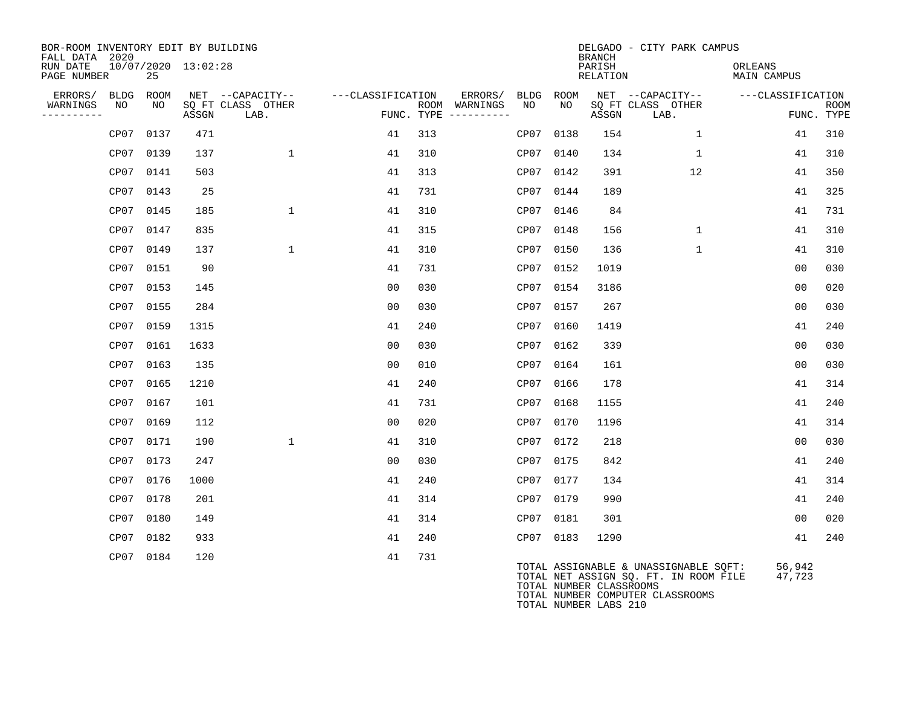| BOR-ROOM INVENTORY EDIT BY BUILDING<br>FALL DATA 2020 |            |            |                     |                           |                                    |     |                                                      |           |            | <b>BRANCH</b>      | DELGADO - CITY PARK CAMPUS                                                                                      |                        |                           |
|-------------------------------------------------------|------------|------------|---------------------|---------------------------|------------------------------------|-----|------------------------------------------------------|-----------|------------|--------------------|-----------------------------------------------------------------------------------------------------------------|------------------------|---------------------------|
| RUN DATE<br>PAGE NUMBER                               |            | 25         | 10/07/2020 13:02:28 |                           |                                    |     |                                                      |           |            | PARISH<br>RELATION |                                                                                                                 | ORLEANS<br>MAIN CAMPUS |                           |
| ERRORS/<br>WARNINGS<br>----------                     | BLDG<br>NO | ROOM<br>NO | ASSGN               | SQ FT CLASS OTHER<br>LAB. | NET --CAPACITY-- ---CLASSIFICATION |     | ERRORS/ BLDG<br>ROOM WARNINGS<br>FUNC. TYPE $------$ | NO        | ROOM<br>NO | ASSGN              | NET --CAPACITY--<br>SQ FT CLASS OTHER<br>LAB.                                                                   | ---CLASSIFICATION      | <b>ROOM</b><br>FUNC. TYPE |
|                                                       | CP07       | 0137       | 471                 |                           | 41                                 | 313 |                                                      | CP07      | 0138       | 154                | $\mathbf{1}$                                                                                                    | 41                     | 310                       |
|                                                       |            | CP07 0139  | 137                 | $\mathbf{1}$              | 41                                 | 310 |                                                      | CP07      | 0140       | 134                | $\mathbf{1}$                                                                                                    | 41                     | 310                       |
|                                                       | CP07       | 0141       | 503                 |                           | 41                                 | 313 |                                                      | CP07      | 0142       | 391                | 12                                                                                                              | 41                     | 350                       |
|                                                       | CP07       | 0143       | 25                  |                           | 41                                 | 731 |                                                      | CP07      | 0144       | 189                |                                                                                                                 | 41                     | 325                       |
|                                                       |            | CP07 0145  | 185                 | $\mathbf{1}$              | 41                                 | 310 |                                                      | CP07      | 0146       | 84                 |                                                                                                                 | 41                     | 731                       |
|                                                       | CP07       | 0147       | 835                 |                           | 41                                 | 315 |                                                      | CP07      | 0148       | 156                | $\mathbf{1}$                                                                                                    | 41                     | 310                       |
|                                                       | CP07       | 0149       | 137                 | 1                         | 41                                 | 310 |                                                      | CP07      | 0150       | 136                | $\mathbf{1}$                                                                                                    | 41                     | 310                       |
|                                                       |            | CP07 0151  | 90                  |                           | 41                                 | 731 |                                                      | CP07      | 0152       | 1019               |                                                                                                                 | 0 <sub>0</sub>         | 030                       |
|                                                       | CP07       | 0153       | 145                 |                           | 00                                 | 030 |                                                      | CP07      | 0154       | 3186               |                                                                                                                 | 0 <sub>0</sub>         | 020                       |
|                                                       |            | CP07 0155  | 284                 |                           | 00                                 | 030 |                                                      | CP07      | 0157       | 267                |                                                                                                                 | 0 <sub>0</sub>         | 030                       |
|                                                       | CP07       | 0159       | 1315                |                           | 41                                 | 240 |                                                      | CP07      | 0160       | 1419               |                                                                                                                 | 41                     | 240                       |
|                                                       | CP07       | 0161       | 1633                |                           | 00                                 | 030 |                                                      | CP07      | 0162       | 339                |                                                                                                                 | 0 <sub>0</sub>         | 030                       |
|                                                       |            | CP07 0163  | 135                 |                           | 00                                 | 010 |                                                      | CP07      | 0164       | 161                |                                                                                                                 | 0 <sub>0</sub>         | 030                       |
|                                                       | CP07       | 0165       | 1210                |                           | 41                                 | 240 |                                                      | CP07      | 0166       | 178                |                                                                                                                 | 41                     | 314                       |
|                                                       | CP07       | 0167       | 101                 |                           | 41                                 | 731 |                                                      | CP07      | 0168       | 1155               |                                                                                                                 | 41                     | 240                       |
|                                                       |            | CP07 0169  | 112                 |                           | 0 <sub>0</sub>                     | 020 |                                                      | CP07      | 0170       | 1196               |                                                                                                                 | 41                     | 314                       |
|                                                       | CP07       | 0171       | 190                 | 1                         | 41                                 | 310 |                                                      | CP07      | 0172       | 218                |                                                                                                                 | 0 <sub>0</sub>         | 030                       |
|                                                       | CP07       | 0173       | 247                 |                           | 0 <sub>0</sub>                     | 030 |                                                      | CP07      | 0175       | 842                |                                                                                                                 | 41                     | 240                       |
|                                                       |            | CP07 0176  | 1000                |                           | 41                                 | 240 |                                                      | CP07      | 0177       | 134                |                                                                                                                 | 41                     | 314                       |
|                                                       | CP07       | 0178       | 201                 |                           | 41                                 | 314 |                                                      | CP07      | 0179       | 990                |                                                                                                                 | 41                     | 240                       |
|                                                       | CP07       | 0180       | 149                 |                           | 41                                 | 314 |                                                      | CP07      | 0181       | 301                |                                                                                                                 | 0 <sub>0</sub>         | 020                       |
|                                                       | CP07       | 0182       | 933                 |                           | 41                                 | 240 |                                                      | CP07 0183 |            | 1290               |                                                                                                                 | 41                     | 240                       |
|                                                       |            | CP07 0184  | 120                 |                           | 41                                 | 731 |                                                      |           |            |                    | TOTAL ASSIGNABLE & UNASSIGNABLE SOFT:<br>TOTAL NET ASSIGN SQ. FT. IN ROOM FILE<br><b>TOTAL NUMBER OLACEOOMC</b> | 56,942<br>47,723       |                           |

TOTAL NUMBER CLASSROOMS TOTAL NUMBER COMPUTER CLASSROOMS TOTAL NUMBER LABS 210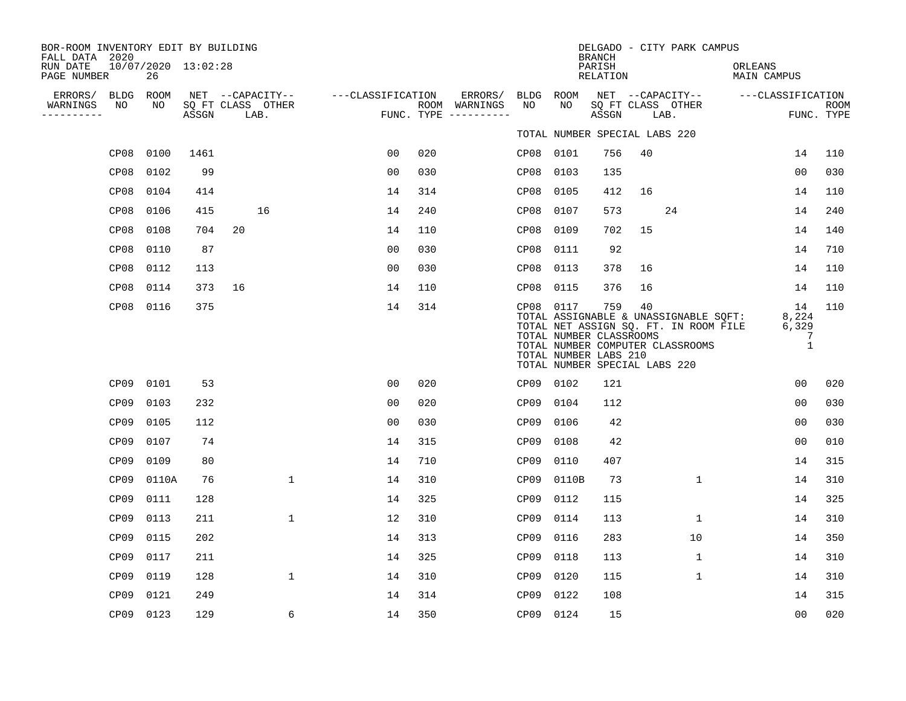| BOR-ROOM INVENTORY EDIT BY BUILDING<br>FALL DATA 2020 |            |                     |                                       |                   |     |                          |                  |                                                                                                | <b>BRANCH</b>      |    | DELGADO - CITY PARK CAMPUS                                                                                         |                               |                                           |             |
|-------------------------------------------------------|------------|---------------------|---------------------------------------|-------------------|-----|--------------------------|------------------|------------------------------------------------------------------------------------------------|--------------------|----|--------------------------------------------------------------------------------------------------------------------|-------------------------------|-------------------------------------------|-------------|
| RUN DATE<br>PAGE NUMBER                               | 26         | 10/07/2020 13:02:28 |                                       |                   |     |                          |                  |                                                                                                | PARISH<br>RELATION |    |                                                                                                                    | ORLEANS<br><b>MAIN CAMPUS</b> |                                           |             |
| ERRORS/<br>BLDG<br>NO<br>WARNINGS                     | ROOM<br>NO |                     | NET --CAPACITY--<br>SQ FT CLASS OTHER | ---CLASSIFICATION |     | ERRORS/<br>ROOM WARNINGS | BLDG<br>NO       | ROOM<br>NO                                                                                     |                    |    | NET --CAPACITY--<br>SQ FT CLASS OTHER                                                                              | ---CLASSIFICATION             |                                           | <b>ROOM</b> |
| ---------                                             |            | ASSGN               | LAB.                                  |                   |     | FUNC. TYPE $------$      |                  |                                                                                                | ASSGN              |    | LAB.                                                                                                               |                               |                                           | FUNC. TYPE  |
|                                                       |            |                     |                                       |                   |     |                          |                  | TOTAL NUMBER SPECIAL LABS 220                                                                  |                    |    |                                                                                                                    |                               |                                           |             |
| CP08                                                  | 0100       | 1461                |                                       | 00                | 020 |                          |                  | CP08 0101                                                                                      | 756                | 40 |                                                                                                                    |                               | 14                                        | 110         |
| CP08                                                  | 0102       | 99                  |                                       | 0 <sub>0</sub>    | 030 |                          | CP08             | 0103                                                                                           | 135                |    |                                                                                                                    |                               | 0 <sub>0</sub>                            | 030         |
| CP08                                                  | 0104       | 414                 |                                       | 14                | 314 |                          | CP08             | 0105                                                                                           | 412                | 16 |                                                                                                                    |                               | 14                                        | 110         |
| CP08                                                  | 0106       | 415                 | 16                                    | 14                | 240 |                          | CP08             | 0107                                                                                           | 573                |    | 24                                                                                                                 |                               | 14                                        | 240         |
| CP08                                                  | 0108       | 704                 | 20                                    | 14                | 110 |                          | CP08             | 0109                                                                                           | 702                | 15 |                                                                                                                    |                               | 14                                        | 140         |
| CP08                                                  | 0110       | 87                  |                                       | 0 <sub>0</sub>    | 030 |                          | CP08             | 0111                                                                                           | 92                 |    |                                                                                                                    |                               | 14                                        | 710         |
| CP08                                                  | 0112       | 113                 |                                       | 0 <sub>0</sub>    | 030 |                          | CP08             | 0113                                                                                           | 378                | 16 |                                                                                                                    |                               | 14                                        | 110         |
| CP08                                                  | 0114       | 373                 | 16                                    | 14                | 110 |                          | CP08             | 0115                                                                                           | 376                | 16 |                                                                                                                    |                               | 14                                        | 110         |
| CP08                                                  | 0116       | 375                 |                                       | 14                | 314 |                          |                  | CP08 0117<br>TOTAL NUMBER CLASSROOMS<br>TOTAL NUMBER LABS 210<br>TOTAL NUMBER SPECIAL LABS 220 | 759                | 40 | TOTAL ASSIGNABLE & UNASSIGNABLE SQFT:<br>TOTAL NET ASSIGN SQ. FT. IN ROOM FILE<br>TOTAL NUMBER COMPUTER CLASSROOMS |                               | 14<br>8,224<br>6,329<br>7<br>$\mathbf{1}$ | 110         |
| CP <sub>09</sub>                                      | 0101       | 53                  |                                       | 0 <sub>0</sub>    | 020 |                          |                  | CP09 0102                                                                                      | 121                |    |                                                                                                                    |                               | 00                                        | 020         |
| CP <sub>09</sub>                                      | 0103       | 232                 |                                       | 0 <sub>0</sub>    | 020 |                          | CP09             | 0104                                                                                           | 112                |    |                                                                                                                    |                               | 00                                        | 030         |
| CP <sub>09</sub>                                      | 0105       | 112                 |                                       | 0 <sub>0</sub>    | 030 |                          | CP <sub>09</sub> | 0106                                                                                           | 42                 |    |                                                                                                                    |                               | 0 <sub>0</sub>                            | 030         |
| CP <sub>09</sub>                                      | 0107       | 74                  |                                       | 14                | 315 |                          | CP09             | 0108                                                                                           | 42                 |    |                                                                                                                    |                               | 0 <sub>0</sub>                            | 010         |
| CP <sub>09</sub>                                      | 0109       | 80                  |                                       | 14                | 710 |                          | CP09             | 0110                                                                                           | 407                |    |                                                                                                                    |                               | 14                                        | 315         |
| CP <sub>09</sub>                                      | 0110A      | 76                  | $\mathbf{1}$                          | 14                | 310 |                          | CP09             | 0110B                                                                                          | 73                 |    | $\mathbf 1$                                                                                                        |                               | 14                                        | 310         |
| CP <sub>09</sub>                                      | 0111       | 128                 |                                       | 14                | 325 |                          | CP <sub>09</sub> | 0112                                                                                           | 115                |    |                                                                                                                    |                               | 14                                        | 325         |
| CP09                                                  | 0113       | 211                 | 1                                     | 12                | 310 |                          | CP09             | 0114                                                                                           | 113                |    | $\mathbf 1$                                                                                                        |                               | 14                                        | 310         |
| CP09                                                  | 0115       | 202                 |                                       | 14                | 313 |                          | CP <sub>09</sub> | 0116                                                                                           | 283                |    | 10                                                                                                                 |                               | 14                                        | 350         |
| CP09                                                  | 0117       | 211                 |                                       | 14                | 325 |                          | CP09             | 0118                                                                                           | 113                |    | $\mathbf 1$                                                                                                        |                               | 14                                        | 310         |
| CP <sub>09</sub>                                      | 0119       | 128                 | $\mathbf 1$                           | 14                | 310 |                          | CP09             | 0120                                                                                           | 115                |    | $\mathbf 1$                                                                                                        |                               | 14                                        | 310         |
| CP <sub>09</sub>                                      | 0121       | 249                 |                                       | 14                | 314 |                          | CP09             | 0122                                                                                           | 108                |    |                                                                                                                    |                               | 14                                        | 315         |
| CP09 0123                                             |            | 129                 | 6                                     | 14                | 350 |                          | CP09 0124        |                                                                                                | 15                 |    |                                                                                                                    |                               | 0 <sub>0</sub>                            | 020         |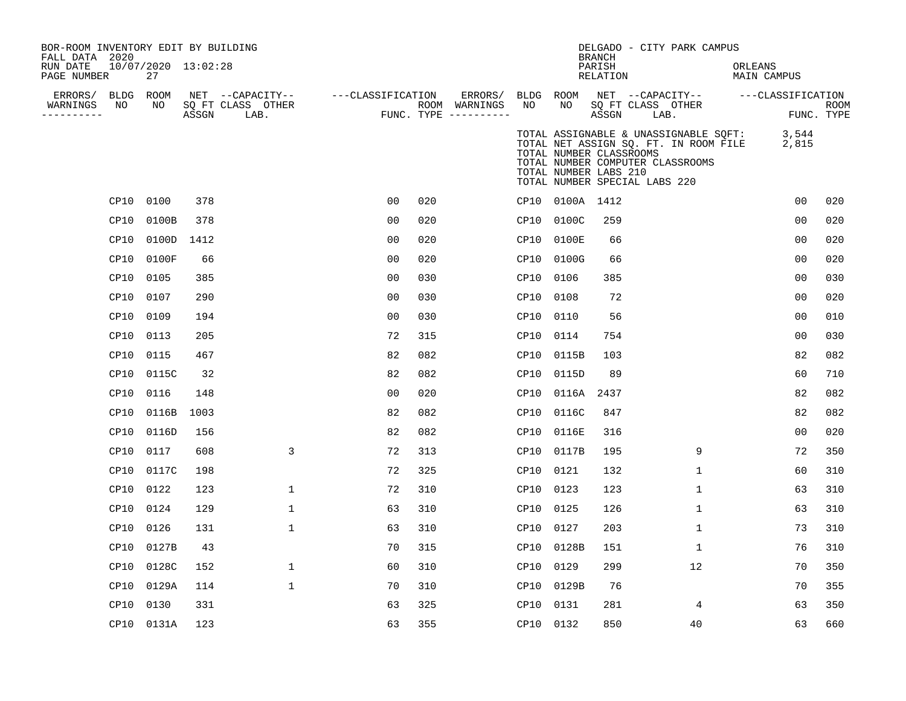| BOR-ROOM INVENTORY EDIT BY BUILDING<br>FALL DATA 2020      |                           |       |                                               |                   |     |                                                           |           |                 | DELGADO - CITY PARK CAMPUS<br>BRANCH                                                                                                                                                                    |              |                        |                |                           |
|------------------------------------------------------------|---------------------------|-------|-----------------------------------------------|-------------------|-----|-----------------------------------------------------------|-----------|-----------------|---------------------------------------------------------------------------------------------------------------------------------------------------------------------------------------------------------|--------------|------------------------|----------------|---------------------------|
| RUN DATE<br>PAGE NUMBER                                    | 10/07/2020 13:02:28<br>27 |       |                                               |                   |     |                                                           |           |                 | PARISH<br>RELATION                                                                                                                                                                                      |              | ORLEANS<br>MAIN CAMPUS |                |                           |
| ERRORS/ BLDG ROOM<br>WARNINGS<br>NO<br>. _ _ _ _ _ _ _ _ _ | NO                        | ASSGN | NET --CAPACITY--<br>SQ FT CLASS OTHER<br>LAB. | ---CLASSIFICATION |     | ERRORS/ BLDG ROOM<br>ROOM WARNINGS<br>FUNC. TYPE $------$ | NO        | NO              | NET --CAPACITY-- ---CLASSIFICATION<br>SQ FT CLASS OTHER<br>ASSGN                                                                                                                                        | LAB.         |                        |                | <b>ROOM</b><br>FUNC. TYPE |
|                                                            |                           |       |                                               |                   |     |                                                           |           |                 | TOTAL ASSIGNABLE & UNASSIGNABLE SQFT:<br>TOTAL NET ASSIGN SQ. FT. IN ROOM FILE<br>TOTAL NUMBER CLASSROOMS<br>TOTAL NUMBER COMPUTER CLASSROOMS<br>TOTAL NUMBER LABS 210<br>TOTAL NUMBER SPECIAL LABS 220 |              |                        | 3,544<br>2,815 |                           |
|                                                            | CP10 0100                 | 378   |                                               | 0 <sub>0</sub>    | 020 |                                                           |           | CP10 0100A 1412 |                                                                                                                                                                                                         |              |                        | 00             | 020                       |
| CP10                                                       | 0100B                     | 378   |                                               | 0 <sub>0</sub>    | 020 |                                                           | CP10      | 0100C           | 259                                                                                                                                                                                                     |              |                        | 0 <sub>0</sub> | 020                       |
| CP10                                                       | 0100D                     | 1412  |                                               | 00                | 020 |                                                           | CP10      | 0100E           | 66                                                                                                                                                                                                      |              |                        | 0 <sub>0</sub> | 020                       |
| CP10                                                       | 0100F                     | 66    |                                               | 0 <sub>0</sub>    | 020 |                                                           | CP10      | 0100G           | 66                                                                                                                                                                                                      |              |                        | 0 <sub>0</sub> | 020                       |
| CP10                                                       | 0105                      | 385   |                                               | 0 <sub>0</sub>    | 030 |                                                           | CP10      | 0106            | 385                                                                                                                                                                                                     |              |                        | 0 <sub>0</sub> | 030                       |
|                                                            | CP10 0107                 | 290   |                                               | 0 <sub>0</sub>    | 030 |                                                           | CP10      | 0108            | 72                                                                                                                                                                                                      |              |                        | 0 <sub>0</sub> | 020                       |
| CP10                                                       | 0109                      | 194   |                                               | 0 <sub>0</sub>    | 030 |                                                           | CP10      | 0110            | 56                                                                                                                                                                                                      |              |                        | 00             | 010                       |
| CP10                                                       | 0113                      | 205   |                                               | 72                | 315 |                                                           | CP10      | 0114            | 754                                                                                                                                                                                                     |              |                        | 00             | 030                       |
| CP10                                                       | 0115                      | 467   |                                               | 82                | 082 |                                                           | CP10      | 0115B           | 103                                                                                                                                                                                                     |              |                        | 82             | 082                       |
|                                                            | CP10 0115C                | 32    |                                               | 82                | 082 |                                                           |           | CP10 0115D      | 89                                                                                                                                                                                                      |              |                        | 60             | 710                       |
| CP10                                                       | 0116                      | 148   |                                               | 0 <sub>0</sub>    | 020 |                                                           | CP10      | 0116A           | 2437                                                                                                                                                                                                    |              |                        | 82             | 082                       |
| CP10                                                       | 0116B                     | 1003  |                                               | 82                | 082 |                                                           | CP10      | 0116C           | 847                                                                                                                                                                                                     |              |                        | 82             | 082                       |
| CP10                                                       | 0116D                     | 156   |                                               | 82                | 082 |                                                           | CP10      | 0116E           | 316                                                                                                                                                                                                     |              |                        | 0 <sub>0</sub> | 020                       |
| CP10                                                       | 0117                      | 608   | 3                                             | 72                | 313 |                                                           | CP10      | 0117B           | 195                                                                                                                                                                                                     | 9            |                        | 72             | 350                       |
|                                                            | CP10 0117C                | 198   |                                               | 72                | 325 |                                                           | CP10      | 0121            | 132                                                                                                                                                                                                     | $\mathbf 1$  |                        | 60             | 310                       |
| CP10                                                       | 0122                      | 123   | $\mathbf 1$                                   | 72                | 310 |                                                           | CP10      | 0123            | 123                                                                                                                                                                                                     | $\mathbf{1}$ |                        | 63             | 310                       |
| CP10                                                       | 0124                      | 129   | $\mathbf 1$                                   | 63                | 310 |                                                           | CP10      | 0125            | 126                                                                                                                                                                                                     | $\mathbf 1$  |                        | 63             | 310                       |
| CP10                                                       | 0126                      | 131   | $\mathbf{1}$                                  | 63                | 310 |                                                           | CP10      | 0127            | 203                                                                                                                                                                                                     | 1            |                        | 73             | 310                       |
| CP10                                                       | 0127B                     | 43    |                                               | 70                | 315 |                                                           | CP10      | 0128B           | 151                                                                                                                                                                                                     | 1            |                        | 76             | 310                       |
| CP10                                                       | 0128C                     | 152   | $\mathbf{1}$                                  | 60                | 310 |                                                           | CP10      | 0129            | 299                                                                                                                                                                                                     | 12           |                        | 70             | 350                       |
| CP10                                                       | 0129A                     | 114   | $\mathbf{1}$                                  | 70                | 310 |                                                           | CP10      | 0129B           | 76                                                                                                                                                                                                      |              |                        | 70             | 355                       |
| CP10                                                       | 0130                      | 331   |                                               | 63                | 325 |                                                           | CP10      | 0131            | 281                                                                                                                                                                                                     | 4            |                        | 63             | 350                       |
|                                                            | CP10 0131A                | 123   |                                               | 63                | 355 |                                                           | CP10 0132 |                 | 850                                                                                                                                                                                                     | 40           |                        | 63             | 660                       |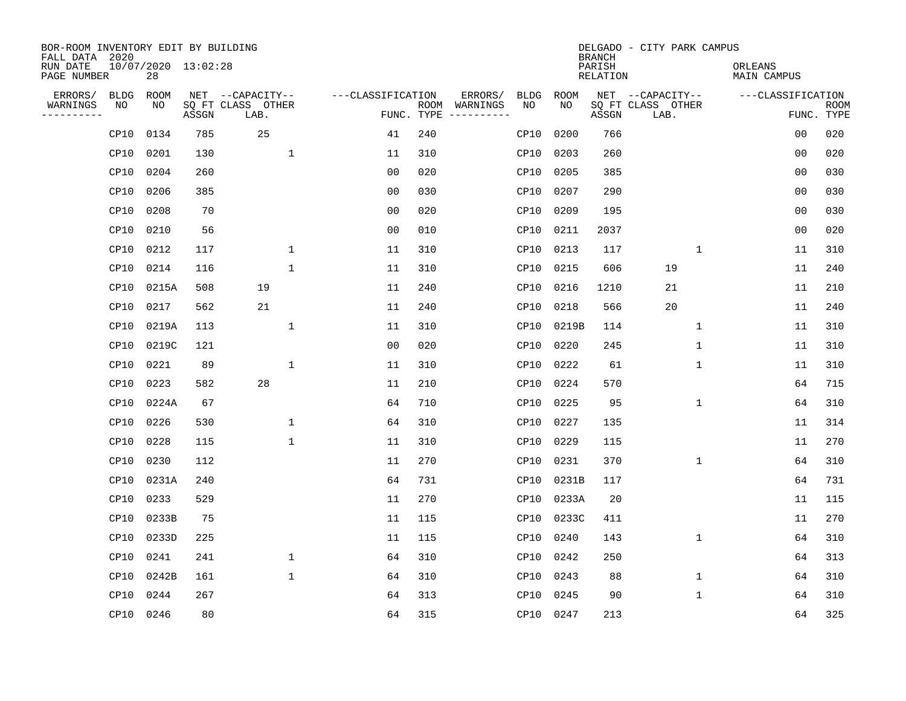| BOR-ROOM INVENTORY EDIT BY BUILDING<br>FALL DATA 2020 |                           |       |                           |                   |     |                                            |             | <b>BRANCH</b>             | DELGADO - CITY PARK CAMPUS |             |                               |                           |
|-------------------------------------------------------|---------------------------|-------|---------------------------|-------------------|-----|--------------------------------------------|-------------|---------------------------|----------------------------|-------------|-------------------------------|---------------------------|
| RUN DATE<br>PAGE NUMBER                               | 10/07/2020 13:02:28<br>28 |       |                           |                   |     |                                            |             | PARISH<br><b>RELATION</b> |                            |             | ORLEANS<br><b>MAIN CAMPUS</b> |                           |
| ERRORS/<br><b>BLDG</b>                                | ROOM                      |       | NET --CAPACITY--          | ---CLASSIFICATION |     | ERRORS/<br><b>BLDG</b>                     | <b>ROOM</b> |                           | NET --CAPACITY--           |             | ---CLASSIFICATION             |                           |
| WARNINGS<br>NO<br>----------                          | NO                        | ASSGN | SQ FT CLASS OTHER<br>LAB. |                   |     | ROOM WARNINGS<br>NO<br>FUNC. TYPE $------$ | NO          | ASSGN                     | SQ FT CLASS OTHER<br>LAB.  |             |                               | <b>ROOM</b><br>FUNC. TYPE |
| CP10                                                  | 0134                      | 785   | 25                        | 41                | 240 | CP10                                       | 0200        | 766                       |                            |             | 00                            | 020                       |
| CP10                                                  | 0201                      | 130   | $\mathbf{1}$              | 11                | 310 | CP10                                       | 0203        | 260                       |                            |             | 00                            | 020                       |
| CP10                                                  | 0204                      | 260   |                           | 0 <sub>0</sub>    | 020 | CP10                                       | 0205        | 385                       |                            |             | 0 <sub>0</sub>                | 030                       |
| CP10                                                  | 0206                      | 385   |                           | 0 <sub>0</sub>    | 030 | CP10                                       | 0207        | 290                       |                            |             | 0 <sub>0</sub>                | 030                       |
| CP10                                                  | 0208                      | 70    |                           | 0 <sub>0</sub>    | 020 | CP10                                       | 0209        | 195                       |                            |             | 0 <sub>0</sub>                | 030                       |
| CP10                                                  | 0210                      | 56    |                           | 0 <sub>0</sub>    | 010 |                                            | CP10 0211   | 2037                      |                            |             | 0 <sub>0</sub>                | 020                       |
| CP10                                                  | 0212                      | 117   | $\mathbf{1}$              | 11                | 310 | CP10                                       | 0213        | 117                       |                            | 1           | 11                            | 310                       |
| CP10                                                  | 0214                      | 116   | $\mathbf{1}$              | 11                | 310 |                                            | CP10 0215   | 606                       | 19                         |             | 11                            | 240                       |
| CP10                                                  | 0215A                     | 508   | 19                        | 11                | 240 | CP10                                       | 0216        | 1210                      | 21                         |             | 11                            | 210                       |
| CP10                                                  | 0217                      | 562   | 21                        | 11                | 240 | CP10                                       | 0218        | 566                       | 20                         |             | 11                            | 240                       |
| CP10                                                  | 0219A                     | 113   | $\mathbf{1}$              | 11                | 310 | CP10                                       | 0219B       | 114                       |                            | $\mathbf 1$ | 11                            | 310                       |
| CP10                                                  | 0219C                     | 121   |                           | 0 <sub>0</sub>    | 020 | CPI0                                       | 0220        | 245                       |                            | $\mathbf 1$ | 11                            | 310                       |
| CP10                                                  | 0221                      | 89    | 1                         | 11                | 310 | CP10                                       | 0222        | 61                        |                            | $\mathbf 1$ | 11                            | 310                       |
| CP10                                                  | 0223                      | 582   | 28                        | 11                | 210 |                                            | CP10 0224   | 570                       |                            |             | 64                            | 715                       |
| CP10                                                  | 0224A                     | 67    |                           | 64                | 710 | CP10                                       | 0225        | 95                        |                            | 1           | 64                            | 310                       |
| CP10                                                  | 0226                      | 530   | 1                         | 64                | 310 | CP10                                       | 0227        | 135                       |                            |             | 11                            | 314                       |
| CP10                                                  | 0228                      | 115   | $\mathbf{1}$              | 11                | 310 | CP10                                       | 0229        | 115                       |                            |             | 11                            | 270                       |
| CP10                                                  | 0230                      | 112   |                           | 11                | 270 | CP10                                       | 0231        | 370                       |                            | 1           | 64                            | 310                       |
| CP10                                                  | 0231A                     | 240   |                           | 64                | 731 | CP10                                       | 0231B       | 117                       |                            |             | 64                            | 731                       |
| CP10                                                  | 0233                      | 529   |                           | 11                | 270 | CP10                                       | 0233A       | 20                        |                            |             | 11                            | 115                       |
| CP10                                                  | 0233B                     | 75    |                           | 11                | 115 | CP10                                       | 0233C       | 411                       |                            |             | 11                            | 270                       |
| CP10                                                  | 0233D                     | 225   |                           | 11                | 115 | CP10                                       | 0240        | 143                       |                            | $\mathbf 1$ | 64                            | 310                       |
| CP10                                                  | 0241                      | 241   | 1                         | 64                | 310 | CP10                                       | 0242        | 250                       |                            |             | 64                            | 313                       |
| CP10                                                  | 0242B                     | 161   | $\mathbf{1}$              | 64                | 310 | CP10                                       | 0243        | 88                        |                            | $\mathbf 1$ | 64                            | 310                       |
| CP10                                                  | 0244                      | 267   |                           | 64                | 313 | CP10                                       | 0245        | 90                        |                            | 1           | 64                            | 310                       |
|                                                       | CP10 0246                 | 80    |                           | 64                | 315 |                                            | CP10 0247   | 213                       |                            |             | 64                            | 325                       |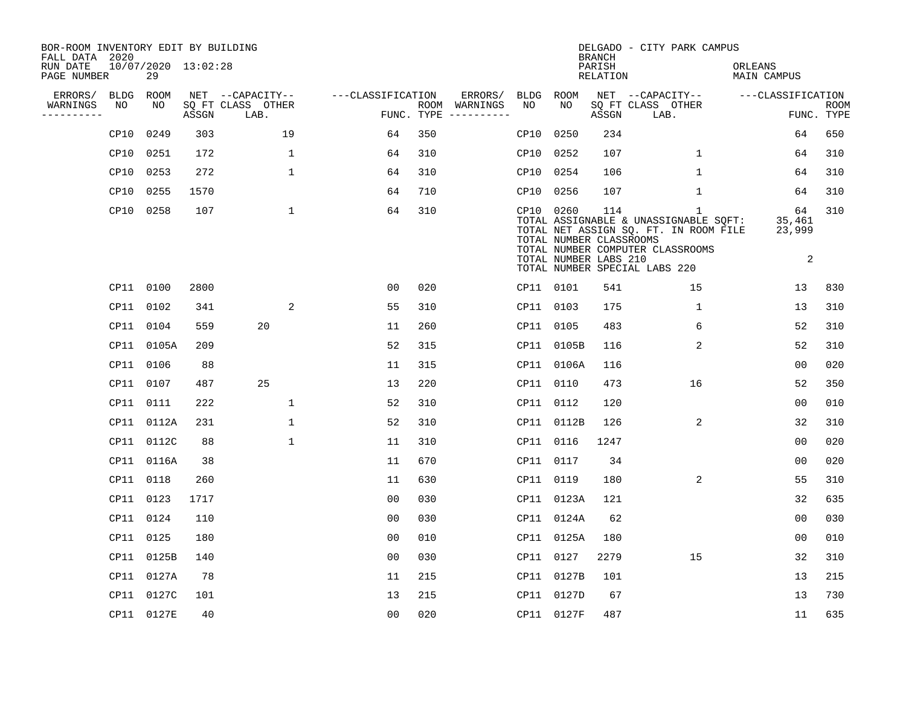| BOR-ROOM INVENTORY EDIT BY BUILDING<br>FALL DATA 2020 |           |                           |       |                           |                   |     |                                      |      |                                                               | <b>BRANCH</b>             | DELGADO - CITY PARK CAMPUS                                                                                                                                          |                               |                           |
|-------------------------------------------------------|-----------|---------------------------|-------|---------------------------|-------------------|-----|--------------------------------------|------|---------------------------------------------------------------|---------------------------|---------------------------------------------------------------------------------------------------------------------------------------------------------------------|-------------------------------|---------------------------|
| RUN DATE<br>PAGE NUMBER                               |           | 10/07/2020 13:02:28<br>29 |       |                           |                   |     |                                      |      |                                                               | PARISH<br><b>RELATION</b> |                                                                                                                                                                     | ORLEANS<br><b>MAIN CAMPUS</b> |                           |
| ERRORS/                                               | BLDG      | ROOM                      |       | NET --CAPACITY--          | ---CLASSIFICATION |     | ERRORS/                              | BLDG | ROOM                                                          |                           | NET --CAPACITY--                                                                                                                                                    | ---CLASSIFICATION             |                           |
| WARNINGS<br>----------                                | NO        | NO                        | ASSGN | SO FT CLASS OTHER<br>LAB. |                   |     | ROOM WARNINGS<br>FUNC. TYPE $------$ | NO   | NO                                                            | ASSGN                     | SQ FT CLASS OTHER<br>LAB.                                                                                                                                           |                               | <b>ROOM</b><br>FUNC. TYPE |
|                                                       | CP10      | 0249                      | 303   | 19                        | 64                | 350 |                                      | CP10 | 0250                                                          | 234                       |                                                                                                                                                                     | 64                            | 650                       |
|                                                       | CP10      | 0251                      | 172   | $\mathbf 1$               | 64                | 310 |                                      |      | CP10 0252                                                     | 107                       | $\mathbf{1}$                                                                                                                                                        | 64                            | 310                       |
|                                                       | CP10      | 0253                      | 272   | $\mathbf{1}$              | 64                | 310 |                                      |      | CP10 0254                                                     | 106                       | 1                                                                                                                                                                   | 64                            | 310                       |
|                                                       | CP10      | 0255                      | 1570  |                           | 64                | 710 |                                      |      | CP10 0256                                                     | 107                       | $\mathbf 1$                                                                                                                                                         | 64                            | 310                       |
|                                                       | CP10      | 0258                      | 107   | $\mathbf{1}$              | 64                | 310 |                                      |      | CP10 0260<br>TOTAL NUMBER CLASSROOMS<br>TOTAL NUMBER LABS 210 | 114                       | $\mathbf{1}$<br>TOTAL ASSIGNABLE & UNASSIGNABLE SQFT:<br>TOTAL NET ASSIGN SQ. FT. IN ROOM FILE<br>TOTAL NUMBER COMPUTER CLASSROOMS<br>TOTAL NUMBER SPECIAL LABS 220 | 64<br>35,461<br>23,999<br>2   | 310                       |
|                                                       |           | CP11 0100                 | 2800  |                           | 00                | 020 |                                      |      | CP11 0101                                                     | 541                       | 15                                                                                                                                                                  | 13                            | 830                       |
|                                                       | CP11 0102 |                           | 341   | 2                         | 55                | 310 |                                      |      | CP11 0103                                                     | 175                       | 1                                                                                                                                                                   | 13                            | 310                       |
|                                                       | CP11      | 0104                      | 559   | 20                        | 11                | 260 |                                      |      | CP11 0105                                                     | 483                       | 6                                                                                                                                                                   | 52                            | 310                       |
|                                                       |           | CP11 0105A                | 209   |                           | 52                | 315 |                                      |      | CP11 0105B                                                    | 116                       | 2                                                                                                                                                                   | 52                            | 310                       |
|                                                       | CP11      | 0106                      | 88    |                           | 11                | 315 |                                      |      | CP11 0106A                                                    | 116                       |                                                                                                                                                                     | 0 <sub>0</sub>                | 020                       |
|                                                       | CP11      | 0107                      | 487   | 25                        | 13                | 220 |                                      |      | CP11 0110                                                     | 473                       | 16                                                                                                                                                                  | 52                            | 350                       |
|                                                       | CP11      | 0111                      | 222   | $\mathbf 1$               | 52                | 310 |                                      |      | CP11 0112                                                     | 120                       |                                                                                                                                                                     | 0 <sub>0</sub>                | 010                       |
|                                                       | CP11      | 0112A                     | 231   | $\mathbf 1$               | 52                | 310 |                                      |      | CP11 0112B                                                    | 126                       | 2                                                                                                                                                                   | 32                            | 310                       |
|                                                       |           | CP11 0112C                | 88    | $\mathbf{1}$              | 11                | 310 |                                      |      | CP11 0116                                                     | 1247                      |                                                                                                                                                                     | 0 <sub>0</sub>                | 020                       |
|                                                       |           | CP11 0116A                | 38    |                           | 11                | 670 |                                      |      | CP11 0117                                                     | 34                        |                                                                                                                                                                     | 00                            | 020                       |
|                                                       | CP11 0118 |                           | 260   |                           | 11                | 630 |                                      |      | CP11 0119                                                     | 180                       | 2                                                                                                                                                                   | 55                            | 310                       |
|                                                       | CP11 0123 |                           | 1717  |                           | 0 <sub>0</sub>    | 030 |                                      |      | CP11 0123A                                                    | 121                       |                                                                                                                                                                     | 32                            | 635                       |
|                                                       | CP11 0124 |                           | 110   |                           | 0 <sub>0</sub>    | 030 |                                      |      | CP11 0124A                                                    | 62                        |                                                                                                                                                                     | 00                            | 030                       |
|                                                       | CP11 0125 |                           | 180   |                           | 00                | 010 |                                      |      | CP11 0125A                                                    | 180                       |                                                                                                                                                                     | 0 <sub>0</sub>                | 010                       |
|                                                       |           | CP11 0125B                | 140   |                           | 0 <sub>0</sub>    | 030 |                                      |      | CP11 0127                                                     | 2279                      | 15                                                                                                                                                                  | 32                            | 310                       |
|                                                       |           | CP11 0127A                | 78    |                           | 11                | 215 |                                      |      | CP11 0127B                                                    | 101                       |                                                                                                                                                                     | 13                            | 215                       |
|                                                       |           | CP11 0127C                | 101   |                           | 13                | 215 |                                      |      | CP11 0127D                                                    | 67                        |                                                                                                                                                                     | 13                            | 730                       |
|                                                       |           | CP11 0127E                | 40    |                           | 0 <sub>0</sub>    | 020 |                                      |      | CP11 0127F                                                    | 487                       |                                                                                                                                                                     | 11                            | 635                       |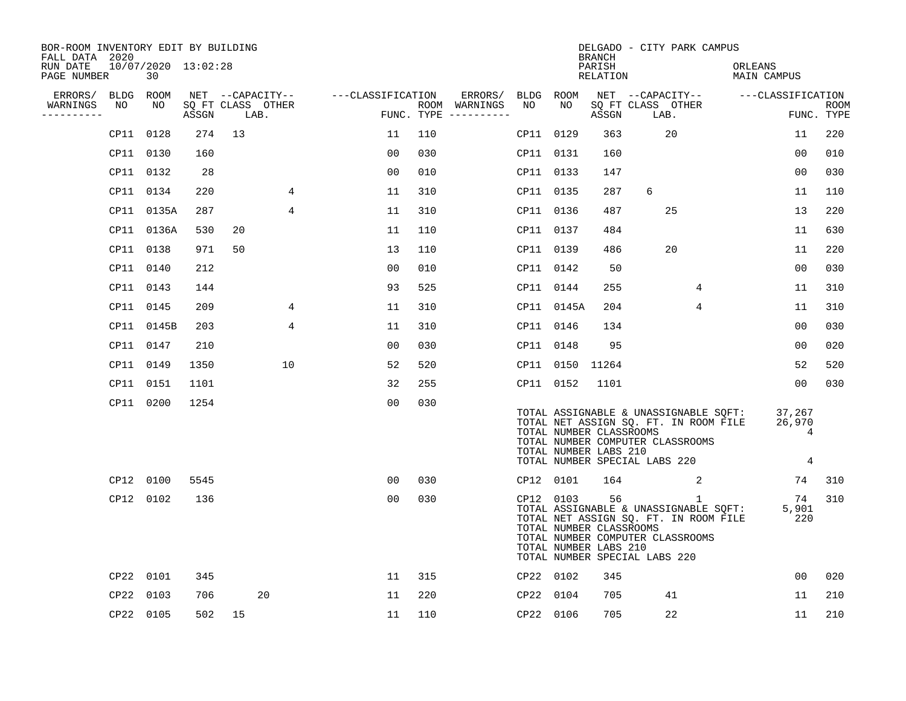| BOR-ROOM INVENTORY EDIT BY BUILDING<br>FALL DATA 2020 |           |                           |       |                           |                |                   |     |                                      |           |                                                               | <b>BRANCH</b>      |                               | DELGADO - CITY PARK CAMPUS                                                                |                                       |                            |             |
|-------------------------------------------------------|-----------|---------------------------|-------|---------------------------|----------------|-------------------|-----|--------------------------------------|-----------|---------------------------------------------------------------|--------------------|-------------------------------|-------------------------------------------------------------------------------------------|---------------------------------------|----------------------------|-------------|
| RUN DATE<br>PAGE NUMBER                               |           | 10/07/2020 13:02:28<br>30 |       |                           |                |                   |     |                                      |           |                                                               | PARISH<br>RELATION |                               |                                                                                           | ORLEANS<br>MAIN CAMPUS                |                            |             |
| ERRORS/                                               | BLDG ROOM |                           |       | NET --CAPACITY--          |                | ---CLASSIFICATION |     | ERRORS/                              | BLDG ROOM |                                                               |                    |                               |                                                                                           | NET --CAPACITY-- ---CLASSIFICATION    |                            |             |
| WARNINGS<br>----------                                | NO        | NO                        | ASSGN | SQ FT CLASS OTHER<br>LAB. |                |                   |     | ROOM WARNINGS<br>FUNC. TYPE $------$ | NO.       | NO.                                                           | ASSGN              |                               | SQ FT CLASS OTHER<br>LAB.                                                                 |                                       | FUNC. TYPE                 | <b>ROOM</b> |
|                                                       |           | CP11 0128                 | 274   | 13                        |                | 11                | 110 |                                      | CP11 0129 |                                                               | 363                |                               | 20                                                                                        |                                       | 11                         | 220         |
|                                                       |           | CP11 0130                 | 160   |                           |                | 0 <sub>0</sub>    | 030 |                                      | CP11 0131 |                                                               | 160                |                               |                                                                                           |                                       | 0 <sub>0</sub>             | 010         |
|                                                       |           | CP11 0132                 | 28    |                           |                | 0 <sub>0</sub>    | 010 |                                      | CP11 0133 |                                                               | 147                |                               |                                                                                           |                                       | 00                         | 030         |
|                                                       |           | CP11 0134                 | 220   |                           | 4              | 11                | 310 |                                      | CP11 0135 |                                                               | 287                | 6                             |                                                                                           |                                       | 11                         | 110         |
|                                                       |           | CP11 0135A                | 287   |                           | $\overline{4}$ | 11                | 310 |                                      | CP11 0136 |                                                               | 487                |                               | 25                                                                                        |                                       | 13                         | 220         |
|                                                       |           | CP11 0136A                | 530   | 20                        |                | 11                | 110 |                                      | CP11 0137 |                                                               | 484                |                               |                                                                                           |                                       | 11                         | 630         |
|                                                       | CP11 0138 |                           | 971   | 50                        |                | 13                | 110 |                                      | CP11 0139 |                                                               | 486                |                               | 20                                                                                        |                                       | 11                         | 220         |
|                                                       | CP11 0140 |                           | 212   |                           |                | 0 <sub>0</sub>    | 010 |                                      | CP11 0142 |                                                               | 50                 |                               |                                                                                           |                                       | 0 <sub>0</sub>             | 030         |
|                                                       |           | CP11 0143                 | 144   |                           |                | 93                | 525 |                                      | CP11 0144 |                                                               | 255                |                               | 4                                                                                         |                                       | 11                         | 310         |
|                                                       |           | CP11 0145                 | 209   |                           | 4              | 11                | 310 |                                      |           | CP11 0145A                                                    | 204                |                               | 4                                                                                         |                                       | 11                         | 310         |
|                                                       |           | CP11 0145B                | 203   |                           | 4              | 11                | 310 |                                      | CP11 0146 |                                                               | 134                |                               |                                                                                           |                                       | 0 <sub>0</sub>             | 030         |
|                                                       |           | CP11 0147                 | 210   |                           |                | 0 <sub>0</sub>    | 030 |                                      | CP11 0148 |                                                               | 95                 |                               |                                                                                           |                                       | 00                         | 020         |
|                                                       | CP11 0149 |                           | 1350  |                           | 10             | 52                | 520 |                                      |           | CP11 0150                                                     | 11264              |                               |                                                                                           |                                       | 52                         | 520         |
|                                                       | CP11 0151 |                           | 1101  |                           |                | 32                | 255 |                                      | CP11 0152 |                                                               | 1101               |                               |                                                                                           |                                       | 00                         | 030         |
|                                                       | CP11 0200 |                           | 1254  |                           |                | 0 <sub>0</sub>    | 030 |                                      |           | TOTAL NUMBER CLASSROOMS<br>TOTAL NUMBER LABS 210              |                    | TOTAL NUMBER SPECIAL LABS 220 | TOTAL NET ASSIGN SQ. FT. IN ROOM FILE<br>TOTAL NUMBER COMPUTER CLASSROOMS                 | TOTAL ASSIGNABLE & UNASSIGNABLE SQFT: | 37,267<br>26,970<br>4<br>4 |             |
|                                                       |           | CP12 0100                 | 5545  |                           |                | 0 <sub>0</sub>    | 030 |                                      | CP12 0101 |                                                               | 164                |                               | 2                                                                                         |                                       | 74                         | 310         |
|                                                       |           | CP12 0102                 | 136   |                           |                | 0 <sub>0</sub>    | 030 |                                      |           | CP12 0103<br>TOTAL NUMBER CLASSROOMS<br>TOTAL NUMBER LABS 210 | 56                 | TOTAL NUMBER SPECIAL LABS 220 | $\mathbf{1}$<br>TOTAL NET ASSIGN SQ. FT. IN ROOM FILE<br>TOTAL NUMBER COMPUTER CLASSROOMS | TOTAL ASSIGNABLE & UNASSIGNABLE SQFT: | 74<br>5,901<br>220         | 310         |
|                                                       | CP22 0101 |                           | 345   |                           |                | 11                | 315 |                                      | CP22 0102 |                                                               | 345                |                               |                                                                                           |                                       | 00                         | 020         |
|                                                       | CP22      | 0103                      | 706   | 20                        |                | 11                | 220 |                                      | CP22 0104 |                                                               | 705                |                               | 41                                                                                        |                                       | 11                         | 210         |
|                                                       |           | CP22 0105                 | 502   | 15                        |                | 11                | 110 |                                      | CP22 0106 |                                                               | 705                |                               | 22                                                                                        |                                       | 11                         | 210         |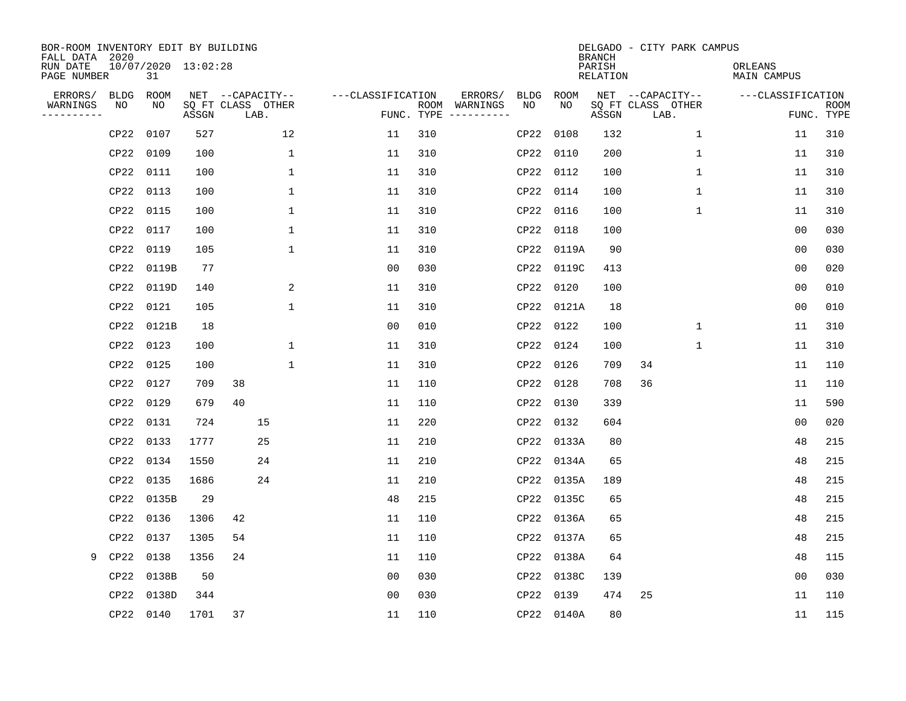| BOR-ROOM INVENTORY EDIT BY BUILDING<br>FALL DATA 2020 |             |                           |       |                           |              |                   |     |                                      |             |            | <b>BRANCH</b>             | DELGADO - CITY PARK CAMPUS |                               |            |             |
|-------------------------------------------------------|-------------|---------------------------|-------|---------------------------|--------------|-------------------|-----|--------------------------------------|-------------|------------|---------------------------|----------------------------|-------------------------------|------------|-------------|
| RUN DATE<br>PAGE NUMBER                               |             | 10/07/2020 13:02:28<br>31 |       |                           |              |                   |     |                                      |             |            | PARISH<br><b>RELATION</b> |                            | ORLEANS<br><b>MAIN CAMPUS</b> |            |             |
| ERRORS/                                               | <b>BLDG</b> | ROOM                      |       | NET --CAPACITY--          |              | ---CLASSIFICATION |     | ERRORS/                              | <b>BLDG</b> | ROOM       |                           | NET --CAPACITY--           | ---CLASSIFICATION             |            |             |
| WARNINGS<br>----------                                | NO          | NO                        | ASSGN | SQ FT CLASS OTHER<br>LAB. |              |                   |     | ROOM WARNINGS<br>FUNC. TYPE $------$ | NO          | NO         | ASSGN                     | SQ FT CLASS OTHER<br>LAB.  |                               | FUNC. TYPE | <b>ROOM</b> |
|                                                       | CP22        | 0107                      | 527   |                           | 12           | 11                | 310 |                                      | CP22        | 0108       | 132                       | $\mathbf 1$                | 11                            |            | 310         |
|                                                       | CP22        | 0109                      | 100   |                           | $\mathbf 1$  | 11                | 310 |                                      |             | CP22 0110  | 200                       | 1                          | 11                            |            | 310         |
|                                                       | CP22        | 0111                      | 100   |                           | $\mathbf 1$  | 11                | 310 |                                      |             | CP22 0112  | 100                       | $\mathbf 1$                | 11                            |            | 310         |
|                                                       | CP22        | 0113                      | 100   |                           | $\mathbf{1}$ | 11                | 310 |                                      |             | CP22 0114  | 100                       | 1                          | 11                            |            | 310         |
|                                                       | CP22        | 0115                      | 100   |                           | $\mathbf{1}$ | 11                | 310 |                                      |             | CP22 0116  | 100                       | $\mathbf 1$                | 11                            |            | 310         |
|                                                       | CP22        | 0117                      | 100   |                           | $\mathbf{1}$ | 11                | 310 |                                      |             | CP22 0118  | 100                       |                            | 0 <sub>0</sub>                |            | 030         |
|                                                       | CP22        | 0119                      | 105   |                           | $\mathbf{1}$ | 11                | 310 |                                      |             | CP22 0119A | 90                        |                            | 0 <sub>0</sub>                |            | 030         |
|                                                       | CP22        | 0119B                     | 77    |                           |              | 0 <sub>0</sub>    | 030 |                                      |             | CP22 0119C | 413                       |                            | 0 <sub>0</sub>                |            | 020         |
|                                                       | CP22        | 0119D                     | 140   |                           | 2            | 11                | 310 |                                      | CP22        | 0120       | 100                       |                            | 0 <sub>0</sub>                |            | 010         |
|                                                       | CP22        | 0121                      | 105   |                           | $\mathbf{1}$ | 11                | 310 |                                      |             | CP22 0121A | 18                        |                            | 0 <sub>0</sub>                |            | 010         |
|                                                       | CP22        | 0121B                     | 18    |                           |              | 00                | 010 |                                      | CP22        | 0122       | 100                       | $\mathbf 1$                | 11                            |            | 310         |
|                                                       | CP22        | 0123                      | 100   |                           | 1            | 11                | 310 |                                      | CP22        | 0124       | 100                       | $\mathbf{1}$               | 11                            |            | 310         |
|                                                       | CP22        | 0125                      | 100   |                           | 1            | 11                | 310 |                                      | CP22        | 0126       | 709                       | 34                         | 11                            |            | 110         |
|                                                       | CP22        | 0127                      | 709   | 38                        |              | 11                | 110 |                                      | CP22        | 0128       | 708                       | 36                         | 11                            |            | 110         |
|                                                       | CP22        | 0129                      | 679   | 40                        |              | 11                | 110 |                                      | CP22        | 0130       | 339                       |                            | 11                            |            | 590         |
|                                                       | CP22        | 0131                      | 724   |                           | 15           | 11                | 220 |                                      |             | CP22 0132  | 604                       |                            | 0 <sub>0</sub>                |            | 020         |
|                                                       | CP22        | 0133                      | 1777  |                           | 25           | 11                | 210 |                                      |             | CP22 0133A | 80                        |                            | 48                            |            | 215         |
|                                                       | CP22        | 0134                      | 1550  |                           | 24           | 11                | 210 |                                      |             | CP22 0134A | 65                        |                            | 48                            |            | 215         |
|                                                       | CP22        | 0135                      | 1686  |                           | 24           | 11                | 210 |                                      |             | CP22 0135A | 189                       |                            | 48                            |            | 215         |
|                                                       | CP22        | 0135B                     | 29    |                           |              | 48                | 215 |                                      |             | CP22 0135C | 65                        |                            | 48                            |            | 215         |
|                                                       | CP22        | 0136                      | 1306  | 42                        |              | 11                | 110 |                                      |             | CP22 0136A | 65                        |                            | 48                            |            | 215         |
|                                                       | CP22        | 0137                      | 1305  | 54                        |              | 11                | 110 |                                      | CP22        | 0137A      | 65                        |                            | 48                            |            | 215         |
| 9                                                     | CP22        | 0138                      | 1356  | 24                        |              | 11                | 110 |                                      | CP22        | 0138A      | 64                        |                            | 48                            |            | 115         |
|                                                       | CP22        | 0138B                     | 50    |                           |              | 0 <sub>0</sub>    | 030 |                                      | CP22        | 0138C      | 139                       |                            | 0 <sub>0</sub>                |            | 030         |
|                                                       | CP22        | 0138D                     | 344   |                           |              | 0 <sub>0</sub>    | 030 |                                      | CP22        | 0139       | 474                       | 25                         | 11                            |            | 110         |
|                                                       | CP22 0140   |                           | 1701  | 37                        |              | 11                | 110 |                                      |             | CP22 0140A | 80                        |                            | 11                            |            | 115         |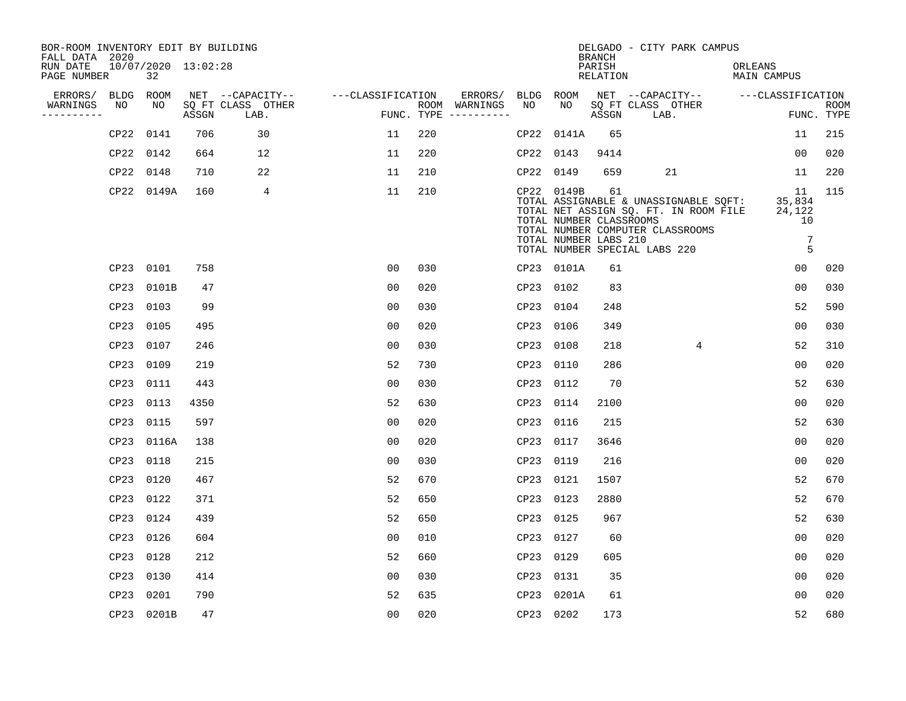| BOR-ROOM INVENTORY EDIT BY BUILDING<br>FALL DATA 2020 |           |                           |       |                           |                   |     |                                      |           |                                                                | <b>BRANCH</b>      | DELGADO - CITY PARK CAMPUS                                                                                                                          |                                                      |                           |
|-------------------------------------------------------|-----------|---------------------------|-------|---------------------------|-------------------|-----|--------------------------------------|-----------|----------------------------------------------------------------|--------------------|-----------------------------------------------------------------------------------------------------------------------------------------------------|------------------------------------------------------|---------------------------|
| RUN DATE<br>PAGE NUMBER                               |           | 10/07/2020 13:02:28<br>32 |       |                           |                   |     |                                      |           |                                                                | PARISH<br>RELATION |                                                                                                                                                     | ORLEANS<br><b>MAIN CAMPUS</b>                        |                           |
| ERRORS/                                               | BLDG ROOM |                           |       | NET --CAPACITY--          | ---CLASSIFICATION |     | ERRORS/                              | BLDG ROOM |                                                                |                    | NET --CAPACITY-- ----CLASSIFICATION                                                                                                                 |                                                      |                           |
| WARNINGS<br>----------                                | NO        | NO                        | ASSGN | SO FT CLASS OTHER<br>LAB. |                   |     | ROOM WARNINGS<br>FUNC. TYPE $------$ | NO        | NO                                                             | ASSGN              | SQ FT CLASS OTHER<br>LAB.                                                                                                                           |                                                      | <b>ROOM</b><br>FUNC. TYPE |
|                                                       | CP22      | 0141                      | 706   | 30                        | 11                | 220 |                                      |           | CP22 0141A                                                     | 65                 |                                                                                                                                                     | 11                                                   | 215                       |
|                                                       | CP22 0142 |                           | 664   | 12                        | 11                | 220 |                                      | CP22 0143 |                                                                | 9414               |                                                                                                                                                     | 00                                                   | 020                       |
|                                                       | CP22      | 0148                      | 710   | 22                        | 11                | 210 |                                      | CP22 0149 |                                                                | 659                | 21                                                                                                                                                  | 11                                                   | 220                       |
|                                                       |           | CP22 0149A                | 160   | 4                         | 11                | 210 |                                      |           | CP22 0149B<br>TOTAL NUMBER CLASSROOMS<br>TOTAL NUMBER LABS 210 | 61                 | TOTAL ASSIGNABLE & UNASSIGNABLE SOFT:<br>TOTAL NET ASSIGN SQ. FT. IN ROOM FILE<br>TOTAL NUMBER COMPUTER CLASSROOMS<br>TOTAL NUMBER SPECIAL LABS 220 | 11<br>35,834<br>24,122<br>10<br>$7\phantom{.0}$<br>5 | 115                       |
|                                                       | CP23 0101 |                           | 758   |                           | 0 <sub>0</sub>    | 030 |                                      |           | CP23 0101A                                                     | 61                 |                                                                                                                                                     | 0 <sub>0</sub>                                       | 020                       |
|                                                       | CP23      | 0101B                     | 47    |                           | 0 <sub>0</sub>    | 020 |                                      | CP23 0102 |                                                                | 83                 |                                                                                                                                                     | 0 <sub>0</sub>                                       | 030                       |
|                                                       | CP23      | 0103                      | 99    |                           | 0 <sub>0</sub>    | 030 |                                      | CP23 0104 |                                                                | 248                |                                                                                                                                                     | 52                                                   | 590                       |
|                                                       | CP23      | 0105                      | 495   |                           | 0 <sub>0</sub>    | 020 |                                      | CP23 0106 |                                                                | 349                |                                                                                                                                                     | 0 <sub>0</sub>                                       | 030                       |
|                                                       | CP23      | 0107                      | 246   |                           | 0 <sub>0</sub>    | 030 |                                      | CP23 0108 |                                                                | 218                | $\overline{4}$                                                                                                                                      | 52                                                   | 310                       |
|                                                       | CP23      | 0109                      | 219   |                           | 52                | 730 |                                      | CP23      | 0110                                                           | 286                |                                                                                                                                                     | 0 <sub>0</sub>                                       | 020                       |
|                                                       | CP23      | 0111                      | 443   |                           | 0 <sub>0</sub>    | 030 |                                      | CP23 0112 |                                                                | 70                 |                                                                                                                                                     | 52                                                   | 630                       |
|                                                       | CP23      | 0113                      | 4350  |                           | 52                | 630 |                                      | CP23 0114 |                                                                | 2100               |                                                                                                                                                     | 0 <sub>0</sub>                                       | 020                       |
|                                                       | CP23      | 0115                      | 597   |                           | 0 <sub>0</sub>    | 020 |                                      | CP23 0116 |                                                                | 215                |                                                                                                                                                     | 52                                                   | 630                       |
|                                                       | CP23      | 0116A                     | 138   |                           | 0 <sub>0</sub>    | 020 |                                      | CP23 0117 |                                                                | 3646               |                                                                                                                                                     | 0 <sub>0</sub>                                       | 020                       |
|                                                       | CP23      | 0118                      | 215   |                           | 0 <sub>0</sub>    | 030 |                                      | CP23 0119 |                                                                | 216                |                                                                                                                                                     | 0 <sub>0</sub>                                       | 020                       |
|                                                       | CP23      | 0120                      | 467   |                           | 52                | 670 |                                      | CP23 0121 |                                                                | 1507               |                                                                                                                                                     | 52                                                   | 670                       |
|                                                       | CP23      | 0122                      | 371   |                           | 52                | 650 |                                      | CP23 0123 |                                                                | 2880               |                                                                                                                                                     | 52                                                   | 670                       |
|                                                       | CP23      | 0124                      | 439   |                           | 52                | 650 |                                      | CP23 0125 |                                                                | 967                |                                                                                                                                                     | 52                                                   | 630                       |
|                                                       | CP23      | 0126                      | 604   |                           | 0 <sub>0</sub>    | 010 |                                      | CP23 0127 |                                                                | 60                 |                                                                                                                                                     | 0 <sub>0</sub>                                       | 020                       |
|                                                       | CP23 0128 |                           | 212   |                           | 52                | 660 |                                      | CP23 0129 |                                                                | 605                |                                                                                                                                                     | 0 <sub>0</sub>                                       | 020                       |
|                                                       | CP23      | 0130                      | 414   |                           | 00                | 030 |                                      | CP23 0131 |                                                                | 35                 |                                                                                                                                                     | 00                                                   | 020                       |
|                                                       | CP23      | 0201                      | 790   |                           | 52                | 635 |                                      |           | CP23 0201A                                                     | 61                 |                                                                                                                                                     | 00                                                   | 020                       |
|                                                       |           | CP23 0201B                | 47    |                           | 0 <sub>0</sub>    | 020 |                                      | CP23 0202 |                                                                | 173                |                                                                                                                                                     | 52                                                   | 680                       |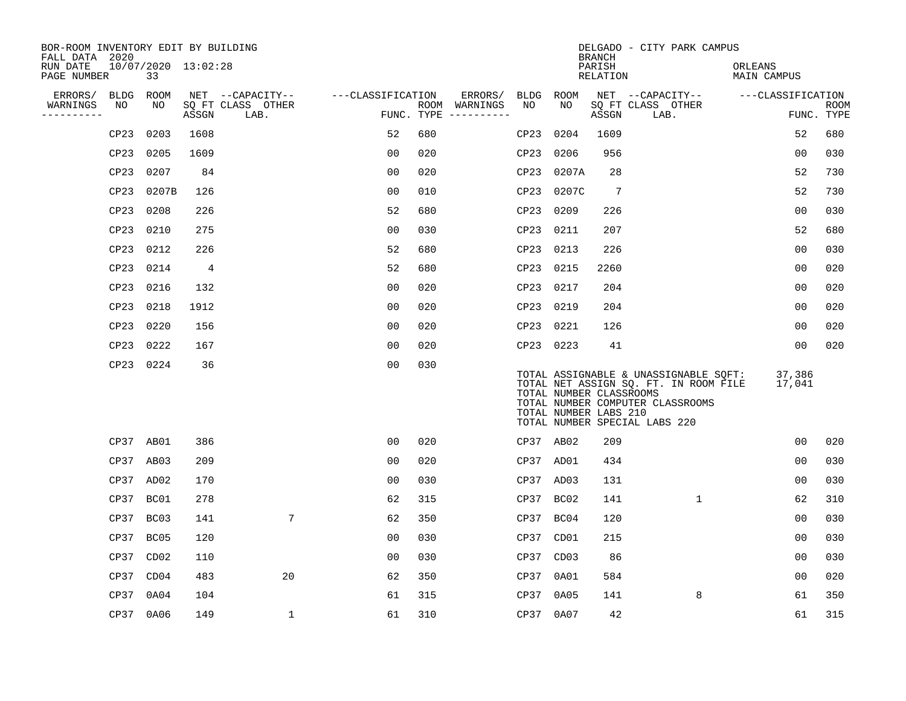| BOR-ROOM INVENTORY EDIT BY BUILDING<br>FALL DATA 2020 |             |                           |                |                           |                   |     |                                      |           |                   | <b>BRANCH</b>                                    | DELGADO - CITY PARK CAMPUS                                                                                                                          |                        |                           |
|-------------------------------------------------------|-------------|---------------------------|----------------|---------------------------|-------------------|-----|--------------------------------------|-----------|-------------------|--------------------------------------------------|-----------------------------------------------------------------------------------------------------------------------------------------------------|------------------------|---------------------------|
| RUN DATE<br>PAGE NUMBER                               |             | 10/07/2020 13:02:28<br>33 |                |                           |                   |     |                                      |           |                   | PARISH<br>RELATION                               |                                                                                                                                                     | ORLEANS<br>MAIN CAMPUS |                           |
| ERRORS/                                               | <b>BLDG</b> | ROOM                      |                | NET --CAPACITY--          | ---CLASSIFICATION |     | ERRORS/                              | BLDG ROOM |                   |                                                  | NET --CAPACITY--                                                                                                                                    | ---CLASSIFICATION      |                           |
| WARNINGS<br>----------                                | NO          | NO                        | ASSGN          | SQ FT CLASS OTHER<br>LAB. |                   |     | ROOM WARNINGS<br>FUNC. TYPE $------$ | NO        | NO                | ASSGN                                            | SQ FT CLASS OTHER<br>LAB.                                                                                                                           |                        | <b>ROOM</b><br>FUNC. TYPE |
|                                                       | CP23        | 0203                      | 1608           |                           | 52                | 680 |                                      | CP23      | 0204              | 1609                                             |                                                                                                                                                     | 52                     | 680                       |
|                                                       | CP23        | 0205                      | 1609           |                           | 0 <sub>0</sub>    | 020 |                                      | CP23      | 0206              | 956                                              |                                                                                                                                                     | 0 <sub>0</sub>         | 030                       |
|                                                       | CP23        | 0207                      | 84             |                           | 0 <sub>0</sub>    | 020 |                                      | CP23      | 0207A             | 28                                               |                                                                                                                                                     | 52                     | 730                       |
|                                                       | CP23        | 0207B                     | 126            |                           | 0 <sub>0</sub>    | 010 |                                      | CP23      | 0207C             | 7                                                |                                                                                                                                                     | 52                     | 730                       |
|                                                       | CP23        | 0208                      | 226            |                           | 52                | 680 |                                      | CP23      | 0209              | 226                                              |                                                                                                                                                     | 0 <sub>0</sub>         | 030                       |
|                                                       | CP23        | 0210                      | 275            |                           | 0 <sub>0</sub>    | 030 |                                      | CP23      | 0211              | 207                                              |                                                                                                                                                     | 52                     | 680                       |
|                                                       | CP23        | 0212                      | 226            |                           | 52                | 680 |                                      | CP23      | 0213              | 226                                              |                                                                                                                                                     | 0 <sub>0</sub>         | 030                       |
|                                                       | CP23        | 0214                      | $\overline{4}$ |                           | 52                | 680 |                                      | CP23      | 0215              | 2260                                             |                                                                                                                                                     | 0 <sub>0</sub>         | 020                       |
|                                                       | CP23        | 0216                      | 132            |                           | 0 <sub>0</sub>    | 020 |                                      | CP23      | 0217              | 204                                              |                                                                                                                                                     | 0 <sub>0</sub>         | 020                       |
|                                                       | CP23        | 0218                      | 1912           |                           | 0 <sub>0</sub>    | 020 |                                      | CP23      | 0219              | 204                                              |                                                                                                                                                     | 0 <sub>0</sub>         | 020                       |
|                                                       | CP23        | 0220                      | 156            |                           | 0 <sub>0</sub>    | 020 |                                      | CP23      | 0221              | 126                                              |                                                                                                                                                     | 00                     | 020                       |
|                                                       | CP23        | 0222                      | 167            |                           | 0 <sub>0</sub>    | 020 |                                      | CP23 0223 |                   | 41                                               |                                                                                                                                                     | 0 <sub>0</sub>         | 020                       |
|                                                       | CP23        | 0224                      | 36             |                           | 0 <sub>0</sub>    | 030 |                                      |           |                   | TOTAL NUMBER CLASSROOMS<br>TOTAL NUMBER LABS 210 | TOTAL ASSIGNABLE & UNASSIGNABLE SQFT:<br>TOTAL NET ASSIGN SQ. FT. IN ROOM FILE<br>TOTAL NUMBER COMPUTER CLASSROOMS<br>TOTAL NUMBER SPECIAL LABS 220 | 37,386<br>17,041       |                           |
|                                                       | CP37 AB01   |                           | 386            |                           | 0 <sub>0</sub>    | 020 |                                      | CP37 AB02 |                   | 209                                              |                                                                                                                                                     | 0 <sub>0</sub>         | 020                       |
|                                                       | CP37 AB03   |                           | 209            |                           | 0 <sub>0</sub>    | 020 |                                      | CP37 AD01 |                   | 434                                              |                                                                                                                                                     | 0 <sub>0</sub>         | 030                       |
|                                                       | CP37 AD02   |                           | 170            |                           | 0 <sub>0</sub>    | 030 |                                      | CP37 AD03 |                   | 131                                              |                                                                                                                                                     | 0 <sub>0</sub>         | 030                       |
|                                                       | CP37        | BC01                      | 278            |                           | 62                | 315 |                                      | CP37 BC02 |                   | 141                                              | $\mathbf{1}$                                                                                                                                        | 62                     | 310                       |
|                                                       | CP37        | BC03                      | 141            | 7                         | 62                | 350 |                                      | CP37      | BC04              | 120                                              |                                                                                                                                                     | 0 <sub>0</sub>         | 030                       |
|                                                       | CP37        | BC05                      | 120            |                           | 0 <sub>0</sub>    | 030 |                                      | CP37      | CD01              | 215                                              |                                                                                                                                                     | 0 <sub>0</sub>         | 030                       |
|                                                       | CP37        | CD02                      | 110            |                           | 00                | 030 |                                      | CP37      | CD <sub>0</sub> 3 | 86                                               |                                                                                                                                                     | 00                     | 030                       |
|                                                       | CP37        | CD04                      | 483            | 20                        | 62                | 350 |                                      | CP37      | 0A01              | 584                                              |                                                                                                                                                     | 0 <sub>0</sub>         | 020                       |
|                                                       | CP37        | 0A04                      | 104            |                           | 61                | 315 |                                      | CP37      | 0A05              | 141                                              | 8                                                                                                                                                   | 61                     | 350                       |
|                                                       | CP37        | 0A06                      | 149            | 1                         | 61                | 310 |                                      | CP37      | 0A07              | 42                                               |                                                                                                                                                     | 61                     | 315                       |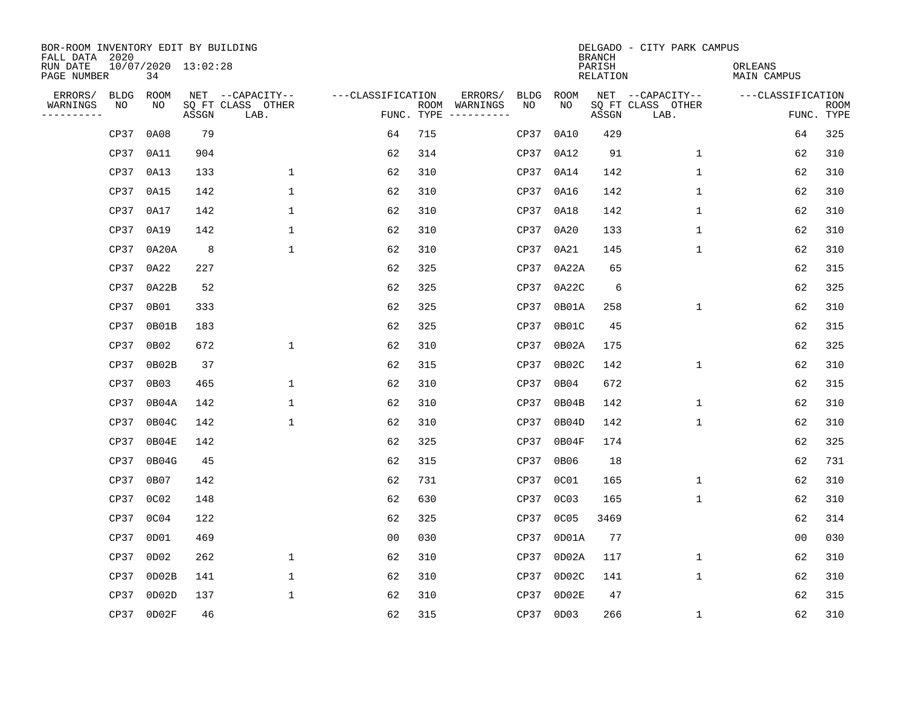| BOR-ROOM INVENTORY EDIT BY BUILDING<br>FALL DATA 2020 |             |                  |                     |                           |                   |     |                                      |             |           | <b>BRANCH</b>             | DELGADO - CITY PARK CAMPUS |                               |                           |
|-------------------------------------------------------|-------------|------------------|---------------------|---------------------------|-------------------|-----|--------------------------------------|-------------|-----------|---------------------------|----------------------------|-------------------------------|---------------------------|
| RUN DATE<br>PAGE NUMBER                               |             | 34               | 10/07/2020 13:02:28 |                           |                   |     |                                      |             |           | PARISH<br><b>RELATION</b> |                            | ORLEANS<br><b>MAIN CAMPUS</b> |                           |
| ERRORS/                                               | <b>BLDG</b> | ROOM             |                     | NET --CAPACITY--          | ---CLASSIFICATION |     | ERRORS/                              | <b>BLDG</b> | ROOM      |                           | NET --CAPACITY--           | ---CLASSIFICATION             |                           |
| WARNINGS<br>----------                                | NO          | NO               | ASSGN               | SQ FT CLASS OTHER<br>LAB. |                   |     | ROOM WARNINGS<br>FUNC. TYPE $------$ | NO          | NO        | ASSGN                     | SQ FT CLASS OTHER<br>LAB.  |                               | <b>ROOM</b><br>FUNC. TYPE |
|                                                       | CP37        | 0A08             | 79                  |                           | 64                | 715 |                                      | CP37        | 0A10      | 429                       |                            | 64                            | 325                       |
|                                                       | CP37        | 0A11             | 904                 |                           | 62                | 314 |                                      | CP37        | 0A12      | 91                        | $\mathbf 1$                | 62                            | 310                       |
|                                                       | CP37        | 0A13             | 133                 | 1                         | 62                | 310 |                                      | CP37        | 0A14      | 142                       | 1                          | 62                            | 310                       |
|                                                       | CP37        | 0A15             | 142                 | $\mathbf 1$               | 62                | 310 |                                      |             | CP37 0A16 | 142                       | 1                          | 62                            | 310                       |
|                                                       | CP37        | 0A17             | 142                 | $\mathbf 1$               | 62                | 310 |                                      | CP37        | 0A18      | 142                       | $\mathbf 1$                | 62                            | 310                       |
|                                                       | CP37        | 0A19             | 142                 | $\mathbf 1$               | 62                | 310 |                                      |             | CP37 0A20 | 133                       | 1                          | 62                            | 310                       |
|                                                       | CP37        | 0A20A            | 8                   | $\mathbf{1}$              | 62                | 310 |                                      | CP37        | 0A21      | 145                       | $\mathbf{1}$               | 62                            | 310                       |
|                                                       | CP37        | 0A22             | 227                 |                           | 62                | 325 |                                      | CP37        | 0A22A     | 65                        |                            | 62                            | 315                       |
|                                                       | CP37        | 0A22B            | 52                  |                           | 62                | 325 |                                      | CP37        | 0A22C     | 6                         |                            | 62                            | 325                       |
|                                                       | CP37        | 0B01             | 333                 |                           | 62                | 325 |                                      | CP37        | 0B01A     | 258                       | $\mathbf 1$                | 62                            | 310                       |
|                                                       | CP37        | 0B01B            | 183                 |                           | 62                | 325 |                                      | CP37        | 0B01C     | 45                        |                            | 62                            | 315                       |
|                                                       | CP37        | 0B02             | 672                 | $\mathbf 1$               | 62                | 310 |                                      | CP37        | 0B02A     | 175                       |                            | 62                            | 325                       |
|                                                       | CP37        | 0B02B            | 37                  |                           | 62                | 315 |                                      | CP37        | 0B02C     | 142                       | 1                          | 62                            | 310                       |
|                                                       | CP37        | 0B03             | 465                 | 1                         | 62                | 310 |                                      | CP37        | 0B04      | 672                       |                            | 62                            | 315                       |
|                                                       | CP37        | 0B04A            | 142                 | 1                         | 62                | 310 |                                      | CP37        | 0B04B     | 142                       | 1                          | 62                            | 310                       |
|                                                       | CP37        | 0B04C            | 142                 | $\mathbf{1}$              | 62                | 310 |                                      | CP37        | 0B04D     | 142                       | 1                          | 62                            | 310                       |
|                                                       | CP37        | 0B04E            | 142                 |                           | 62                | 325 |                                      | CP37        | 0B04F     | 174                       |                            | 62                            | 325                       |
|                                                       | CP37        | 0B04G            | 45                  |                           | 62                | 315 |                                      | CP37        | 0B06      | 18                        |                            | 62                            | 731                       |
|                                                       | CP37        | 0B07             | 142                 |                           | 62                | 731 |                                      | CP37        | 0C01      | 165                       | 1                          | 62                            | 310                       |
|                                                       | CP37        | 0C <sub>02</sub> | 148                 |                           | 62                | 630 |                                      | CP37        | 0C03      | 165                       | $\mathbf 1$                | 62                            | 310                       |
|                                                       | CP37        | 0C04             | 122                 |                           | 62                | 325 |                                      | CP37        | 0C05      | 3469                      |                            | 62                            | 314                       |
|                                                       | CP37        | 0D01             | 469                 |                           | 00                | 030 |                                      | CP37        | 0D01A     | 77                        |                            | 0 <sub>0</sub>                | 030                       |
|                                                       | CP37        | OD02             | 262                 | 1                         | 62                | 310 |                                      | CP37        | 0D02A     | 117                       | 1                          | 62                            | 310                       |
|                                                       | CP37        | OD02B            | 141                 | $\mathbf 1$               | 62                | 310 |                                      | CP37        | 0D02C     | 141                       | $\mathbf{1}$               | 62                            | 310                       |
|                                                       | CP37        | OD02D            | 137                 | $\mathbf{1}$              | 62                | 310 |                                      | CP37        | OD02E     | 47                        |                            | 62                            | 315                       |
|                                                       |             | CP37 0D02F       | 46                  |                           | 62                | 315 |                                      |             | CP37 0D03 | 266                       | $\mathbf 1$                | 62                            | 310                       |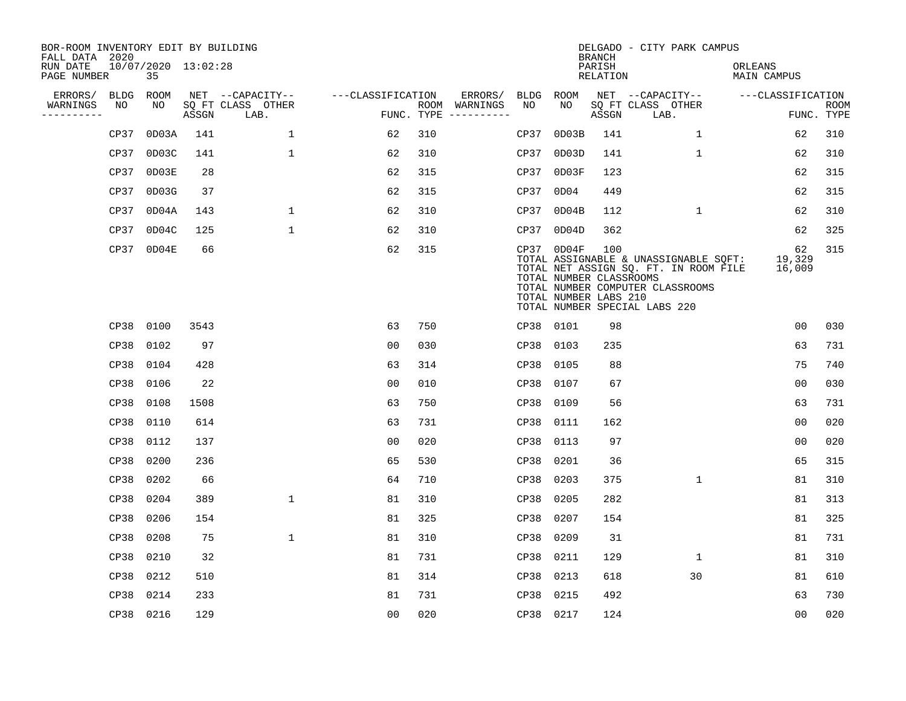| BOR-ROOM INVENTORY EDIT BY BUILDING<br>FALL DATA 2020 |             |                           |       |                           |                   |     |                                                                                         |           |                                                                  | <b>BRANCH</b>             | DELGADO - CITY PARK CAMPUS                                                                                                                          |                        |                           |
|-------------------------------------------------------|-------------|---------------------------|-------|---------------------------|-------------------|-----|-----------------------------------------------------------------------------------------|-----------|------------------------------------------------------------------|---------------------------|-----------------------------------------------------------------------------------------------------------------------------------------------------|------------------------|---------------------------|
| RUN DATE<br>PAGE NUMBER                               |             | 10/07/2020 13:02:28<br>35 |       |                           |                   |     |                                                                                         |           |                                                                  | PARISH<br><b>RELATION</b> |                                                                                                                                                     | ORLEANS<br>MAIN CAMPUS |                           |
| ERRORS/                                               | <b>BLDG</b> | ROOM                      |       | NET --CAPACITY--          | ---CLASSIFICATION |     | ERRORS/                                                                                 | BLDG      | ROOM                                                             |                           | NET --CAPACITY--                                                                                                                                    | ---CLASSIFICATION      |                           |
| WARNINGS<br>----------                                | NO          | NO                        | ASSGN | SQ FT CLASS OTHER<br>LAB. |                   |     | ROOM WARNINGS<br>$\texttt{FUNC.}\quad \texttt{TYPE}\quad \texttt{-----} \texttt{-----}$ | NO        | NO                                                               | ASSGN                     | SQ FT CLASS OTHER<br>LAB.                                                                                                                           |                        | <b>ROOM</b><br>FUNC. TYPE |
|                                                       | CP37        | 0D03A                     | 141   | 1                         | 62                | 310 |                                                                                         | CP37      | OD03B                                                            | 141                       | $\mathbf 1$                                                                                                                                         | 62                     | 310                       |
|                                                       | CP37        | 0D03C                     | 141   | $\mathbf{1}$              | 62                | 310 |                                                                                         | CP37      | OD03D                                                            | 141                       | $\mathbf{1}$                                                                                                                                        | 62                     | 310                       |
|                                                       | CP37        | OD03E                     | 28    |                           | 62                | 315 |                                                                                         | CP37      | OD03F                                                            | 123                       |                                                                                                                                                     | 62                     | 315                       |
|                                                       | CP37        | OD03G                     | 37    |                           | 62                | 315 |                                                                                         | CP37      | OD04                                                             | 449                       |                                                                                                                                                     | 62                     | 315                       |
|                                                       | CP37        | 0D04A                     | 143   | $\mathbf 1$               | 62                | 310 |                                                                                         | CP37      | OD04B                                                            | 112                       | $\mathbf{1}$                                                                                                                                        | 62                     | 310                       |
|                                                       | CP37        | 0D04C                     | 125   | $\mathbf{1}$              | 62                | 310 |                                                                                         | CP37      | 0D04D                                                            | 362                       |                                                                                                                                                     | 62                     | 325                       |
|                                                       |             | CP37 0D04E                | 66    |                           | 62                | 315 |                                                                                         |           | $CP37$ 0D04F<br>TOTAL NUMBER CLASSROOMS<br>TOTAL NUMBER LABS 210 | 100                       | TOTAL ASSIGNABLE & UNASSIGNABLE SQFT:<br>TOTAL NET ASSIGN SQ. FT. IN ROOM FILE<br>TOTAL NUMBER COMPUTER CLASSROOMS<br>TOTAL NUMBER SPECIAL LABS 220 | 62<br>19,329<br>16,009 | 315                       |
|                                                       | CP38        | 0100                      | 3543  |                           | 63                | 750 |                                                                                         | CP38 0101 |                                                                  | 98                        |                                                                                                                                                     | 0 <sub>0</sub>         | 030                       |
|                                                       | CP38        | 0102                      | 97    |                           | 0 <sub>0</sub>    | 030 |                                                                                         | CP38      | 0103                                                             | 235                       |                                                                                                                                                     | 63                     | 731                       |
|                                                       | CP38        | 0104                      | 428   |                           | 63                | 314 |                                                                                         | CP38      | 0105                                                             | 88                        |                                                                                                                                                     | 75                     | 740                       |
|                                                       | CP38        | 0106                      | 22    |                           | 0 <sub>0</sub>    | 010 |                                                                                         | CP38      | 0107                                                             | 67                        |                                                                                                                                                     | 0 <sub>0</sub>         | 030                       |
|                                                       | CP38        | 0108                      | 1508  |                           | 63                | 750 |                                                                                         | CP38      | 0109                                                             | 56                        |                                                                                                                                                     | 63                     | 731                       |
|                                                       | CP38        | 0110                      | 614   |                           | 63                | 731 |                                                                                         | CP38      | 0111                                                             | 162                       |                                                                                                                                                     | 0 <sub>0</sub>         | 020                       |
|                                                       | CP38        | 0112                      | 137   |                           | 0 <sub>0</sub>    | 020 |                                                                                         | CP38      | 0113                                                             | 97                        |                                                                                                                                                     | 0 <sub>0</sub>         | 020                       |
|                                                       | CP38        | 0200                      | 236   |                           | 65                | 530 |                                                                                         | CP38      | 0201                                                             | 36                        |                                                                                                                                                     | 65                     | 315                       |
|                                                       | CP38        | 0202                      | 66    |                           | 64                | 710 |                                                                                         | CP38      | 0203                                                             | 375                       | $\mathbf{1}$                                                                                                                                        | 81                     | 310                       |
|                                                       | CP38        | 0204                      | 389   | $\mathbf 1$               | 81                | 310 |                                                                                         | CP38      | 0205                                                             | 282                       |                                                                                                                                                     | 81                     | 313                       |
|                                                       | CP38        | 0206                      | 154   |                           | 81                | 325 |                                                                                         | CP38      | 0207                                                             | 154                       |                                                                                                                                                     | 81                     | 325                       |
|                                                       | CP38        | 0208                      | 75    | $\mathbf 1$               | 81                | 310 |                                                                                         | CP38      | 0209                                                             | 31                        |                                                                                                                                                     | 81                     | 731                       |
|                                                       | CP38        | 0210                      | 32    |                           | 81                | 731 |                                                                                         | CP38      | 0211                                                             | 129                       | $\mathbf{1}$                                                                                                                                        | 81                     | 310                       |
|                                                       | CP38        | 0212                      | 510   |                           | 81                | 314 |                                                                                         | CP38      | 0213                                                             | 618                       | 30                                                                                                                                                  | 81                     | 610                       |
|                                                       | CP38        | 0214                      | 233   |                           | 81                | 731 |                                                                                         | CP38      | 0215                                                             | 492                       |                                                                                                                                                     | 63                     | 730                       |
|                                                       | CP38 0216   |                           | 129   |                           | 00                | 020 |                                                                                         | CP38 0217 |                                                                  | 124                       |                                                                                                                                                     | 0 <sub>0</sub>         | 020                       |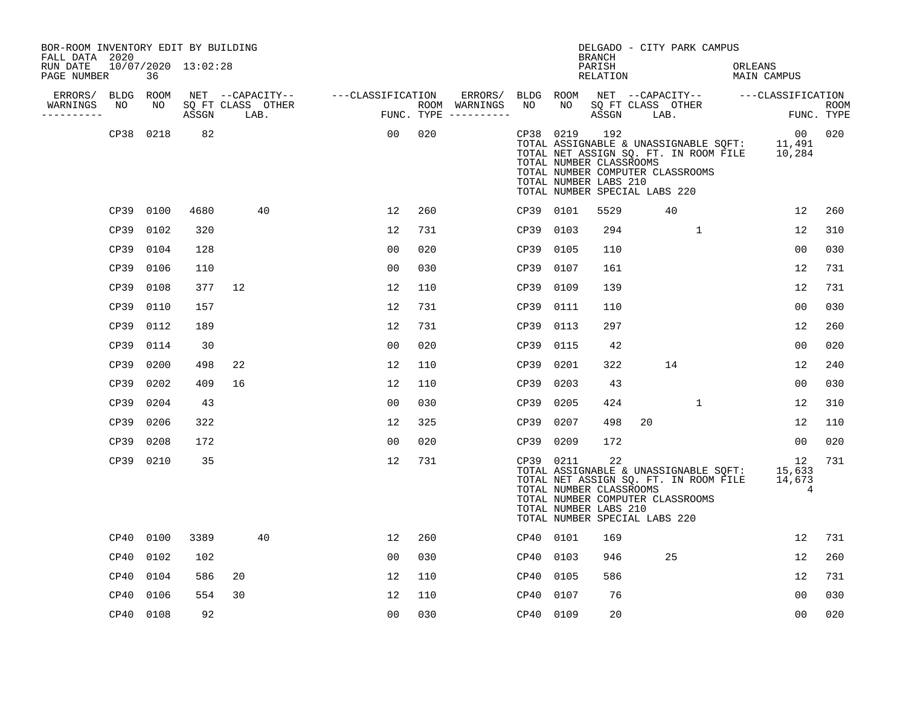| BOR-ROOM INVENTORY EDIT BY BUILDING<br>FALL DATA 2020 |                     |      |       |                           |                                    |     |                                                           |           |           | <b>BRANCH</b>                                           | DELGADO - CITY PARK CAMPUS                                                                                                                                        |              |                        |                |             |
|-------------------------------------------------------|---------------------|------|-------|---------------------------|------------------------------------|-----|-----------------------------------------------------------|-----------|-----------|---------------------------------------------------------|-------------------------------------------------------------------------------------------------------------------------------------------------------------------|--------------|------------------------|----------------|-------------|
| RUN DATE<br>PAGE NUMBER                               | 10/07/2020 13:02:28 | 36   |       |                           |                                    |     |                                                           |           |           | PARISH<br>RELATION                                      |                                                                                                                                                                   |              | ORLEANS<br>MAIN CAMPUS |                |             |
| ERRORS/<br>WARNINGS<br>----------                     | BLDG ROOM<br>NO     | NO   | ASSGN | SQ FT CLASS OTHER<br>LAB. | NET --CAPACITY-- ---CLASSIFICATION |     | ERRORS/ BLDG ROOM<br>ROOM WARNINGS<br>FUNC. TYPE $------$ | NO        | NO        | ASSGN                                                   | NET --CAPACITY-- ---CLASSIFICATION<br>SQ FT CLASS OTHER<br>LAB.                                                                                                   |              |                        | FUNC. TYPE     | <b>ROOM</b> |
|                                                       | CP38 0218           |      | 82    |                           | 00                                 | 020 |                                                           |           | CP38 0219 | 192<br>TOTAL NUMBER CLASSROOMS<br>TOTAL NUMBER LABS 210 | TOTAL ASSIGNABLE & UNASSIGNABLE SOFT: 11,491<br>TOTAL NET ASSIGN SQ. FT. IN ROOM FILE 10,284<br>TOTAL NUMBER COMPUTER CLASSROOMS<br>TOTAL NUMBER SPECIAL LABS 220 |              |                        | 00             | 020         |
|                                                       | CP39 0100           |      | 4680  | 40                        | 12                                 | 260 |                                                           | CP39 0101 |           | 5529                                                    | 40                                                                                                                                                                |              |                        | 12             | 260         |
|                                                       | CP39                | 0102 | 320   |                           | 12                                 | 731 |                                                           | CP39      | 0103      | 294                                                     |                                                                                                                                                                   | $\mathbf{1}$ |                        | 12             | 310         |
|                                                       | CP39                | 0104 | 128   |                           | 00                                 | 020 |                                                           | CP39      | 0105      | 110                                                     |                                                                                                                                                                   |              |                        | 00             | 030         |
|                                                       | CP39                | 0106 | 110   |                           | 0 <sub>0</sub>                     | 030 |                                                           | CP39      | 0107      | 161                                                     |                                                                                                                                                                   |              |                        | 12             | 731         |
|                                                       | CP39                | 0108 | 377   | 12                        | 12                                 | 110 |                                                           | CP39 0109 |           | 139                                                     |                                                                                                                                                                   |              |                        | 12             | 731         |
|                                                       | CP39                | 0110 | 157   |                           | 12                                 | 731 |                                                           | CP39      | 0111      | 110                                                     |                                                                                                                                                                   |              |                        | 0 <sub>0</sub> | 030         |
|                                                       | CP39                | 0112 | 189   |                           | 12                                 | 731 |                                                           | CP39 0113 |           | 297                                                     |                                                                                                                                                                   |              |                        | 12             | 260         |
|                                                       | CP39                | 0114 | 30    |                           | 00                                 | 020 |                                                           | CP39      | 0115      | 42                                                      |                                                                                                                                                                   |              |                        | 00             | 020         |
|                                                       | CP39                | 0200 | 498   | 22                        | 12                                 | 110 |                                                           | CP39      | 0201      | 322                                                     | 14                                                                                                                                                                |              |                        | 12             | 240         |
|                                                       | CP39                | 0202 | 409   | 16                        | 12                                 | 110 |                                                           | CP39      | 0203      | 43                                                      |                                                                                                                                                                   |              |                        | 0 <sub>0</sub> | 030         |
|                                                       | CP39                | 0204 | 43    |                           | 0 <sub>0</sub>                     | 030 |                                                           | CP39 0205 |           | 424                                                     |                                                                                                                                                                   | $\mathbf 1$  |                        | 12             | 310         |
|                                                       | CP39                | 0206 | 322   |                           | 12                                 | 325 |                                                           | CP39 0207 |           | 498                                                     | 20                                                                                                                                                                |              |                        | 12             | 110         |
|                                                       | CP39                | 0208 | 172   |                           | 00                                 | 020 |                                                           | CP39 0209 |           | 172                                                     |                                                                                                                                                                   |              |                        | 00             | 020         |
|                                                       | CP39 0210           |      | 35    |                           | 12                                 | 731 |                                                           | CP39 0211 |           | 22<br>TOTAL NUMBER CLASSROOMS<br>TOTAL NUMBER LABS 210  | TOTAL ASSIGNABLE & UNASSIGNABLE SQFT: 15,633<br>TOTAL NET ASSIGN SQ. FT. IN ROOM FILE 14,673<br>TOTAL NUMBER COMPUTER CLASSROOMS<br>TOTAL NUMBER SPECIAL LABS 220 |              |                        | 12<br>4        | 731         |
|                                                       | CP40                | 0100 | 3389  | 40                        | 12                                 | 260 |                                                           | CP40 0101 |           | 169                                                     |                                                                                                                                                                   |              |                        | 12             | 731         |
|                                                       | CP40                | 0102 | 102   |                           | 00                                 | 030 |                                                           | CP40 0103 |           | 946                                                     | 25                                                                                                                                                                |              |                        | 12             | 260         |
|                                                       | CP40 0104           |      | 586   | 20                        | 12                                 | 110 |                                                           | CP40 0105 |           | 586                                                     |                                                                                                                                                                   |              |                        | 12             | 731         |
|                                                       | CP40                | 0106 | 554   | 30                        | 12                                 | 110 |                                                           | CP40      | 0107      | 76                                                      |                                                                                                                                                                   |              |                        | 0 <sub>0</sub> | 030         |
|                                                       | CP40 0108           |      | 92    |                           | 0 <sub>0</sub>                     | 030 |                                                           | CP40 0109 |           | 20                                                      |                                                                                                                                                                   |              |                        | 0 <sub>0</sub> | 020         |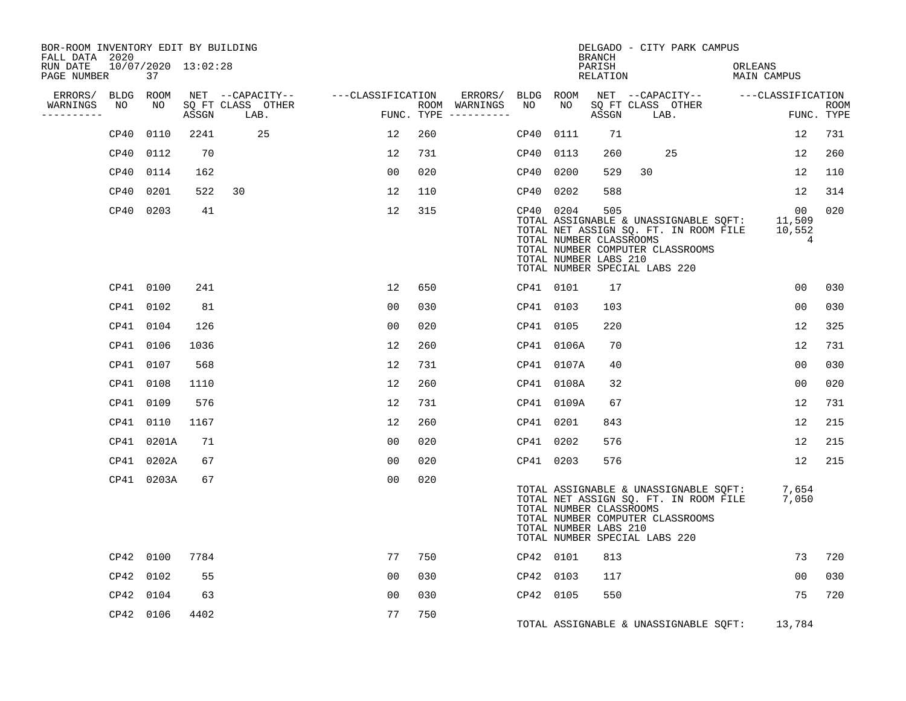| BOR-ROOM INVENTORY EDIT BY BUILDING<br>FALL DATA 2020 |           |                           |       |                                       |                   |     |                                    |           |            | <b>BRANCH</b>                                           | DELGADO - CITY PARK CAMPUS                                                                                                                          |         |                                          |             |
|-------------------------------------------------------|-----------|---------------------------|-------|---------------------------------------|-------------------|-----|------------------------------------|-----------|------------|---------------------------------------------------------|-----------------------------------------------------------------------------------------------------------------------------------------------------|---------|------------------------------------------|-------------|
| RUN DATE<br>PAGE NUMBER                               |           | 10/07/2020 13:02:28<br>37 |       |                                       |                   |     |                                    |           |            | PARISH<br>RELATION                                      |                                                                                                                                                     | ORLEANS | MAIN CAMPUS                              |             |
| ERRORS/ BLDG ROOM<br>WARNINGS                         | NO        | NO                        |       | NET --CAPACITY--<br>SQ FT CLASS OTHER | ---CLASSIFICATION |     | ERRORS/ BLDG ROOM<br>ROOM WARNINGS | NO        | NO         |                                                         | NET --CAPACITY-- ---CLASSIFICATION<br>SQ FT CLASS OTHER                                                                                             |         |                                          | <b>ROOM</b> |
| ----------                                            |           |                           | ASSGN | LAB.                                  |                   |     | FUNC. TYPE $------$                |           |            | ASSGN                                                   | LAB.                                                                                                                                                |         |                                          | FUNC. TYPE  |
|                                                       | CP40      | 0110                      | 2241  | 25                                    | 12                | 260 |                                    | CP40      | 0111       | 71                                                      |                                                                                                                                                     |         | 12                                       | 731         |
|                                                       | CP40      | 0112                      | 70    |                                       | 12                | 731 |                                    | CP40      | 0113       | 260                                                     | 25                                                                                                                                                  |         | 12                                       | 260         |
|                                                       | CP40      | 0114                      | 162   |                                       | 00                | 020 |                                    | CP40      | 0200       | 529                                                     | 30                                                                                                                                                  |         | 12                                       | 110         |
|                                                       | CP40      | 0201                      | 522   | 30                                    | 12                | 110 |                                    | CP40      | 0202       | 588                                                     |                                                                                                                                                     |         | 12                                       | 314         |
|                                                       | CP40 0203 |                           | 41    |                                       | 12                | 315 |                                    |           | CP40 0204  | 505<br>TOTAL NUMBER CLASSROOMS<br>TOTAL NUMBER LABS 210 | TOTAL ASSIGNABLE & UNASSIGNABLE SQFT:<br>TOTAL NET ASSIGN SQ. FT. IN ROOM FILE<br>TOTAL NUMBER COMPUTER CLASSROOMS<br>TOTAL NUMBER SPECIAL LABS 220 |         | 00 <sub>o</sub><br>11,509<br>10,552<br>4 | 020         |
|                                                       | CP41 0100 |                           | 241   |                                       | 12                | 650 |                                    | CP41 0101 |            | 17                                                      |                                                                                                                                                     |         | 00                                       | 030         |
|                                                       | CP41 0102 |                           | 81    |                                       | 0 <sub>0</sub>    | 030 |                                    | CP41 0103 |            | 103                                                     |                                                                                                                                                     |         | 0 <sub>0</sub>                           | 030         |
|                                                       | CP41 0104 |                           | 126   |                                       | 0 <sub>0</sub>    | 020 |                                    | CP41 0105 |            | 220                                                     |                                                                                                                                                     |         | 12                                       | 325         |
|                                                       | CP41 0106 |                           | 1036  |                                       | 12                | 260 |                                    |           | CP41 0106A | 70                                                      |                                                                                                                                                     |         | 12                                       | 731         |
|                                                       | CP41 0107 |                           | 568   |                                       | 12                | 731 |                                    |           | CP41 0107A | 40                                                      |                                                                                                                                                     |         | 0 <sub>0</sub>                           | 030         |
|                                                       | CP41 0108 |                           | 1110  |                                       | 12                | 260 |                                    |           | CP41 0108A | 32                                                      |                                                                                                                                                     |         | 00                                       | 020         |
|                                                       | CP41 0109 |                           | 576   |                                       | 12                | 731 |                                    |           | CP41 0109A | 67                                                      |                                                                                                                                                     |         | 12                                       | 731         |
|                                                       | CP41 0110 |                           | 1167  |                                       | 12                | 260 |                                    |           | CP41 0201  | 843                                                     |                                                                                                                                                     |         | 12                                       | 215         |
|                                                       |           | CP41 0201A                | 71    |                                       | 0 <sub>0</sub>    | 020 |                                    | CP41 0202 |            | 576                                                     |                                                                                                                                                     |         | 12                                       | 215         |
|                                                       |           | CP41 0202A                | 67    |                                       | 0 <sub>0</sub>    | 020 |                                    |           | CP41 0203  | 576                                                     |                                                                                                                                                     |         | 12                                       | 215         |
|                                                       |           | CP41 0203A                | 67    |                                       | 0 <sub>0</sub>    | 020 |                                    |           |            | TOTAL NUMBER CLASSROOMS<br>TOTAL NUMBER LABS 210        | TOTAL ASSIGNABLE & UNASSIGNABLE SQFT:<br>TOTAL NET ASSIGN SQ. FT. IN ROOM FILE<br>TOTAL NUMBER COMPUTER CLASSROOMS<br>TOTAL NUMBER SPECIAL LABS 220 |         | 7,654<br>7,050                           |             |
|                                                       | CP42 0100 |                           | 7784  |                                       | 77                | 750 |                                    |           | CP42 0101  | 813                                                     |                                                                                                                                                     |         | 73                                       | 720         |
|                                                       | CP42 0102 |                           | 55    |                                       | 0 <sub>0</sub>    | 030 |                                    | CP42      | 0103       | 117                                                     |                                                                                                                                                     |         | 0 <sub>0</sub>                           | 030         |
|                                                       | CP42 0104 |                           | 63    |                                       | 0 <sub>0</sub>    | 030 |                                    | CP42 0105 |            | 550                                                     |                                                                                                                                                     |         | 75                                       | 720         |
|                                                       | CP42 0106 |                           | 4402  |                                       | 77                | 750 |                                    |           |            |                                                         | TOTAL ASSIGNABLE & UNASSIGNABLE SQFT:                                                                                                               |         | 13,784                                   |             |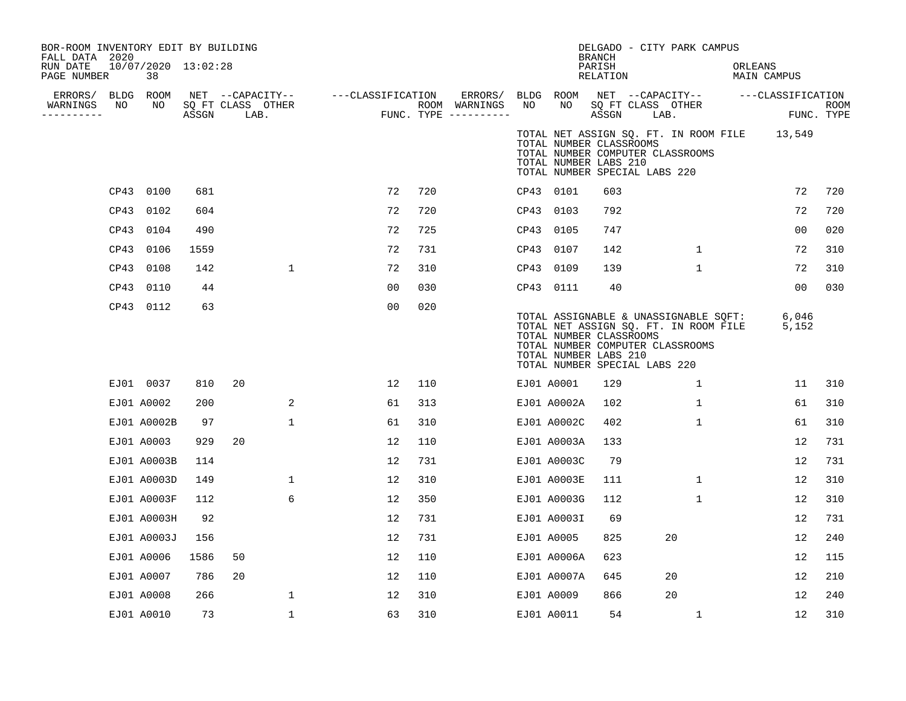| BOR-ROOM INVENTORY EDIT BY BUILDING<br>FALL DATA 2020 |      |                           |       |                           |                  |                   |    |     |                                                   |    |                                                                                   | <b>BRANCH</b>              |      | DELGADO - CITY PARK CAMPUS                                                                                         |         |                                                  |      |
|-------------------------------------------------------|------|---------------------------|-------|---------------------------|------------------|-------------------|----|-----|---------------------------------------------------|----|-----------------------------------------------------------------------------------|----------------------------|------|--------------------------------------------------------------------------------------------------------------------|---------|--------------------------------------------------|------|
| RUN DATE<br>PAGE NUMBER                               |      | 10/07/2020 13:02:28<br>38 |       |                           |                  |                   |    |     |                                                   |    |                                                                                   | PARISH<br>RELATION         |      |                                                                                                                    | ORLEANS | MAIN CAMPUS                                      |      |
| ERRORS/<br>WARNINGS<br>----------                     | NO   | BLDG ROOM<br>NO           | ASSGN | SQ FT CLASS OTHER<br>LAB. | NET --CAPACITY-- | ---CLASSIFICATION |    |     | ERRORS/<br>ROOM WARNINGS<br>FUNC. TYPE ---------- | NO | BLDG ROOM<br>NO                                                                   | SQ FT CLASS OTHER<br>ASSGN | LAB. |                                                                                                                    |         | NET --CAPACITY-- ---CLASSIFICATION<br>FUNC. TYPE | ROOM |
|                                                       |      |                           |       |                           |                  |                   |    |     |                                                   |    | TOTAL NUMBER CLASSROOMS<br>TOTAL NUMBER LABS 210<br>TOTAL NUMBER SPECIAL LABS 220 |                            |      | TOTAL NUMBER COMPUTER CLASSROOMS                                                                                   |         | TOTAL NET ASSIGN SQ. FT. IN ROOM FILE 13,549     |      |
|                                                       |      | CP43 0100                 | 681   |                           |                  |                   | 72 | 720 |                                                   |    | CP43 0101                                                                         | 603                        |      |                                                                                                                    |         | 72                                               | 720  |
|                                                       | CP43 | 0102                      | 604   |                           |                  |                   | 72 | 720 |                                                   |    | CP43 0103                                                                         | 792                        |      |                                                                                                                    |         | 72                                               | 720  |
|                                                       |      | CP43 0104                 | 490   |                           |                  |                   | 72 | 725 |                                                   |    | CP43 0105                                                                         | 747                        |      |                                                                                                                    |         | 0 <sub>0</sub>                                   | 020  |
|                                                       | CP43 | 0106                      | 1559  |                           |                  |                   | 72 | 731 |                                                   |    | CP43 0107                                                                         | 142                        |      | $\mathbf{1}$                                                                                                       |         | 72                                               | 310  |
|                                                       |      | CP43 0108                 | 142   |                           | $\mathbf{1}$     |                   | 72 | 310 |                                                   |    | CP43 0109                                                                         | 139                        |      | $\mathbf{1}$                                                                                                       |         | 72                                               | 310  |
|                                                       | CP43 | 0110                      | 44    |                           |                  |                   | 00 | 030 |                                                   |    | CP43 0111                                                                         | 40                         |      |                                                                                                                    |         | 0 <sub>0</sub>                                   | 030  |
|                                                       |      | CP43 0112                 | 63    |                           |                  |                   | 00 | 020 |                                                   |    | TOTAL NUMBER CLASSROOMS<br>TOTAL NUMBER LABS 210<br>TOTAL NUMBER SPECIAL LABS 220 |                            |      | TOTAL ASSIGNABLE & UNASSIGNABLE SQFT:<br>TOTAL NET ASSIGN SQ. FT. IN ROOM FILE<br>TOTAL NUMBER COMPUTER CLASSROOMS |         | 6,046<br>5,152                                   |      |
|                                                       |      | EJ01 0037                 | 810   | 20                        |                  |                   | 12 | 110 |                                                   |    | EJ01 A0001                                                                        | 129                        |      | 1                                                                                                                  |         | 11                                               | 310  |
|                                                       |      | EJ01 A0002                | 200   |                           | 2                |                   | 61 | 313 |                                                   |    | EJ01 A0002A                                                                       | 102                        |      | 1                                                                                                                  |         | 61                                               | 310  |
|                                                       |      | EJ01 A0002B               | 97    |                           | $\mathbf{1}$     |                   | 61 | 310 |                                                   |    | EJ01 A0002C                                                                       | 402                        |      | $\mathbf{1}$                                                                                                       |         | 61                                               | 310  |
|                                                       |      | EJ01 A0003                | 929   | 20                        |                  |                   | 12 | 110 |                                                   |    | EJ01 A0003A                                                                       | 133                        |      |                                                                                                                    |         | 12                                               | 731  |
|                                                       |      | EJ01 A0003B               | 114   |                           |                  |                   | 12 | 731 |                                                   |    | EJ01 A0003C                                                                       | 79                         |      |                                                                                                                    |         | 12                                               | 731  |
|                                                       |      | EJ01 A0003D               | 149   |                           | 1                |                   | 12 | 310 |                                                   |    | EJ01 A0003E                                                                       | 111                        |      | $\mathbf 1$                                                                                                        |         | 12                                               | 310  |
|                                                       |      | EJ01 A0003F               | 112   |                           | 6                |                   | 12 | 350 |                                                   |    | EJ01 A0003G                                                                       | 112                        |      | $\mathbf{1}$                                                                                                       |         | 12                                               | 310  |
|                                                       |      | EJ01 A0003H               | 92    |                           |                  |                   | 12 | 731 |                                                   |    | EJ01 A0003I                                                                       | 69                         |      |                                                                                                                    |         | 12                                               | 731  |
|                                                       |      | EJ01 A0003J               | 156   |                           |                  |                   | 12 | 731 |                                                   |    | EJ01 A0005                                                                        | 825                        |      | 20                                                                                                                 |         | 12                                               | 240  |
|                                                       |      | EJ01 A0006                | 1586  | 50                        |                  |                   | 12 | 110 |                                                   |    | EJ01 A0006A                                                                       | 623                        |      |                                                                                                                    |         | 12                                               | 115  |
|                                                       |      | EJ01 A0007                | 786   | 20                        |                  |                   | 12 | 110 |                                                   |    | EJ01 A0007A                                                                       | 645                        |      | 20                                                                                                                 |         | 12                                               | 210  |
|                                                       |      | EJ01 A0008                | 266   |                           | 1                |                   | 12 | 310 |                                                   |    | EJ01 A0009                                                                        | 866                        |      | 20                                                                                                                 |         | 12                                               | 240  |
|                                                       |      | EJ01 A0010                | 73    |                           | 1                |                   | 63 | 310 |                                                   |    | EJ01 A0011                                                                        | 54                         |      | $\mathbf{1}$                                                                                                       |         | 12                                               | 310  |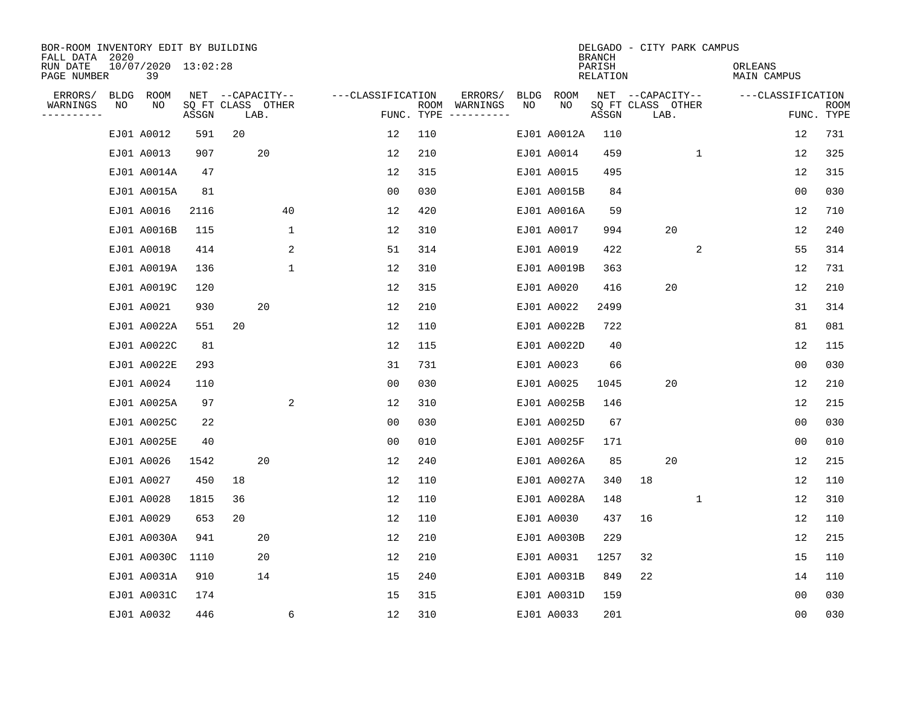| BOR-ROOM INVENTORY EDIT BY BUILDING<br>FALL DATA 2020 |    |                           |                            |                  |      |              |                   |     |                                      |      |             | <b>BRANCH</b>      | DELGADO - CITY PARK CAMPUS |    |   |                        |                |      |
|-------------------------------------------------------|----|---------------------------|----------------------------|------------------|------|--------------|-------------------|-----|--------------------------------------|------|-------------|--------------------|----------------------------|----|---|------------------------|----------------|------|
| RUN DATE<br>PAGE NUMBER                               |    | 10/07/2020 13:02:28<br>39 |                            |                  |      |              |                   |     |                                      |      |             | PARISH<br>RELATION |                            |    |   | ORLEANS<br>MAIN CAMPUS |                |      |
| ERRORS/                                               |    | BLDG ROOM                 |                            | NET --CAPACITY-- |      |              | ---CLASSIFICATION |     | ERRORS/                              | BLDG | ROOM        |                    | NET --CAPACITY--           |    |   | ---CLASSIFICATION      |                |      |
| WARNINGS<br>----------                                | NO | NO                        | SQ FT CLASS OTHER<br>ASSGN |                  | LAB. |              |                   |     | ROOM WARNINGS<br>FUNC. TYPE $------$ | NO   | NO          | ASSGN              | SQ FT CLASS OTHER<br>LAB.  |    |   |                        | FUNC. TYPE     | ROOM |
|                                                       |    | EJ01 A0012                | 591                        | 20               |      |              | 12                | 110 |                                      |      | EJ01 A0012A | 110                |                            |    |   |                        | 12             | 731  |
|                                                       |    | EJ01 A0013                | 907                        |                  | 20   |              | 12                | 210 |                                      |      | EJ01 A0014  | 459                |                            |    | 1 |                        | 12             | 325  |
|                                                       |    | EJ01 A0014A               | 47                         |                  |      |              | 12                | 315 |                                      |      | EJ01 A0015  | 495                |                            |    |   |                        | 12             | 315  |
|                                                       |    | EJ01 A0015A               | 81                         |                  |      |              | 0 <sub>0</sub>    | 030 |                                      |      | EJ01 A0015B | 84                 |                            |    |   |                        | 0 <sub>0</sub> | 030  |
|                                                       |    | EJ01 A0016                | 2116                       |                  |      | 40           | 12                | 420 |                                      |      | EJ01 A0016A | 59                 |                            |    |   |                        | 12             | 710  |
|                                                       |    | EJ01 A0016B               | 115                        |                  |      | 1            | 12                | 310 |                                      |      | EJ01 A0017  | 994                |                            | 20 |   |                        | 12             | 240  |
|                                                       |    | EJ01 A0018                | 414                        |                  |      | 2            | 51                | 314 |                                      |      | EJ01 A0019  | 422                |                            |    | 2 |                        | 55             | 314  |
|                                                       |    | EJ01 A0019A               | 136                        |                  |      | $\mathbf{1}$ | 12                | 310 |                                      |      | EJ01 A0019B | 363                |                            |    |   |                        | 12             | 731  |
|                                                       |    | EJ01 A0019C               | 120                        |                  |      |              | 12                | 315 |                                      |      | EJ01 A0020  | 416                |                            | 20 |   |                        | 12             | 210  |
|                                                       |    | EJ01 A0021                | 930                        |                  | 20   |              | 12                | 210 |                                      |      | EJ01 A0022  | 2499               |                            |    |   |                        | 31             | 314  |
|                                                       |    | EJ01 A0022A               | 551                        | 20               |      |              | 12                | 110 |                                      |      | EJ01 A0022B | 722                |                            |    |   |                        | 81             | 081  |
|                                                       |    | EJ01 A0022C               | 81                         |                  |      |              | 12                | 115 |                                      |      | EJ01 A0022D | 40                 |                            |    |   |                        | 12             | 115  |
|                                                       |    | EJ01 A0022E               | 293                        |                  |      |              | 31                | 731 |                                      |      | EJ01 A0023  | 66                 |                            |    |   |                        | 0 <sub>0</sub> | 030  |
|                                                       |    | EJ01 A0024                | 110                        |                  |      |              | 0 <sub>0</sub>    | 030 |                                      |      | EJ01 A0025  | 1045               |                            | 20 |   |                        | 12             | 210  |
|                                                       |    | EJ01 A0025A               | 97                         |                  |      | 2            | 12                | 310 |                                      |      | EJ01 A0025B | 146                |                            |    |   |                        | 12             | 215  |
|                                                       |    | EJ01 A0025C               | 22                         |                  |      |              | 00                | 030 |                                      |      | EJ01 A0025D | 67                 |                            |    |   |                        | 0 <sub>0</sub> | 030  |
|                                                       |    | EJ01 A0025E               | 40                         |                  |      |              | 0 <sub>0</sub>    | 010 |                                      |      | EJ01 A0025F | 171                |                            |    |   |                        | 0 <sub>0</sub> | 010  |
|                                                       |    | EJ01 A0026                | 1542                       |                  | 20   |              | 12                | 240 |                                      |      | EJ01 A0026A | 85                 |                            | 20 |   |                        | 12             | 215  |
|                                                       |    | EJ01 A0027                | 450                        | 18               |      |              | 12                | 110 |                                      |      | EJ01 A0027A | 340                | 18                         |    |   |                        | 12             | 110  |
|                                                       |    | EJ01 A0028                | 1815                       | 36               |      |              | 12                | 110 |                                      |      | EJ01 A0028A | 148                |                            |    | 1 |                        | 12             | 310  |
|                                                       |    | EJ01 A0029                | 653                        | 20               |      |              | 12                | 110 |                                      |      | EJ01 A0030  | 437                | 16                         |    |   |                        | 12             | 110  |
|                                                       |    | EJ01 A0030A               | 941                        |                  | 20   |              | 12                | 210 |                                      |      | EJ01 A0030B | 229                |                            |    |   |                        | 12             | 215  |
|                                                       |    | EJ01 A0030C               | 1110                       |                  | 20   |              | 12                | 210 |                                      |      | EJ01 A0031  | 1257               | 32                         |    |   |                        | 15             | 110  |
|                                                       |    | EJ01 A0031A               | 910                        |                  | 14   |              | 15                | 240 |                                      |      | EJ01 A0031B | 849                | 22                         |    |   |                        | 14             | 110  |
|                                                       |    | EJ01 A0031C               | 174                        |                  |      |              | 15                | 315 |                                      |      | EJ01 A0031D | 159                |                            |    |   |                        | 0 <sub>0</sub> | 030  |
|                                                       |    | EJ01 A0032                | 446                        |                  |      | 6            | 12                | 310 |                                      |      | EJ01 A0033  | 201                |                            |    |   |                        | 0 <sub>0</sub> | 030  |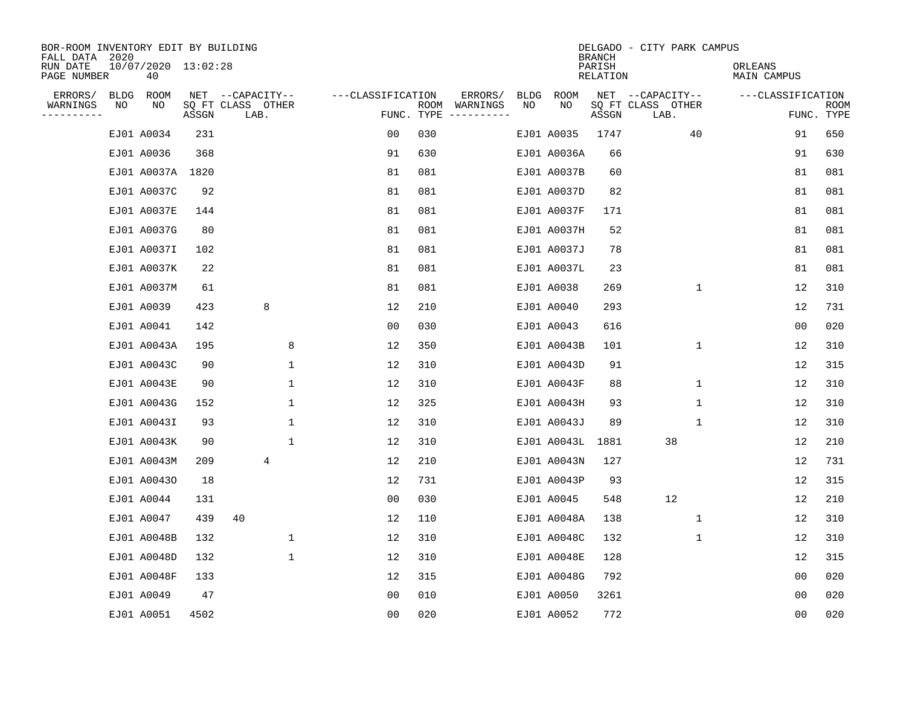| BOR-ROOM INVENTORY EDIT BY BUILDING<br>FALL DATA 2020 |    |                           |       |                           |             |                   |      |                                 |      |             | <b>BRANCH</b>      | DELGADO - CITY PARK CAMPUS |              |                        |                           |
|-------------------------------------------------------|----|---------------------------|-------|---------------------------|-------------|-------------------|------|---------------------------------|------|-------------|--------------------|----------------------------|--------------|------------------------|---------------------------|
| RUN DATE<br>PAGE NUMBER                               |    | 10/07/2020 13:02:28<br>40 |       |                           |             |                   |      |                                 |      |             | PARISH<br>RELATION |                            |              | ORLEANS<br>MAIN CAMPUS |                           |
| ERRORS/                                               |    | BLDG ROOM                 |       | NET --CAPACITY--          |             | ---CLASSIFICATION |      | ERRORS/                         | BLDG | ROOM        |                    | NET --CAPACITY--           |              | ---CLASSIFICATION      |                           |
| WARNINGS<br>$- - - - - - - -$                         | NO | NO                        | ASSGN | SQ FT CLASS OTHER<br>LAB. |             |                   | ROOM | WARNINGS<br>FUNC. TYPE $------$ | NO   | NO          | ASSGN              | SQ FT CLASS OTHER<br>LAB.  |              |                        | <b>ROOM</b><br>FUNC. TYPE |
|                                                       |    | EJ01 A0034                | 231   |                           |             | 0 <sub>0</sub>    | 030  |                                 |      | EJ01 A0035  | 1747               |                            | 40           | 91                     | 650                       |
|                                                       |    | EJ01 A0036                | 368   |                           |             | 91                | 630  |                                 |      | EJ01 A0036A | 66                 |                            |              | 91                     | 630                       |
|                                                       |    | EJ01 A0037A 1820          |       |                           |             | 81                | 081  |                                 |      | EJ01 A0037B | 60                 |                            |              | 81                     | 081                       |
|                                                       |    | EJ01 A0037C               | 92    |                           |             | 81                | 081  |                                 |      | EJ01 A0037D | 82                 |                            |              | 81                     | 081                       |
|                                                       |    | EJ01 A0037E               | 144   |                           |             | 81                | 081  |                                 |      | EJ01 A0037F | 171                |                            |              | 81                     | 081                       |
|                                                       |    | EJ01 A0037G               | 80    |                           |             | 81                | 081  |                                 |      | EJ01 A0037H | 52                 |                            |              | 81                     | 081                       |
|                                                       |    | EJ01 A0037I               | 102   |                           |             | 81                | 081  |                                 |      | EJ01 A0037J | 78                 |                            |              | 81                     | 081                       |
|                                                       |    | EJ01 A0037K               | 22    |                           |             | 81                | 081  |                                 |      | EJ01 A0037L | 23                 |                            |              | 81                     | 081                       |
|                                                       |    | EJ01 A0037M               | 61    |                           |             | 81                | 081  |                                 |      | EJ01 A0038  | 269                |                            | $\mathbf{1}$ | 12                     | 310                       |
|                                                       |    | EJ01 A0039                | 423   | 8                         |             | 12                | 210  |                                 |      | EJ01 A0040  | 293                |                            |              | 12                     | 731                       |
|                                                       |    | EJ01 A0041                | 142   |                           |             | 00                | 030  |                                 |      | EJ01 A0043  | 616                |                            |              | 0 <sub>0</sub>         | 020                       |
|                                                       |    | EJ01 A0043A               | 195   |                           | 8           | 12                | 350  |                                 |      | EJ01 A0043B | 101                |                            | $\mathbf 1$  | 12                     | 310                       |
|                                                       |    | EJ01 A0043C               | 90    |                           | $\mathbf 1$ | 12                | 310  |                                 |      | EJ01 A0043D | 91                 |                            |              | 12                     | 315                       |
|                                                       |    | EJ01 A0043E               | 90    |                           | 1           | 12                | 310  |                                 |      | EJ01 A0043F | 88                 |                            | $\mathbf 1$  | 12                     | 310                       |
|                                                       |    | EJ01 A0043G               | 152   |                           | 1           | 12                | 325  |                                 |      | EJ01 A0043H | 93                 |                            | 1            | 12                     | 310                       |
|                                                       |    | EJ01 A0043I               | 93    |                           | 1           | 12                | 310  |                                 |      | EJ01 A0043J | 89                 |                            | 1            | 12                     | 310                       |
|                                                       |    | EJ01 A0043K               | 90    |                           | 1           | 12                | 310  |                                 |      | EJ01 A0043L | 1881               | 38                         |              | 12                     | 210                       |
|                                                       |    | EJ01 A0043M               | 209   | 4                         |             | 12                | 210  |                                 |      | EJ01 A0043N | 127                |                            |              | 12                     | 731                       |
|                                                       |    | EJ01 A00430               | 18    |                           |             | 12                | 731  |                                 |      | EJ01 A0043P | 93                 |                            |              | 12                     | 315                       |
|                                                       |    | EJ01 A0044                | 131   |                           |             | 0 <sub>0</sub>    | 030  |                                 |      | EJ01 A0045  | 548                | 12                         |              | 12                     | 210                       |
|                                                       |    | EJ01 A0047                | 439   | 40                        |             | 12                | 110  |                                 |      | EJ01 A0048A | 138                |                            | 1            | 12                     | 310                       |
|                                                       |    | EJ01 A0048B               | 132   |                           | $\mathbf 1$ | 12                | 310  |                                 |      | EJ01 A0048C | 132                |                            | 1            | 12                     | 310                       |
|                                                       |    | EJ01 A0048D               | 132   |                           | $\mathbf 1$ | 12                | 310  |                                 |      | EJ01 A0048E | 128                |                            |              | 12                     | 315                       |
|                                                       |    | EJ01 A0048F               | 133   |                           |             | 12                | 315  |                                 |      | EJ01 A0048G | 792                |                            |              | 0 <sub>0</sub>         | 020                       |
|                                                       |    | EJ01 A0049                | 47    |                           |             | 0 <sub>0</sub>    | 010  |                                 |      | EJ01 A0050  | 3261               |                            |              | 0 <sub>0</sub>         | 020                       |
|                                                       |    | EJ01 A0051                | 4502  |                           |             | 0 <sub>0</sub>    | 020  |                                 |      | EJ01 A0052  | 772                |                            |              | 0 <sub>0</sub>         | 020                       |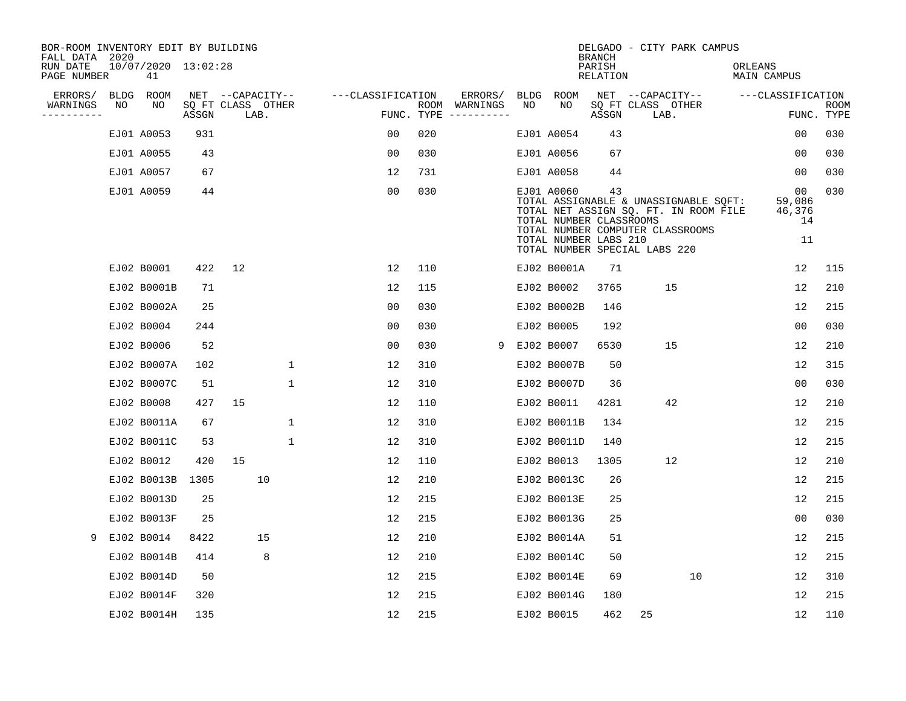| BOR-ROOM INVENTORY EDIT BY BUILDING<br>FALL DATA 2020 |    |                           |       |    |                           |                   |                |            |               |    |                                                                | <b>BRANCH</b>             | DELGADO - CITY PARK CAMPUS                                                                                                                          |                                    |                           |
|-------------------------------------------------------|----|---------------------------|-------|----|---------------------------|-------------------|----------------|------------|---------------|----|----------------------------------------------------------------|---------------------------|-----------------------------------------------------------------------------------------------------------------------------------------------------|------------------------------------|---------------------------|
| RUN DATE<br>PAGE NUMBER                               |    | 10/07/2020 13:02:28<br>41 |       |    |                           |                   |                |            |               |    |                                                                | PARISH<br><b>RELATION</b> |                                                                                                                                                     | ORLEANS<br><b>MAIN CAMPUS</b>      |                           |
| ERRORS/                                               |    | BLDG ROOM                 |       |    | NET --CAPACITY--          | ---CLASSIFICATION |                |            | ERRORS/       |    | BLDG ROOM                                                      |                           | NET --CAPACITY--                                                                                                                                    | ---CLASSIFICATION                  |                           |
| WARNINGS                                              | NO | NO                        | ASSGN |    | SQ FT CLASS OTHER<br>LAB. |                   |                | FUNC. TYPE | ROOM WARNINGS | NO | NO                                                             | ASSGN                     | SQ FT CLASS OTHER<br>LAB.                                                                                                                           |                                    | <b>ROOM</b><br>FUNC. TYPE |
|                                                       |    | EJ01 A0053                | 931   |    |                           |                   | 00             | 020        |               |    | EJ01 A0054                                                     | 43                        |                                                                                                                                                     | 0 <sub>0</sub>                     | 030                       |
|                                                       |    | EJ01 A0055                | 43    |    |                           |                   | 00             | 030        |               |    | EJ01 A0056                                                     | 67                        |                                                                                                                                                     | 00                                 | 030                       |
|                                                       |    | EJ01 A0057                | 67    |    |                           |                   | 12             | 731        |               |    | EJ01 A0058                                                     | 44                        |                                                                                                                                                     | 00                                 | 030                       |
|                                                       |    | EJ01 A0059                | 44    |    |                           |                   | 0 <sub>0</sub> | 030        |               |    | EJ01 A0060<br>TOTAL NUMBER CLASSROOMS<br>TOTAL NUMBER LABS 210 | 43                        | TOTAL ASSIGNABLE & UNASSIGNABLE SQFT:<br>TOTAL NET ASSIGN SQ. FT. IN ROOM FILE<br>TOTAL NUMBER COMPUTER CLASSROOMS<br>TOTAL NUMBER SPECIAL LABS 220 | 00<br>59,086<br>46,376<br>14<br>11 | 030                       |
|                                                       |    | EJ02 B0001                | 422   | 12 |                           |                   | 12             | 110        |               |    | EJ02 B0001A                                                    | 71                        |                                                                                                                                                     | 12                                 | 115                       |
|                                                       |    | EJ02 B0001B               | 71    |    |                           |                   | 12             | 115        |               |    | EJ02 B0002                                                     | 3765                      | 15                                                                                                                                                  | 12                                 | 210                       |
|                                                       |    | EJ02 B0002A               | 25    |    |                           |                   | 00             | 030        |               |    | EJ02 B0002B                                                    | 146                       |                                                                                                                                                     | 12                                 | 215                       |
|                                                       |    | EJ02 B0004                | 244   |    |                           |                   | 0 <sub>0</sub> | 030        |               |    | EJ02 B0005                                                     | 192                       |                                                                                                                                                     | 0 <sub>0</sub>                     | 030                       |
|                                                       |    | EJ02 B0006                | 52    |    |                           |                   | 0 <sub>0</sub> | 030        |               |    | 9 EJ02 B0007                                                   | 6530                      | 15                                                                                                                                                  | 12                                 | 210                       |
|                                                       |    | EJ02 B0007A               | 102   |    | 1                         |                   | 12             | 310        |               |    | EJ02 B0007B                                                    | 50                        |                                                                                                                                                     | 12                                 | 315                       |
|                                                       |    | EJ02 B0007C               | 51    |    | 1                         |                   | 12             | 310        |               |    | EJ02 B0007D                                                    | 36                        |                                                                                                                                                     | 00                                 | 030                       |
|                                                       |    | EJ02 B0008                | 427   | 15 |                           |                   | 12             | 110        |               |    | EJ02 B0011                                                     | 4281                      | 42                                                                                                                                                  | 12                                 | 210                       |
|                                                       |    | EJ02 B0011A               | 67    |    | 1                         |                   | 12             | 310        |               |    | EJ02 B0011B                                                    | 134                       |                                                                                                                                                     | 12                                 | 215                       |
|                                                       |    | EJ02 B0011C               | 53    |    | $\mathbf{1}$              |                   | 12             | 310        |               |    | EJ02 B0011D                                                    | 140                       |                                                                                                                                                     | 12                                 | 215                       |
|                                                       |    | EJ02 B0012                | 420   | 15 |                           |                   | 12             | 110        |               |    | EJ02 B0013                                                     | 1305                      | 12                                                                                                                                                  | 12                                 | 210                       |
|                                                       |    | EJ02 B0013B 1305          |       |    | 10                        |                   | 12             | 210        |               |    | EJ02 B0013C                                                    | 26                        |                                                                                                                                                     | 12                                 | 215                       |
|                                                       |    | EJ02 B0013D               | 25    |    |                           |                   | 12             | 215        |               |    | EJ02 B0013E                                                    | 25                        |                                                                                                                                                     | 12                                 | 215                       |
|                                                       |    | EJ02 B0013F               | 25    |    |                           |                   | 12             | 215        |               |    | EJ02 B0013G                                                    | 25                        |                                                                                                                                                     | 00                                 | 030                       |
| 9                                                     |    | EJ02 B0014                | 8422  |    | 15                        |                   | 12             | 210        |               |    | EJ02 B0014A                                                    | 51                        |                                                                                                                                                     | 12                                 | 215                       |
|                                                       |    | EJ02 B0014B               | 414   |    | 8                         |                   | 12             | 210        |               |    | EJ02 B0014C                                                    | 50                        |                                                                                                                                                     | 12                                 | 215                       |
|                                                       |    | EJ02 B0014D               | 50    |    |                           |                   | 12             | 215        |               |    | EJ02 B0014E                                                    | 69                        | 10                                                                                                                                                  | 12                                 | 310                       |
|                                                       |    | EJ02 B0014F               | 320   |    |                           |                   | 12             | 215        |               |    | EJ02 B0014G                                                    | 180                       |                                                                                                                                                     | 12                                 | 215                       |
|                                                       |    | EJ02 B0014H               | 135   |    |                           |                   | 12             | 215        |               |    | EJ02 B0015                                                     | 462                       | 25                                                                                                                                                  | 12                                 | 110                       |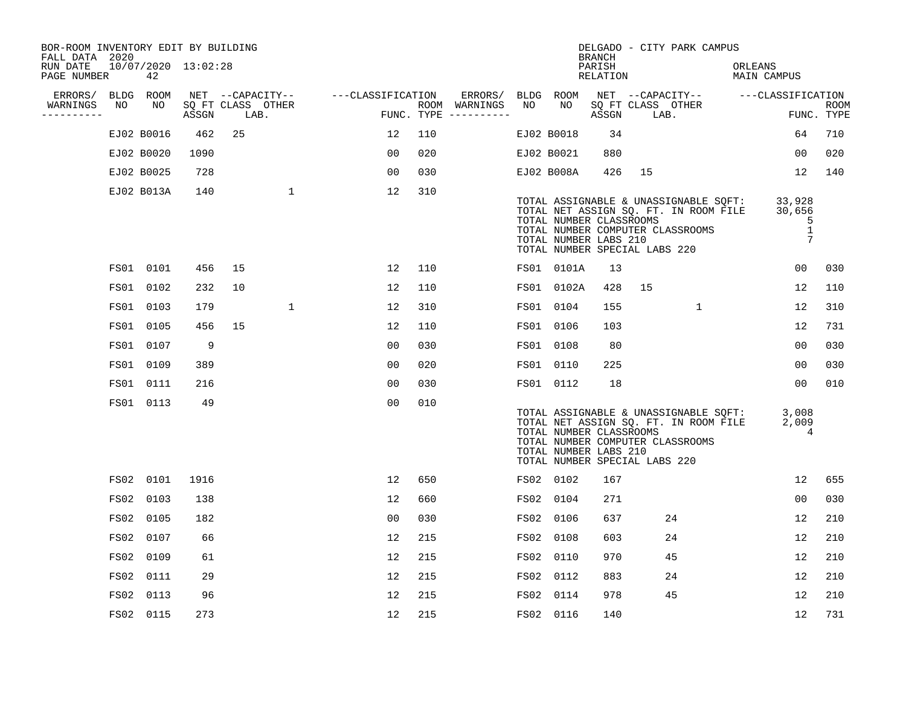| 42                                                           |                                                                                                                                                                                                                                                                                    |    |                     |                                                                  |                |     |                                    |               |                           |                                                                                                                                                                                                                                                  |                  |                                                                                                                           |                                                                                                                           |                                                                                                    |                                                                                                                                                                                                                                                |
|--------------------------------------------------------------|------------------------------------------------------------------------------------------------------------------------------------------------------------------------------------------------------------------------------------------------------------------------------------|----|---------------------|------------------------------------------------------------------|----------------|-----|------------------------------------|---------------|---------------------------|--------------------------------------------------------------------------------------------------------------------------------------------------------------------------------------------------------------------------------------------------|------------------|---------------------------------------------------------------------------------------------------------------------------|---------------------------------------------------------------------------------------------------------------------------|----------------------------------------------------------------------------------------------------|------------------------------------------------------------------------------------------------------------------------------------------------------------------------------------------------------------------------------------------------|
|                                                              |                                                                                                                                                                                                                                                                                    |    |                     |                                                                  |                |     | ERRORS/                            |               |                           |                                                                                                                                                                                                                                                  |                  |                                                                                                                           |                                                                                                                           |                                                                                                    |                                                                                                                                                                                                                                                |
|                                                              | ASSGN                                                                                                                                                                                                                                                                              |    |                     |                                                                  |                |     |                                    |               |                           |                                                                                                                                                                                                                                                  |                  |                                                                                                                           |                                                                                                                           |                                                                                                    | <b>ROOM</b><br>FUNC. TYPE                                                                                                                                                                                                                      |
|                                                              | 462                                                                                                                                                                                                                                                                                | 25 |                     |                                                                  | 12             | 110 |                                    |               |                           | 34                                                                                                                                                                                                                                               |                  |                                                                                                                           |                                                                                                                           | 64                                                                                                 | 710                                                                                                                                                                                                                                            |
|                                                              | 1090                                                                                                                                                                                                                                                                               |    |                     |                                                                  | 00             | 020 |                                    |               |                           | 880                                                                                                                                                                                                                                              |                  |                                                                                                                           |                                                                                                                           | 00                                                                                                 | 020                                                                                                                                                                                                                                            |
|                                                              | 728                                                                                                                                                                                                                                                                                |    |                     |                                                                  | 0 <sub>0</sub> | 030 |                                    |               |                           | 426                                                                                                                                                                                                                                              | 15               |                                                                                                                           |                                                                                                                           | 12                                                                                                 | 140                                                                                                                                                                                                                                            |
|                                                              | 140                                                                                                                                                                                                                                                                                |    | $\mathbf{1}$        |                                                                  | 12             | 310 |                                    |               |                           |                                                                                                                                                                                                                                                  |                  |                                                                                                                           |                                                                                                                           | 33,928<br>30,656<br>5<br>$\mathbf{1}$<br>7                                                         |                                                                                                                                                                                                                                                |
|                                                              | 456                                                                                                                                                                                                                                                                                | 15 |                     |                                                                  | 12             | 110 |                                    |               |                           | 13                                                                                                                                                                                                                                               |                  |                                                                                                                           |                                                                                                                           | 00                                                                                                 | 030                                                                                                                                                                                                                                            |
|                                                              | 232                                                                                                                                                                                                                                                                                | 10 |                     |                                                                  | 12             | 110 |                                    |               |                           | 428                                                                                                                                                                                                                                              | 15               |                                                                                                                           |                                                                                                                           | 12                                                                                                 | 110                                                                                                                                                                                                                                            |
|                                                              | 179                                                                                                                                                                                                                                                                                |    | $\mathbf 1$         |                                                                  | 12             | 310 |                                    |               |                           | 155                                                                                                                                                                                                                                              |                  | $\mathbf{1}$                                                                                                              |                                                                                                                           | 12                                                                                                 | 310                                                                                                                                                                                                                                            |
|                                                              | 456                                                                                                                                                                                                                                                                                | 15 |                     |                                                                  | 12             | 110 |                                    |               |                           | 103                                                                                                                                                                                                                                              |                  |                                                                                                                           |                                                                                                                           | 12                                                                                                 | 731                                                                                                                                                                                                                                            |
|                                                              | 9                                                                                                                                                                                                                                                                                  |    |                     |                                                                  | 0 <sub>0</sub> | 030 |                                    |               |                           | 80                                                                                                                                                                                                                                               |                  |                                                                                                                           |                                                                                                                           | 0 <sub>0</sub>                                                                                     | 030                                                                                                                                                                                                                                            |
|                                                              | 389                                                                                                                                                                                                                                                                                |    |                     |                                                                  | 0 <sub>0</sub> | 020 |                                    |               |                           | 225                                                                                                                                                                                                                                              |                  |                                                                                                                           |                                                                                                                           | 00                                                                                                 | 030                                                                                                                                                                                                                                            |
|                                                              | 216                                                                                                                                                                                                                                                                                |    |                     |                                                                  | 0 <sub>0</sub> | 030 |                                    |               |                           | 18                                                                                                                                                                                                                                               |                  |                                                                                                                           |                                                                                                                           | 00                                                                                                 | 010                                                                                                                                                                                                                                            |
|                                                              | 49                                                                                                                                                                                                                                                                                 |    |                     |                                                                  | 0 <sub>0</sub> | 010 |                                    |               |                           |                                                                                                                                                                                                                                                  |                  |                                                                                                                           |                                                                                                                           | 2,009                                                                                              |                                                                                                                                                                                                                                                |
|                                                              | 1916                                                                                                                                                                                                                                                                               |    |                     |                                                                  | 12             | 650 |                                    |               |                           | 167                                                                                                                                                                                                                                              |                  |                                                                                                                           |                                                                                                                           | 12                                                                                                 | 655                                                                                                                                                                                                                                            |
|                                                              | 138                                                                                                                                                                                                                                                                                |    |                     |                                                                  | 12             | 660 |                                    |               |                           | 271                                                                                                                                                                                                                                              |                  |                                                                                                                           |                                                                                                                           | 0 <sub>0</sub>                                                                                     | 030                                                                                                                                                                                                                                            |
|                                                              | 182                                                                                                                                                                                                                                                                                |    |                     |                                                                  | 00             | 030 |                                    |               |                           | 637                                                                                                                                                                                                                                              |                  |                                                                                                                           |                                                                                                                           | 12                                                                                                 | 210                                                                                                                                                                                                                                            |
| 0107                                                         | 66                                                                                                                                                                                                                                                                                 |    |                     |                                                                  | 12             | 215 |                                    |               | 0108                      | 603                                                                                                                                                                                                                                              |                  |                                                                                                                           |                                                                                                                           | 12                                                                                                 | 210                                                                                                                                                                                                                                            |
|                                                              | 61                                                                                                                                                                                                                                                                                 |    |                     |                                                                  | 12             | 215 |                                    |               |                           | 970                                                                                                                                                                                                                                              |                  |                                                                                                                           |                                                                                                                           | 12                                                                                                 | 210                                                                                                                                                                                                                                            |
|                                                              | 29                                                                                                                                                                                                                                                                                 |    |                     |                                                                  | 12             | 215 |                                    |               | 0112                      | 883                                                                                                                                                                                                                                              |                  |                                                                                                                           |                                                                                                                           | 12                                                                                                 | 210                                                                                                                                                                                                                                            |
|                                                              | 96                                                                                                                                                                                                                                                                                 |    |                     |                                                                  | 12             | 215 |                                    |               | 0114                      | 978                                                                                                                                                                                                                                              |                  |                                                                                                                           |                                                                                                                           | 12                                                                                                 | 210                                                                                                                                                                                                                                            |
|                                                              | 273                                                                                                                                                                                                                                                                                |    |                     |                                                                  | 12             | 215 |                                    |               |                           | 140                                                                                                                                                                                                                                              |                  |                                                                                                                           |                                                                                                                           | 12                                                                                                 | 731                                                                                                                                                                                                                                            |
| FALL DATA 2020<br>PAGE NUMBER<br>ERRORS/<br>NO<br>---------- | BLDG ROOM<br>NO<br>EJ02 B0016<br>EJ02 B0020<br>EJ02 B0025<br>EJ02 B013A<br>FS01 0101<br>FS01 0102<br>FS01 0103<br>FS01 0105<br>FS01 0107<br>FS01 0109<br>FS01 0111<br>FS01 0113<br>FS02 0101<br>FS02 0103<br>FS02 0105<br>FS02<br>FS02 0109<br>FS02 0111<br>FS02 0113<br>FS02 0115 |    | 10/07/2020 13:02:28 | BOR-ROOM INVENTORY EDIT BY BUILDING<br>SQ FT CLASS OTHER<br>LAB. |                |     | NET --CAPACITY-- ---CLASSIFICATION | ROOM WARNINGS | NO<br>FUNC. TYPE $------$ | BLDG ROOM<br>NO.<br>EJ02 B0018<br>EJ02 B0021<br>EJ02 B008A<br>FS01 0101A<br>FS01 0102A<br>FS01 0104<br>FS01 0106<br>FS01 0108<br>FS01 0110<br>FS01 0112<br>FS02 0102<br>FS02 0104<br>FS02 0106<br>FS02<br>FS02 0110<br>FS02<br>FS02<br>FS02 0116 | BRANCH<br>PARISH | RELATION<br>ASSGN<br>TOTAL NUMBER CLASSROOMS<br>TOTAL NUMBER LABS 210<br>TOTAL NUMBER CLASSROOMS<br>TOTAL NUMBER LABS 210 | SQ FT CLASS OTHER<br>LAB.<br>TOTAL NUMBER SPECIAL LABS 220<br>TOTAL NUMBER SPECIAL LABS 220<br>24<br>24<br>45<br>24<br>45 | DELGADO - CITY PARK CAMPUS<br>TOTAL NUMBER COMPUTER CLASSROOMS<br>TOTAL NUMBER COMPUTER CLASSROOMS | ORLEANS<br>MAIN CAMPUS<br>NET --CAPACITY-- ---CLASSIFICATION<br>TOTAL ASSIGNABLE & UNASSIGNABLE SQFT:<br>TOTAL NET ASSIGN SQ. FT. IN ROOM FILE<br>TOTAL ASSIGNABLE & UNASSIGNABLE SOFT:<br>3,008<br>TOTAL NET ASSIGN SQ. FT. IN ROOM FILE<br>4 |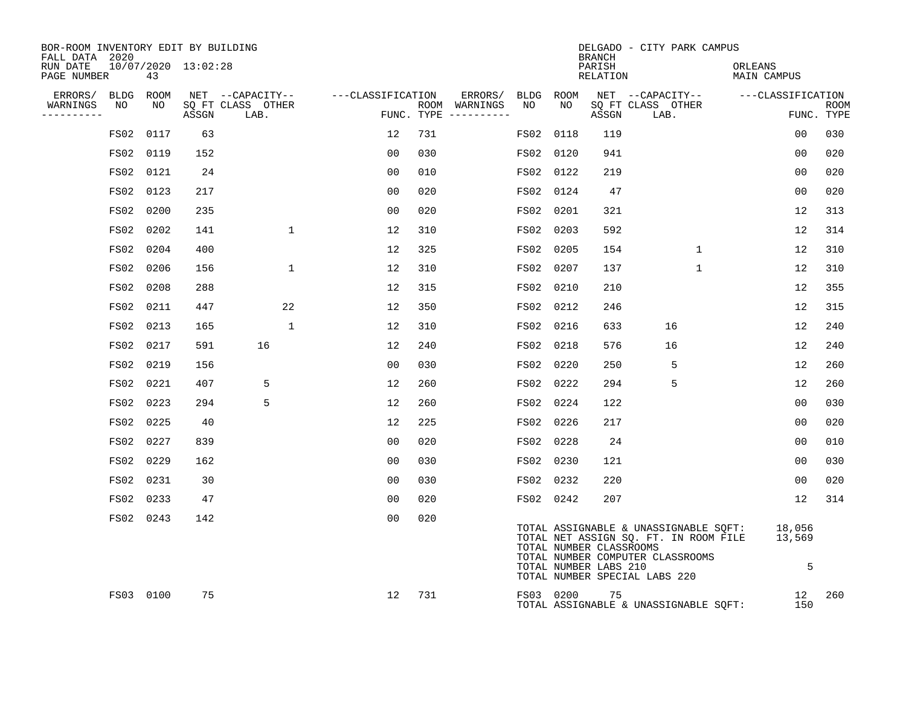| BOR-ROOM INVENTORY EDIT BY BUILDING<br>FALL DATA 2020 |           |    |                     |                           |                                     |     |                                      |           |           | BRANCH                                           | DELGADO - CITY PARK CAMPUS                                                                                                                                        |                        |                   |             |
|-------------------------------------------------------|-----------|----|---------------------|---------------------------|-------------------------------------|-----|--------------------------------------|-----------|-----------|--------------------------------------------------|-------------------------------------------------------------------------------------------------------------------------------------------------------------------|------------------------|-------------------|-------------|
| RUN DATE<br>PAGE NUMBER                               |           | 43 | 10/07/2020 13:02:28 |                           |                                     |     |                                      |           |           | PARISH<br>RELATION                               |                                                                                                                                                                   | ORLEANS<br>MAIN CAMPUS |                   |             |
| ERRORS/ BLDG ROOM                                     |           |    |                     |                           | NET --CAPACITY-- ----CLASSIFICATION |     | ERRORS/ BLDG ROOM                    |           |           |                                                  | NET --CAPACITY-- ---CLASSIFICATION                                                                                                                                |                        |                   |             |
| WARNINGS<br>-----------                               | NO        | NO | ASSGN               | SQ FT CLASS OTHER<br>LAB. |                                     |     | ROOM WARNINGS<br>FUNC. TYPE $------$ | NO        | NO .      | ASSGN                                            | SQ FT CLASS OTHER<br>LAB.                                                                                                                                         |                        | FUNC. TYPE        | <b>ROOM</b> |
|                                                       | FS02 0117 |    | 63                  |                           | 12                                  | 731 |                                      | FS02 0118 |           | 119                                              |                                                                                                                                                                   |                        | 0 <sub>0</sub>    | 030         |
|                                                       | FS02 0119 |    | 152                 |                           | 00                                  | 030 |                                      | FS02 0120 |           | 941                                              |                                                                                                                                                                   |                        | 00                | 020         |
|                                                       | FS02 0121 |    | 24                  |                           | 0 <sub>0</sub>                      | 010 |                                      |           | FS02 0122 | 219                                              |                                                                                                                                                                   |                        | 0 <sub>0</sub>    | 020         |
|                                                       | FS02 0123 |    | 217                 |                           | 00                                  | 020 |                                      |           | FS02 0124 | 47                                               |                                                                                                                                                                   |                        | 0 <sub>0</sub>    | 020         |
|                                                       | FS02 0200 |    | 235                 |                           | 0 <sub>0</sub>                      | 020 |                                      |           | FS02 0201 | 321                                              |                                                                                                                                                                   |                        | 12                | 313         |
|                                                       | FS02 0202 |    | 141                 | $\mathbf{1}$              | 12                                  | 310 |                                      | FS02 0203 |           | 592                                              |                                                                                                                                                                   |                        | 12                | 314         |
|                                                       | FS02 0204 |    | 400                 |                           | 12                                  | 325 |                                      |           | FS02 0205 | 154                                              | $\mathbf{1}$                                                                                                                                                      |                        | 12                | 310         |
|                                                       | FS02 0206 |    | 156                 | 1                         | 12                                  | 310 |                                      | FS02 0207 |           | 137                                              | $\mathbf{1}$                                                                                                                                                      |                        | 12                | 310         |
|                                                       | FS02 0208 |    | 288                 |                           | 12                                  | 315 |                                      | FS02 0210 |           | 210                                              |                                                                                                                                                                   |                        | 12                | 355         |
|                                                       | FS02 0211 |    | 447                 | 22                        | 12                                  | 350 |                                      | FS02 0212 |           | 246                                              |                                                                                                                                                                   |                        | 12                | 315         |
|                                                       | FS02 0213 |    | 165                 | 1                         | 12                                  | 310 |                                      |           | FS02 0216 | 633                                              | 16                                                                                                                                                                |                        | $12 \overline{ }$ | 240         |
|                                                       | FS02 0217 |    | 591                 | 16                        | 12                                  | 240 |                                      |           | FS02 0218 | 576                                              | 16                                                                                                                                                                |                        | 12                | 240         |
|                                                       | FS02 0219 |    | 156                 |                           | 00                                  | 030 |                                      | FS02 0220 |           | 250                                              | 5                                                                                                                                                                 |                        | $12 \overline{ }$ | 260         |
|                                                       | FS02 0221 |    | 407                 | 5                         | 12                                  | 260 |                                      | FS02 0222 |           | 294                                              | 5                                                                                                                                                                 |                        | 12                | 260         |
|                                                       | FS02 0223 |    | 294                 | 5                         | 12                                  | 260 |                                      |           | FS02 0224 | 122                                              |                                                                                                                                                                   |                        | 00                | 030         |
|                                                       | FS02 0225 |    | 40                  |                           | 12                                  | 225 |                                      |           | FS02 0226 | 217                                              |                                                                                                                                                                   |                        | 0 <sub>0</sub>    | 020         |
|                                                       | FS02 0227 |    | 839                 |                           | 0 <sub>0</sub>                      | 020 |                                      |           | FS02 0228 | 24                                               |                                                                                                                                                                   |                        | 0 <sub>0</sub>    | 010         |
|                                                       | FS02 0229 |    | 162                 |                           | 00                                  | 030 |                                      |           | FS02 0230 | 121                                              |                                                                                                                                                                   |                        | 00                | 030         |
|                                                       | FS02 0231 |    | 30                  |                           | 00                                  | 030 |                                      |           | FS02 0232 | 220                                              |                                                                                                                                                                   |                        | 0 <sub>0</sub>    | 020         |
|                                                       | FS02 0233 |    | 47                  |                           | 0 <sub>0</sub>                      | 020 |                                      |           | FS02 0242 | 207                                              |                                                                                                                                                                   |                        | 12                | 314         |
|                                                       | FS02 0243 |    | 142                 |                           | 00                                  | 020 |                                      |           |           | TOTAL NUMBER CLASSROOMS<br>TOTAL NUMBER LABS 210 | TOTAL ASSIGNABLE & UNASSIGNABLE SQFT: 18,056<br>TOTAL NET ASSIGN SO. FT. IN ROOM FILE 13,569<br>TOTAL NUMBER COMPUTER CLASSROOMS<br>TOTAL NUMBER SPECIAL LABS 220 |                        | 5                 |             |
|                                                       | FS03 0100 |    | 75                  |                           | 12                                  | 731 |                                      |           | FS03 0200 | 75                                               | TOTAL ASSIGNABLE & UNASSIGNABLE SQFT:                                                                                                                             |                        | 12<br>150         | 260         |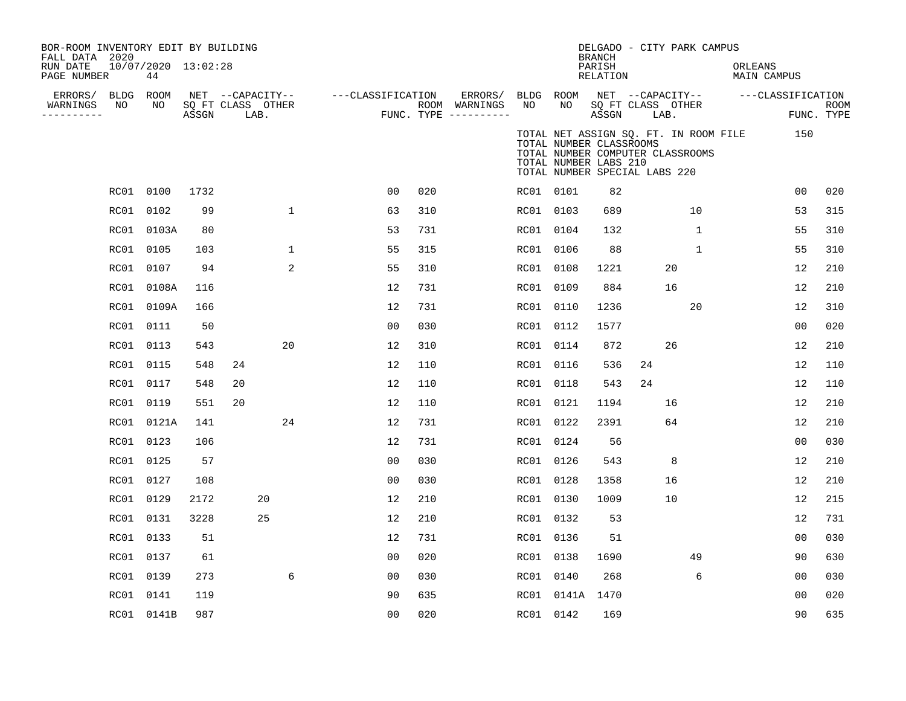| BOR-ROOM INVENTORY EDIT BY BUILDING<br>FALL DATA 2020 |           |                           |       |                           |             |                   |     |                                        |           |                                                                                                                                                                | DELGADO - CITY PARK CAMPUS<br><b>BRANCH</b> |    |      |             |         |                   |                    |
|-------------------------------------------------------|-----------|---------------------------|-------|---------------------------|-------------|-------------------|-----|----------------------------------------|-----------|----------------------------------------------------------------------------------------------------------------------------------------------------------------|---------------------------------------------|----|------|-------------|---------|-------------------|--------------------|
| RUN DATE<br>PAGE NUMBER                               |           | 10/07/2020 13:02:28<br>44 |       |                           |             |                   |     |                                        |           |                                                                                                                                                                | PARISH<br>RELATION                          |    |      |             | ORLEANS | MAIN CAMPUS       |                    |
| ERRORS/                                               |           | BLDG ROOM                 |       | NET --CAPACITY--          |             | ---CLASSIFICATION |     | ERRORS/                                | BLDG ROOM |                                                                                                                                                                | NET --CAPACITY--                            |    |      |             |         | ---CLASSIFICATION |                    |
| WARNINGS<br>----------                                | NO        | NO                        | ASSGN | SO FT CLASS OTHER<br>LAB. |             |                   |     | ROOM WARNINGS<br>FUNC. TYPE ---------- | NO        | NO                                                                                                                                                             | SO FT CLASS OTHER<br>ASSGN                  |    | LAB. |             |         |                   | ROOM<br>FUNC. TYPE |
|                                                       |           |                           |       |                           |             |                   |     |                                        |           | TOTAL NET ASSIGN SQ. FT. IN ROOM FILE<br>TOTAL NUMBER CLASSROOMS<br>TOTAL NUMBER COMPUTER CLASSROOMS<br>TOTAL NUMBER LABS 210<br>TOTAL NUMBER SPECIAL LABS 220 |                                             |    |      |             |         | 150               |                    |
|                                                       |           | RC01 0100                 | 1732  |                           |             | 0 <sub>0</sub>    | 020 |                                        | RC01 0101 |                                                                                                                                                                | 82                                          |    |      |             |         | 0 <sub>0</sub>    | 020                |
|                                                       | RC01      | 0102                      | 99    |                           | $\mathbf 1$ | 63                | 310 |                                        | RC01 0103 |                                                                                                                                                                | 689                                         |    | 10   |             |         | 53                | 315                |
|                                                       |           | RC01 0103A                | 80    |                           |             | 53                | 731 |                                        | RC01 0104 |                                                                                                                                                                | 132                                         |    |      | $\mathbf 1$ |         | 55                | 310                |
|                                                       | RC01      | 0105                      | 103   |                           | $\mathbf 1$ | 55                | 315 |                                        | RC01 0106 |                                                                                                                                                                | 88                                          |    |      | $\mathbf 1$ |         | 55                | 310                |
|                                                       | RC01      | 0107                      | 94    |                           | 2           | 55                | 310 |                                        | RC01 0108 |                                                                                                                                                                | 1221                                        |    | 20   |             |         | 12                | 210                |
|                                                       | RC01      | 0108A                     | 116   |                           |             | 12                | 731 |                                        | RC01      | 0109                                                                                                                                                           | 884                                         |    | 16   |             |         | 12                | 210                |
|                                                       | RC01      | 0109A                     | 166   |                           |             | 12                | 731 |                                        | RC01 0110 |                                                                                                                                                                | 1236                                        |    | 20   |             |         | 12                | 310                |
|                                                       | RC01      | 0111                      | 50    |                           |             | 00                | 030 |                                        | RC01      | 0112                                                                                                                                                           | 1577                                        |    |      |             |         | 0 <sub>0</sub>    | 020                |
|                                                       | RC01      | 0113                      | 543   |                           | 20          | 12                | 310 |                                        | RC01      | 0114                                                                                                                                                           | 872                                         |    | 26   |             |         | 12                | 210                |
|                                                       | RC01      | 0115                      | 548   | 24                        |             | 12                | 110 |                                        | RC01      | 0116                                                                                                                                                           | 536                                         | 24 |      |             |         | 12                | 110                |
|                                                       | RC01      | 0117                      | 548   | 20                        |             | 12                | 110 |                                        | RC01 0118 |                                                                                                                                                                | 543                                         | 24 |      |             |         | 12                | 110                |
|                                                       | RC01      | 0119                      | 551   | 20                        |             | 12                | 110 |                                        | RC01 0121 |                                                                                                                                                                | 1194                                        |    | 16   |             |         | 12                | 210                |
|                                                       |           | RC01 0121A                | 141   |                           | 24          | 12                | 731 |                                        | RC01 0122 |                                                                                                                                                                | 2391                                        |    | 64   |             |         | 12                | 210                |
|                                                       | RC01      | 0123                      | 106   |                           |             | 12                | 731 |                                        | RC01 0124 |                                                                                                                                                                | 56                                          |    |      |             |         | 0 <sub>0</sub>    | 030                |
|                                                       | RC01 0125 |                           | 57    |                           |             | 00                | 030 |                                        | RC01 0126 |                                                                                                                                                                | 543                                         |    | 8    |             |         | 12                | 210                |
|                                                       | RC01 0127 |                           | 108   |                           |             | 0 <sub>0</sub>    | 030 |                                        | RC01 0128 |                                                                                                                                                                | 1358                                        |    | 16   |             |         | 12                | 210                |
|                                                       | RC01 0129 |                           | 2172  |                           | 20          | 12                | 210 |                                        | RC01 0130 |                                                                                                                                                                | 1009                                        |    | 10   |             |         | 12                | 215                |
|                                                       | RC01 0131 |                           | 3228  |                           | 25          | 12                | 210 |                                        | RC01 0132 |                                                                                                                                                                | 53                                          |    |      |             |         | 12                | 731                |
|                                                       | RC01      | 0133                      | 51    |                           |             | 12                | 731 |                                        | RC01 0136 |                                                                                                                                                                | 51                                          |    |      |             |         | 0 <sub>0</sub>    | 030                |
|                                                       | RC01 0137 |                           | 61    |                           |             | 0 <sub>0</sub>    | 020 |                                        | RC01 0138 |                                                                                                                                                                | 1690                                        |    | 49   |             |         | 90                | 630                |
|                                                       | RC01      | 0139                      | 273   |                           | 6           | 0 <sub>0</sub>    | 030 |                                        | RC01 0140 |                                                                                                                                                                | 268                                         |    |      | 6           |         | 00                | 030                |
|                                                       | RC01      | 0141                      | 119   |                           |             | 90                | 635 |                                        |           | RC01 0141A 1470                                                                                                                                                |                                             |    |      |             |         | 0 <sub>0</sub>    | 020                |
|                                                       |           | RC01 0141B                | 987   |                           |             | 0 <sub>0</sub>    | 020 |                                        | RC01 0142 |                                                                                                                                                                | 169                                         |    |      |             |         | 90                | 635                |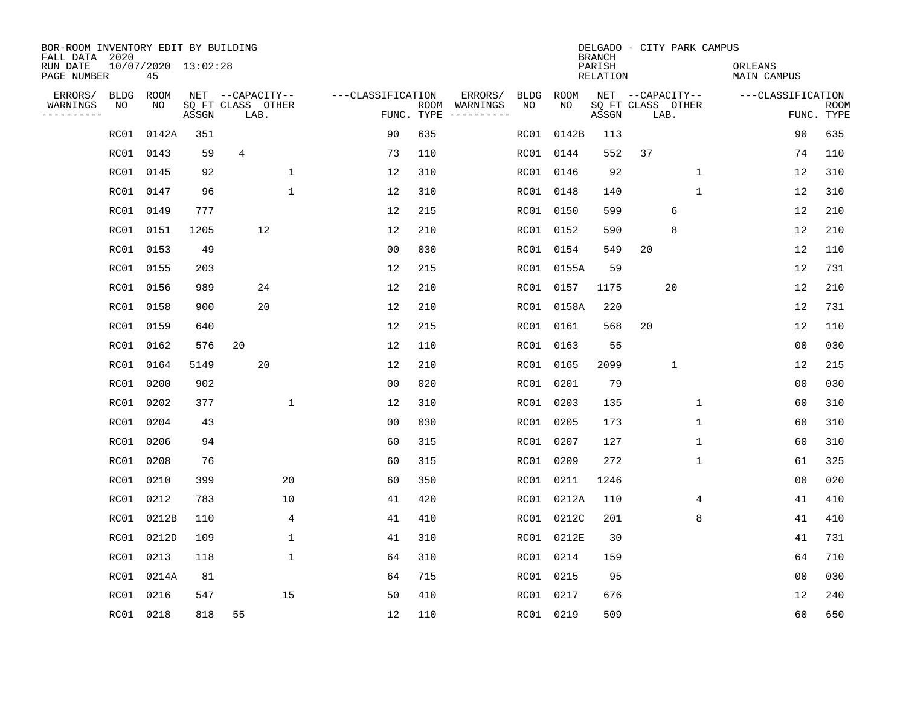| BOR-ROOM INVENTORY EDIT BY BUILDING<br>FALL DATA 2020 |             |                           |       |                           |              |                   |            |                                                                                                                  |             |            | <b>BRANCH</b>             | DELGADO - CITY PARK CAMPUS |              |                               |                   |                           |
|-------------------------------------------------------|-------------|---------------------------|-------|---------------------------|--------------|-------------------|------------|------------------------------------------------------------------------------------------------------------------|-------------|------------|---------------------------|----------------------------|--------------|-------------------------------|-------------------|---------------------------|
| RUN DATE<br>PAGE NUMBER                               |             | 10/07/2020 13:02:28<br>45 |       |                           |              |                   |            |                                                                                                                  |             |            | PARISH<br><b>RELATION</b> |                            |              | ORLEANS<br><b>MAIN CAMPUS</b> |                   |                           |
| ERRORS/                                               | <b>BLDG</b> | ROOM                      |       | NET --CAPACITY--          |              | ---CLASSIFICATION |            | ERRORS/                                                                                                          | <b>BLDG</b> | ROOM       |                           | NET --CAPACITY--           |              |                               | ---CLASSIFICATION |                           |
| WARNINGS<br>.                                         | NO          | NO                        | ASSGN | SQ FT CLASS OTHER<br>LAB. |              |                   | FUNC. TYPE | ROOM WARNINGS<br>$\begin{tabular}{cccccc} - & - & - & - & - & - & - \\ & - & - & - & - & - & - \\ \end{tabular}$ | NO          | NO.        | ASSGN                     | SQ FT CLASS OTHER<br>LAB.  |              |                               |                   | <b>ROOM</b><br>FUNC. TYPE |
|                                                       | RC01        | 0142A                     | 351   |                           |              | 90                | 635        |                                                                                                                  | RC01        | 0142B      | 113                       |                            |              |                               | 90                | 635                       |
|                                                       | RC01        | 0143                      | 59    | 4                         |              | 73                | 110        |                                                                                                                  | RC01        | 0144       | 552                       | 37                         |              |                               | 74                | 110                       |
|                                                       | RC01        | 0145                      | 92    |                           | $\mathbf{1}$ | 12                | 310        |                                                                                                                  | RC01        | 0146       | 92                        |                            | $\mathbf 1$  |                               | 12                | 310                       |
|                                                       | RC01        | 0147                      | 96    |                           | $\mathbf{1}$ | 12                | 310        |                                                                                                                  | RC01        | 0148       | 140                       |                            | $\mathbf{1}$ |                               | 12                | 310                       |
|                                                       | RC01        | 0149                      | 777   |                           |              | 12                | 215        |                                                                                                                  | RC01        | 0150       | 599                       |                            | 6            |                               | 12                | 210                       |
|                                                       | RC01        | 0151                      | 1205  | 12                        |              | 12                | 210        |                                                                                                                  |             | RC01 0152  | 590                       |                            | 8            |                               | 12                | 210                       |
|                                                       | RC01        | 0153                      | 49    |                           |              | 0 <sub>0</sub>    | 030        |                                                                                                                  | RC01        | 0154       | 549                       | 20                         |              |                               | 12                | 110                       |
|                                                       | RC01        | 0155                      | 203   |                           |              | 12                | 215        |                                                                                                                  |             | RC01 0155A | 59                        |                            |              |                               | 12                | 731                       |
|                                                       | RC01        | 0156                      | 989   | 24                        |              | 12                | 210        |                                                                                                                  | RC01        | 0157       | 1175                      |                            | 20           |                               | 12                | 210                       |
|                                                       | RC01        | 0158                      | 900   | 20                        |              | 12                | 210        |                                                                                                                  |             | RC01 0158A | 220                       |                            |              |                               | 12                | 731                       |
|                                                       | RC01        | 0159                      | 640   |                           |              | 12                | 215        |                                                                                                                  | RC01        | 0161       | 568                       | 20                         |              |                               | 12                | 110                       |
|                                                       | RC01        | 0162                      | 576   | 20                        |              | 12                | 110        |                                                                                                                  | RC01        | 0163       | 55                        |                            |              |                               | 0 <sub>0</sub>    | 030                       |
|                                                       | RC01        | 0164                      | 5149  | 20                        |              | 12                | 210        |                                                                                                                  | RC01        | 0165       | 2099                      |                            | $\mathbf{1}$ |                               | 12                | 215                       |
|                                                       | RC01        | 0200                      | 902   |                           |              | 0 <sub>0</sub>    | 020        |                                                                                                                  |             | RC01 0201  | 79                        |                            |              |                               | 0 <sub>0</sub>    | 030                       |
|                                                       | RC01        | 0202                      | 377   |                           | 1            | 12                | 310        |                                                                                                                  | RC01        | 0203       | 135                       |                            | $\mathbf 1$  |                               | 60                | 310                       |
|                                                       | RC01        | 0204                      | 43    |                           |              | 0 <sub>0</sub>    | 030        |                                                                                                                  | RC01        | 0205       | 173                       |                            | $\mathbf 1$  |                               | 60                | 310                       |
|                                                       | RC01        | 0206                      | 94    |                           |              | 60                | 315        |                                                                                                                  | RC01        | 0207       | 127                       |                            | $\mathbf 1$  |                               | 60                | 310                       |
|                                                       | RC01        | 0208                      | 76    |                           |              | 60                | 315        |                                                                                                                  | RC01        | 0209       | 272                       |                            | 1            |                               | 61                | 325                       |
|                                                       | RC01        | 0210                      | 399   |                           | 20           | 60                | 350        |                                                                                                                  | RC01        | 0211       | 1246                      |                            |              |                               | 0 <sub>0</sub>    | 020                       |
|                                                       | RC01        | 0212                      | 783   |                           | 10           | 41                | 420        |                                                                                                                  | RC01        | 0212A      | 110                       |                            | 4            |                               | 41                | 410                       |
|                                                       | RC01        | 0212B                     | 110   |                           | 4            | 41                | 410        |                                                                                                                  | RC01        | 0212C      | 201                       |                            | 8            |                               | 41                | 410                       |
|                                                       | RC01        | 0212D                     | 109   |                           | 1            | 41                | 310        |                                                                                                                  | RC01        | 0212E      | 30                        |                            |              |                               | 41                | 731                       |
|                                                       | RC01        | 0213                      | 118   |                           | $\mathbf{1}$ | 64                | 310        |                                                                                                                  | RC01        | 0214       | 159                       |                            |              |                               | 64                | 710                       |
|                                                       | RC01        | 0214A                     | 81    |                           |              | 64                | 715        |                                                                                                                  | RC01        | 0215       | 95                        |                            |              |                               | 0 <sub>0</sub>    | 030                       |
|                                                       | RC01        | 0216                      | 547   |                           | 15           | 50                | 410        |                                                                                                                  | RC01        | 0217       | 676                       |                            |              |                               | 12                | 240                       |
|                                                       |             | RC01 0218                 | 818   | 55                        |              | 12                | 110        |                                                                                                                  |             | RC01 0219  | 509                       |                            |              |                               | 60                | 650                       |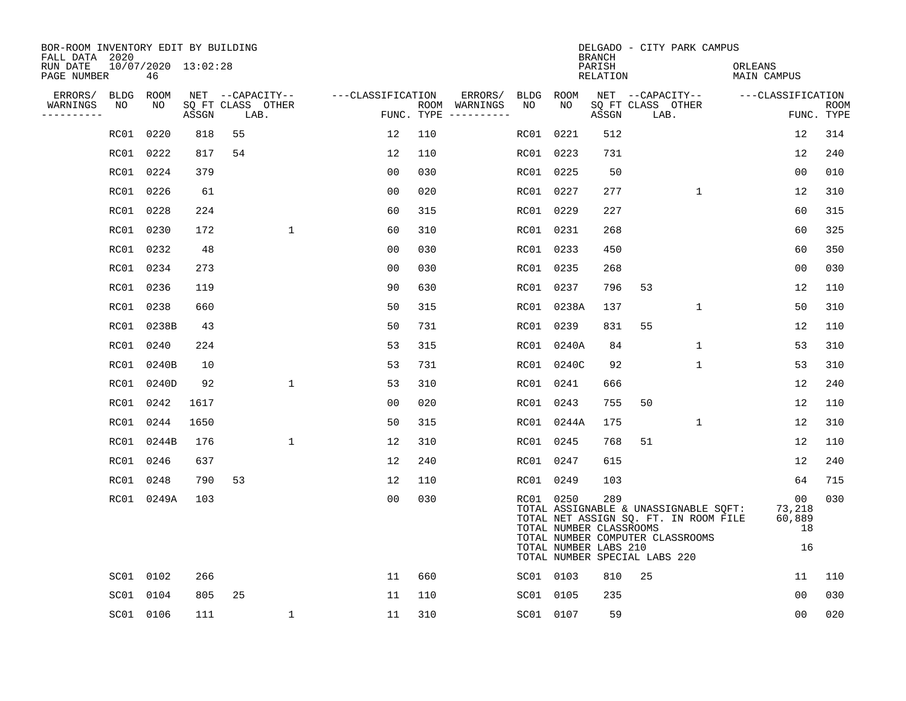| BOR-ROOM INVENTORY EDIT BY BUILDING<br>FALL DATA 2020 |           |                           |       |                           |              |                   |     |                                      |           |                                                                                                | <b>BRANCH</b>      |    | DELGADO - CITY PARK CAMPUS                                                                                         |                        |                                                 |                           |
|-------------------------------------------------------|-----------|---------------------------|-------|---------------------------|--------------|-------------------|-----|--------------------------------------|-----------|------------------------------------------------------------------------------------------------|--------------------|----|--------------------------------------------------------------------------------------------------------------------|------------------------|-------------------------------------------------|---------------------------|
| RUN DATE<br>PAGE NUMBER                               |           | 10/07/2020 13:02:28<br>46 |       |                           |              |                   |     |                                      |           |                                                                                                | PARISH<br>RELATION |    |                                                                                                                    | ORLEANS<br>MAIN CAMPUS |                                                 |                           |
| ERRORS/                                               | BLDG      | ROOM                      |       | NET --CAPACITY--          |              | ---CLASSIFICATION |     | ERRORS/                              | BLDG      | ROOM                                                                                           |                    |    | NET --CAPACITY--                                                                                                   | ---CLASSIFICATION      |                                                 |                           |
| WARNINGS<br>----------                                | NO        | NO                        | ASSGN | SQ FT CLASS OTHER<br>LAB. |              |                   |     | ROOM WARNINGS<br>FUNC. TYPE $------$ | NO        | NO                                                                                             | ASSGN              |    | SQ FT CLASS OTHER<br>LAB.                                                                                          |                        |                                                 | <b>ROOM</b><br>FUNC. TYPE |
|                                                       | RC01 0220 |                           | 818   | 55                        |              | 12                | 110 |                                      | RC01      | 0221                                                                                           | 512                |    |                                                                                                                    |                        | 12                                              | 314                       |
|                                                       | RC01 0222 |                           | 817   | 54                        |              | 12                | 110 |                                      | RC01 0223 |                                                                                                | 731                |    |                                                                                                                    |                        | 12                                              | 240                       |
|                                                       | RC01 0224 |                           | 379   |                           |              | 0 <sub>0</sub>    | 030 |                                      |           | RC01 0225                                                                                      | 50                 |    |                                                                                                                    |                        | 00                                              | 010                       |
|                                                       | RC01 0226 |                           | 61    |                           |              | 0 <sub>0</sub>    | 020 |                                      |           | RC01 0227                                                                                      | 277                |    | $\mathbf{1}$                                                                                                       |                        | 12                                              | 310                       |
|                                                       | RC01 0228 |                           | 224   |                           |              | 60                | 315 |                                      |           | RC01 0229                                                                                      | 227                |    |                                                                                                                    |                        | 60                                              | 315                       |
|                                                       | RC01 0230 |                           | 172   |                           | $\mathbf 1$  | 60                | 310 |                                      |           | RC01 0231                                                                                      | 268                |    |                                                                                                                    |                        | 60                                              | 325                       |
|                                                       | RC01 0232 |                           | 48    |                           |              | 0 <sub>0</sub>    | 030 |                                      |           | RC01 0233                                                                                      | 450                |    |                                                                                                                    |                        | 60                                              | 350                       |
|                                                       | RC01 0234 |                           | 273   |                           |              | 0 <sub>0</sub>    | 030 |                                      |           | RC01 0235                                                                                      | 268                |    |                                                                                                                    |                        | 0 <sub>0</sub>                                  | 030                       |
|                                                       | RC01 0236 |                           | 119   |                           |              | 90                | 630 |                                      |           | RC01 0237                                                                                      | 796                | 53 |                                                                                                                    |                        | 12                                              | 110                       |
|                                                       | RC01 0238 |                           | 660   |                           |              | 50                | 315 |                                      |           | RC01 0238A                                                                                     | 137                |    | $\mathbf{1}$                                                                                                       |                        | 50                                              | 310                       |
|                                                       |           | RC01 0238B                | 43    |                           |              | 50                | 731 |                                      | RC01      | 0239                                                                                           | 831                | 55 |                                                                                                                    |                        | 12                                              | 110                       |
|                                                       | RC01 0240 |                           | 224   |                           |              | 53                | 315 |                                      |           | RC01 0240A                                                                                     | 84                 |    | 1                                                                                                                  |                        | 53                                              | 310                       |
|                                                       |           | RC01 0240B                | 10    |                           |              | 53                | 731 |                                      | RC01      | 0240C                                                                                          | 92                 |    | 1                                                                                                                  |                        | 53                                              | 310                       |
|                                                       |           | RC01 0240D                | 92    |                           | $\mathbf{1}$ | 53                | 310 |                                      |           | RC01 0241                                                                                      | 666                |    |                                                                                                                    |                        | 12                                              | 240                       |
|                                                       | RC01 0242 |                           | 1617  |                           |              | 0 <sub>0</sub>    | 020 |                                      |           | RC01 0243                                                                                      | 755                | 50 |                                                                                                                    |                        | 12                                              | 110                       |
|                                                       | RC01 0244 |                           | 1650  |                           |              | 50                | 315 |                                      |           | RC01 0244A                                                                                     | 175                |    | $\mathbf{1}$                                                                                                       |                        | 12                                              | 310                       |
|                                                       |           | RC01 0244B                | 176   |                           | 1            | 12                | 310 |                                      |           | RC01 0245                                                                                      | 768                | 51 |                                                                                                                    |                        | 12                                              | 110                       |
|                                                       | RC01 0246 |                           | 637   |                           |              | 12                | 240 |                                      |           | RC01 0247                                                                                      | 615                |    |                                                                                                                    |                        | 12                                              | 240                       |
|                                                       | RC01 0248 |                           | 790   | 53                        |              | 12                | 110 |                                      |           | RC01 0249                                                                                      | 103                |    |                                                                                                                    |                        | 64                                              | 715                       |
|                                                       |           | RC01 0249A                | 103   |                           |              | 0 <sub>0</sub>    | 030 |                                      |           | RC01 0250<br>TOTAL NUMBER CLASSROOMS<br>TOTAL NUMBER LABS 210<br>TOTAL NUMBER SPECIAL LABS 220 | 289                |    | TOTAL ASSIGNABLE & UNASSIGNABLE SQFT:<br>TOTAL NET ASSIGN SQ. FT. IN ROOM FILE<br>TOTAL NUMBER COMPUTER CLASSROOMS |                        | 00 <sub>o</sub><br>73,218<br>60,889<br>18<br>16 | 030                       |
|                                                       |           | SC01 0102                 | 266   |                           |              | 11                | 660 |                                      |           | SC01 0103                                                                                      | 810                | 25 |                                                                                                                    |                        | 11                                              | 110                       |
|                                                       |           | SC01 0104                 | 805   | 25                        |              | 11                | 110 |                                      |           | SC01 0105                                                                                      | 235                |    |                                                                                                                    |                        | 0 <sub>0</sub>                                  | 030                       |
|                                                       |           | SC01 0106                 | 111   |                           | $\mathbf{1}$ | 11                | 310 |                                      |           | SC01 0107                                                                                      | 59                 |    |                                                                                                                    |                        | 00                                              | 020                       |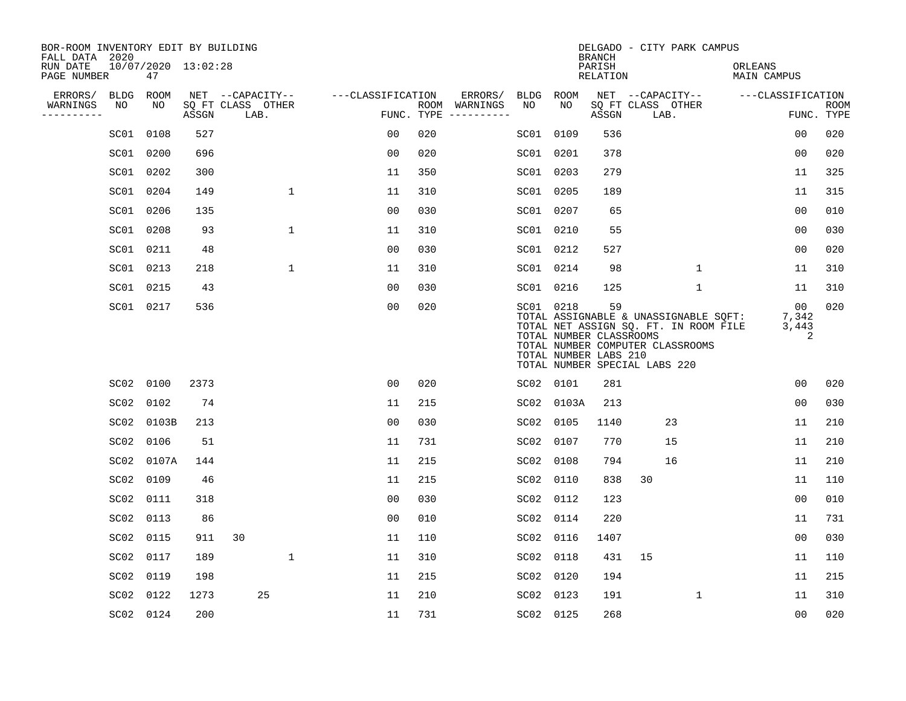| BOR-ROOM INVENTORY EDIT BY BUILDING<br>FALL DATA 2020 |                  |                           |       |                           |              |                   |                    |          |             |           | <b>BRANCH</b>                                                                           |                           | DELGADO - CITY PARK CAMPUS                                                                                         |                               |   |                           |
|-------------------------------------------------------|------------------|---------------------------|-------|---------------------------|--------------|-------------------|--------------------|----------|-------------|-----------|-----------------------------------------------------------------------------------------|---------------------------|--------------------------------------------------------------------------------------------------------------------|-------------------------------|---|---------------------------|
| RUN DATE<br>PAGE NUMBER                               |                  | 10/07/2020 13:02:28<br>47 |       |                           |              |                   |                    |          |             |           | PARISH<br><b>RELATION</b>                                                               |                           |                                                                                                                    | ORLEANS<br><b>MAIN CAMPUS</b> |   |                           |
| ERRORS/                                               | BLDG             | ROOM                      |       | NET --CAPACITY--          |              | ---CLASSIFICATION |                    | ERRORS/  | <b>BLDG</b> | ROOM      |                                                                                         |                           | NET --CAPACITY--                                                                                                   | ---CLASSIFICATION             |   |                           |
| WARNINGS<br>----------                                | NO               | NO                        | ASSGN | SQ FT CLASS OTHER<br>LAB. |              |                   | ROOM<br>FUNC. TYPE | WARNINGS | NO          | NO        | ASSGN                                                                                   | SQ FT CLASS OTHER<br>LAB. |                                                                                                                    |                               |   | <b>ROOM</b><br>FUNC. TYPE |
|                                                       |                  | SC01 0108                 | 527   |                           |              | 0 <sub>0</sub>    | 020                |          | SC01        | 0109      | 536                                                                                     |                           |                                                                                                                    | 0 <sub>0</sub>                |   | 020                       |
|                                                       |                  | SC01 0200                 | 696   |                           |              | 0 <sub>0</sub>    | 020                |          |             | SC01 0201 | 378                                                                                     |                           |                                                                                                                    | 0 <sub>0</sub>                |   | 020                       |
|                                                       |                  | SC01 0202                 | 300   |                           |              | 11                | 350                |          | SC01 0203   |           | 279                                                                                     |                           |                                                                                                                    | 11                            |   | 325                       |
|                                                       | SC01 0204        |                           | 149   |                           | $\mathbf{1}$ | 11                | 310                |          |             | SC01 0205 | 189                                                                                     |                           |                                                                                                                    | 11                            |   | 315                       |
|                                                       |                  | SC01 0206                 | 135   |                           |              | 0 <sub>0</sub>    | 030                |          |             | SC01 0207 | 65                                                                                      |                           |                                                                                                                    | 0 <sub>0</sub>                |   | 010                       |
|                                                       |                  | SC01 0208                 | 93    |                           | $\mathbf{1}$ | 11                | 310                |          |             | SC01 0210 | 55                                                                                      |                           |                                                                                                                    | 0 <sub>0</sub>                |   | 030                       |
|                                                       |                  | SC01 0211                 | 48    |                           |              | 0 <sub>0</sub>    | 030                |          |             | SC01 0212 | 527                                                                                     |                           |                                                                                                                    | 0 <sub>0</sub>                |   | 020                       |
|                                                       |                  | SC01 0213                 | 218   |                           | $\mathbf 1$  | 11                | 310                |          |             | SC01 0214 | 98                                                                                      |                           | $\mathbf{1}$                                                                                                       | 11                            |   | 310                       |
|                                                       |                  | SC01 0215                 | 43    |                           |              | 0 <sub>0</sub>    | 030                |          |             | SC01 0216 | 125                                                                                     |                           | $\mathbf 1$                                                                                                        | 11                            |   | 310                       |
|                                                       |                  | SC01 0217                 | 536   |                           |              | 0 <sub>0</sub>    | 020                |          |             | SC01 0218 | 59<br>TOTAL NUMBER CLASSROOMS<br>TOTAL NUMBER LABS 210<br>TOTAL NUMBER SPECIAL LABS 220 |                           | TOTAL ASSIGNABLE & UNASSIGNABLE SQFT:<br>TOTAL NET ASSIGN SQ. FT. IN ROOM FILE<br>TOTAL NUMBER COMPUTER CLASSROOMS | 00<br>7,342<br>3,443          | 2 | 020                       |
|                                                       |                  | SC02 0100                 | 2373  |                           |              | 0 <sub>0</sub>    | 020                |          | SC02 0101   |           | 281                                                                                     |                           |                                                                                                                    | 0 <sub>0</sub>                |   | 020                       |
|                                                       | SC02             | 0102                      | 74    |                           |              | 11                | 215                |          | SC02        | 0103A     | 213                                                                                     |                           |                                                                                                                    | 0 <sub>0</sub>                |   | 030                       |
|                                                       |                  | SC02 0103B                | 213   |                           |              | 0 <sub>0</sub>    | 030                |          | SC02        | 0105      | 1140                                                                                    |                           | 23                                                                                                                 | 11                            |   | 210                       |
|                                                       | SC02             | 0106                      | 51    |                           |              | 11                | 731                |          | SC02        | 0107      | 770                                                                                     |                           | 15                                                                                                                 | 11                            |   | 210                       |
|                                                       | SC02             | 0107A                     | 144   |                           |              | 11                | 215                |          | SC02        | 0108      | 794                                                                                     |                           | 16                                                                                                                 | 11                            |   | 210                       |
|                                                       | SC02             | 0109                      | 46    |                           |              | 11                | 215                |          | SC02        | 0110      | 838                                                                                     | 30                        |                                                                                                                    | 11                            |   | 110                       |
|                                                       | SC02             | 0111                      | 318   |                           |              | 0 <sub>0</sub>    | 030                |          | SC02        | 0112      | 123                                                                                     |                           |                                                                                                                    | 0 <sub>0</sub>                |   | 010                       |
|                                                       | SC02             | 0113                      | 86    |                           |              | 0 <sub>0</sub>    | 010                |          | SC02        | 0114      | 220                                                                                     |                           |                                                                                                                    | 11                            |   | 731                       |
|                                                       | SC02             | 0115                      | 911   | 30                        |              | 11                | 110                |          | SC02        | 0116      | 1407                                                                                    |                           |                                                                                                                    | 0 <sub>0</sub>                |   | 030                       |
|                                                       | SC02             | 0117                      | 189   |                           | $\mathbf 1$  | 11                | 310                |          | SC02        | 0118      | 431                                                                                     | 15                        |                                                                                                                    | 11                            |   | 110                       |
|                                                       | SC02             | 0119                      | 198   |                           |              | 11                | 215                |          | SC02        | 0120      | 194                                                                                     |                           |                                                                                                                    | 11                            |   | 215                       |
|                                                       | SC <sub>02</sub> | 0122                      | 1273  | 25                        |              | 11                | 210                |          | SC02 0123   |           | 191                                                                                     |                           | 1                                                                                                                  | 11                            |   | 310                       |
|                                                       |                  | SC02 0124                 | 200   |                           |              | 11                | 731                |          | SC02 0125   |           | 268                                                                                     |                           |                                                                                                                    | 00                            |   | 020                       |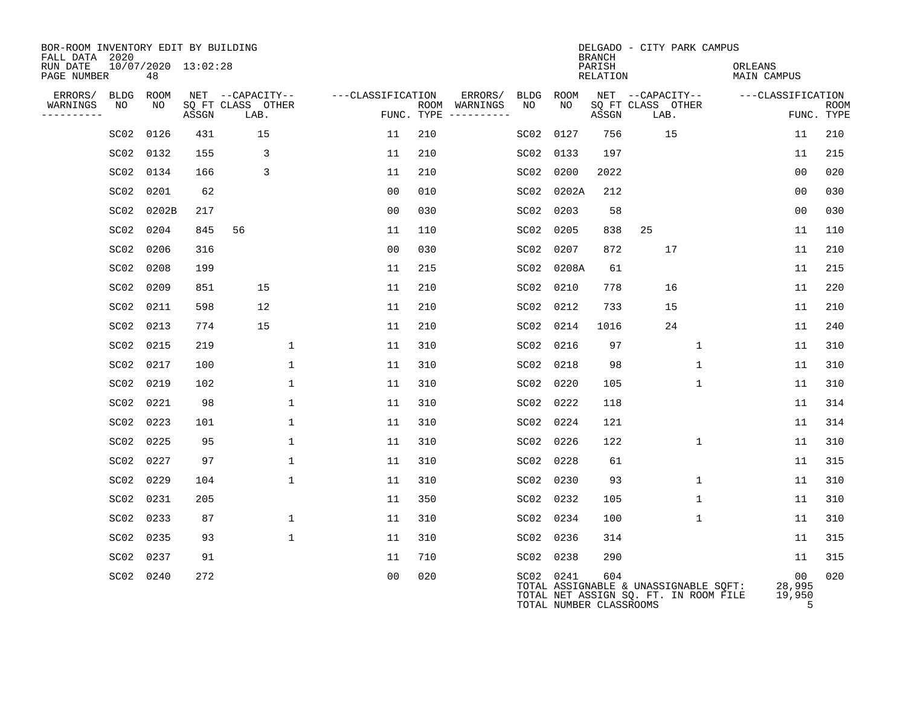| BOR-ROOM INVENTORY EDIT BY BUILDING<br>FALL DATA 2020 |                           |       |                           |                   |     |                                      |           |                                      | <b>BRANCH</b>             |      | DELGADO - CITY PARK CAMPUS                                                     |                               |                             |             |
|-------------------------------------------------------|---------------------------|-------|---------------------------|-------------------|-----|--------------------------------------|-----------|--------------------------------------|---------------------------|------|--------------------------------------------------------------------------------|-------------------------------|-----------------------------|-------------|
| RUN DATE<br>PAGE NUMBER                               | 10/07/2020 13:02:28<br>48 |       |                           |                   |     |                                      |           |                                      | PARISH<br><b>RELATION</b> |      |                                                                                | ORLEANS<br><b>MAIN CAMPUS</b> |                             |             |
| ERRORS/                                               | BLDG<br>ROOM              |       | NET --CAPACITY--          | ---CLASSIFICATION |     | ERRORS/                              | BLDG      | ROOM                                 |                           |      | NET --CAPACITY--                                                               | ---CLASSIFICATION             |                             |             |
| WARNINGS<br>NO<br>---------                           | NO                        | ASSGN | SQ FT CLASS OTHER<br>LAB. |                   |     | ROOM WARNINGS<br>FUNC. TYPE $------$ | NO        | NO.                                  | ASSGN                     | LAB. | SQ FT CLASS OTHER                                                              |                               | FUNC. TYPE                  | <b>ROOM</b> |
|                                                       | 0126<br>SC02              | 431   | 15                        | 11                | 210 |                                      | SC02      | 0127                                 | 756                       |      | 15                                                                             |                               | 11                          | 210         |
|                                                       | SC02 0132                 | 155   | 3                         | 11                | 210 |                                      | SC02      | 0133                                 | 197                       |      |                                                                                |                               | 11                          | 215         |
|                                                       | SC02 0134                 | 166   | 3                         | 11                | 210 |                                      | SC02      | 0200                                 | 2022                      |      |                                                                                |                               | 0 <sub>0</sub>              | 020         |
|                                                       | 0201<br>SC02              | 62    |                           | 0 <sub>0</sub>    | 010 |                                      | SC02      | 0202A                                | 212                       |      |                                                                                |                               | 0 <sub>0</sub>              | 030         |
|                                                       | SC02 0202B                | 217   |                           | 0 <sub>0</sub>    | 030 |                                      | SC02      | 0203                                 | 58                        |      |                                                                                |                               | 0 <sub>0</sub>              | 030         |
|                                                       | SC02 0204                 | 845   | 56                        | 11                | 110 |                                      | SC02      | 0205                                 | 838                       | 25   |                                                                                |                               | 11                          | 110         |
|                                                       | SC02 0206                 | 316   |                           | 0 <sub>0</sub>    | 030 |                                      | SC02      | 0207                                 | 872                       |      | 17                                                                             |                               | 11                          | 210         |
|                                                       | SC02 0208                 | 199   |                           | 11                | 215 |                                      | SC02      | 0208A                                | 61                        |      |                                                                                |                               | 11                          | 215         |
|                                                       | SC02 0209                 | 851   | 15                        | 11                | 210 |                                      | SC02      | 0210                                 | 778                       |      | 16                                                                             |                               | 11                          | 220         |
|                                                       | SC02 0211                 | 598   | 12                        | 11                | 210 |                                      | SC02      | 0212                                 | 733                       |      | 15                                                                             |                               | 11                          | 210         |
|                                                       | SC02 0213                 | 774   | 15                        | 11                | 210 |                                      | SC02      | 0214                                 | 1016                      |      | 24                                                                             |                               | 11                          | 240         |
|                                                       | SC02 0215                 | 219   | $\mathbf{1}$              | 11                | 310 |                                      | SC02      | 0216                                 | 97                        |      | $\mathbf 1$                                                                    |                               | 11                          | 310         |
|                                                       | SC02 0217                 | 100   | $\mathbf{1}$              | 11                | 310 |                                      |           | SC02 0218                            | 98                        |      | $\mathbf{1}$                                                                   |                               | 11                          | 310         |
|                                                       | SC02 0219                 | 102   | $\mathbf{1}$              | 11                | 310 |                                      | SC02      | 0220                                 | 105                       |      | $\mathbf{1}$                                                                   |                               | 11                          | 310         |
|                                                       | SC02 0221                 | 98    | $\mathbf 1$               | 11                | 310 |                                      | SC02      | 0222                                 | 118                       |      |                                                                                |                               | 11                          | 314         |
|                                                       | SC02 0223                 | 101   | $\mathbf{1}$              | 11                | 310 |                                      | SC02      | 0224                                 | 121                       |      |                                                                                |                               | 11                          | 314         |
|                                                       | SC02 0225                 | 95    | $\mathbf 1$               | 11                | 310 |                                      |           | SC02 0226                            | 122                       |      | $\mathbf{1}$                                                                   |                               | 11                          | 310         |
|                                                       | SC02 0227                 | 97    | $\mathbf 1$               | 11                | 310 |                                      | SC02      | 0228                                 | 61                        |      |                                                                                |                               | 11                          | 315         |
|                                                       | SC02 0229                 | 104   | $\mathbf{1}$              | 11                | 310 |                                      |           | SC02 0230                            | 93                        |      | $\mathbf{1}$                                                                   |                               | 11                          | 310         |
|                                                       | SC02 0231                 | 205   |                           | 11                | 350 |                                      |           | SC02 0232                            | 105                       |      | $\mathbf{1}$                                                                   |                               | 11                          | 310         |
|                                                       | SC02 0233                 | 87    | $\mathbf{1}$              | 11                | 310 |                                      |           | SC02 0234                            | 100                       |      | $\mathbf{1}$                                                                   |                               | 11                          | 310         |
|                                                       | SC02 0235                 | 93    | $\mathbf{1}$              | 11                | 310 |                                      |           | SC02 0236                            | 314                       |      |                                                                                |                               | 11                          | 315         |
|                                                       | SC02 0237                 | 91    |                           | 11                | 710 |                                      | SC02 0238 |                                      | 290                       |      |                                                                                |                               | 11                          | 315         |
|                                                       | SC02 0240                 | 272   |                           | 0 <sub>0</sub>    | 020 |                                      |           | SC02 0241<br>TOTAL NUMBER CLASSROOMS | 604                       |      | TOTAL ASSIGNABLE & UNASSIGNABLE SQFT:<br>TOTAL NET ASSIGN SQ. FT. IN ROOM FILE |                               | 00<br>28,995<br>19,950<br>5 | 020         |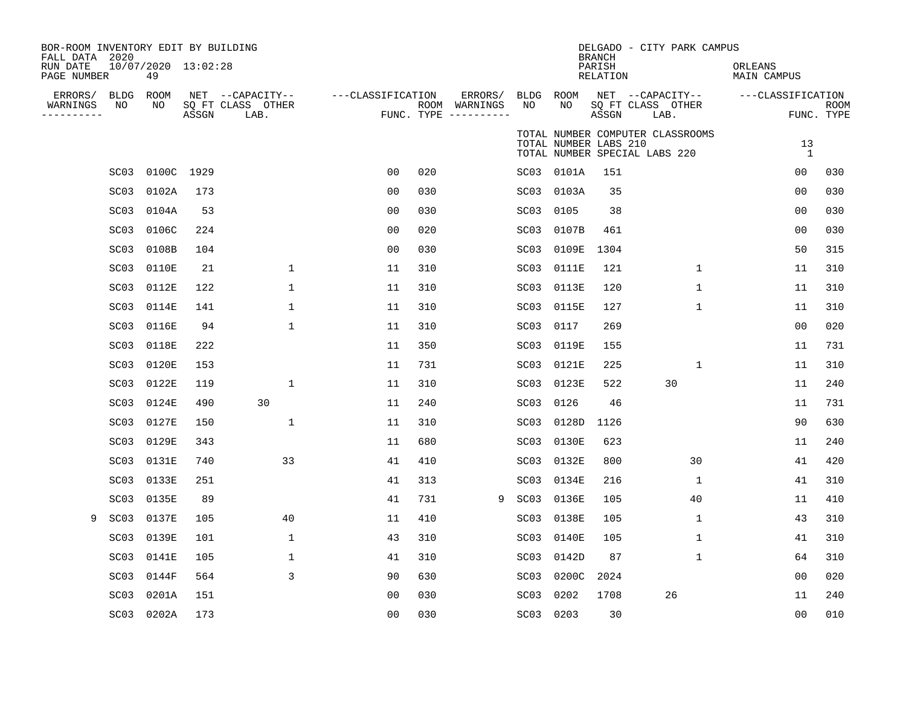| BOR-ROOM INVENTORY EDIT BY BUILDING<br>FALL DATA 2020<br>RUN DATE<br>PAGE NUMBER |                   | 10/07/2020 13:02:28<br>49 |       |                                               |                   |     |                                                 |                  |                       | <b>BRANCH</b><br>PARISH<br><b>RELATION</b> | DELGADO - CITY PARK CAMPUS                                        | ORLEANS<br><b>MAIN CAMPUS</b> |                           |
|----------------------------------------------------------------------------------|-------------------|---------------------------|-------|-----------------------------------------------|-------------------|-----|-------------------------------------------------|------------------|-----------------------|--------------------------------------------|-------------------------------------------------------------------|-------------------------------|---------------------------|
| ERRORS/<br>WARNINGS<br>---------                                                 | BLDG ROOM<br>NO   | NO                        | ASSGN | NET --CAPACITY--<br>SQ FT CLASS OTHER<br>LAB. | ---CLASSIFICATION |     | ERRORS/<br>ROOM WARNINGS<br>FUNC. TYPE $------$ | BLDG ROOM<br>NO  | NO                    | ASSGN                                      | NET --CAPACITY--<br>SQ FT CLASS OTHER<br>LAB.                     | ---CLASSIFICATION             | <b>ROOM</b><br>FUNC. TYPE |
|                                                                                  |                   |                           |       |                                               |                   |     |                                                 |                  | TOTAL NUMBER LABS 210 |                                            | TOTAL NUMBER COMPUTER CLASSROOMS<br>TOTAL NUMBER SPECIAL LABS 220 | 13<br>1                       |                           |
|                                                                                  | SC <sub>03</sub>  | 0100C 1929                |       |                                               | 0 <sub>0</sub>    | 020 |                                                 |                  | SC03 0101A            | 151                                        |                                                                   | 00                            | 030                       |
|                                                                                  | SC <sub>03</sub>  | 0102A                     | 173   |                                               | 0 <sub>0</sub>    | 030 |                                                 |                  | SC03 0103A            | 35                                         |                                                                   | 0 <sub>0</sub>                | 030                       |
|                                                                                  | SC03              | 0104A                     | 53    |                                               | 00                | 030 |                                                 | SC03             | 0105                  | 38                                         |                                                                   | 0 <sub>0</sub>                | 030                       |
|                                                                                  | SC <sub>03</sub>  | 0106C                     | 224   |                                               | 0 <sub>0</sub>    | 020 |                                                 |                  | SC03 0107B            | 461                                        |                                                                   | 0 <sub>0</sub>                | 030                       |
|                                                                                  | SC <sub>03</sub>  | 0108B                     | 104   |                                               | 00                | 030 |                                                 |                  | SC03 0109E            | 1304                                       |                                                                   | 50                            | 315                       |
|                                                                                  | SC <sub>03</sub>  | 0110E                     | 21    | $\mathbf{1}$                                  | 11                | 310 |                                                 |                  | SC03 0111E            | 121                                        | $\mathbf{1}$                                                      | 11                            | 310                       |
|                                                                                  | SC <sub>03</sub>  | 0112E                     | 122   | $\mathbf 1$                                   | 11                | 310 |                                                 | SC03             | 0113E                 | 120                                        | $\mathbf 1$                                                       | 11                            | 310                       |
|                                                                                  | SC <sub>03</sub>  | 0114E                     | 141   | $\mathbf{1}$                                  | 11                | 310 |                                                 | SC03             | 0115E                 | 127                                        | 1                                                                 | 11                            | 310                       |
|                                                                                  | SC <sub>03</sub>  | 0116E                     | 94    | 1                                             | 11                | 310 |                                                 | SC03             | 0117                  | 269                                        |                                                                   | 0 <sub>0</sub>                | 020                       |
|                                                                                  | SC <sub>0</sub> 3 | 0118E                     | 222   |                                               | 11                | 350 |                                                 |                  | SC03 0119E            | 155                                        |                                                                   | 11                            | 731                       |
|                                                                                  | SC <sub>03</sub>  | 0120E                     | 153   |                                               | 11                | 731 |                                                 | SC03             | 0121E                 | 225                                        | $\mathbf{1}$                                                      | 11                            | 310                       |
|                                                                                  | SC <sub>03</sub>  | 0122E                     | 119   | 1                                             | 11                | 310 |                                                 | SC03             | 0123E                 | 522                                        | 30                                                                | 11                            | 240                       |
|                                                                                  | SC <sub>03</sub>  | 0124E                     | 490   | 30                                            | 11                | 240 |                                                 |                  | SC03 0126             | 46                                         |                                                                   | 11                            | 731                       |
|                                                                                  | SC <sub>03</sub>  | 0127E                     | 150   | 1                                             | 11                | 310 |                                                 |                  | SC03 0128D            | 1126                                       |                                                                   | 90                            | 630                       |
|                                                                                  | SC <sub>03</sub>  | 0129E                     | 343   |                                               | 11                | 680 |                                                 |                  | SC03 0130E            | 623                                        |                                                                   | 11                            | 240                       |
|                                                                                  | SC <sub>03</sub>  | 0131E                     | 740   | 33                                            | 41                | 410 |                                                 |                  | SC03 0132E            | 800                                        | 30                                                                | 41                            | 420                       |
|                                                                                  | SC03              | 0133E                     | 251   |                                               | 41                | 313 |                                                 |                  | SC03 0134E            | 216                                        | $\mathbf{1}$                                                      | 41                            | 310                       |
|                                                                                  | SC03              | 0135E                     | 89    |                                               | 41                | 731 | 9                                               |                  | SC03 0136E            | 105                                        | 40                                                                | 11                            | 410                       |
| 9                                                                                | SC <sub>03</sub>  | 0137E                     | 105   | 40                                            | 11                | 410 |                                                 | SC03             | 0138E                 | 105                                        | 1                                                                 | 43                            | 310                       |
|                                                                                  | SC03              | 0139E                     | 101   | $\mathbf 1$                                   | 43                | 310 |                                                 | SC03             | 0140E                 | 105                                        | $\mathbf{1}$                                                      | 41                            | 310                       |
|                                                                                  | SC <sub>03</sub>  | 0141E                     | 105   | 1                                             | 41                | 310 |                                                 |                  | SC03 0142D            | 87                                         | $\mathbf{1}$                                                      | 64                            | 310                       |
|                                                                                  | SC03              | 0144F                     | 564   | 3                                             | 90                | 630 |                                                 | SC03             | 0200C                 | 2024                                       |                                                                   | 00                            | 020                       |
|                                                                                  | SC <sub>03</sub>  | 0201A                     | 151   |                                               | 0 <sub>0</sub>    | 030 |                                                 | SC <sub>03</sub> | 0202                  | 1708                                       | 26                                                                | 11                            | 240                       |
|                                                                                  |                   | SC03 0202A                | 173   |                                               | 0 <sub>0</sub>    | 030 |                                                 |                  | SC03 0203             | 30                                         |                                                                   | 00                            | 010                       |
|                                                                                  |                   |                           |       |                                               |                   |     |                                                 |                  |                       |                                            |                                                                   |                               |                           |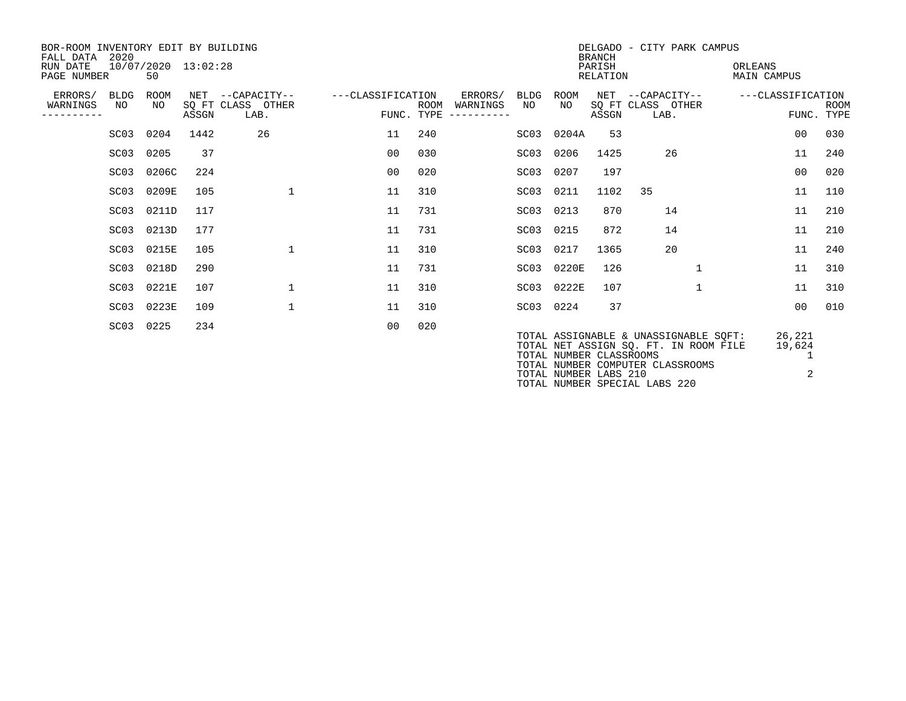| BOR-ROOM INVENTORY EDIT BY BUILDING<br>2020<br>FALL DATA |                           |                     |                                               |                   |                    |                                                     |            |                                                  | <b>BRANCH</b> | DELGADO - CITY PARK CAMPUS                                                                                                                          |                       |                           |  |
|----------------------------------------------------------|---------------------------|---------------------|-----------------------------------------------|-------------------|--------------------|-----------------------------------------------------|------------|--------------------------------------------------|---------------|-----------------------------------------------------------------------------------------------------------------------------------------------------|-----------------------|---------------------------|--|
| RUN DATE<br>PAGE NUMBER                                  | 50                        | 10/07/2020 13:02:28 |                                               |                   |                    | PARISH<br>ORLEANS<br>RELATION<br><b>MAIN CAMPUS</b> |            |                                                  |               |                                                                                                                                                     |                       |                           |  |
| ERRORS/<br>WARNINGS                                      | ROOM<br>BLDG<br>NO<br>NO  | ASSGN               | NET --CAPACITY--<br>SQ FT CLASS OTHER<br>LAB. | ---CLASSIFICATION | ROOM<br>FUNC. TYPE | ERRORS/<br>WARNINGS<br>----------                   | BLDG<br>NO | ROOM<br>NO.                                      | ASSGN         | NET --CAPACITY--<br>SQ FT CLASS OTHER<br>LAB.                                                                                                       | ---CLASSIFICATION     | <b>ROOM</b><br>FUNC. TYPE |  |
|                                                          | SC03 0204                 | 1442                | 26                                            | 11                | 240                |                                                     | SC03       | 0204A                                            | 53            |                                                                                                                                                     | 00                    | 030                       |  |
|                                                          | 0205<br>SC <sub>0</sub> 3 | 37                  |                                               | 00                | 030                |                                                     | SC03       | 0206                                             | 1425          | 26                                                                                                                                                  | 11                    | 240                       |  |
|                                                          | 0206C<br>SC <sub>03</sub> | 224                 |                                               | 00                | 020                |                                                     | SC03       | 0207                                             | 197           |                                                                                                                                                     | 00                    | 020                       |  |
|                                                          | 0209E<br>SC <sub>03</sub> | 105                 | $\mathbf{1}$                                  | 11                | 310                |                                                     | SC03       | 0211                                             | 1102          | 35                                                                                                                                                  | 11                    | 110                       |  |
|                                                          | 0211D<br>SC <sub>03</sub> | 117                 |                                               | 11                | 731                |                                                     | SC03       | 0213                                             | 870           | 14                                                                                                                                                  | 11                    | 210                       |  |
|                                                          | 0213D<br>SC03             | 177                 |                                               | 11                | 731                |                                                     | SC03       | 0215                                             | 872           | 14                                                                                                                                                  | 11                    | 210                       |  |
|                                                          | SC03 0215E                | 105                 | $\mathbf{1}$                                  | 11                | 310                |                                                     | SC03       | 0217                                             | 1365          | 20                                                                                                                                                  | 11                    | 240                       |  |
|                                                          | SC03 0218D                | 290                 |                                               | 11                | 731                |                                                     |            | SC03 0220E                                       | 126           | $\mathbf{1}$                                                                                                                                        | 11                    | 310                       |  |
|                                                          | SC03 0221E                | 107                 | $\mathbf{1}$                                  | 11                | 310                |                                                     |            | SC03 0222E                                       | 107           | $\mathbf{1}$                                                                                                                                        | 11                    | 310                       |  |
|                                                          | 0223E<br>SC03             | 109                 | $\mathbf 1$                                   | 11                | 310                |                                                     |            | SC03 0224                                        | 37            |                                                                                                                                                     | 0 <sub>0</sub>        | 010                       |  |
| SC <sub>0</sub> 3                                        | 0225                      | 234                 |                                               | 00                | 020                |                                                     |            | TOTAL NUMBER CLASSROOMS<br>TOTAL NUMBER LABS 210 |               | TOTAL ASSIGNABLE & UNASSIGNABLE SOFT:<br>TOTAL NET ASSIGN SO. FT. IN ROOM FILE<br>TOTAL NUMBER COMPUTER CLASSROOMS<br>TOTAL NUMBER SPECIAL LABS 220 | 26,221<br>19,624<br>2 |                           |  |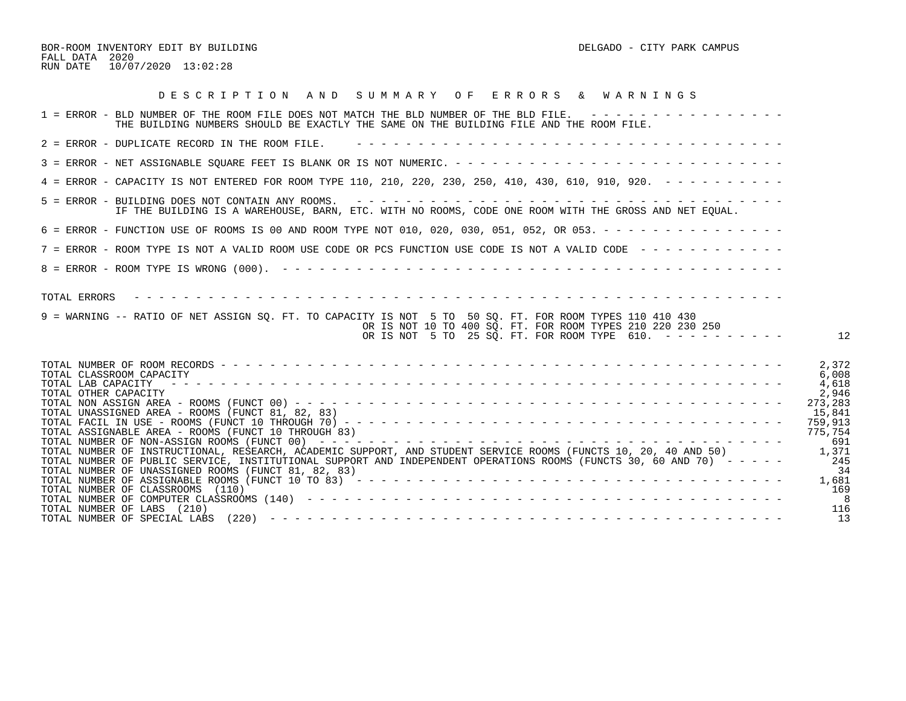BOR-ROOM INVENTORY EDIT BY BUILDING DELGADO - CITY PARK CAMPUS FALL DATA 2020 RUN DATE 10/07/2020 13:02:28

| 1 = ERROR - BLD NUMBER OF THE ROOM FILE DOES NOT MATCH THE BLD NUMBER OF THE BLD FILE. ----------------<br>THE BUILDING NUMBERS SHOULD BE EXACTLY THE SAME ON THE BUILDING FILE AND THE ROOM FILE.<br>2 = ERROR - DUPLICATE RECORD IN THE ROOM FILE.<br>4 = ERROR - CAPACITY IS NOT ENTERED FOR ROOM TYPE 110, 210, 220, 230, 250, 410, 430, 610, 910, 920. - - - - - - - - -<br>IF THE BUILDING IS A WAREHOUSE, BARN, ETC. WITH NO ROOMS, CODE ONE ROOM WITH THE GROSS AND NET EOUAL.<br>6 = ERROR - FUNCTION USE OF ROOMS IS 00 AND ROOM TYPE NOT 010, 020, 030, 051, 052, OR 053. - - - - - - - - - - - - - - -<br>7 = ERROR - ROOM TYPE IS NOT A VALID ROOM USE CODE OR PCS FUNCTION USE CODE IS NOT A VALID CODE - - - - - - - - - - - -<br>9 = WARNING -- RATIO OF NET ASSIGN SQ. FT. TO CAPACITY IS NOT 5 TO 50 SQ. FT. FOR ROOM TYPES 110 410 430<br>OR IS NOT 10 TO 400 SO. FT. FOR ROOM TYPES 210 220 230 250<br>OR IS NOT 5 TO 25 SQ. FT. FOR ROOM TYPE $610. - - - - - - - - -$<br>12<br>2,372<br>6,008<br>TOTAL CLASSROOM CAPACITY<br>TOTAL LAB CAPACITY<br>4,618<br>TOTAL OTHER CAPACITY<br>2,946<br>273,283<br>TOTAL UNASSIGNED AREA - ROOMS (FUNCT 81, 82, 83)<br>15,841<br>759,913<br>TOTAL ASSIGNABLE AREA - ROOMS (FUNCT 10 THROUGH 83)<br>775,754<br>691<br>TOTAL NUMBER OF INSTRUCTIONAL, RESEARCH, ACADEMIC SUPPORT, AND STUDENT SERVICE ROOMS (FUNCTS 10, 20, 40 AND 50)<br>1,371<br>TOTAL NUMBER OF PUBLIC SERVICE, INSTITUTIONAL SUPPORT AND INDEPENDENT OPERATIONS ROOMS (FUNCTS 30, 60 AND 70) -----<br>245<br>TOTAL NUMBER OF UNASSIGNED ROOMS (FUNCT 81, 82, 83)<br>34<br>1,681<br>TOTAL NUMBER OF CLASSROOMS (110)<br>169<br>- 8<br>116<br>TOTAL NUMBER OF LABS (210)<br>13 | DESCRIPTION AND SUMMARY OF ERRORS & WARNINGS |
|-----------------------------------------------------------------------------------------------------------------------------------------------------------------------------------------------------------------------------------------------------------------------------------------------------------------------------------------------------------------------------------------------------------------------------------------------------------------------------------------------------------------------------------------------------------------------------------------------------------------------------------------------------------------------------------------------------------------------------------------------------------------------------------------------------------------------------------------------------------------------------------------------------------------------------------------------------------------------------------------------------------------------------------------------------------------------------------------------------------------------------------------------------------------------------------------------------------------------------------------------------------------------------------------------------------------------------------------------------------------------------------------------------------------------------------------------------------------------------------------------------------------------------------------------------------------------------------------------------------------------------------------------------------------------------------------------------------|----------------------------------------------|
|                                                                                                                                                                                                                                                                                                                                                                                                                                                                                                                                                                                                                                                                                                                                                                                                                                                                                                                                                                                                                                                                                                                                                                                                                                                                                                                                                                                                                                                                                                                                                                                                                                                                                                           |                                              |
|                                                                                                                                                                                                                                                                                                                                                                                                                                                                                                                                                                                                                                                                                                                                                                                                                                                                                                                                                                                                                                                                                                                                                                                                                                                                                                                                                                                                                                                                                                                                                                                                                                                                                                           |                                              |
|                                                                                                                                                                                                                                                                                                                                                                                                                                                                                                                                                                                                                                                                                                                                                                                                                                                                                                                                                                                                                                                                                                                                                                                                                                                                                                                                                                                                                                                                                                                                                                                                                                                                                                           |                                              |
|                                                                                                                                                                                                                                                                                                                                                                                                                                                                                                                                                                                                                                                                                                                                                                                                                                                                                                                                                                                                                                                                                                                                                                                                                                                                                                                                                                                                                                                                                                                                                                                                                                                                                                           |                                              |
|                                                                                                                                                                                                                                                                                                                                                                                                                                                                                                                                                                                                                                                                                                                                                                                                                                                                                                                                                                                                                                                                                                                                                                                                                                                                                                                                                                                                                                                                                                                                                                                                                                                                                                           |                                              |
|                                                                                                                                                                                                                                                                                                                                                                                                                                                                                                                                                                                                                                                                                                                                                                                                                                                                                                                                                                                                                                                                                                                                                                                                                                                                                                                                                                                                                                                                                                                                                                                                                                                                                                           |                                              |
|                                                                                                                                                                                                                                                                                                                                                                                                                                                                                                                                                                                                                                                                                                                                                                                                                                                                                                                                                                                                                                                                                                                                                                                                                                                                                                                                                                                                                                                                                                                                                                                                                                                                                                           |                                              |
|                                                                                                                                                                                                                                                                                                                                                                                                                                                                                                                                                                                                                                                                                                                                                                                                                                                                                                                                                                                                                                                                                                                                                                                                                                                                                                                                                                                                                                                                                                                                                                                                                                                                                                           |                                              |
|                                                                                                                                                                                                                                                                                                                                                                                                                                                                                                                                                                                                                                                                                                                                                                                                                                                                                                                                                                                                                                                                                                                                                                                                                                                                                                                                                                                                                                                                                                                                                                                                                                                                                                           |                                              |
|                                                                                                                                                                                                                                                                                                                                                                                                                                                                                                                                                                                                                                                                                                                                                                                                                                                                                                                                                                                                                                                                                                                                                                                                                                                                                                                                                                                                                                                                                                                                                                                                                                                                                                           |                                              |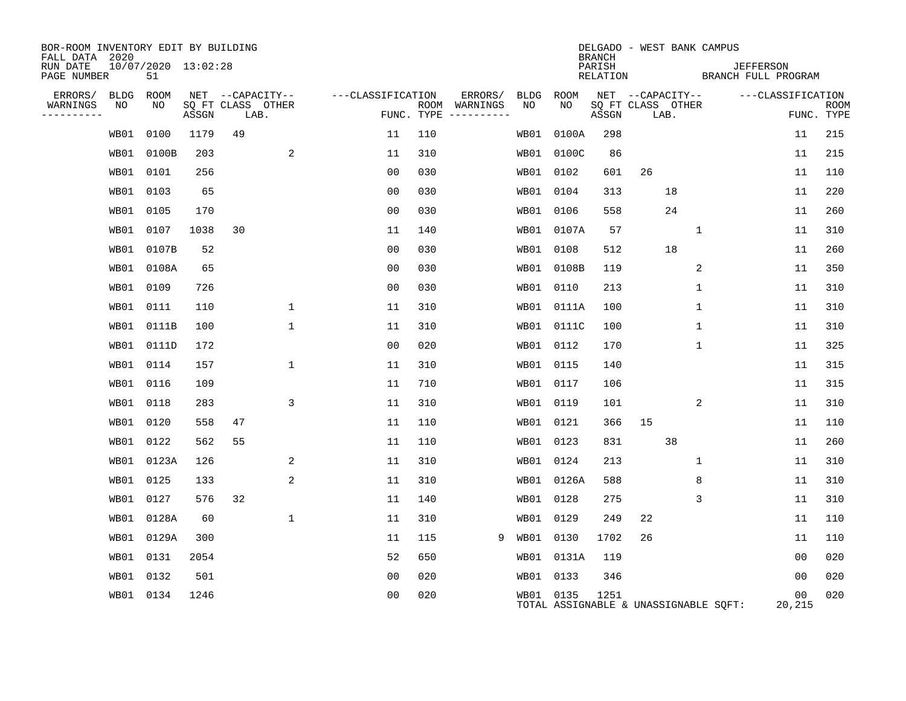| BOR-ROOM INVENTORY EDIT BY BUILDING<br>FALL DATA 2020 |           |                           |       |                           |                  |                   |     |                                      |           |            | <b>BRANCH</b>      |                           |                | DELGADO - WEST BANK CAMPUS            |                                         |                           |
|-------------------------------------------------------|-----------|---------------------------|-------|---------------------------|------------------|-------------------|-----|--------------------------------------|-----------|------------|--------------------|---------------------------|----------------|---------------------------------------|-----------------------------------------|---------------------------|
| RUN DATE<br>PAGE NUMBER                               |           | 10/07/2020 13:02:28<br>51 |       |                           |                  |                   |     |                                      |           |            | PARISH<br>RELATION |                           |                |                                       | <b>JEFFERSON</b><br>BRANCH FULL PROGRAM |                           |
| ERRORS/                                               | BLDG      | ROOM                      |       |                           | NET --CAPACITY-- | ---CLASSIFICATION |     | ERRORS/                              |           | BLDG ROOM  |                    | NET --CAPACITY--          |                |                                       | ---CLASSIFICATION                       |                           |
| WARNINGS<br>----------                                | NO        | NO                        | ASSGN | SQ FT CLASS OTHER<br>LAB. |                  |                   |     | ROOM WARNINGS<br>FUNC. TYPE $------$ | NO        | NO         | ASSGN              | SQ FT CLASS OTHER<br>LAB. |                |                                       |                                         | <b>ROOM</b><br>FUNC. TYPE |
|                                                       | WB01      | 0100                      | 1179  | 49                        |                  | 11                | 110 |                                      | WB01      | 0100A      | 298                |                           |                |                                       | 11                                      | 215                       |
|                                                       | WB01      | 0100B                     | 203   |                           | 2                | 11                | 310 |                                      | WB01      | 0100C      | 86                 |                           |                |                                       | 11                                      | 215                       |
|                                                       | WB01 0101 |                           | 256   |                           |                  | 0 <sub>0</sub>    | 030 |                                      |           | WB01 0102  | 601                | 26                        |                |                                       | 11                                      | 110                       |
|                                                       | WB01      | 0103                      | 65    |                           |                  | 0 <sub>0</sub>    | 030 |                                      | WB01      | 0104       | 313                |                           | 18             |                                       | 11                                      | 220                       |
|                                                       | WB01 0105 |                           | 170   |                           |                  | 0 <sub>0</sub>    | 030 |                                      |           | WB01 0106  | 558                |                           | 24             |                                       | 11                                      | 260                       |
|                                                       | WB01      | 0107                      | 1038  | 30                        |                  | 11                | 140 |                                      |           | WB01 0107A | 57                 |                           | $\mathbf 1$    |                                       | 11                                      | 310                       |
|                                                       | WB01      | 0107B                     | 52    |                           |                  | 0 <sub>0</sub>    | 030 |                                      |           | WB01 0108  | 512                |                           | 18             |                                       | 11                                      | 260                       |
|                                                       |           | WB01 0108A                | 65    |                           |                  | 00                | 030 |                                      |           | WB01 0108B | 119                |                           | $\overline{2}$ |                                       | 11                                      | 350                       |
|                                                       | WB01 0109 |                           | 726   |                           |                  | 0 <sub>0</sub>    | 030 |                                      |           | WB01 0110  | 213                |                           | 1              |                                       | 11                                      | 310                       |
|                                                       | WB01 0111 |                           | 110   |                           | $\mathbf 1$      | 11                | 310 |                                      |           | WB01 0111A | 100                |                           | 1              |                                       | 11                                      | 310                       |
|                                                       |           | WB01 0111B                | 100   |                           | $\mathbf{1}$     | 11                | 310 |                                      |           | WB01 0111C | 100                |                           | 1              |                                       | 11                                      | 310                       |
|                                                       |           | WB01 0111D                | 172   |                           |                  | 0 <sub>0</sub>    | 020 |                                      |           | WB01 0112  | 170                |                           | 1              |                                       | 11                                      | 325                       |
|                                                       | WB01      | 0114                      | 157   |                           | $\mathbf 1$      | 11                | 310 |                                      |           | WB01 0115  | 140                |                           |                |                                       | 11                                      | 315                       |
|                                                       | WB01 0116 |                           | 109   |                           |                  | 11                | 710 |                                      | WB01 0117 |            | 106                |                           |                |                                       | 11                                      | 315                       |
|                                                       | WB01      | 0118                      | 283   |                           | 3                | 11                | 310 |                                      | WB01      | 0119       | 101                |                           | 2              |                                       | 11                                      | 310                       |
|                                                       | WB01 0120 |                           | 558   | 47                        |                  | 11                | 110 |                                      | WB01      | 0121       | 366                | 15                        |                |                                       | 11                                      | 110                       |
|                                                       | WB01 0122 |                           | 562   | 55                        |                  | 11                | 110 |                                      | WB01      | 0123       | 831                |                           | 38             |                                       | 11                                      | 260                       |
|                                                       |           | WB01 0123A                | 126   |                           | 2                | 11                | 310 |                                      |           | WB01 0124  | 213                |                           | 1              |                                       | 11                                      | 310                       |
|                                                       | WB01      | 0125                      | 133   |                           | 2                | 11                | 310 |                                      |           | WB01 0126A | 588                |                           | 8              |                                       | 11                                      | 310                       |
|                                                       | WB01 0127 |                           | 576   | 32                        |                  | 11                | 140 |                                      |           | WB01 0128  | 275                |                           | 3              |                                       | 11                                      | 310                       |
|                                                       |           | WB01 0128A                | 60    |                           | $\mathbf{1}$     | 11                | 310 |                                      | WB01      | 0129       | 249                | 22                        |                |                                       | 11                                      | 110                       |
|                                                       |           | WB01 0129A                | 300   |                           |                  | 11                | 115 | 9                                    | WB01 0130 |            | 1702               | 26                        |                |                                       | 11                                      | 110                       |
|                                                       | WB01      | 0131                      | 2054  |                           |                  | 52                | 650 |                                      | WB01      | 0131A      | 119                |                           |                |                                       | 00                                      | 020                       |
|                                                       | WB01      | 0132                      | 501   |                           |                  | 0 <sub>0</sub>    | 020 |                                      |           | WB01 0133  | 346                |                           |                |                                       | 0 <sub>0</sub>                          | 020                       |
|                                                       | WB01 0134 |                           | 1246  |                           |                  | 0 <sub>0</sub>    | 020 |                                      |           | WB01 0135  | 1251               |                           |                | TOTAL ASSIGNABLE & UNASSIGNABLE SQFT: | 00<br>20,215                            | 020                       |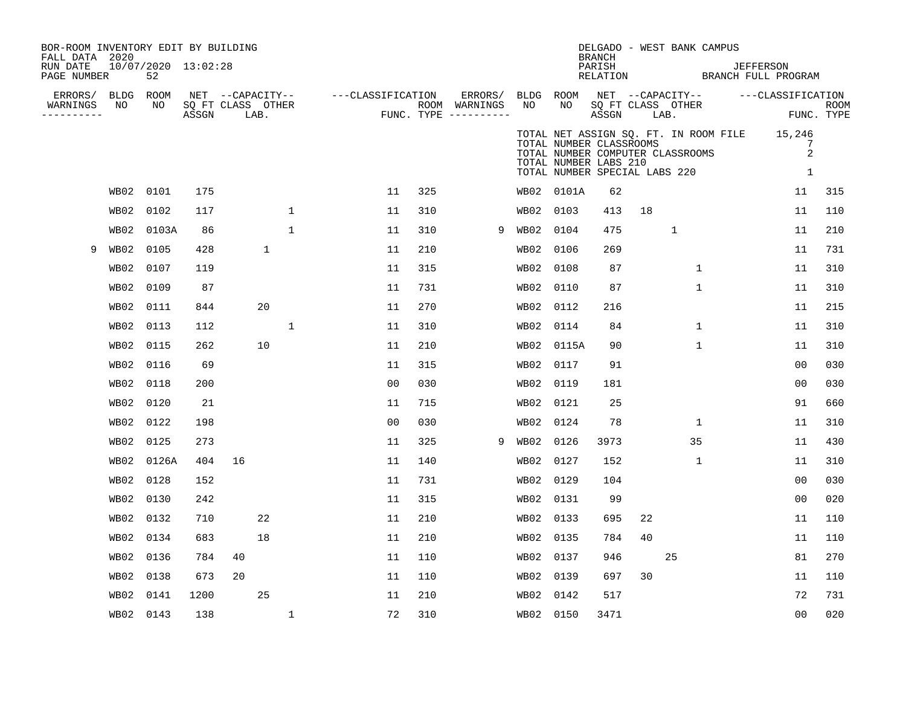| BOR-ROOM INVENTORY EDIT BY BUILDING<br>FALL DATA 2020<br>RUN DATE<br>PAGE NUMBER |           | 10/07/2020 13:02:28<br>52 |       |                           |              |                                                                             |     |                          |                 |                                                                                                                       | DELGADO - WEST BANK CAMPUS<br><b>BRANCH</b><br>PARISH<br>RELATION |      |              | <b>JEFFERSON</b><br>BRANCH FULL PROGRAM                                             |             |
|----------------------------------------------------------------------------------|-----------|---------------------------|-------|---------------------------|--------------|-----------------------------------------------------------------------------|-----|--------------------------|-----------------|-----------------------------------------------------------------------------------------------------------------------|-------------------------------------------------------------------|------|--------------|-------------------------------------------------------------------------------------|-------------|
| ERRORS/ BLDG ROOM<br>WARNINGS<br>---------                                       | NO        | NO                        | ASSGN | SQ FT CLASS OTHER<br>LAB. |              | NET --CAPACITY-- ---CLASSIFICATION<br>ROOM WARNINGS<br>FUNC. TYPE --------- |     | ERRORS/<br>ROOM WARNINGS | BLDG ROOM<br>NO | NO                                                                                                                    | SQ FT CLASS OTHER<br>ASSGN                                        | LAB. |              | NET --CAPACITY-- ----CLASSIFICATION<br>FUNC. TYPE                                   | <b>ROOM</b> |
|                                                                                  |           |                           |       |                           |              |                                                                             |     |                          |                 | TOTAL NUMBER CLASSROOMS<br>TOTAL NUMBER COMPUTER CLASSROOMS<br>TOTAL NUMBER LABS 210<br>TOTAL NUMBER SPECIAL LABS 220 |                                                                   |      |              | TOTAL NET ASSIGN SQ. FT. IN ROOM FILE 15,246<br>7<br>$\overline{2}$<br>$\mathbf{1}$ |             |
|                                                                                  |           | WB02 0101                 | 175   |                           |              | 11                                                                          | 325 |                          |                 | WB02 0101A                                                                                                            | 62                                                                |      |              | 11                                                                                  | 315         |
|                                                                                  |           | WB02 0102                 | 117   |                           | $\mathbf{1}$ | 11                                                                          | 310 |                          | WB02 0103       |                                                                                                                       | 413                                                               | 18   |              | 11                                                                                  | 110         |
|                                                                                  |           | WB02 0103A                | 86    |                           | $\mathbf{1}$ | 11                                                                          | 310 | 9                        | WB02 0104       |                                                                                                                       | 475                                                               |      | $\mathbf{1}$ | 11                                                                                  | 210         |
| 9                                                                                |           | WB02 0105                 | 428   |                           | 1            | 11                                                                          | 210 |                          | WB02            | 0106                                                                                                                  | 269                                                               |      |              | 11                                                                                  | 731         |
|                                                                                  |           | WB02 0107                 | 119   |                           |              | 11                                                                          | 315 |                          | WB02            | 0108                                                                                                                  | 87                                                                |      | $\mathbf 1$  | 11                                                                                  | 310         |
|                                                                                  |           | WB02 0109                 | 87    |                           |              | 11                                                                          | 731 |                          | WB02            | 0110                                                                                                                  | 87                                                                |      | $\mathbf 1$  | 11                                                                                  | 310         |
|                                                                                  |           | WB02 0111                 | 844   |                           | 20           | 11                                                                          | 270 |                          | WB02            | 0112                                                                                                                  | 216                                                               |      |              | 11                                                                                  | 215         |
|                                                                                  |           | WB02 0113                 | 112   |                           | 1            | 11                                                                          | 310 |                          | WB02            | 0114                                                                                                                  | 84                                                                |      | 1            | 11                                                                                  | 310         |
|                                                                                  |           | WB02 0115                 | 262   |                           | 10           | 11                                                                          | 210 |                          | WB02            | 0115A                                                                                                                 | 90                                                                |      | 1            | 11                                                                                  | 310         |
|                                                                                  |           | WB02 0116                 | 69    |                           |              | 11                                                                          | 315 |                          | WB02            | 0117                                                                                                                  | 91                                                                |      |              | 0 <sub>0</sub>                                                                      | 030         |
|                                                                                  |           | WB02 0118                 | 200   |                           |              | 0 <sub>0</sub>                                                              | 030 |                          | WB02            | 0119                                                                                                                  | 181                                                               |      |              | 0 <sub>0</sub>                                                                      | 030         |
|                                                                                  |           | WB02 0120                 | 21    |                           |              | 11                                                                          | 715 |                          | WB02            | 0121                                                                                                                  | 25                                                                |      |              | 91                                                                                  | 660         |
|                                                                                  |           | WB02 0122                 | 198   |                           |              | 00                                                                          | 030 |                          | WB02            | 0124                                                                                                                  | 78                                                                |      | 1            | 11                                                                                  | 310         |
|                                                                                  |           | WB02 0125                 | 273   |                           |              | 11                                                                          | 325 | 9                        | WB02            | 0126                                                                                                                  | 3973                                                              |      | 35           | 11                                                                                  | 430         |
|                                                                                  |           | WB02 0126A                | 404   | 16                        |              | 11                                                                          | 140 |                          | WB02            | 0127                                                                                                                  | 152                                                               |      | 1            | 11                                                                                  | 310         |
|                                                                                  |           | WB02 0128                 | 152   |                           |              | 11                                                                          | 731 |                          | WB02            | 0129                                                                                                                  | 104                                                               |      |              | 0 <sub>0</sub>                                                                      | 030         |
|                                                                                  |           | WB02 0130                 | 242   |                           |              | 11                                                                          | 315 |                          | WB02            | 0131                                                                                                                  | 99                                                                |      |              | 00                                                                                  | 020         |
|                                                                                  |           | WB02 0132                 | 710   |                           | 22           | 11                                                                          | 210 |                          | WB02            | 0133                                                                                                                  | 695                                                               | 22   |              | 11                                                                                  | 110         |
|                                                                                  |           | WB02 0134                 | 683   |                           | 18           | 11                                                                          | 210 |                          | WB02            | 0135                                                                                                                  | 784                                                               | 40   |              | 11                                                                                  | 110         |
|                                                                                  |           | WB02 0136                 | 784   | 40                        |              | 11                                                                          | 110 |                          | WB02            | 0137                                                                                                                  | 946                                                               |      | 25           | 81                                                                                  | 270         |
|                                                                                  |           | WB02 0138                 | 673   | 20                        |              | 11                                                                          | 110 |                          | WB02            | 0139                                                                                                                  | 697                                                               | 30   |              | 11                                                                                  | 110         |
|                                                                                  | WB02 0141 |                           | 1200  |                           | 25           | 11                                                                          | 210 |                          | WB02            | 0142                                                                                                                  | 517                                                               |      |              | 72                                                                                  | 731         |
|                                                                                  |           | WB02 0143                 | 138   |                           | $\mathbf{1}$ | 72                                                                          | 310 |                          | WB02 0150       |                                                                                                                       | 3471                                                              |      |              | 0 <sub>0</sub>                                                                      | 020         |
|                                                                                  |           |                           |       |                           |              |                                                                             |     |                          |                 |                                                                                                                       |                                                                   |      |              |                                                                                     |             |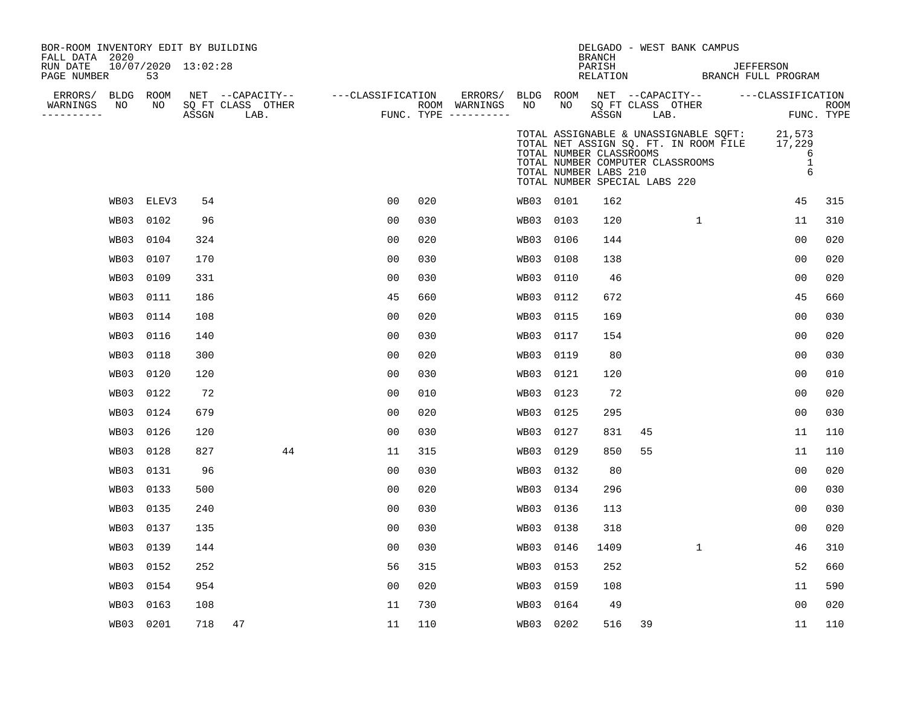| BOR-ROOM INVENTORY EDIT BY BUILDING<br>FALL DATA 2020<br>RUN DATE<br>PAGE NUMBER |      | 53         | $10/07/2020$ $13:02:28$ |                                               |                           |     |                                      |           |                                                  | BRANCH<br>PARISH<br>RELATION | DELGADO - WEST BANK CAMPUS                                                                                 |              | <b>JEFFERSON</b><br>BRANCH FULL PROGRAM                                          |                           |
|----------------------------------------------------------------------------------|------|------------|-------------------------|-----------------------------------------------|---------------------------|-----|--------------------------------------|-----------|--------------------------------------------------|------------------------------|------------------------------------------------------------------------------------------------------------|--------------|----------------------------------------------------------------------------------|---------------------------|
| ERRORS/ BLDG ROOM<br>WARNINGS<br>----------                                      | NO   | NO         | ASSGN                   | NET --CAPACITY--<br>SQ FT CLASS OTHER<br>LAB. | ---CLASSIFICATION ERRORS/ |     | ROOM WARNINGS<br>FUNC. TYPE $------$ | NO        | NO                                               | ASSGN                        | SQ FT CLASS OTHER<br>LAB.                                                                                  |              | BLDG ROOM NET --CAPACITY-- ---CLASSIFICATION                                     | <b>ROOM</b><br>FUNC. TYPE |
|                                                                                  |      |            |                         |                                               |                           |     |                                      |           | TOTAL NUMBER CLASSROOMS<br>TOTAL NUMBER LABS 210 |                              | TOTAL NET ASSIGN SQ. FT. IN ROOM FILE<br>TOTAL NUMBER COMPUTER CLASSROOMS<br>TOTAL NUMBER SPECIAL LABS 220 |              | TOTAL ASSIGNABLE & UNASSIGNABLE SQFT: 21,573<br>17,229<br>6<br>$\mathbf{1}$<br>6 |                           |
|                                                                                  |      | WB03 ELEV3 | 54                      |                                               | 0 <sub>0</sub>            | 020 |                                      |           | WB03 0101                                        | 162                          |                                                                                                            |              | 45                                                                               | 315                       |
|                                                                                  | WB03 | 0102       | 96                      |                                               | 00                        | 030 |                                      | WB03      | 0103                                             | 120                          |                                                                                                            | $\mathbf{1}$ | 11                                                                               | 310                       |
|                                                                                  | WB03 | 0104       | 324                     |                                               | 0 <sub>0</sub>            | 020 |                                      | WB03      | 0106                                             | 144                          |                                                                                                            |              | 00                                                                               | 020                       |
|                                                                                  | WB03 | 0107       | 170                     |                                               | 0 <sub>0</sub>            | 030 |                                      | WB03      | 0108                                             | 138                          |                                                                                                            |              | 0 <sub>0</sub>                                                                   | 020                       |
|                                                                                  | WB03 | 0109       | 331                     |                                               | 0 <sub>0</sub>            | 030 |                                      | WB03      | 0110                                             | 46                           |                                                                                                            |              | 0 <sub>0</sub>                                                                   | 020                       |
|                                                                                  | WB03 | 0111       | 186                     |                                               | 45                        | 660 |                                      | WB03      | 0112                                             | 672                          |                                                                                                            |              | 45                                                                               | 660                       |
|                                                                                  | WB03 | 0114       | 108                     |                                               | 0 <sub>0</sub>            | 020 |                                      | WB03      | 0115                                             | 169                          |                                                                                                            |              | 0 <sub>0</sub>                                                                   | 030                       |
|                                                                                  | WB03 | 0116       | 140                     |                                               | 0 <sub>0</sub>            | 030 |                                      | WB03      | 0117                                             | 154                          |                                                                                                            |              | 0 <sub>0</sub>                                                                   | 020                       |
|                                                                                  | WB03 | 0118       | 300                     |                                               | 0 <sub>0</sub>            | 020 |                                      | WB03      | 0119                                             | 80                           |                                                                                                            |              | 00                                                                               | 030                       |
|                                                                                  | WB03 | 0120       | 120                     |                                               | 0 <sub>0</sub>            | 030 |                                      | WB03      | 0121                                             | 120                          |                                                                                                            |              | 0 <sub>0</sub>                                                                   | 010                       |
|                                                                                  | WB03 | 0122       | 72                      |                                               | 0 <sub>0</sub>            | 010 |                                      | WB03      | 0123                                             | 72                           |                                                                                                            |              | 0 <sub>0</sub>                                                                   | 020                       |
|                                                                                  | WB03 | 0124       | 679                     |                                               | 0 <sub>0</sub>            | 020 |                                      | WB03      | 0125                                             | 295                          |                                                                                                            |              | 00                                                                               | 030                       |
|                                                                                  | WB03 | 0126       | 120                     |                                               | 0 <sub>0</sub>            | 030 |                                      | WB03      | 0127                                             | 831                          | 45                                                                                                         |              | 11                                                                               | 110                       |
|                                                                                  | WB03 | 0128       | 827                     | 44                                            | 11                        | 315 |                                      | WB03      | 0129                                             | 850                          | 55                                                                                                         |              | 11                                                                               | 110                       |
|                                                                                  | WB03 | 0131       | 96                      |                                               | 0 <sub>0</sub>            | 030 |                                      |           | WB03 0132                                        | 80                           |                                                                                                            |              | 0 <sub>0</sub>                                                                   | 020                       |
|                                                                                  | WB03 | 0133       | 500                     |                                               | 0 <sub>0</sub>            | 020 |                                      | WB03      | 0134                                             | 296                          |                                                                                                            |              | 0 <sub>0</sub>                                                                   | 030                       |
|                                                                                  | WB03 | 0135       | 240                     |                                               | 0 <sub>0</sub>            | 030 |                                      | WB03      | 0136                                             | 113                          |                                                                                                            |              | 0 <sub>0</sub>                                                                   | 030                       |
|                                                                                  | WB03 | 0137       | 135                     |                                               | 0 <sub>0</sub>            | 030 |                                      | WB03      | 0138                                             | 318                          |                                                                                                            |              | 00                                                                               | 020                       |
|                                                                                  | WB03 | 0139       | 144                     |                                               | 0 <sub>0</sub>            | 030 |                                      | WB03      | 0146                                             | 1409                         |                                                                                                            | $\mathbf{1}$ | 46                                                                               | 310                       |
|                                                                                  | WB03 | 0152       | 252                     |                                               | 56                        | 315 |                                      | WB03      | 0153                                             | 252                          |                                                                                                            |              | 52                                                                               | 660                       |
|                                                                                  | WB03 | 0154       | 954                     |                                               | 0 <sub>0</sub>            | 020 |                                      | WB03      | 0159                                             | 108                          |                                                                                                            |              | 11                                                                               | 590                       |
|                                                                                  | WB03 | 0163       | 108                     |                                               | 11                        | 730 |                                      | WB03      | 0164                                             | 49                           |                                                                                                            |              | 00                                                                               | 020                       |
|                                                                                  | WB03 | 0201       | 718                     | 47                                            | 11                        | 110 |                                      | WB03 0202 |                                                  | 516                          | 39                                                                                                         |              | 11                                                                               | 110                       |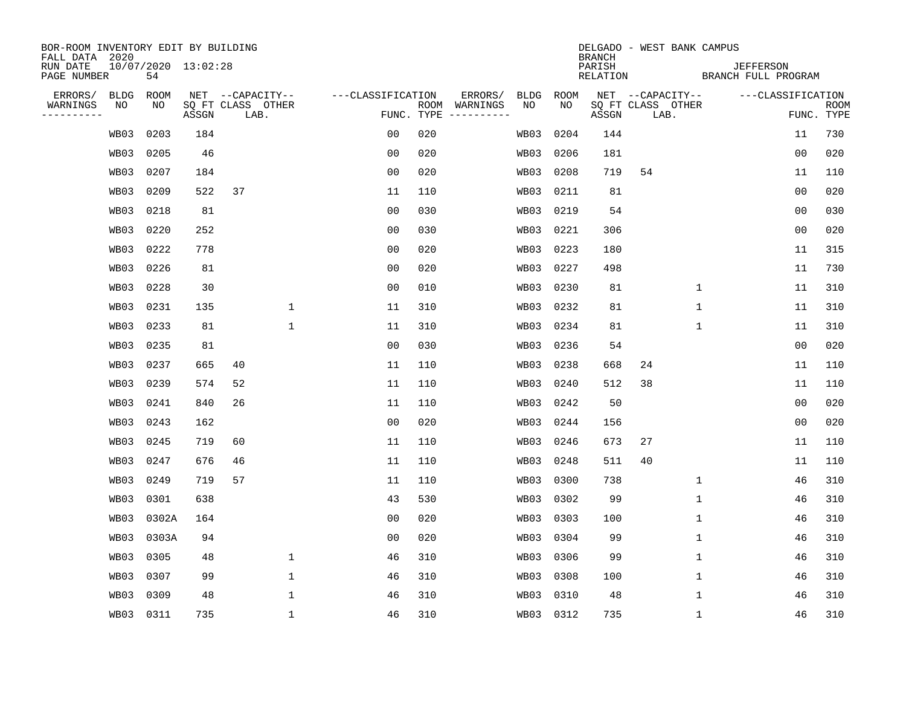| BOR-ROOM INVENTORY EDIT BY BUILDING<br>FALL DATA 2020 |             |                           |       |                           |              |                   |                |            |                                                                                                                                                                                                                                                                                                                                                                                                                                                                                                       |             |             | DELGADO - WEST BANK CAMPUS<br><b>BRANCH</b> |                           |              |                                         |                |             |
|-------------------------------------------------------|-------------|---------------------------|-------|---------------------------|--------------|-------------------|----------------|------------|-------------------------------------------------------------------------------------------------------------------------------------------------------------------------------------------------------------------------------------------------------------------------------------------------------------------------------------------------------------------------------------------------------------------------------------------------------------------------------------------------------|-------------|-------------|---------------------------------------------|---------------------------|--------------|-----------------------------------------|----------------|-------------|
| RUN DATE<br>PAGE NUMBER                               |             | 10/07/2020 13:02:28<br>54 |       |                           |              |                   |                |            |                                                                                                                                                                                                                                                                                                                                                                                                                                                                                                       |             |             | PARISH<br>RELATION                          |                           |              | <b>JEFFERSON</b><br>BRANCH FULL PROGRAM |                |             |
| ERRORS/                                               | <b>BLDG</b> | ROOM                      |       | NET --CAPACITY--          |              | ---CLASSIFICATION |                |            | ERRORS/                                                                                                                                                                                                                                                                                                                                                                                                                                                                                               | <b>BLDG</b> | <b>ROOM</b> |                                             | NET --CAPACITY--          |              | ---CLASSIFICATION                       |                |             |
| WARNINGS<br>----------                                | NO          | NO                        | ASSGN | SQ FT CLASS OTHER<br>LAB. |              |                   |                | FUNC. TYPE | ROOM WARNINGS<br>$\begin{tabular}{cccccc} \multicolumn{2}{c}{} & \multicolumn{2}{c}{} & \multicolumn{2}{c}{} & \multicolumn{2}{c}{} & \multicolumn{2}{c}{} & \multicolumn{2}{c}{} & \multicolumn{2}{c}{} & \multicolumn{2}{c}{} & \multicolumn{2}{c}{} & \multicolumn{2}{c}{} & \multicolumn{2}{c}{} & \multicolumn{2}{c}{} & \multicolumn{2}{c}{} & \multicolumn{2}{c}{} & \multicolumn{2}{c}{} & \multicolumn{2}{c}{} & \multicolumn{2}{c}{} & \multicolumn{2}{c}{} & \multicolumn{2}{c}{} & \mult$ | NO          | NO.         | ASSGN                                       | SQ FT CLASS OTHER<br>LAB. |              |                                         | FUNC. TYPE     | <b>ROOM</b> |
|                                                       | WB03        | 0203                      | 184   |                           |              |                   | 0 <sub>0</sub> | 020        |                                                                                                                                                                                                                                                                                                                                                                                                                                                                                                       | WB03        | 0204        | 144                                         |                           |              |                                         | 11             | 730         |
|                                                       | WB03        | 0205                      | 46    |                           |              |                   | 0 <sub>0</sub> | 020        |                                                                                                                                                                                                                                                                                                                                                                                                                                                                                                       | WB03        | 0206        | 181                                         |                           |              |                                         | 0 <sub>0</sub> | 020         |
|                                                       | WB03        | 0207                      | 184   |                           |              |                   | 0 <sub>0</sub> | 020        |                                                                                                                                                                                                                                                                                                                                                                                                                                                                                                       | WB03        | 0208        | 719                                         | 54                        |              |                                         | 11             | 110         |
|                                                       | WB03        | 0209                      | 522   | 37                        |              |                   | 11             | 110        |                                                                                                                                                                                                                                                                                                                                                                                                                                                                                                       | WB03        | 0211        | 81                                          |                           |              |                                         | 0 <sub>0</sub> | 020         |
|                                                       | WB03        | 0218                      | 81    |                           |              |                   | 0 <sub>0</sub> | 030        |                                                                                                                                                                                                                                                                                                                                                                                                                                                                                                       | WB03        | 0219        | 54                                          |                           |              |                                         | 00             | 030         |
|                                                       | WB03        | 0220                      | 252   |                           |              |                   | 0 <sub>0</sub> | 030        |                                                                                                                                                                                                                                                                                                                                                                                                                                                                                                       | WB03        | 0221        | 306                                         |                           |              |                                         | 0 <sub>0</sub> | 020         |
|                                                       | WB03        | 0222                      | 778   |                           |              |                   | 0 <sub>0</sub> | 020        |                                                                                                                                                                                                                                                                                                                                                                                                                                                                                                       | WB03        | 0223        | 180                                         |                           |              |                                         | 11             | 315         |
|                                                       | WB03        | 0226                      | 81    |                           |              |                   | 0 <sub>0</sub> | 020        |                                                                                                                                                                                                                                                                                                                                                                                                                                                                                                       | WB03        | 0227        | 498                                         |                           |              |                                         | 11             | 730         |
|                                                       | WB03        | 0228                      | 30    |                           |              |                   | 0 <sub>0</sub> | 010        |                                                                                                                                                                                                                                                                                                                                                                                                                                                                                                       | WB03        | 0230        | 81                                          |                           | $\mathbf{1}$ |                                         | 11             | 310         |
|                                                       | WB03        | 0231                      | 135   |                           | 1            |                   | 11             | 310        |                                                                                                                                                                                                                                                                                                                                                                                                                                                                                                       | WB03        | 0232        | 81                                          |                           | 1            |                                         | 11             | 310         |
|                                                       | WB03        | 0233                      | 81    |                           | $\mathbf{1}$ |                   | 11             | 310        |                                                                                                                                                                                                                                                                                                                                                                                                                                                                                                       | WB03        | 0234        | 81                                          |                           | $\mathbf 1$  |                                         | 11             | 310         |
|                                                       | WB03        | 0235                      | 81    |                           |              |                   | 0 <sub>0</sub> | 030        |                                                                                                                                                                                                                                                                                                                                                                                                                                                                                                       | WB03        | 0236        | 54                                          |                           |              |                                         | 0 <sub>0</sub> | 020         |
|                                                       | WB03        | 0237                      | 665   | 40                        |              |                   | 11             | 110        |                                                                                                                                                                                                                                                                                                                                                                                                                                                                                                       | WB03        | 0238        | 668                                         | 24                        |              |                                         | 11             | 110         |
|                                                       | WB03        | 0239                      | 574   | 52                        |              |                   | 11             | 110        |                                                                                                                                                                                                                                                                                                                                                                                                                                                                                                       | WB03        | 0240        | 512                                         | 38                        |              |                                         | 11             | 110         |
|                                                       | WB03        | 0241                      | 840   | 26                        |              |                   | 11             | 110        |                                                                                                                                                                                                                                                                                                                                                                                                                                                                                                       | WB03        | 0242        | 50                                          |                           |              |                                         | 00             | 020         |
|                                                       | WB03        | 0243                      | 162   |                           |              |                   | 0 <sub>0</sub> | 020        |                                                                                                                                                                                                                                                                                                                                                                                                                                                                                                       | WB03        | 0244        | 156                                         |                           |              |                                         | 0 <sub>0</sub> | 020         |
|                                                       | WB03        | 0245                      | 719   | 60                        |              |                   | 11             | 110        |                                                                                                                                                                                                                                                                                                                                                                                                                                                                                                       | WB03        | 0246        | 673                                         | 27                        |              |                                         | 11             | 110         |
|                                                       | WB03        | 0247                      | 676   | 46                        |              |                   | 11             | 110        |                                                                                                                                                                                                                                                                                                                                                                                                                                                                                                       | WB03        | 0248        | 511                                         | 40                        |              |                                         | 11             | 110         |
|                                                       | WB03        | 0249                      | 719   | 57                        |              |                   | 11             | 110        |                                                                                                                                                                                                                                                                                                                                                                                                                                                                                                       | WB03        | 0300        | 738                                         |                           | $\mathbf 1$  |                                         | 46             | 310         |
|                                                       | WB03        | 0301                      | 638   |                           |              |                   | 43             | 530        |                                                                                                                                                                                                                                                                                                                                                                                                                                                                                                       | WB03        | 0302        | 99                                          |                           | $\mathbf{1}$ |                                         | 46             | 310         |
|                                                       | WB03        | 0302A                     | 164   |                           |              |                   | 0 <sub>0</sub> | 020        |                                                                                                                                                                                                                                                                                                                                                                                                                                                                                                       | WB03        | 0303        | 100                                         |                           | 1            |                                         | 46             | 310         |
|                                                       | WB03        | 0303A                     | 94    |                           |              |                   | 0 <sub>0</sub> | 020        |                                                                                                                                                                                                                                                                                                                                                                                                                                                                                                       | WB03        | 0304        | 99                                          |                           | $\mathbf 1$  |                                         | 46             | 310         |
|                                                       | WB03        | 0305                      | 48    |                           | $\mathbf{1}$ |                   | 46             | 310        |                                                                                                                                                                                                                                                                                                                                                                                                                                                                                                       | WB03        | 0306        | 99                                          |                           | 1            |                                         | 46             | 310         |
|                                                       | WB03        | 0307                      | 99    |                           | 1            |                   | 46             | 310        |                                                                                                                                                                                                                                                                                                                                                                                                                                                                                                       | WB03        | 0308        | 100                                         |                           | 1            |                                         | 46             | 310         |
|                                                       | WB03        | 0309                      | 48    |                           | $\mathbf 1$  |                   | 46             | 310        |                                                                                                                                                                                                                                                                                                                                                                                                                                                                                                       | WB03        | 0310        | 48                                          |                           | $\mathbf{1}$ |                                         | 46             | 310         |
|                                                       | WB03        | 0311                      | 735   |                           | $\mathbf{1}$ |                   | 46             | 310        |                                                                                                                                                                                                                                                                                                                                                                                                                                                                                                       | WB03 0312   |             | 735                                         |                           | $\mathbf{1}$ |                                         | 46             | 310         |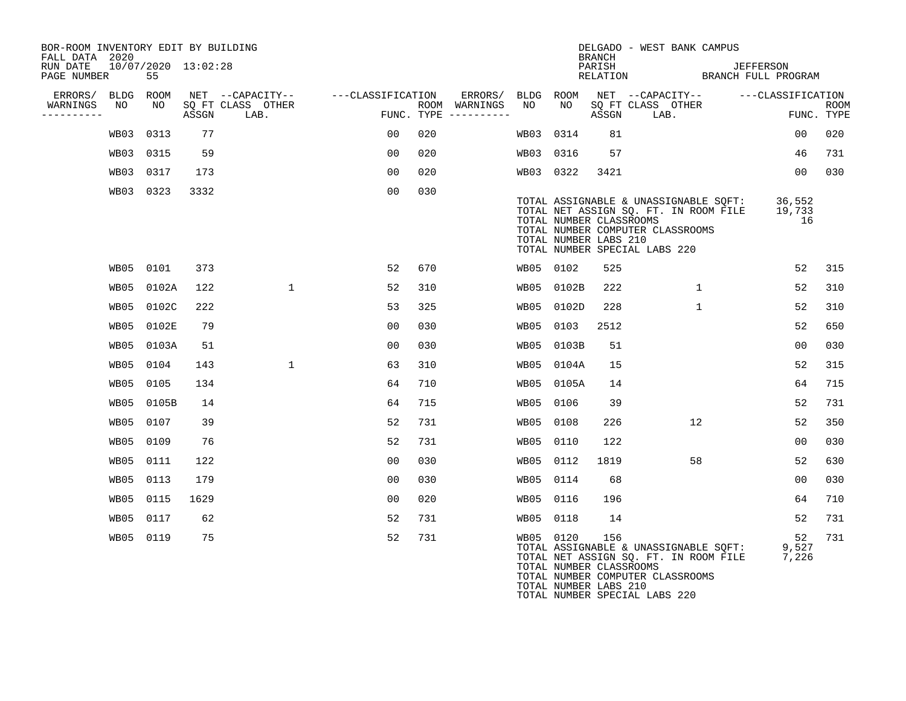| BOR-ROOM INVENTORY EDIT BY BUILDING<br>FALL DATA 2020 |           |            |                         |                                               |                   |      |                                 |           |                                                  | <b>BRANCH</b> | DELGADO - WEST BANK CAMPUS                                                                                                                          |                        |                           |
|-------------------------------------------------------|-----------|------------|-------------------------|-----------------------------------------------|-------------------|------|---------------------------------|-----------|--------------------------------------------------|---------------|-----------------------------------------------------------------------------------------------------------------------------------------------------|------------------------|---------------------------|
| RUN DATE<br>PAGE NUMBER                               |           | 55         | $10/07/2020$ $13:02:28$ |                                               |                   |      |                                 |           |                                                  | PARISH        | RELATION BRANCH FULL PROGRAM                                                                                                                        | JEFFERSON              |                           |
| ERRORS/ BLDG ROOM<br>WARNINGS<br>----------           | NO        | NO         | ASSGN                   | NET --CAPACITY--<br>SQ FT CLASS OTHER<br>LAB. | ---CLASSIFICATION | ROOM | WARNINGS<br>FUNC. TYPE $------$ | NO        | NO.                                              | ASSGN         | ERRORS/ BLDG ROOM NET --CAPACITY--<br>SQ FT CLASS OTHER<br>LAB.                                                                                     | ---CLASSIFICATION      | <b>ROOM</b><br>FUNC. TYPE |
|                                                       | WB03 0313 |            | 77                      |                                               | 00                | 020  |                                 | WB03      | 0314                                             | 81            |                                                                                                                                                     | 00                     | 020                       |
|                                                       | WB03 0315 |            | 59                      |                                               | 00                | 020  |                                 | WB03      | 0316                                             | 57            |                                                                                                                                                     | 46                     | 731                       |
|                                                       | WB03 0317 |            | 173                     |                                               | 0 <sub>0</sub>    | 020  |                                 | WB03 0322 |                                                  | 3421          |                                                                                                                                                     | 00                     | 030                       |
|                                                       | WB03 0323 |            | 3332                    |                                               | 00                | 030  |                                 |           | TOTAL NUMBER CLASSROOMS<br>TOTAL NUMBER LABS 210 |               | TOTAL ASSIGNABLE & UNASSIGNABLE SQFT:<br>TOTAL NET ASSIGN SQ. FT. IN ROOM FILE<br>TOTAL NUMBER COMPUTER CLASSROOMS<br>TOTAL NUMBER SPECIAL LABS 220 | 36,552<br>19,733<br>16 |                           |
|                                                       | WB05 0101 |            | 373                     |                                               | 52                | 670  |                                 | WB05 0102 |                                                  | 525           |                                                                                                                                                     | 52                     | 315                       |
|                                                       |           | WB05 0102A | 122                     | $\mathbf{1}$                                  | 52                | 310  |                                 |           | WB05 0102B                                       | 222           | $\mathbf{1}$                                                                                                                                        | 52                     | 310                       |
|                                                       |           | WB05 0102C | 222                     |                                               | 53                | 325  |                                 | WB05      | 0102D                                            | 228           | $\mathbf{1}$                                                                                                                                        | 52                     | 310                       |
|                                                       |           | WB05 0102E | 79                      |                                               | 0 <sub>0</sub>    | 030  |                                 | WB05      | 0103                                             | 2512          |                                                                                                                                                     | 52                     | 650                       |
|                                                       |           | WB05 0103A | 51                      |                                               | 0 <sub>0</sub>    | 0.30 |                                 | WB05      | 0103B                                            | 51            |                                                                                                                                                     | 0 <sub>0</sub>         | 030                       |
|                                                       | WB05 0104 |            | 143                     | $\mathbf{1}$                                  | 63                | 310  |                                 |           | WB05 0104A                                       | 15            |                                                                                                                                                     | 52                     | 315                       |
|                                                       | WB05 0105 |            | 134                     |                                               | 64                | 710  |                                 | WB05      | 0105A                                            | 14            |                                                                                                                                                     | 64                     | 715                       |
|                                                       |           | WB05 0105B | 14                      |                                               | 64                | 715  |                                 | WB05      | 0106                                             | 39            |                                                                                                                                                     | 52                     | 731                       |
|                                                       | WB05 0107 |            | 39                      |                                               | 52                | 731  |                                 | WB05      | 0108                                             | 226           | 12                                                                                                                                                  | 52                     | 350                       |
|                                                       | WB05 0109 |            | 76                      |                                               | 52                | 731  |                                 | WB05      | 0110                                             | 122           |                                                                                                                                                     | 0 <sub>0</sub>         | 030                       |
|                                                       | WB05 0111 |            | 122                     |                                               | 0 <sub>0</sub>    | 030  |                                 | WB05 0112 |                                                  | 1819          | 58                                                                                                                                                  | 52                     | 630                       |
|                                                       | WB05 0113 |            | 179                     |                                               | 00                | 030  |                                 | WB05      | 0114                                             | 68            |                                                                                                                                                     | 00                     | 030                       |
|                                                       | WB05 0115 |            | 1629                    |                                               | 0 <sub>0</sub>    | 020  |                                 | WB05      | 0116                                             | 196           |                                                                                                                                                     | 64                     | 710                       |
|                                                       | WB05 0117 |            | 62                      |                                               | 52                | 731  |                                 | WB05 0118 |                                                  | 14            |                                                                                                                                                     | 52                     | 731                       |
|                                                       | WB05 0119 |            | 75                      |                                               | 52                | 731  |                                 | WB05 0120 | TOTAL NUMBER CLASSROOMS                          | 156           | TOTAL ASSIGNABLE & UNASSIGNABLE SOFT:<br>TOTAL NET ASSIGN SQ. FT. IN ROOM FILE<br>TOTAL NUMBER COMPUTER CLASSROOMS                                  | 52<br>9,527<br>7,226   | 731                       |

TOTAL NUMBER LABS 210

TOTAL NUMBER SPECIAL LABS 220